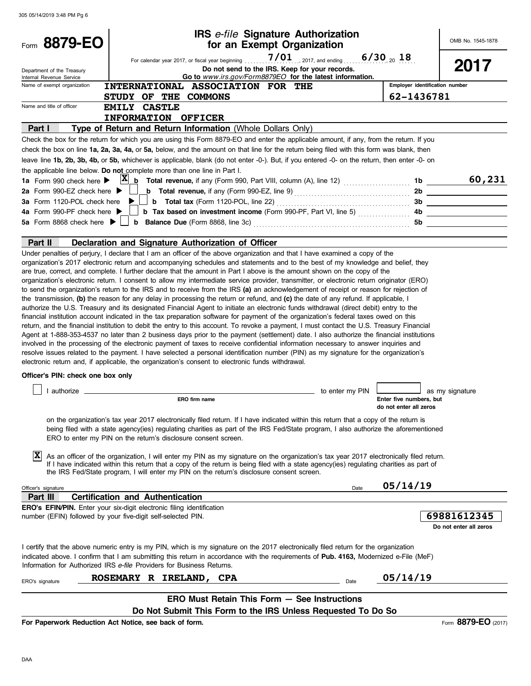| Form 8879-EO                                                                                                                                                                                                                                                                                                                                                                                                                                                                                                                                                                                                                                                                                                                                                                                                                                                                                                                                                                                                                                                                                                                                                                                                                                                                                                                                                                                                                                                                                                                                                                                                                                                                                                                                                                                                                 |                                         |                                                                                 | IRS e-file Signature Authorization<br>for an Exempt Organization                                                                                                                                                                                                                                                                                                                 |                 |                                                   | OMB No. 1545-1878                                                                                                                                                                                                                         |
|------------------------------------------------------------------------------------------------------------------------------------------------------------------------------------------------------------------------------------------------------------------------------------------------------------------------------------------------------------------------------------------------------------------------------------------------------------------------------------------------------------------------------------------------------------------------------------------------------------------------------------------------------------------------------------------------------------------------------------------------------------------------------------------------------------------------------------------------------------------------------------------------------------------------------------------------------------------------------------------------------------------------------------------------------------------------------------------------------------------------------------------------------------------------------------------------------------------------------------------------------------------------------------------------------------------------------------------------------------------------------------------------------------------------------------------------------------------------------------------------------------------------------------------------------------------------------------------------------------------------------------------------------------------------------------------------------------------------------------------------------------------------------------------------------------------------------|-----------------------------------------|---------------------------------------------------------------------------------|----------------------------------------------------------------------------------------------------------------------------------------------------------------------------------------------------------------------------------------------------------------------------------------------------------------------------------------------------------------------------------|-----------------|---------------------------------------------------|-------------------------------------------------------------------------------------------------------------------------------------------------------------------------------------------------------------------------------------------|
|                                                                                                                                                                                                                                                                                                                                                                                                                                                                                                                                                                                                                                                                                                                                                                                                                                                                                                                                                                                                                                                                                                                                                                                                                                                                                                                                                                                                                                                                                                                                                                                                                                                                                                                                                                                                                              |                                         |                                                                                 |                                                                                                                                                                                                                                                                                                                                                                                  |                 |                                                   |                                                                                                                                                                                                                                           |
| Department of the Treasury<br>Internal Revenue Service                                                                                                                                                                                                                                                                                                                                                                                                                                                                                                                                                                                                                                                                                                                                                                                                                                                                                                                                                                                                                                                                                                                                                                                                                                                                                                                                                                                                                                                                                                                                                                                                                                                                                                                                                                       |                                         |                                                                                 | Do not send to the IRS. Keep for your records.<br>Go to www.irs.gov/Form8879EO for the latest information.                                                                                                                                                                                                                                                                       |                 |                                                   | 2017                                                                                                                                                                                                                                      |
| Name of exempt organization                                                                                                                                                                                                                                                                                                                                                                                                                                                                                                                                                                                                                                                                                                                                                                                                                                                                                                                                                                                                                                                                                                                                                                                                                                                                                                                                                                                                                                                                                                                                                                                                                                                                                                                                                                                                  |                                         |                                                                                 | INTERNATIONAL ASSOCIATION FOR THE                                                                                                                                                                                                                                                                                                                                                |                 | Employer identification number                    |                                                                                                                                                                                                                                           |
|                                                                                                                                                                                                                                                                                                                                                                                                                                                                                                                                                                                                                                                                                                                                                                                                                                                                                                                                                                                                                                                                                                                                                                                                                                                                                                                                                                                                                                                                                                                                                                                                                                                                                                                                                                                                                              | STUDY OF THE COMMONS                    |                                                                                 |                                                                                                                                                                                                                                                                                                                                                                                  |                 | 62-1436781                                        |                                                                                                                                                                                                                                           |
| Name and title of officer                                                                                                                                                                                                                                                                                                                                                                                                                                                                                                                                                                                                                                                                                                                                                                                                                                                                                                                                                                                                                                                                                                                                                                                                                                                                                                                                                                                                                                                                                                                                                                                                                                                                                                                                                                                                    | <b>EMILY CASTLE</b>                     |                                                                                 |                                                                                                                                                                                                                                                                                                                                                                                  |                 |                                                   |                                                                                                                                                                                                                                           |
|                                                                                                                                                                                                                                                                                                                                                                                                                                                                                                                                                                                                                                                                                                                                                                                                                                                                                                                                                                                                                                                                                                                                                                                                                                                                                                                                                                                                                                                                                                                                                                                                                                                                                                                                                                                                                              | INFORMATION OFFICER                     |                                                                                 |                                                                                                                                                                                                                                                                                                                                                                                  |                 |                                                   |                                                                                                                                                                                                                                           |
| Part I                                                                                                                                                                                                                                                                                                                                                                                                                                                                                                                                                                                                                                                                                                                                                                                                                                                                                                                                                                                                                                                                                                                                                                                                                                                                                                                                                                                                                                                                                                                                                                                                                                                                                                                                                                                                                       |                                         |                                                                                 | Type of Return and Return Information (Whole Dollars Only)                                                                                                                                                                                                                                                                                                                       |                 |                                                   |                                                                                                                                                                                                                                           |
| Check the box for the return for which you are using this Form 8879-EO and enter the applicable amount, if any, from the return. If you                                                                                                                                                                                                                                                                                                                                                                                                                                                                                                                                                                                                                                                                                                                                                                                                                                                                                                                                                                                                                                                                                                                                                                                                                                                                                                                                                                                                                                                                                                                                                                                                                                                                                      |                                         |                                                                                 |                                                                                                                                                                                                                                                                                                                                                                                  |                 |                                                   |                                                                                                                                                                                                                                           |
| check the box on line 1a, 2a, 3a, 4a, or 5a, below, and the amount on that line for the return being filed with this form was blank, then<br>leave line 1b, 2b, 3b, 4b, or 5b, whichever is applicable, blank (do not enter -0-). But, if you entered -0- on the return, then enter -0- on                                                                                                                                                                                                                                                                                                                                                                                                                                                                                                                                                                                                                                                                                                                                                                                                                                                                                                                                                                                                                                                                                                                                                                                                                                                                                                                                                                                                                                                                                                                                   |                                         |                                                                                 |                                                                                                                                                                                                                                                                                                                                                                                  |                 |                                                   |                                                                                                                                                                                                                                           |
| the applicable line below. Do not complete more than one line in Part I.                                                                                                                                                                                                                                                                                                                                                                                                                                                                                                                                                                                                                                                                                                                                                                                                                                                                                                                                                                                                                                                                                                                                                                                                                                                                                                                                                                                                                                                                                                                                                                                                                                                                                                                                                     |                                         |                                                                                 |                                                                                                                                                                                                                                                                                                                                                                                  |                 |                                                   |                                                                                                                                                                                                                                           |
| 1a Form 990 check here $\blacktriangleright$                                                                                                                                                                                                                                                                                                                                                                                                                                                                                                                                                                                                                                                                                                                                                                                                                                                                                                                                                                                                                                                                                                                                                                                                                                                                                                                                                                                                                                                                                                                                                                                                                                                                                                                                                                                 |                                         |                                                                                 |                                                                                                                                                                                                                                                                                                                                                                                  |                 |                                                   | 60,231                                                                                                                                                                                                                                    |
| 2a Form 990-EZ check here $\blacktriangleright$                                                                                                                                                                                                                                                                                                                                                                                                                                                                                                                                                                                                                                                                                                                                                                                                                                                                                                                                                                                                                                                                                                                                                                                                                                                                                                                                                                                                                                                                                                                                                                                                                                                                                                                                                                              |                                         |                                                                                 |                                                                                                                                                                                                                                                                                                                                                                                  |                 |                                                   | <b>b</b> Total revenue, if any (Form 990-EZ, line 9) <b>contained a container a</b> 2b <b>container a container a</b>                                                                                                                     |
| 3a Form 1120-POL check here                                                                                                                                                                                                                                                                                                                                                                                                                                                                                                                                                                                                                                                                                                                                                                                                                                                                                                                                                                                                                                                                                                                                                                                                                                                                                                                                                                                                                                                                                                                                                                                                                                                                                                                                                                                                  |                                         |                                                                                 |                                                                                                                                                                                                                                                                                                                                                                                  |                 |                                                   |                                                                                                                                                                                                                                           |
| 4a Form 990-PF check here ▶                                                                                                                                                                                                                                                                                                                                                                                                                                                                                                                                                                                                                                                                                                                                                                                                                                                                                                                                                                                                                                                                                                                                                                                                                                                                                                                                                                                                                                                                                                                                                                                                                                                                                                                                                                                                  |                                         |                                                                                 |                                                                                                                                                                                                                                                                                                                                                                                  |                 |                                                   |                                                                                                                                                                                                                                           |
| 5a Form 8868 check here $\blacktriangleright$                                                                                                                                                                                                                                                                                                                                                                                                                                                                                                                                                                                                                                                                                                                                                                                                                                                                                                                                                                                                                                                                                                                                                                                                                                                                                                                                                                                                                                                                                                                                                                                                                                                                                                                                                                                |                                         |                                                                                 |                                                                                                                                                                                                                                                                                                                                                                                  |                 |                                                   | <b>b</b> Balance Due (Form 8868, line 3c) <b>Constant Construct Constant Construct Construct Construct Construct Constant Construct Construct Construct Construct Construct Construct Construct Construct Construct Construct Constru</b> |
| Part II                                                                                                                                                                                                                                                                                                                                                                                                                                                                                                                                                                                                                                                                                                                                                                                                                                                                                                                                                                                                                                                                                                                                                                                                                                                                                                                                                                                                                                                                                                                                                                                                                                                                                                                                                                                                                      |                                         | Declaration and Signature Authorization of Officer                              |                                                                                                                                                                                                                                                                                                                                                                                  |                 |                                                   |                                                                                                                                                                                                                                           |
| Under penalties of perjury, I declare that I am an officer of the above organization and that I have examined a copy of the<br>organization's 2017 electronic return and accompanying schedules and statements and to the best of my knowledge and belief, they<br>are true, correct, and complete. I further declare that the amount in Part I above is the amount shown on the copy of the<br>organization's electronic return. I consent to allow my intermediate service provider, transmitter, or electronic return originator (ERO)<br>to send the organization's return to the IRS and to receive from the IRS (a) an acknowledgement of receipt or reason for rejection of<br>the transmission, (b) the reason for any delay in processing the return or refund, and (c) the date of any refund. If applicable, I<br>authorize the U.S. Treasury and its designated Financial Agent to initiate an electronic funds withdrawal (direct debit) entry to the<br>financial institution account indicated in the tax preparation software for payment of the organization's federal taxes owed on this<br>return, and the financial institution to debit the entry to this account. To revoke a payment, I must contact the U.S. Treasury Financial<br>Agent at 1-888-353-4537 no later than 2 business days prior to the payment (settlement) date. I also authorize the financial institutions<br>involved in the processing of the electronic payment of taxes to receive confidential information necessary to answer inquiries and<br>resolve issues related to the payment. I have selected a personal identification number (PIN) as my signature for the organization's<br>electronic return and, if applicable, the organization's consent to electronic funds withdrawal.<br>Officer's PIN: check one box only |                                         | ERO firm name<br>ERO to enter my PIN on the return's disclosure consent screen. | on the organization's tax year 2017 electronically filed return. If I have indicated within this return that a copy of the return is<br>being filed with a state agency(ies) regulating charities as part of the IRS Fed/State program, I also authorize the aforementioned                                                                                                      | to enter my PIN | Enter five numbers, but<br>do not enter all zeros | as my signature                                                                                                                                                                                                                           |
| $ \mathbf{X} $                                                                                                                                                                                                                                                                                                                                                                                                                                                                                                                                                                                                                                                                                                                                                                                                                                                                                                                                                                                                                                                                                                                                                                                                                                                                                                                                                                                                                                                                                                                                                                                                                                                                                                                                                                                                               |                                         |                                                                                 | As an officer of the organization, I will enter my PIN as my signature on the organization's tax year 2017 electronically filed return.<br>If I have indicated within this return that a copy of the return is being filed with a state agency(ies) regulating charities as part of<br>the IRS Fed/State program, I will enter my PIN on the return's disclosure consent screen. |                 |                                                   |                                                                                                                                                                                                                                           |
| Officer's signature                                                                                                                                                                                                                                                                                                                                                                                                                                                                                                                                                                                                                                                                                                                                                                                                                                                                                                                                                                                                                                                                                                                                                                                                                                                                                                                                                                                                                                                                                                                                                                                                                                                                                                                                                                                                          |                                         |                                                                                 |                                                                                                                                                                                                                                                                                                                                                                                  | Date            | 05/14/19                                          |                                                                                                                                                                                                                                           |
| Part III                                                                                                                                                                                                                                                                                                                                                                                                                                                                                                                                                                                                                                                                                                                                                                                                                                                                                                                                                                                                                                                                                                                                                                                                                                                                                                                                                                                                                                                                                                                                                                                                                                                                                                                                                                                                                     | <b>Certification and Authentication</b> |                                                                                 |                                                                                                                                                                                                                                                                                                                                                                                  |                 |                                                   |                                                                                                                                                                                                                                           |
| ERO's EFIN/PIN. Enter your six-digit electronic filing identification                                                                                                                                                                                                                                                                                                                                                                                                                                                                                                                                                                                                                                                                                                                                                                                                                                                                                                                                                                                                                                                                                                                                                                                                                                                                                                                                                                                                                                                                                                                                                                                                                                                                                                                                                        |                                         |                                                                                 |                                                                                                                                                                                                                                                                                                                                                                                  |                 |                                                   |                                                                                                                                                                                                                                           |
| number (EFIN) followed by your five-digit self-selected PIN.                                                                                                                                                                                                                                                                                                                                                                                                                                                                                                                                                                                                                                                                                                                                                                                                                                                                                                                                                                                                                                                                                                                                                                                                                                                                                                                                                                                                                                                                                                                                                                                                                                                                                                                                                                 |                                         |                                                                                 |                                                                                                                                                                                                                                                                                                                                                                                  |                 |                                                   | 69881612345<br>Do not enter all zeros                                                                                                                                                                                                     |
| I certify that the above numeric entry is my PIN, which is my signature on the 2017 electronically filed return for the organization<br>indicated above. I confirm that I am submitting this return in accordance with the requirements of Pub. 4163, Modernized e-File (MeF)<br>Information for Authorized IRS e-file Providers for Business Returns.                                                                                                                                                                                                                                                                                                                                                                                                                                                                                                                                                                                                                                                                                                                                                                                                                                                                                                                                                                                                                                                                                                                                                                                                                                                                                                                                                                                                                                                                       |                                         |                                                                                 |                                                                                                                                                                                                                                                                                                                                                                                  |                 |                                                   |                                                                                                                                                                                                                                           |
|                                                                                                                                                                                                                                                                                                                                                                                                                                                                                                                                                                                                                                                                                                                                                                                                                                                                                                                                                                                                                                                                                                                                                                                                                                                                                                                                                                                                                                                                                                                                                                                                                                                                                                                                                                                                                              |                                         | ROSEMARY R IRELAND, CPA                                                         |                                                                                                                                                                                                                                                                                                                                                                                  |                 | 05/14/19                                          |                                                                                                                                                                                                                                           |
| ERO's signature                                                                                                                                                                                                                                                                                                                                                                                                                                                                                                                                                                                                                                                                                                                                                                                                                                                                                                                                                                                                                                                                                                                                                                                                                                                                                                                                                                                                                                                                                                                                                                                                                                                                                                                                                                                                              |                                         |                                                                                 |                                                                                                                                                                                                                                                                                                                                                                                  | Date            |                                                   |                                                                                                                                                                                                                                           |
|                                                                                                                                                                                                                                                                                                                                                                                                                                                                                                                                                                                                                                                                                                                                                                                                                                                                                                                                                                                                                                                                                                                                                                                                                                                                                                                                                                                                                                                                                                                                                                                                                                                                                                                                                                                                                              |                                         |                                                                                 | ERO Must Retain This Form - See Instructions                                                                                                                                                                                                                                                                                                                                     |                 |                                                   |                                                                                                                                                                                                                                           |
|                                                                                                                                                                                                                                                                                                                                                                                                                                                                                                                                                                                                                                                                                                                                                                                                                                                                                                                                                                                                                                                                                                                                                                                                                                                                                                                                                                                                                                                                                                                                                                                                                                                                                                                                                                                                                              |                                         |                                                                                 | Do Not Submit This Form to the IRS Unless Requested To Do So                                                                                                                                                                                                                                                                                                                     |                 |                                                   |                                                                                                                                                                                                                                           |
| For Paperwork Reduction Act Notice, see back of form.                                                                                                                                                                                                                                                                                                                                                                                                                                                                                                                                                                                                                                                                                                                                                                                                                                                                                                                                                                                                                                                                                                                                                                                                                                                                                                                                                                                                                                                                                                                                                                                                                                                                                                                                                                        |                                         |                                                                                 |                                                                                                                                                                                                                                                                                                                                                                                  |                 |                                                   | Form 8879-EO (2017)                                                                                                                                                                                                                       |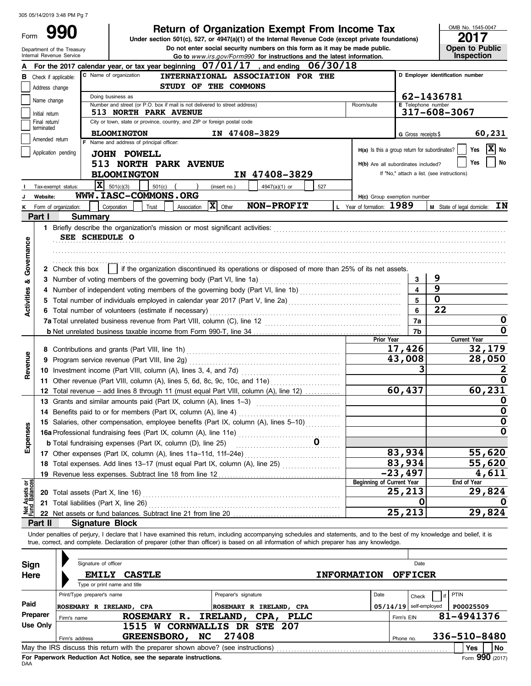Form 990

# **Return of Organization Exempt From Income Tax**  $\frac{\text{OMB No. 1545-0}}{2017}$

**Do not enter social security numbers on this form as it may be made public. Open to Public Under section 501(c), 527, or 4947(a)(1) of the Internal Revenue Code (except private foundations)**

OMB No. 1545-0047

|                                | Department of the Treasury<br>Internal Revenue Service                                                                        |                                                                                                                                                                                                                                  |                                          |                                                                          |                      | Do not enter social security numbers on this form as it may be made public.<br>Go to www.irs.gov/Form990 for instructions and the latest information.                                                                                                                                                                    |                    |                                               |                |                         |                                            | Open to Public<br>Inspection |                            |  |
|--------------------------------|-------------------------------------------------------------------------------------------------------------------------------|----------------------------------------------------------------------------------------------------------------------------------------------------------------------------------------------------------------------------------|------------------------------------------|--------------------------------------------------------------------------|----------------------|--------------------------------------------------------------------------------------------------------------------------------------------------------------------------------------------------------------------------------------------------------------------------------------------------------------------------|--------------------|-----------------------------------------------|----------------|-------------------------|--------------------------------------------|------------------------------|----------------------------|--|
|                                |                                                                                                                               |                                                                                                                                                                                                                                  |                                          |                                                                          |                      | For the 2017 calendar year, or tax year beginning $07/01/17$ , and ending $06/30/18$                                                                                                                                                                                                                                     |                    |                                               |                |                         |                                            |                              |                            |  |
| в                              | Check if applicable:                                                                                                          |                                                                                                                                                                                                                                  | C Name of organization                   |                                                                          |                      | INTERNATIONAL ASSOCIATION FOR THE                                                                                                                                                                                                                                                                                        |                    |                                               |                |                         | D Employer identification number           |                              |                            |  |
|                                | Address change                                                                                                                |                                                                                                                                                                                                                                  |                                          | STUDY OF THE COMMONS                                                     |                      |                                                                                                                                                                                                                                                                                                                          |                    |                                               |                |                         |                                            |                              |                            |  |
|                                |                                                                                                                               |                                                                                                                                                                                                                                  | 62-1436781<br>Doing business as          |                                                                          |                      |                                                                                                                                                                                                                                                                                                                          |                    |                                               |                |                         |                                            |                              |                            |  |
|                                | Name change<br>E Telephone number<br>Number and street (or P.O. box if mail is not delivered to street address)<br>Room/suite |                                                                                                                                                                                                                                  |                                          |                                                                          |                      |                                                                                                                                                                                                                                                                                                                          |                    |                                               |                |                         |                                            |                              |                            |  |
|                                | Initial return                                                                                                                |                                                                                                                                                                                                                                  |                                          | 513 NORTH PARK AVENUE                                                    |                      |                                                                                                                                                                                                                                                                                                                          |                    |                                               |                |                         | 317-608-3067                               |                              |                            |  |
|                                | Final return/<br>terminated                                                                                                   |                                                                                                                                                                                                                                  |                                          | City or town, state or province, country, and ZIP or foreign postal code |                      |                                                                                                                                                                                                                                                                                                                          |                    |                                               |                |                         |                                            |                              |                            |  |
|                                |                                                                                                                               |                                                                                                                                                                                                                                  | <b>BLOOMINGTON</b>                       |                                                                          |                      | IN 47408-3829                                                                                                                                                                                                                                                                                                            |                    |                                               |                | G Gross receipts \$     |                                            |                              | 60,231                     |  |
|                                | Amended return                                                                                                                |                                                                                                                                                                                                                                  | F Name and address of principal officer: |                                                                          |                      |                                                                                                                                                                                                                                                                                                                          |                    |                                               |                |                         |                                            | Yes                          | $\overline{\mathbf{X}}$ No |  |
|                                | Application pending                                                                                                           |                                                                                                                                                                                                                                  | <b>JOHN POWELL</b>                       |                                                                          |                      |                                                                                                                                                                                                                                                                                                                          |                    | H(a) Is this a group return for subordinates? |                |                         |                                            |                              |                            |  |
|                                |                                                                                                                               |                                                                                                                                                                                                                                  |                                          | <b>513 NORTH PARK AVENUE</b>                                             |                      |                                                                                                                                                                                                                                                                                                                          |                    | H(b) Are all subordinates included?           |                |                         |                                            | Yes                          | No                         |  |
|                                |                                                                                                                               |                                                                                                                                                                                                                                  | <b>BLOOMINGTON</b>                       |                                                                          |                      | IN 47408-3829                                                                                                                                                                                                                                                                                                            |                    |                                               |                |                         | If "No," attach a list. (see instructions) |                              |                            |  |
|                                | Tax-exempt status:                                                                                                            |                                                                                                                                                                                                                                  | $\overline{\mathbf{X}}$ 501(c)(3)        | $501(c)$ (                                                               | (insert no.)         | 4947(a)(1) or                                                                                                                                                                                                                                                                                                            | 527                |                                               |                |                         |                                            |                              |                            |  |
|                                | Website:                                                                                                                      |                                                                                                                                                                                                                                  |                                          | WWW.IASC-COMMONS.ORG                                                     |                      |                                                                                                                                                                                                                                                                                                                          |                    | H(c) Group exemption number                   |                |                         |                                            |                              |                            |  |
|                                | Form of organization:                                                                                                         |                                                                                                                                                                                                                                  | Corporation                              | Trust<br>Association                                                     | $ \mathbf{X} $ Other | NON-PROFIT                                                                                                                                                                                                                                                                                                               |                    | L Year of formation: 1989                     |                |                         | M State of legal domicile:                 |                              | IN                         |  |
|                                | Part I                                                                                                                        | Summary                                                                                                                                                                                                                          |                                          |                                                                          |                      |                                                                                                                                                                                                                                                                                                                          |                    |                                               |                |                         |                                            |                              |                            |  |
|                                |                                                                                                                               |                                                                                                                                                                                                                                  |                                          |                                                                          |                      |                                                                                                                                                                                                                                                                                                                          |                    |                                               |                |                         |                                            |                              |                            |  |
|                                |                                                                                                                               | SEE SCHEDULE O                                                                                                                                                                                                                   |                                          |                                                                          |                      |                                                                                                                                                                                                                                                                                                                          |                    |                                               |                |                         |                                            |                              |                            |  |
|                                |                                                                                                                               |                                                                                                                                                                                                                                  |                                          |                                                                          |                      |                                                                                                                                                                                                                                                                                                                          |                    |                                               |                |                         |                                            |                              |                            |  |
|                                |                                                                                                                               |                                                                                                                                                                                                                                  |                                          |                                                                          |                      |                                                                                                                                                                                                                                                                                                                          |                    |                                               |                |                         |                                            |                              |                            |  |
| Governance                     |                                                                                                                               |                                                                                                                                                                                                                                  |                                          |                                                                          |                      | 2 Check this box     if the organization discontinued its operations or disposed of more than 25% of its net assets.                                                                                                                                                                                                     |                    |                                               |                |                         |                                            |                              |                            |  |
| ಹ                              |                                                                                                                               |                                                                                                                                                                                                                                  |                                          | 3 Number of voting members of the governing body (Part VI, line 1a)      |                      |                                                                                                                                                                                                                                                                                                                          |                    |                                               |                | 3                       | 9                                          |                              |                            |  |
|                                |                                                                                                                               |                                                                                                                                                                                                                                  |                                          |                                                                          |                      |                                                                                                                                                                                                                                                                                                                          |                    |                                               |                | $\overline{\mathbf{A}}$ | 9                                          |                              |                            |  |
|                                |                                                                                                                               | 4 Number of independent voting members of the governing body (Part VI, line 1b) [[[[[[[[[[[[[[[[[[[[[[[[[[[[[[<br>5 Total number of individuals employed in calendar year 2017 (Part V, line 2a) [[[[[[[[[[[[[[[[[[[[[[[[[[[[[[[ |                                          |                                                                          |                      |                                                                                                                                                                                                                                                                                                                          |                    |                                               |                |                         |                                            |                              |                            |  |
| <b>Activities</b>              |                                                                                                                               |                                                                                                                                                                                                                                  |                                          | 6 Total number of volunteers (estimate if necessary)                     |                      |                                                                                                                                                                                                                                                                                                                          |                    |                                               |                | 6                       | $\overline{22}$                            |                              |                            |  |
|                                |                                                                                                                               |                                                                                                                                                                                                                                  |                                          |                                                                          | 7a                   |                                                                                                                                                                                                                                                                                                                          |                    | 0                                             |                |                         |                                            |                              |                            |  |
|                                |                                                                                                                               |                                                                                                                                                                                                                                  |                                          |                                                                          |                      |                                                                                                                                                                                                                                                                                                                          |                    |                                               |                | 7b                      |                                            |                              | 0                          |  |
|                                |                                                                                                                               |                                                                                                                                                                                                                                  |                                          |                                                                          |                      |                                                                                                                                                                                                                                                                                                                          |                    | Prior Year                                    |                |                         |                                            | <b>Current Year</b>          |                            |  |
|                                |                                                                                                                               |                                                                                                                                                                                                                                  |                                          |                                                                          | 17,426               |                                                                                                                                                                                                                                                                                                                          |                    |                                               |                | 32,179                  |                                            |                              |                            |  |
| Revenue                        |                                                                                                                               | 9 Program service revenue (Part VIII, line 2g)                                                                                                                                                                                   |                                          |                                                                          |                      |                                                                                                                                                                                                                                                                                                                          |                    |                                               | 43,008         |                         |                                            |                              | 28,050                     |  |
|                                |                                                                                                                               |                                                                                                                                                                                                                                  |                                          |                                                                          |                      |                                                                                                                                                                                                                                                                                                                          |                    |                                               |                |                         |                                            |                              |                            |  |
|                                |                                                                                                                               |                                                                                                                                                                                                                                  |                                          |                                                                          |                      | 11 Other revenue (Part VIII, column (A), lines 5, 6d, 8c, 9c, 10c, and 11e)                                                                                                                                                                                                                                              |                    |                                               |                |                         |                                            |                              | 0                          |  |
|                                |                                                                                                                               |                                                                                                                                                                                                                                  |                                          |                                                                          |                      | 12 Total revenue - add lines 8 through 11 (must equal Part VIII, column (A), line 12)                                                                                                                                                                                                                                    |                    |                                               | 60,437         |                         |                                            |                              | 60,231                     |  |
|                                |                                                                                                                               |                                                                                                                                                                                                                                  |                                          |                                                                          |                      |                                                                                                                                                                                                                                                                                                                          |                    |                                               |                |                         |                                            |                              | O                          |  |
|                                |                                                                                                                               |                                                                                                                                                                                                                                  |                                          | 14 Benefits paid to or for members (Part IX, column (A), line 4)         |                      |                                                                                                                                                                                                                                                                                                                          |                    |                                               |                |                         |                                            |                              | 0                          |  |
| ses                            |                                                                                                                               |                                                                                                                                                                                                                                  |                                          |                                                                          |                      | 15 Salaries, other compensation, employee benefits (Part IX, column (A), lines 5-10)                                                                                                                                                                                                                                     |                    |                                               |                |                         |                                            |                              | 0                          |  |
|                                |                                                                                                                               |                                                                                                                                                                                                                                  |                                          |                                                                          |                      | 15 Salaries, Suite components of Part IX, column (A), line 11e)<br>16a Professional fundraising fees (Part IX, column (A), line 11e)                                                                                                                                                                                     |                    |                                               |                |                         |                                            |                              | $\mathbf 0$                |  |
| Expen                          |                                                                                                                               |                                                                                                                                                                                                                                  |                                          | <b>b</b> Total fundraising expenses (Part IX, column (D), line 25)       |                      |                                                                                                                                                                                                                                                                                                                          |                    |                                               |                |                         |                                            |                              |                            |  |
|                                |                                                                                                                               |                                                                                                                                                                                                                                  |                                          | 17 Other expenses (Part IX, column (A), lines 11a-11d, 11f-24e)          |                      |                                                                                                                                                                                                                                                                                                                          |                    |                                               | 83,934         |                         |                                            |                              | 55,620                     |  |
|                                |                                                                                                                               |                                                                                                                                                                                                                                  |                                          |                                                                          |                      | 18 Total expenses. Add lines 13-17 (must equal Part IX, column (A), line 25)                                                                                                                                                                                                                                             |                    |                                               | 83,934         |                         |                                            |                              | 55,620                     |  |
|                                |                                                                                                                               |                                                                                                                                                                                                                                  |                                          |                                                                          |                      | 19 Revenue less expenses. Subtract line 18 from line 12                                                                                                                                                                                                                                                                  |                    |                                               | $-23,497$      |                         |                                            |                              | 4,611                      |  |
| Net Assets or<br>Fund Balances |                                                                                                                               |                                                                                                                                                                                                                                  |                                          |                                                                          |                      |                                                                                                                                                                                                                                                                                                                          |                    | <b>Beginning of Current Year</b>              | 25,213         |                         |                                            | End of Year                  | 29,824                     |  |
|                                |                                                                                                                               | <b>20</b> Total assets (Part X, line 16)                                                                                                                                                                                         |                                          |                                                                          |                      |                                                                                                                                                                                                                                                                                                                          |                    |                                               |                | 0                       |                                            |                              | O                          |  |
|                                |                                                                                                                               | 21 Total liabilities (Part X, line 26)                                                                                                                                                                                           |                                          |                                                                          |                      |                                                                                                                                                                                                                                                                                                                          |                    |                                               | 25,213         |                         |                                            |                              | 29,824                     |  |
|                                | Part II                                                                                                                       | <b>Signature Block</b>                                                                                                                                                                                                           |                                          |                                                                          |                      |                                                                                                                                                                                                                                                                                                                          |                    |                                               |                |                         |                                            |                              |                            |  |
|                                |                                                                                                                               |                                                                                                                                                                                                                                  |                                          |                                                                          |                      |                                                                                                                                                                                                                                                                                                                          |                    |                                               |                |                         |                                            |                              |                            |  |
|                                |                                                                                                                               |                                                                                                                                                                                                                                  |                                          |                                                                          |                      | Under penalties of perjury, I declare that I have examined this return, including accompanying schedules and statements, and to the best of my knowledge and belief, it is<br>true, correct, and complete. Declaration of preparer (other than officer) is based on all information of which preparer has any knowledge. |                    |                                               |                |                         |                                            |                              |                            |  |
|                                |                                                                                                                               |                                                                                                                                                                                                                                  |                                          |                                                                          |                      |                                                                                                                                                                                                                                                                                                                          |                    |                                               |                |                         |                                            |                              |                            |  |
| <b>Sign</b>                    |                                                                                                                               | Signature of officer                                                                                                                                                                                                             |                                          |                                                                          |                      |                                                                                                                                                                                                                                                                                                                          |                    |                                               |                | Date                    |                                            |                              |                            |  |
| Here                           |                                                                                                                               |                                                                                                                                                                                                                                  | <b>EMILY CASTLE</b>                      |                                                                          |                      |                                                                                                                                                                                                                                                                                                                          | <b>INFORMATION</b> |                                               | <b>OFFICER</b> |                         |                                            |                              |                            |  |
|                                |                                                                                                                               |                                                                                                                                                                                                                                  | Type or print name and title             |                                                                          |                      |                                                                                                                                                                                                                                                                                                                          |                    |                                               |                |                         |                                            |                              |                            |  |
|                                |                                                                                                                               | Print/Type preparer's name                                                                                                                                                                                                       |                                          |                                                                          | Preparer's signature |                                                                                                                                                                                                                                                                                                                          |                    | Date                                          |                |                         | PTIN<br>if                                 |                              |                            |  |
| Paid                           |                                                                                                                               |                                                                                                                                                                                                                                  |                                          |                                                                          |                      |                                                                                                                                                                                                                                                                                                                          |                    |                                               |                | Check                   |                                            | P00025509                    |                            |  |
|                                | Preparer                                                                                                                      | ROSEMARY R IRELAND, CPA                                                                                                                                                                                                          |                                          | <b>ROSEMARY R.</b>                                                       |                      | ROSEMARY R IRELAND, CPA                                                                                                                                                                                                                                                                                                  |                    | $05/14/19$ self-employed                      |                |                         | 81-4941376                                 |                              |                            |  |
|                                | <b>Use Only</b>                                                                                                               | Firm's name                                                                                                                                                                                                                      |                                          | 1515 W CORNWALLIS DR STE 207                                             |                      | IRELAND, CPA, PLLC                                                                                                                                                                                                                                                                                                       |                    |                                               | Firm's EIN     |                         |                                            |                              |                            |  |
|                                |                                                                                                                               |                                                                                                                                                                                                                                  |                                          | GREENSBORO, NC                                                           | 27408                |                                                                                                                                                                                                                                                                                                                          |                    |                                               |                |                         | 336-510-8480                               |                              |                            |  |
|                                |                                                                                                                               | Firm's address                                                                                                                                                                                                                   |                                          |                                                                          |                      |                                                                                                                                                                                                                                                                                                                          |                    |                                               | Phone no.      |                         |                                            |                              |                            |  |
|                                |                                                                                                                               |                                                                                                                                                                                                                                  |                                          |                                                                          |                      |                                                                                                                                                                                                                                                                                                                          |                    |                                               |                |                         |                                            | <b>Yes</b>                   | No                         |  |

| Sign     | Signature of officer                                                                                  |                                                                    | Date                                  |                    |                          |                 |  |  |  |  |  |
|----------|-------------------------------------------------------------------------------------------------------|--------------------------------------------------------------------|---------------------------------------|--------------------|--------------------------|-----------------|--|--|--|--|--|
| Here     | <b>EMILY</b>                                                                                          | <b>CASTLE</b>                                                      |                                       | <b>INFORMATION</b> | <b>OFFICER</b>           |                 |  |  |  |  |  |
|          | Type or print name and title                                                                          |                                                                    |                                       |                    |                          |                 |  |  |  |  |  |
|          | Print/Type preparer's name                                                                            |                                                                    | Preparer's signature                  | Date               | Check                    | PTIN            |  |  |  |  |  |
| Paid     | ROSEMARY R IRELAND, CPA                                                                               |                                                                    | ROSEMARY R IRELAND, CPA               |                    | $05/14/19$ self-employed | P00025509       |  |  |  |  |  |
| Preparer | Firm's name                                                                                           | ROSEMARY R.                                                        | <b>IRELAND</b><br>CPA,<br><b>PLLC</b> |                    | Firm's EIN               | 81-4941376      |  |  |  |  |  |
| Use Only |                                                                                                       | W<br>1515                                                          | <b>CORNWALLIS DR STE</b><br>-207      |                    |                          |                 |  |  |  |  |  |
|          | Firm's address                                                                                        | <b>GREENSBORO,</b><br>NC.                                          | 27408                                 |                    | Phone no.                | 336-510-8480    |  |  |  |  |  |
|          | <b>No</b><br>May the IRS discuss this return with the preparer shown above? (see instructions)<br>Yes |                                                                    |                                       |                    |                          |                 |  |  |  |  |  |
|          |                                                                                                       | For Paperwork Reduction Act Notice, see the separate instructions. |                                       |                    |                          | Form 990 (2017) |  |  |  |  |  |

DAA **For Paperwork Reduction Act Notice, see the separate instructions.**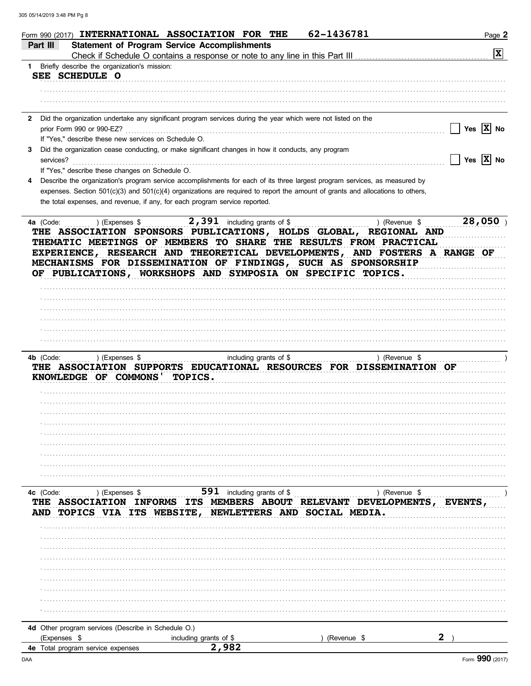| 62-1436781<br>Form 990 (2017) INTERNATIONAL ASSOCIATION FOR THE                                                                | Page 2                      |
|--------------------------------------------------------------------------------------------------------------------------------|-----------------------------|
| <b>Statement of Program Service Accomplishments</b><br>Part III                                                                | $ \mathbf{x} $              |
| 1 Briefly describe the organization's mission:                                                                                 |                             |
| SEE SCHEDULE O                                                                                                                 |                             |
|                                                                                                                                |                             |
|                                                                                                                                |                             |
| Did the organization undertake any significant program services during the year which were not listed on the                   |                             |
| prior Form 990 or 990-EZ?                                                                                                      | Yes $ X $ No                |
| If "Yes," describe these new services on Schedule O.                                                                           |                             |
| Did the organization cease conducting, or make significant changes in how it conducts, any program<br>3<br>services?           | Yes $\boxed{\mathbf{X}}$ No |
| If "Yes," describe these changes on Schedule O.                                                                                |                             |
| Describe the organization's program service accomplishments for each of its three largest program services, as measured by     |                             |
| expenses. Section 501(c)(3) and 501(c)(4) organizations are required to report the amount of grants and allocations to others, |                             |
| the total expenses, and revenue, if any, for each program service reported.                                                    |                             |
| 2,391 including grants of \$<br>) (Revenue \$<br>4a (Code:<br>) (Expenses \$                                                   | 28,050                      |
| THE ASSOCIATION SPONSORS PUBLICATIONS, HOLDS GLOBAL, REGIONAL AND                                                              |                             |
| THEMATIC MEETINGS OF MEMBERS TO SHARE THE RESULTS FROM PRACTICAL                                                               |                             |
| EXPERIENCE, RESEARCH AND THEORETICAL DEVELOPMENTS, AND FOSTERS A RANGE OF                                                      |                             |
| MECHANISMS FOR DISSEMINATION OF FINDINGS, SUCH AS SPONSORSHIP<br>OF PUBLICATIONS, WORKSHOPS AND SYMPOSIA ON SPECIFIC TOPICS.   |                             |
|                                                                                                                                |                             |
|                                                                                                                                |                             |
|                                                                                                                                |                             |
|                                                                                                                                |                             |
|                                                                                                                                |                             |
|                                                                                                                                |                             |
| including grants of \$<br>) (Revenue \$<br>4b (Code:<br>) (Expenses \$                                                         |                             |
| THE ASSOCIATION SUPPORTS EDUCATIONAL RESOURCES FOR DISSEMINATION OF                                                            |                             |
| KNOWLEDGE OF COMMONS<br>TOPICS.                                                                                                |                             |
|                                                                                                                                |                             |
|                                                                                                                                |                             |
|                                                                                                                                |                             |
|                                                                                                                                |                             |
|                                                                                                                                |                             |
|                                                                                                                                |                             |
|                                                                                                                                |                             |
|                                                                                                                                |                             |
| 591 including grants of \$<br>4c (Code:<br>) (Revenue \$<br>) (Expenses \$                                                     |                             |
| ASSOCIATION INFORMS ITS MEMBERS ABOUT RELEVANT DEVELOPMENTS,                                                                   | EVENTS                      |
| NEWLETTERS AND SOCIAL MEDIA.<br>TOPICS VIA ITS WEBSITE,<br>AND                                                                 |                             |
|                                                                                                                                |                             |
|                                                                                                                                |                             |
|                                                                                                                                |                             |
|                                                                                                                                |                             |
|                                                                                                                                |                             |
|                                                                                                                                |                             |
|                                                                                                                                |                             |
|                                                                                                                                |                             |
|                                                                                                                                |                             |
| 4d Other program services (Describe in Schedule O.)<br>(Expenses \$<br>including grants of \$<br>(Revenue \$                   |                             |
| 2,982<br>4e Total program service expenses                                                                                     |                             |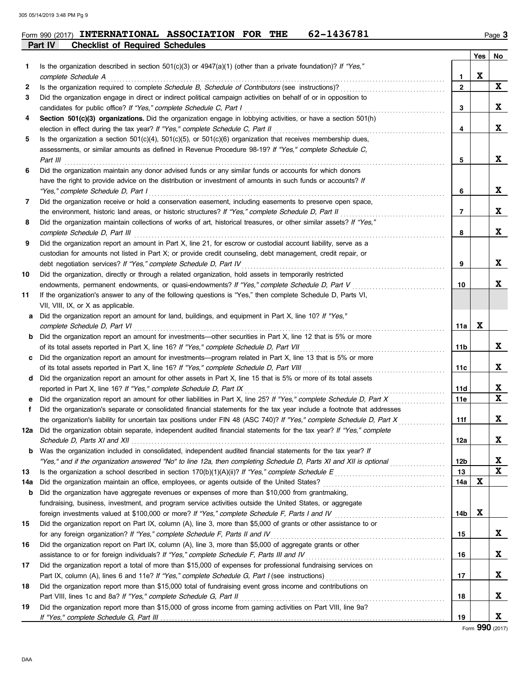| Form 990 (2017) $\triangle$ | INTERNATIONAL ASSOCIATION              | <b>FOR</b> | THE | 62–1436781 | Page $\mathbf 3$ |
|-----------------------------|----------------------------------------|------------|-----|------------|------------------|
| <b>Part IV</b>              | <b>Checklist of Required Schedules</b> |            |     |            |                  |

|     |                                                                                                                                                                                                                               |                   | Yes | No          |
|-----|-------------------------------------------------------------------------------------------------------------------------------------------------------------------------------------------------------------------------------|-------------------|-----|-------------|
| 1   | Is the organization described in section $501(c)(3)$ or $4947(a)(1)$ (other than a private foundation)? If "Yes,"                                                                                                             |                   | X   |             |
|     | complete Schedule A                                                                                                                                                                                                           | 1<br>$\mathbf{2}$ |     | $\mathbf x$ |
| 2   | Is the organization required to complete Schedule B, Schedule of Contributors (see instructions)?                                                                                                                             |                   |     |             |
| 3   | Did the organization engage in direct or indirect political campaign activities on behalf of or in opposition to                                                                                                              | 3                 |     | X           |
|     | candidates for public office? If "Yes," complete Schedule C, Part I                                                                                                                                                           |                   |     |             |
| 4   | Section 501(c)(3) organizations. Did the organization engage in lobbying activities, or have a section 501(h)                                                                                                                 |                   |     | X           |
|     | election in effect during the tax year? If "Yes," complete Schedule C, Part II                                                                                                                                                | 4                 |     |             |
| 5   | Is the organization a section $501(c)(4)$ , $501(c)(5)$ , or $501(c)(6)$ organization that receives membership dues,<br>assessments, or similar amounts as defined in Revenue Procedure 98-19? If "Yes," complete Schedule C, |                   |     |             |
|     |                                                                                                                                                                                                                               |                   |     | X           |
| 6   | Part III                                                                                                                                                                                                                      | 5                 |     |             |
|     | Did the organization maintain any donor advised funds or any similar funds or accounts for which donors                                                                                                                       |                   |     |             |
|     | have the right to provide advice on the distribution or investment of amounts in such funds or accounts? If                                                                                                                   |                   |     | X           |
|     | "Yes," complete Schedule D, Part I                                                                                                                                                                                            | 6                 |     |             |
| 7   | Did the organization receive or hold a conservation easement, including easements to preserve open space,                                                                                                                     |                   |     |             |
|     | the environment, historic land areas, or historic structures? If "Yes," complete Schedule D, Part II                                                                                                                          | 7                 |     | X           |
| 8   | Did the organization maintain collections of works of art, historical treasures, or other similar assets? If "Yes,"                                                                                                           |                   |     | X           |
|     | complete Schedule D, Part III                                                                                                                                                                                                 | 8                 |     |             |
| 9   | Did the organization report an amount in Part X, line 21, for escrow or custodial account liability, serve as a                                                                                                               |                   |     |             |
|     | custodian for amounts not listed in Part X; or provide credit counseling, debt management, credit repair, or                                                                                                                  |                   |     |             |
|     | debt negotiation services? If "Yes," complete Schedule D, Part IV                                                                                                                                                             | 9                 |     | X           |
| 10  | Did the organization, directly or through a related organization, hold assets in temporarily restricted                                                                                                                       |                   |     |             |
|     | endowments, permanent endowments, or quasi-endowments? If "Yes," complete Schedule D, Part V                                                                                                                                  | 10                |     | X           |
| 11  | If the organization's answer to any of the following questions is "Yes," then complete Schedule D, Parts VI,                                                                                                                  |                   |     |             |
|     | VII, VIII, IX, or X as applicable.                                                                                                                                                                                            |                   |     |             |
| a   | Did the organization report an amount for land, buildings, and equipment in Part X, line 10? If "Yes,"                                                                                                                        |                   |     |             |
|     | complete Schedule D, Part VI                                                                                                                                                                                                  | 11a               | X   |             |
| b   | Did the organization report an amount for investments—other securities in Part X, line 12 that is 5% or more                                                                                                                  |                   |     |             |
|     | of its total assets reported in Part X, line 16? If "Yes," complete Schedule D, Part VII                                                                                                                                      | 11b               |     | X           |
| c   | Did the organization report an amount for investments—program related in Part X, line 13 that is 5% or more                                                                                                                   |                   |     |             |
|     | of its total assets reported in Part X, line 16? If "Yes," complete Schedule D, Part VIII                                                                                                                                     | 11c               |     | X           |
| d   | Did the organization report an amount for other assets in Part X, line 15 that is 5% or more of its total assets                                                                                                              |                   |     |             |
|     | reported in Part X, line 16? If "Yes," complete Schedule D, Part IX                                                                                                                                                           | 11d               |     | X           |
| е   | Did the organization report an amount for other liabilities in Part X, line 25? If "Yes," complete Schedule D, Part X                                                                                                         | 11e               |     | $\mathbf x$ |
| f.  | Did the organization's separate or consolidated financial statements for the tax year include a footnote that addresses                                                                                                       |                   |     |             |
|     | the organization's liability for uncertain tax positions under FIN 48 (ASC 740)? If "Yes," complete Schedule D, Part X                                                                                                        | 11f               |     | X           |
| 12a | Did the organization obtain separate, independent audited financial statements for the tax year? If "Yes," complete                                                                                                           |                   |     |             |
|     | Schedule D, Parts XI and XII                                                                                                                                                                                                  | 12a               |     |             |
| b   | Was the organization included in consolidated, independent audited financial statements for the tax year? If                                                                                                                  |                   |     |             |
|     | "Yes," and if the organization answered "No" to line 12a, then completing Schedule D, Parts XI and XII is optional                                                                                                            | 12b               |     | X           |
| 13  | Is the organization a school described in section 170(b)(1)(A)(ii)? If "Yes," complete Schedule E                                                                                                                             | 13                |     | X           |
| 14a | Did the organization maintain an office, employees, or agents outside of the United States?                                                                                                                                   | 14a               | X   |             |
| b   | Did the organization have aggregate revenues or expenses of more than \$10,000 from grantmaking,                                                                                                                              |                   |     |             |
|     | fundraising, business, investment, and program service activities outside the United States, or aggregate                                                                                                                     |                   |     |             |
|     | foreign investments valued at \$100,000 or more? If "Yes," complete Schedule F, Parts I and IV [[[[[[[[[[[[[[[                                                                                                                | 14b               | X   |             |
| 15  | Did the organization report on Part IX, column (A), line 3, more than \$5,000 of grants or other assistance to or                                                                                                             |                   |     |             |
|     | for any foreign organization? If "Yes," complete Schedule F, Parts II and IV                                                                                                                                                  | 15                |     | X           |
| 16  | Did the organization report on Part IX, column (A), line 3, more than \$5,000 of aggregate grants or other                                                                                                                    |                   |     |             |
|     | assistance to or for foreign individuals? If "Yes," complete Schedule F, Parts III and IV                                                                                                                                     | 16                |     | X           |
| 17  | Did the organization report a total of more than \$15,000 of expenses for professional fundraising services on                                                                                                                |                   |     |             |
|     |                                                                                                                                                                                                                               | 17                |     | X           |
| 18  | Did the organization report more than \$15,000 total of fundraising event gross income and contributions on                                                                                                                   |                   |     |             |
|     | Part VIII, lines 1c and 8a? If "Yes," complete Schedule G, Part II                                                                                                                                                            | 18                |     | X           |
| 19  | Did the organization report more than \$15,000 of gross income from gaming activities on Part VIII, line 9a?                                                                                                                  |                   |     |             |
|     |                                                                                                                                                                                                                               | 19                |     | X           |

Form **990** (2017)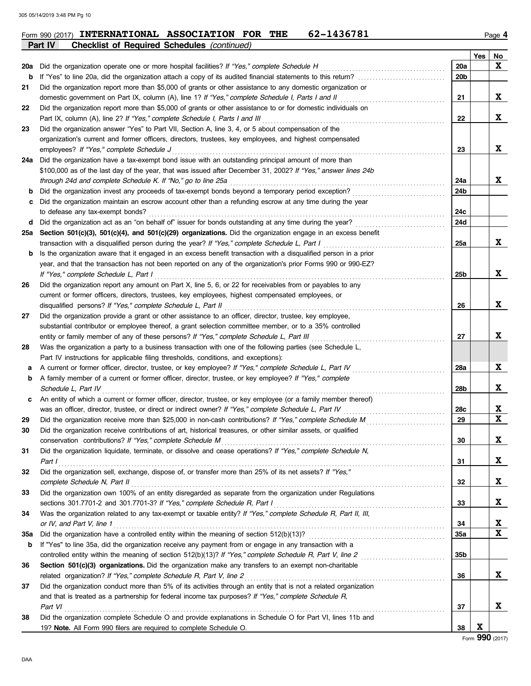|     | Part IV<br><b>Checklist of Required Schedules (continued)</b>                                                                                                                                                      |           |     |             |
|-----|--------------------------------------------------------------------------------------------------------------------------------------------------------------------------------------------------------------------|-----------|-----|-------------|
|     |                                                                                                                                                                                                                    |           | Yes | No          |
| 20a | Did the organization operate one or more hospital facilities? If "Yes," complete Schedule H                                                                                                                        | 20a       |     | X           |
| b   |                                                                                                                                                                                                                    | 20b       |     |             |
| 21  | Did the organization report more than \$5,000 of grants or other assistance to any domestic organization or                                                                                                        |           |     |             |
|     | domestic government on Part IX, column (A), line 1? If "Yes," complete Schedule I, Parts I and II                                                                                                                  | 21        |     | X           |
| 22  | Did the organization report more than \$5,000 of grants or other assistance to or for domestic individuals on                                                                                                      |           |     |             |
|     | Part IX, column (A), line 2? If "Yes," complete Schedule I, Parts I and III                                                                                                                                        | 22        |     | X           |
| 23  | Did the organization answer "Yes" to Part VII, Section A, line 3, 4, or 5 about compensation of the                                                                                                                |           |     |             |
|     | organization's current and former officers, directors, trustees, key employees, and highest compensated                                                                                                            |           |     |             |
|     | employees? If "Yes," complete Schedule J                                                                                                                                                                           | 23        |     | X           |
|     | 24a Did the organization have a tax-exempt bond issue with an outstanding principal amount of more than                                                                                                            |           |     |             |
|     | \$100,000 as of the last day of the year, that was issued after December 31, 2002? If "Yes," answer lines 24b                                                                                                      |           |     |             |
|     | through 24d and complete Schedule K. If "No," go to line 25a                                                                                                                                                       | 24a       |     | X           |
| b   | Did the organization invest any proceeds of tax-exempt bonds beyond a temporary period exception?                                                                                                                  | 24b       |     |             |
| с   | Did the organization maintain an escrow account other than a refunding escrow at any time during the year                                                                                                          |           |     |             |
|     | to defease any tax-exempt bonds?                                                                                                                                                                                   | 24c       |     |             |
| d   | Did the organization act as an "on behalf of" issuer for bonds outstanding at any time during the year?                                                                                                            | 24d       |     |             |
|     | 25a Section 501(c)(3), 501(c)(4), and 501(c)(29) organizations. Did the organization engage in an excess benefit                                                                                                   |           |     |             |
|     | transaction with a disqualified person during the year? If "Yes," complete Schedule L, Part I                                                                                                                      | 25a       |     | X           |
| b   | Is the organization aware that it engaged in an excess benefit transaction with a disqualified person in a prior                                                                                                   |           |     |             |
|     | year, and that the transaction has not been reported on any of the organization's prior Forms 990 or 990-EZ?                                                                                                       |           |     |             |
|     | If "Yes," complete Schedule L, Part I                                                                                                                                                                              | 25b       |     | X           |
| 26  | Did the organization report any amount on Part X, line 5, 6, or 22 for receivables from or payables to any                                                                                                         |           |     |             |
|     | current or former officers, directors, trustees, key employees, highest compensated employees, or                                                                                                                  |           |     |             |
|     | disqualified persons? If "Yes," complete Schedule L, Part II                                                                                                                                                       | 26        |     | X           |
| 27  | Did the organization provide a grant or other assistance to an officer, director, trustee, key employee,                                                                                                           |           |     |             |
|     | substantial contributor or employee thereof, a grant selection committee member, or to a 35% controlled                                                                                                            |           |     | X           |
|     | entity or family member of any of these persons? If "Yes," complete Schedule L, Part III                                                                                                                           | 27        |     |             |
| 28  | Was the organization a party to a business transaction with one of the following parties (see Schedule L,                                                                                                          |           |     |             |
|     | Part IV instructions for applicable filing thresholds, conditions, and exceptions):                                                                                                                                |           |     | X           |
| а   | A current or former officer, director, trustee, or key employee? If "Yes," complete Schedule L, Part IV                                                                                                            | 28a       |     |             |
| b   | A family member of a current or former officer, director, trustee, or key employee? If "Yes," complete                                                                                                             |           |     | X           |
|     | Schedule L, Part IV                                                                                                                                                                                                | 28b       |     |             |
| c   | An entity of which a current or former officer, director, trustee, or key employee (or a family member thereof)                                                                                                    |           |     | X           |
|     | was an officer, director, trustee, or direct or indirect owner? If "Yes," complete Schedule L, Part IV<br>Did the organization receive more than \$25,000 in non-cash contributions? If "Yes," complete Schedule M | 28c<br>29 |     | $\mathbf x$ |
| 29  | Did the organization receive contributions of art, historical treasures, or other similar assets, or qualified                                                                                                     |           |     |             |
| 30  | conservation contributions? If "Yes," complete Schedule M                                                                                                                                                          | 30        |     | X           |
|     | Did the organization liquidate, terminate, or dissolve and cease operations? If "Yes," complete Schedule N,                                                                                                        |           |     |             |
| 31  | Part I                                                                                                                                                                                                             | 31        |     | X           |
| 32  | Did the organization sell, exchange, dispose of, or transfer more than 25% of its net assets? If "Yes,"                                                                                                            |           |     |             |
|     | complete Schedule N, Part II                                                                                                                                                                                       | 32        |     | X           |
| 33  | Did the organization own 100% of an entity disregarded as separate from the organization under Regulations                                                                                                         |           |     |             |
|     | sections 301.7701-2 and 301.7701-3? If "Yes," complete Schedule R, Part I                                                                                                                                          | 33        |     | X           |
| 34  | Was the organization related to any tax-exempt or taxable entity? If "Yes," complete Schedule R, Part II, III,                                                                                                     |           |     |             |
|     | or IV, and Part V, line 1                                                                                                                                                                                          | 34        |     | X           |
| 35a | Did the organization have a controlled entity within the meaning of section 512(b)(13)?                                                                                                                            | 35a       |     | $\mathbf x$ |
| b   | If "Yes" to line 35a, did the organization receive any payment from or engage in any transaction with a                                                                                                            |           |     |             |
|     | controlled entity within the meaning of section 512(b)(13)? If "Yes," complete Schedule R, Part V, line 2                                                                                                          | 35b       |     |             |
| 36  | Section 501(c)(3) organizations. Did the organization make any transfers to an exempt non-charitable                                                                                                               |           |     |             |
|     | related organization? If "Yes," complete Schedule R, Part V, line 2                                                                                                                                                | 36        |     | X           |
| 37  | Did the organization conduct more than 5% of its activities through an entity that is not a related organization                                                                                                   |           |     |             |
|     | and that is treated as a partnership for federal income tax purposes? If "Yes," complete Schedule R,                                                                                                               |           |     |             |
|     | Part VI                                                                                                                                                                                                            | 37        |     | X           |
| 38  | Did the organization complete Schedule O and provide explanations in Schedule O for Part VI, lines 11b and                                                                                                         |           |     |             |
|     | 19? Note. All Form 990 filers are required to complete Schedule O.                                                                                                                                                 | 38        | X   |             |
|     |                                                                                                                                                                                                                    |           |     |             |

Form **990** (2017)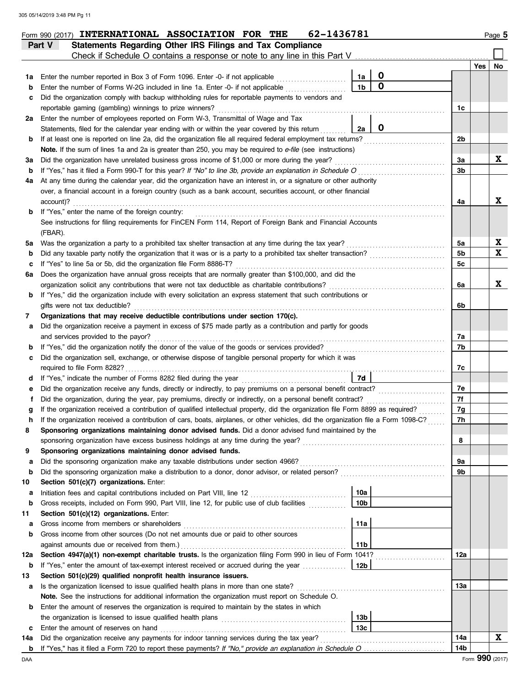|     | 62-1436781<br>Form 990 (2017) INTERNATIONAL ASSOCIATION FOR THE                                                                                                                                                    |                |     | Page 5 |
|-----|--------------------------------------------------------------------------------------------------------------------------------------------------------------------------------------------------------------------|----------------|-----|--------|
|     | Statements Regarding Other IRS Filings and Tax Compliance<br>Part V                                                                                                                                                |                |     |        |
|     | Check if Schedule O contains a response or note to any line in this Part V                                                                                                                                         |                |     |        |
|     |                                                                                                                                                                                                                    |                | Yes | No     |
| 1a  | $\mathbf 0$<br>Enter the number reported in Box 3 of Form 1096. Enter -0- if not applicable<br>1a                                                                                                                  |                |     |        |
| b   | $\mathbf 0$<br>1 <sub>b</sub><br>Enter the number of Forms W-2G included in line 1a. Enter -0- if not applicable                                                                                                   |                |     |        |
| с   | Did the organization comply with backup withholding rules for reportable payments to vendors and                                                                                                                   |                |     |        |
|     | reportable gaming (gambling) winnings to prize winners?                                                                                                                                                            | 1c             |     |        |
| 2a  | Enter the number of employees reported on Form W-3, Transmittal of Wage and Tax                                                                                                                                    |                |     |        |
|     | $\mathbf 0$<br>Statements, filed for the calendar year ending with or within the year covered by this return<br>2a                                                                                                 |                |     |        |
| b   | If at least one is reported on line 2a, did the organization file all required federal employment tax returns?                                                                                                     | 2b             |     |        |
|     | Note. If the sum of lines 1a and 2a is greater than 250, you may be required to e-file (see instructions)                                                                                                          |                |     |        |
| За  | Did the organization have unrelated business gross income of \$1,000 or more during the year?                                                                                                                      | За             |     | X      |
| b   | If "Yes," has it filed a Form 990-T for this year? If "No" to line 3b, provide an explanation in Schedule O                                                                                                        | 3b             |     |        |
| 4a  | At any time during the calendar year, did the organization have an interest in, or a signature or other authority                                                                                                  |                |     |        |
|     | over, a financial account in a foreign country (such as a bank account, securities account, or other financial                                                                                                     |                |     |        |
|     | account)?                                                                                                                                                                                                          | 4a             |     | X      |
| b   | If "Yes," enter the name of the foreign country:                                                                                                                                                                   |                |     |        |
|     | See instructions for filing requirements for FinCEN Form 114, Report of Foreign Bank and Financial Accounts                                                                                                        |                |     |        |
|     | (FBAR).                                                                                                                                                                                                            |                |     |        |
| 5а  | Was the organization a party to a prohibited tax shelter transaction at any time during the tax year?                                                                                                              | 5a             |     | X<br>X |
| b   | Did any taxable party notify the organization that it was or is a party to a prohibited tax shelter transaction?                                                                                                   | 5b             |     |        |
| с   | If "Yes" to line 5a or 5b, did the organization file Form 8886-T?                                                                                                                                                  | 5 <sub>c</sub> |     |        |
| 6а  | Does the organization have annual gross receipts that are normally greater than \$100,000, and did the                                                                                                             |                |     | X      |
|     | organization solicit any contributions that were not tax deductible as charitable contributions?<br>If "Yes," did the organization include with every solicitation an express statement that such contributions or | 6a             |     |        |
| b   | gifts were not tax deductible?                                                                                                                                                                                     | 6b             |     |        |
| 7   | Organizations that may receive deductible contributions under section 170(c).                                                                                                                                      |                |     |        |
| а   | Did the organization receive a payment in excess of \$75 made partly as a contribution and partly for goods                                                                                                        |                |     |        |
|     | and services provided to the payor?                                                                                                                                                                                | 7a             |     |        |
| b   | If "Yes," did the organization notify the donor of the value of the goods or services provided?                                                                                                                    | 7b             |     |        |
| с   | Did the organization sell, exchange, or otherwise dispose of tangible personal property for which it was                                                                                                           |                |     |        |
|     | required to file Form 8282?                                                                                                                                                                                        | 7с             |     |        |
| d   | <b>7d</b><br>If "Yes," indicate the number of Forms 8282 filed during the year<br>[[[[[[[[[[[[[[]]]]]]                                                                                                             |                |     |        |
| е   | Did the organization receive any funds, directly or indirectly, to pay premiums on a personal benefit contract?                                                                                                    | 7е             |     |        |
|     | Did the organization, during the year, pay premiums, directly or indirectly, on a personal benefit contract?                                                                                                       | 7f             |     |        |
|     | If the organization received a contribution of qualified intellectual property, did the organization file Form 8899 as required?                                                                                   | 7g             |     |        |
|     | If the organization received a contribution of cars, boats, airplanes, or other vehicles, did the organization file a Form 1098-C?                                                                                 | 7h             |     |        |
| 8   | Sponsoring organizations maintaining donor advised funds. Did a donor advised fund maintained by the                                                                                                               |                |     |        |
|     | sponsoring organization have excess business holdings at any time during the year?                                                                                                                                 | 8              |     |        |
| 9   | Sponsoring organizations maintaining donor advised funds.                                                                                                                                                          |                |     |        |
| а   | Did the sponsoring organization make any taxable distributions under section 4966?                                                                                                                                 | 9a             |     |        |
| b   | Did the sponsoring organization make a distribution to a donor, donor advisor, or related person?                                                                                                                  | 9b             |     |        |
| 10  | Section 501(c)(7) organizations. Enter:                                                                                                                                                                            |                |     |        |
| а   | 10a<br>Initiation fees and capital contributions included on Part VIII, line 12                                                                                                                                    |                |     |        |
| b   | Gross receipts, included on Form 990, Part VIII, line 12, for public use of club facilities<br>10 <sub>b</sub>                                                                                                     |                |     |        |
| 11  | Section 501(c)(12) organizations. Enter:                                                                                                                                                                           |                |     |        |
| а   | Gross income from members or shareholders<br>11a                                                                                                                                                                   |                |     |        |
| b   | Gross income from other sources (Do not net amounts due or paid to other sources                                                                                                                                   |                |     |        |
|     | 11 <sub>b</sub><br>against amounts due or received from them.)                                                                                                                                                     |                |     |        |
| 12a | Section 4947(a)(1) non-exempt charitable trusts. Is the organization filing Form 990 in lieu of Form 1041?                                                                                                         | 12a            |     |        |
| b   | If "Yes," enter the amount of tax-exempt interest received or accrued during the year<br>12b                                                                                                                       |                |     |        |
| 13  | Section 501(c)(29) qualified nonprofit health insurance issuers.                                                                                                                                                   |                |     |        |
| а   | Is the organization licensed to issue qualified health plans in more than one state?                                                                                                                               | 13а            |     |        |
|     | Note. See the instructions for additional information the organization must report on Schedule O.                                                                                                                  |                |     |        |
| b   | Enter the amount of reserves the organization is required to maintain by the states in which                                                                                                                       |                |     |        |
|     | 13b                                                                                                                                                                                                                |                |     |        |
| c   | 13с<br>Enter the amount of reserves on hand                                                                                                                                                                        |                |     |        |
| 14a | Did the organization receive any payments for indoor tanning services during the tax year?                                                                                                                         | 14a            |     | X      |
| b   |                                                                                                                                                                                                                    | 14b            |     |        |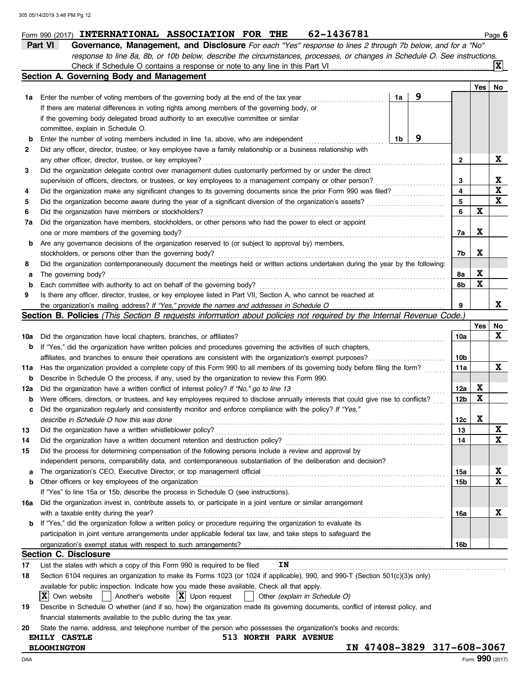|     | 62-1436781<br>Form 990 (2017) INTERNATIONAL ASSOCIATION FOR THE                                                                     |                         |     | Page 6      |
|-----|-------------------------------------------------------------------------------------------------------------------------------------|-------------------------|-----|-------------|
|     | Part VI<br>Governance, Management, and Disclosure For each "Yes" response to lines 2 through 7b below, and for a "No"               |                         |     |             |
|     | response to line 8a, 8b, or 10b below, describe the circumstances, processes, or changes in Schedule O. See instructions.           |                         |     |             |
|     |                                                                                                                                     |                         |     | ΙXΙ         |
|     | Section A. Governing Body and Management                                                                                            |                         |     |             |
|     |                                                                                                                                     |                         | Yes | No          |
| 1a  | 9<br>1a<br>Enter the number of voting members of the governing body at the end of the tax year                                      |                         |     |             |
|     | If there are material differences in voting rights among members of the governing body, or                                          |                         |     |             |
|     | if the governing body delegated broad authority to an executive committee or similar                                                |                         |     |             |
|     | committee, explain in Schedule O.                                                                                                   |                         |     |             |
| b   | 9<br>1b<br>Enter the number of voting members included in line 1a, above, who are independent                                       |                         |     |             |
|     | Did any officer, director, trustee, or key employee have a family relationship or a business relationship with                      |                         |     |             |
| 2   |                                                                                                                                     |                         |     | X           |
|     | any other officer, director, trustee, or key employee?                                                                              | 2                       |     |             |
| 3   | Did the organization delegate control over management duties customarily performed by or under the direct                           |                         |     |             |
|     | supervision of officers, directors, or trustees, or key employees to a management company or other person?                          | 3                       |     | X           |
| 4   | Did the organization make any significant changes to its governing documents since the prior Form 990 was filed?                    | $\overline{\mathbf{4}}$ |     | $\mathbf x$ |
| 5   | Did the organization become aware during the year of a significant diversion of the organization's assets?                          | 5                       |     | $\mathbf x$ |
| 6   | Did the organization have members or stockholders?                                                                                  | 6                       | X   |             |
| 7a  | Did the organization have members, stockholders, or other persons who had the power to elect or appoint                             |                         |     |             |
|     | one or more members of the governing body?                                                                                          | 7a                      | X   |             |
| b   | Are any governance decisions of the organization reserved to (or subject to approval by) members,                                   |                         |     |             |
|     | stockholders, or persons other than the governing body?                                                                             | 7b                      | X   |             |
| 8   | Did the organization contemporaneously document the meetings held or written actions undertaken during the year by the following:   |                         |     |             |
| а   | The governing body?                                                                                                                 | 8а                      | X   |             |
| b   | Each committee with authority to act on behalf of the governing body?                                                               | 8b                      | X   |             |
| 9   | Is there any officer, director, trustee, or key employee listed in Part VII, Section A, who cannot be reached at                    |                         |     |             |
|     |                                                                                                                                     | 9                       |     | x           |
|     | <b>Section B. Policies</b> (This Section B requests information about policies not required by the Internal Revenue Code.)          |                         |     |             |
|     |                                                                                                                                     |                         | Yes | No          |
| 10a | Did the organization have local chapters, branches, or affiliates?                                                                  | 10a                     |     | X           |
| b   | If "Yes," did the organization have written policies and procedures governing the activities of such chapters,                      |                         |     |             |
|     | affiliates, and branches to ensure their operations are consistent with the organization's exempt purposes?                         | 10b                     |     |             |
| 11a | Has the organization provided a complete copy of this Form 990 to all members of its governing body before filing the form?         | 11a                     |     | X           |
|     | Describe in Schedule O the process, if any, used by the organization to review this Form 990.                                       |                         |     |             |
| b   |                                                                                                                                     |                         | X   |             |
| 12a | Did the organization have a written conflict of interest policy? If "No," go to line 13                                             | 12a                     |     |             |
| b   | Were officers, directors, or trustees, and key employees required to disclose annually interests that could give rise to conflicts? | 12b                     | X   |             |
| с   | Did the organization regularly and consistently monitor and enforce compliance with the policy? If "Yes,"                           |                         |     |             |
|     | describe in Schedule O how this was done                                                                                            | 12c                     | X   |             |
| 13  | Did the organization have a written whistleblower policy?                                                                           | 13                      |     | X           |
| 14  | Did the organization have a written document retention and destruction policy?                                                      | 14                      |     | X           |
| 15  | Did the process for determining compensation of the following persons include a review and approval by                              |                         |     |             |
|     | independent persons, comparability data, and contemporaneous substantiation of the deliberation and decision?                       |                         |     |             |
| а   | The organization's CEO, Executive Director, or top management official                                                              | 15a                     |     | X           |
| b   | Other officers or key employees of the organization                                                                                 | 15b                     |     | X           |
|     | If "Yes" to line 15a or 15b, describe the process in Schedule O (see instructions).                                                 |                         |     |             |
| 16a | Did the organization invest in, contribute assets to, or participate in a joint venture or similar arrangement                      |                         |     |             |
|     | with a taxable entity during the year?                                                                                              | 16a                     |     | X           |
| b   | If "Yes," did the organization follow a written policy or procedure requiring the organization to evaluate its                      |                         |     |             |
|     | participation in joint venture arrangements under applicable federal tax law, and take steps to safeguard the                       |                         |     |             |
|     |                                                                                                                                     | 16b                     |     |             |
|     | Section C. Disclosure                                                                                                               |                         |     |             |
| 17  | IN<br>List the states with which a copy of this Form 990 is required to be filed                                                    |                         |     |             |
|     |                                                                                                                                     |                         |     |             |
| 18  | Section 6104 requires an organization to make its Forms 1023 (or 1024 if applicable), 990, and 990-T (Section 501(c)(3)s only)      |                         |     |             |
|     | available for public inspection. Indicate how you made these available. Check all that apply.                                       |                         |     |             |
|     | Another's website $ \mathbf{X} $ Upon request<br>IXI<br>Own website<br>Other (explain in Schedule O)                                |                         |     |             |
| 19  | Describe in Schedule O whether (and if so, how) the organization made its governing documents, conflict of interest policy, and     |                         |     |             |
|     | financial statements available to the public during the tax year.                                                                   |                         |     |             |
| 20  | State the name, address, and telephone number of the person who possesses the organization's books and records:                     |                         |     |             |
|     | <b>513 NORTH PARK AVENUE</b><br><b>EMILY CASTLE</b>                                                                                 |                         |     |             |
|     | IN 47408-3829 317-608-3067<br><b>BLOOMINGTON</b>                                                                                    |                         |     |             |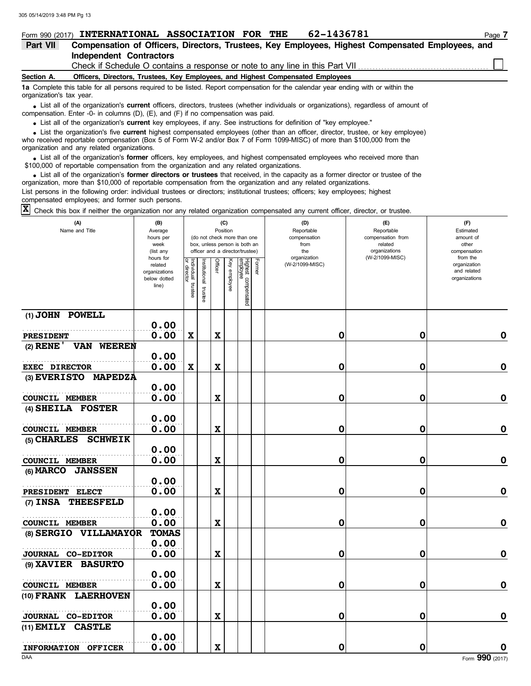|                          | 62-1436781<br>Form 990 (2017) INTERNATIONAL ASSOCIATION FOR THE                                                                                                                                                                     | Page 7 |
|--------------------------|-------------------------------------------------------------------------------------------------------------------------------------------------------------------------------------------------------------------------------------|--------|
| Part VII                 | Compensation of Officers, Directors, Trustees, Key Employees, Highest Compensated Employees, and                                                                                                                                    |        |
|                          | Independent Contractors                                                                                                                                                                                                             |        |
|                          |                                                                                                                                                                                                                                     |        |
| Section A.               | Officers, Directors, Trustees, Key Employees, and Highest Compensated Employees                                                                                                                                                     |        |
| organization's tax year. | 1a Complete this table for all persons required to be listed. Report compensation for the calendar year ending with or within the                                                                                                   |        |
|                          | • List all of the organization's current officers, directors, trustees (whether individuals or organizations), regardless of amount of<br>compensation. Enter -0- in columns $(D)$ , $(E)$ , and $(F)$ if no compensation was paid. |        |
|                          | . Liet all of the errorization's <b>current</b> key employees if any See instructions for definition of "key employee"                                                                                                              |        |

List all of the organization's **current** key employees, if any. See instructions for definition of "key employee."

who received reportable compensation (Box 5 of Form W-2 and/or Box 7 of Form 1099-MISC) of more than \$100,000 from the organization and any related organizations. • List all of the organization's **current** key employees, if any. See instructions for definition of "key employee."<br>• List the organization's five **current** highest compensated employees (other than an officer, director,

• List all of the organization's **former** officers, key employees, and highest compensated employees who received more than<br>00,000 of reportable compensation from the organization and any related organizations \$100,000 of reportable compensation from the organization and any related organizations.

• List all of the organization's **former directors or trustees** that received, in the capacity as a former director or trustee of the parazion form the organization and any related organizations organization, more than \$10,000 of reportable compensation from the organization and any related organizations. List persons in the following order: individual trustees or directors; institutional trustees; officers; key employees; highest compensated employees; and former such persons.

Check this box if neither the organization nor any related organization compensated any current officer, director, or trustee. **X**

| (A)<br>Name and Title                                  | (B)<br>Average<br>hours per<br>week<br>(list any<br>hours for |                                      |                          |             | (C)<br>Position | (do not check more than one<br>box, unless person is both an<br>officer and a director/trustee) |        | (D)<br>Reportable<br>compensation<br>from<br>the<br>organization | (E)<br>Reportable<br>compensation from<br>related<br>organizations<br>(W-2/1099-MISC) | (F)<br>Estimated<br>amount of<br>other<br>compensation<br>from the |
|--------------------------------------------------------|---------------------------------------------------------------|--------------------------------------|--------------------------|-------------|-----------------|-------------------------------------------------------------------------------------------------|--------|------------------------------------------------------------------|---------------------------------------------------------------------------------------|--------------------------------------------------------------------|
|                                                        | related<br>organizations<br>below dotted<br>line)             | Individual<br>or director<br>trustee | Institutional<br>trustee | Officer     | Key employee    | Highest compensated<br>employee                                                                 | Former | (W-2/1099-MISC)                                                  |                                                                                       | organization<br>and related<br>organizations                       |
| (1) JOHN POWELL                                        |                                                               |                                      |                          |             |                 |                                                                                                 |        |                                                                  |                                                                                       |                                                                    |
|                                                        | 0.00                                                          |                                      |                          |             |                 |                                                                                                 |        |                                                                  |                                                                                       |                                                                    |
| <b>PRESIDENT</b>                                       | 0.00                                                          | X                                    |                          | $\mathbf x$ |                 |                                                                                                 |        | 0                                                                | 0                                                                                     | 0                                                                  |
| (2) RENE ' VAN WEEREN                                  | 0.00                                                          |                                      |                          |             |                 |                                                                                                 |        |                                                                  |                                                                                       |                                                                    |
| <b>EXEC DIRECTOR</b>                                   | 0.00                                                          | $\mathbf x$                          |                          | $\mathbf x$ |                 |                                                                                                 |        | 0                                                                | 0                                                                                     | $\mathbf 0$                                                        |
| (3) EVERISTO MAPEDZA                                   |                                                               |                                      |                          |             |                 |                                                                                                 |        |                                                                  |                                                                                       |                                                                    |
|                                                        | 0.00                                                          |                                      |                          |             |                 |                                                                                                 |        |                                                                  |                                                                                       |                                                                    |
| <b>COUNCIL MEMBER</b>                                  | 0.00                                                          |                                      |                          | $\mathbf x$ |                 |                                                                                                 |        | 0                                                                | 0                                                                                     | $\mathbf 0$                                                        |
| (4) SHEILA FOSTER                                      |                                                               |                                      |                          |             |                 |                                                                                                 |        |                                                                  |                                                                                       |                                                                    |
|                                                        | 0.00<br>0.00                                                  |                                      |                          | $\mathbf x$ |                 |                                                                                                 |        | 0                                                                | 0                                                                                     | $\mathbf 0$                                                        |
| <b>COUNCIL MEMBER</b><br><b>SCHWEIK</b><br>(5) CHARLES |                                                               |                                      |                          |             |                 |                                                                                                 |        |                                                                  |                                                                                       |                                                                    |
|                                                        | 0.00                                                          |                                      |                          |             |                 |                                                                                                 |        |                                                                  |                                                                                       |                                                                    |
| COUNCIL MEMBER                                         | 0.00                                                          |                                      |                          | $\mathbf x$ |                 |                                                                                                 |        | 0                                                                | 0                                                                                     | $\mathbf 0$                                                        |
| (6) MARCO JANSSEN                                      |                                                               |                                      |                          |             |                 |                                                                                                 |        |                                                                  |                                                                                       |                                                                    |
|                                                        | 0.00                                                          |                                      |                          |             |                 |                                                                                                 |        |                                                                  |                                                                                       |                                                                    |
| PRESIDENT ELECT                                        | 0.00                                                          |                                      |                          | $\mathbf x$ |                 |                                                                                                 |        | 0                                                                | 0                                                                                     | $\mathbf 0$                                                        |
| (7) INSA THEESFELD                                     |                                                               |                                      |                          |             |                 |                                                                                                 |        |                                                                  |                                                                                       |                                                                    |
|                                                        | 0.00                                                          |                                      |                          |             |                 |                                                                                                 |        |                                                                  |                                                                                       |                                                                    |
| COUNCIL MEMBER                                         | 0.00                                                          |                                      |                          | $\mathbf x$ |                 |                                                                                                 |        | 0                                                                | 0                                                                                     | $\mathbf 0$                                                        |
| (8) SERGIO VILLAMAYOR                                  | <b>TOMAS</b>                                                  |                                      |                          |             |                 |                                                                                                 |        |                                                                  |                                                                                       |                                                                    |
|                                                        | 0.00<br>0.00                                                  |                                      |                          | $\mathbf x$ |                 |                                                                                                 |        | 0                                                                | 0                                                                                     | $\mathbf 0$                                                        |
| JOURNAL CO-EDITOR<br>(9) XAVIER BASURTO                |                                                               |                                      |                          |             |                 |                                                                                                 |        |                                                                  |                                                                                       |                                                                    |
|                                                        | 0.00                                                          |                                      |                          |             |                 |                                                                                                 |        |                                                                  |                                                                                       |                                                                    |
| <b>COUNCIL MEMBER</b>                                  | 0.00                                                          |                                      |                          | $\mathbf x$ |                 |                                                                                                 |        | 0                                                                | 0                                                                                     | $\mathbf 0$                                                        |
| (10) FRANK LAERHOVEN                                   |                                                               |                                      |                          |             |                 |                                                                                                 |        |                                                                  |                                                                                       |                                                                    |
|                                                        | 0.00                                                          |                                      |                          |             |                 |                                                                                                 |        |                                                                  |                                                                                       |                                                                    |
| JOURNAL CO-EDITOR                                      | 0.00                                                          |                                      |                          | $\mathbf x$ |                 |                                                                                                 |        | 0                                                                | 0                                                                                     | 0                                                                  |
| (11) EMILY CASTLE                                      |                                                               |                                      |                          |             |                 |                                                                                                 |        |                                                                  |                                                                                       |                                                                    |
|                                                        | 0.00                                                          |                                      |                          |             |                 |                                                                                                 |        |                                                                  |                                                                                       |                                                                    |
| INFORMATION OFFICER                                    | 0.00                                                          |                                      |                          | $\mathbf x$ |                 |                                                                                                 |        | 0                                                                | 0                                                                                     | O                                                                  |
| DAA                                                    |                                                               |                                      |                          |             |                 |                                                                                                 |        |                                                                  |                                                                                       | Form 990 (2017)                                                    |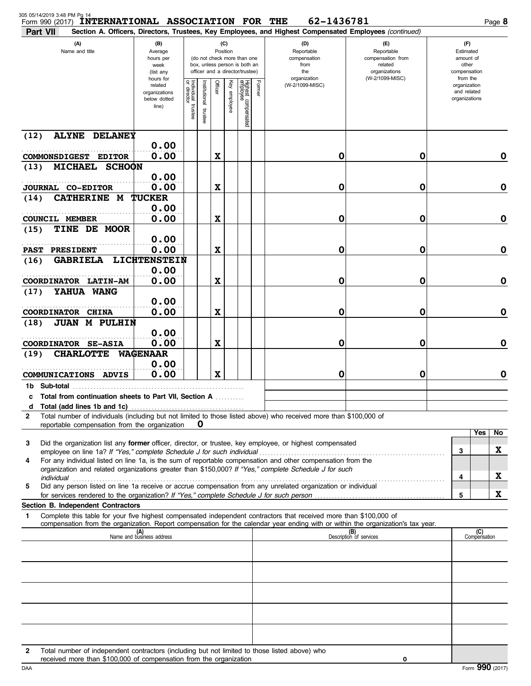| 305 05/14/2019 3:48 PM Pg 14<br>Form 990 (2017) | <b>INTERNATIONAL ASSOCIATION FOR THE</b>                                                                                                                            |                                                                                                                                                                  |                                      |                         |         |                 |                                 |        | 62-1436781                                                                                                                                                                                                                                                                |                                                                                                  | Page 8                                                             |
|-------------------------------------------------|---------------------------------------------------------------------------------------------------------------------------------------------------------------------|------------------------------------------------------------------------------------------------------------------------------------------------------------------|--------------------------------------|-------------------------|---------|-----------------|---------------------------------|--------|---------------------------------------------------------------------------------------------------------------------------------------------------------------------------------------------------------------------------------------------------------------------------|--------------------------------------------------------------------------------------------------|--------------------------------------------------------------------|
| Part VII<br>(A)<br>Name and title               |                                                                                                                                                                     | (B)<br>Average<br>(do not check more than one<br>hours per<br>box, unless person is both an<br>week<br>officer and a director/trustee)<br>(list any<br>hours for |                                      |                         |         | (C)<br>Position |                                 |        | Section A. Officers, Directors, Trustees, Key Employees, and Highest Compensated Employees (continued)<br>(D)<br>Reportable<br>compensation<br>from<br>the<br>organization                                                                                                | $(\mathsf{F})$<br>Reportable<br>compensation from<br>related<br>organizations<br>(W-2/1099-MISC) | (F)<br>Estimated<br>amount of<br>other<br>compensation<br>from the |
|                                                 |                                                                                                                                                                     | related<br>organizations<br>below dotted<br>line)                                                                                                                | Individual<br>or director<br>trustee | nstitutional<br>trustee | Officer | Key employee    | Highest compensated<br>employee | Former | (W-2/1099-MISC)                                                                                                                                                                                                                                                           |                                                                                                  | organization<br>and related<br>organizations                       |
| (12)                                            | <b>ALYNE</b><br><b>DELANEY</b>                                                                                                                                      |                                                                                                                                                                  |                                      |                         |         |                 |                                 |        |                                                                                                                                                                                                                                                                           |                                                                                                  |                                                                    |
|                                                 | COMMONSDIGEST EDITOR                                                                                                                                                | 0.00<br>0.00                                                                                                                                                     |                                      |                         | X       |                 |                                 |        | 0                                                                                                                                                                                                                                                                         | 0                                                                                                | 0                                                                  |
| (13)                                            | <b>MICHAEL</b><br><b>SCHOON</b>                                                                                                                                     |                                                                                                                                                                  |                                      |                         |         |                 |                                 |        |                                                                                                                                                                                                                                                                           |                                                                                                  |                                                                    |
|                                                 | <b>JOURNAL CO-EDITOR</b>                                                                                                                                            | 0.00<br>0.00                                                                                                                                                     |                                      |                         | X       |                 |                                 |        | 0                                                                                                                                                                                                                                                                         | 0                                                                                                | $\mathbf 0$                                                        |
| (14)                                            | <b>CATHERINE M</b>                                                                                                                                                  | <b>TUCKER</b><br>0.00                                                                                                                                            |                                      |                         |         |                 |                                 |        |                                                                                                                                                                                                                                                                           |                                                                                                  |                                                                    |
| <b>COUNCIL MEMBER</b>                           |                                                                                                                                                                     | 0.00                                                                                                                                                             |                                      |                         | X       |                 |                                 |        | 0                                                                                                                                                                                                                                                                         | 0                                                                                                | $\mathbf 0$                                                        |
| (15)                                            | TINE DE MOOR                                                                                                                                                        |                                                                                                                                                                  |                                      |                         |         |                 |                                 |        |                                                                                                                                                                                                                                                                           |                                                                                                  |                                                                    |
| <b>PAST</b>                                     | <b>PRESIDENT</b>                                                                                                                                                    | 0.00<br>0.00                                                                                                                                                     |                                      |                         | X       |                 |                                 |        | 0                                                                                                                                                                                                                                                                         | 0                                                                                                | $\mathbf 0$                                                        |
| (16)                                            | <b>GABRIELA</b>                                                                                                                                                     | LICHTENSTEIN                                                                                                                                                     |                                      |                         |         |                 |                                 |        |                                                                                                                                                                                                                                                                           |                                                                                                  |                                                                    |
|                                                 |                                                                                                                                                                     | 0.00                                                                                                                                                             |                                      |                         |         |                 |                                 |        |                                                                                                                                                                                                                                                                           |                                                                                                  |                                                                    |
| (17)                                            | COORDINATOR LATIN-AM<br>YAHUA WANG                                                                                                                                  | 0.00                                                                                                                                                             |                                      |                         | X       |                 |                                 |        | 0                                                                                                                                                                                                                                                                         | 0                                                                                                | $\mathbf 0$                                                        |
|                                                 |                                                                                                                                                                     | 0.00                                                                                                                                                             |                                      |                         |         |                 |                                 |        |                                                                                                                                                                                                                                                                           |                                                                                                  |                                                                    |
|                                                 | COORDINATOR CHINA                                                                                                                                                   | 0.00                                                                                                                                                             |                                      |                         | X       |                 |                                 |        | 0                                                                                                                                                                                                                                                                         | 0                                                                                                | $\mathbf 0$                                                        |
| (18)                                            | <b>JUAN M PULHIN</b>                                                                                                                                                | 0.00                                                                                                                                                             |                                      |                         |         |                 |                                 |        |                                                                                                                                                                                                                                                                           |                                                                                                  |                                                                    |
|                                                 | <b>COORDINATOR SE-ASIA</b>                                                                                                                                          | 0.00                                                                                                                                                             |                                      |                         | X       |                 |                                 |        | 0                                                                                                                                                                                                                                                                         | 0                                                                                                | $\mathbf 0$                                                        |
| (19)                                            | <b>CHARLOTTE</b>                                                                                                                                                    | <b>WAGENAAR</b>                                                                                                                                                  |                                      |                         |         |                 |                                 |        |                                                                                                                                                                                                                                                                           |                                                                                                  |                                                                    |
|                                                 | COMMUNICATIONS ADVIS                                                                                                                                                | 0.00<br>0.00                                                                                                                                                     |                                      |                         | X       |                 |                                 |        | 0                                                                                                                                                                                                                                                                         | 0                                                                                                | 0                                                                  |
| 1b Sub-total                                    |                                                                                                                                                                     |                                                                                                                                                                  |                                      |                         |         |                 |                                 |        |                                                                                                                                                                                                                                                                           |                                                                                                  |                                                                    |
|                                                 | c Total from continuation sheets to Part VII, Section A                                                                                                             |                                                                                                                                                                  |                                      |                         |         |                 |                                 |        |                                                                                                                                                                                                                                                                           |                                                                                                  |                                                                    |
| d<br>$\mathbf{2}$                               |                                                                                                                                                                     |                                                                                                                                                                  |                                      |                         |         |                 |                                 |        | Total number of individuals (including but not limited to those listed above) who received more than \$100,000 of                                                                                                                                                         |                                                                                                  |                                                                    |
|                                                 | reportable compensation from the organization                                                                                                                       |                                                                                                                                                                  |                                      | 0                       |         |                 |                                 |        |                                                                                                                                                                                                                                                                           |                                                                                                  |                                                                    |
| 3                                               |                                                                                                                                                                     |                                                                                                                                                                  |                                      |                         |         |                 |                                 |        | Did the organization list any former officer, director, or trustee, key employee, or highest compensated<br>employee on line 1a? If "Yes," complete Schedule J for such individual [11] [11] content content to the 1a? If "Yes," complete Schedule J for such individual |                                                                                                  | Yes<br>No<br>X<br>3                                                |
| 4                                               |                                                                                                                                                                     |                                                                                                                                                                  |                                      |                         |         |                 |                                 |        | For any individual listed on line 1a, is the sum of reportable compensation and other compensation from the<br>organization and related organizations greater than \$150,000? If "Yes," complete Schedule J for such                                                      |                                                                                                  |                                                                    |
| 5                                               |                                                                                                                                                                     |                                                                                                                                                                  |                                      |                         |         |                 |                                 |        | Did any person listed on line 1a receive or accrue compensation from any unrelated organization or individual                                                                                                                                                             |                                                                                                  | X<br>4                                                             |
|                                                 | for services rendered to the organization? If "Yes," complete Schedule J for such person                                                                            |                                                                                                                                                                  |                                      |                         |         |                 |                                 |        |                                                                                                                                                                                                                                                                           |                                                                                                  | X<br>5                                                             |
| 1                                               | Section B. Independent Contractors                                                                                                                                  |                                                                                                                                                                  |                                      |                         |         |                 |                                 |        | Complete this table for your five highest compensated independent contractors that received more than \$100,000 of                                                                                                                                                        |                                                                                                  |                                                                    |
|                                                 |                                                                                                                                                                     |                                                                                                                                                                  |                                      |                         |         |                 |                                 |        | compensation from the organization. Report compensation for the calendar year ending with or within the organization's tax year.                                                                                                                                          |                                                                                                  | (C)                                                                |
|                                                 |                                                                                                                                                                     | (A)<br>Name and business address                                                                                                                                 |                                      |                         |         |                 |                                 |        |                                                                                                                                                                                                                                                                           | (B)<br>Description of services                                                                   | Compensation                                                       |
|                                                 |                                                                                                                                                                     |                                                                                                                                                                  |                                      |                         |         |                 |                                 |        |                                                                                                                                                                                                                                                                           |                                                                                                  |                                                                    |
|                                                 |                                                                                                                                                                     |                                                                                                                                                                  |                                      |                         |         |                 |                                 |        |                                                                                                                                                                                                                                                                           |                                                                                                  |                                                                    |
|                                                 |                                                                                                                                                                     |                                                                                                                                                                  |                                      |                         |         |                 |                                 |        |                                                                                                                                                                                                                                                                           |                                                                                                  |                                                                    |
|                                                 |                                                                                                                                                                     |                                                                                                                                                                  |                                      |                         |         |                 |                                 |        |                                                                                                                                                                                                                                                                           |                                                                                                  |                                                                    |
|                                                 |                                                                                                                                                                     |                                                                                                                                                                  |                                      |                         |         |                 |                                 |        |                                                                                                                                                                                                                                                                           |                                                                                                  |                                                                    |
|                                                 |                                                                                                                                                                     |                                                                                                                                                                  |                                      |                         |         |                 |                                 |        |                                                                                                                                                                                                                                                                           |                                                                                                  |                                                                    |
|                                                 |                                                                                                                                                                     |                                                                                                                                                                  |                                      |                         |         |                 |                                 |        |                                                                                                                                                                                                                                                                           |                                                                                                  |                                                                    |
| $\overline{2}$                                  | Total number of independent contractors (including but not limited to those listed above) who<br>received more than \$100,000 of compensation from the organization |                                                                                                                                                                  |                                      |                         |         |                 |                                 |        |                                                                                                                                                                                                                                                                           | 0                                                                                                |                                                                    |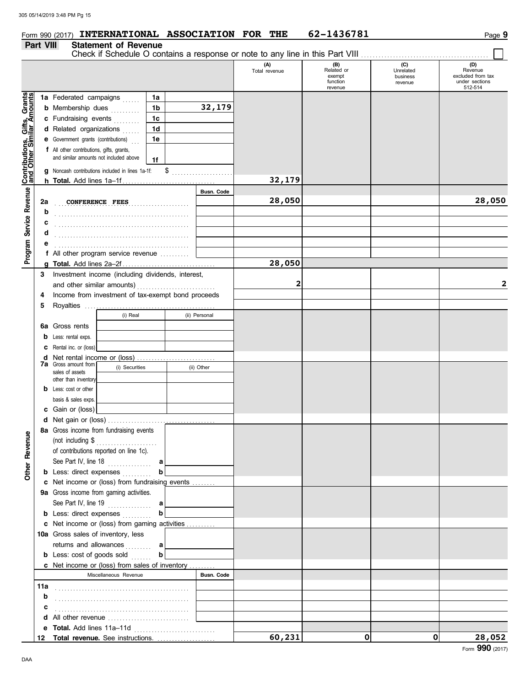## **Form 990 (2017) INTERNATIONAL ASSOCIATION FOR THE 62-1436781 Page 9**

### **Part VIII Statement of Revenue**

|                                                                                                               |                                               |                                                           |                  |    |                   | (A)<br>Total revenue | (B)<br>Related or<br>exempt<br>function<br>revenue | (C)<br>Unrelated<br>business<br>revenue | (D)<br>Revenue<br>excluded from tax<br>under sections<br>512-514 |
|---------------------------------------------------------------------------------------------------------------|-----------------------------------------------|-----------------------------------------------------------|------------------|----|-------------------|----------------------|----------------------------------------------------|-----------------------------------------|------------------------------------------------------------------|
|                                                                                                               |                                               | 1a Federated campaigns                                    | 1a               |    |                   |                      |                                                    |                                         |                                                                  |
|                                                                                                               |                                               | <b>b</b> Membership dues                                  | 1b               |    | 32,179            |                      |                                                    |                                         |                                                                  |
|                                                                                                               |                                               | c Fundraising events                                      | 1c               |    |                   |                      |                                                    |                                         |                                                                  |
| Program Service Revenue   Contributions, Gifts, Grants<br>Program Service Revenue   and Other Similar Amounts |                                               | d Related organizations                                   | 1 <sub>d</sub>   |    |                   |                      |                                                    |                                         |                                                                  |
|                                                                                                               |                                               | e Government grants (contributions)                       | 1e               |    |                   |                      |                                                    |                                         |                                                                  |
|                                                                                                               |                                               | f All other contributions, gifts, grants,                 |                  |    |                   |                      |                                                    |                                         |                                                                  |
|                                                                                                               |                                               | and similar amounts not included above                    | 1f               |    |                   |                      |                                                    |                                         |                                                                  |
|                                                                                                               |                                               | g Noncash contributions included in lines 1a-1f:          |                  | \$ |                   |                      |                                                    |                                         |                                                                  |
|                                                                                                               |                                               |                                                           |                  |    |                   | 32,179               |                                                    |                                         |                                                                  |
|                                                                                                               |                                               |                                                           |                  |    | <b>Busn. Code</b> |                      |                                                    |                                         |                                                                  |
|                                                                                                               | 2a                                            | <b>CONFERENCE FEES</b>                                    |                  |    |                   | 28,050               |                                                    |                                         | 28,050                                                           |
|                                                                                                               | b                                             |                                                           |                  | .  |                   |                      |                                                    |                                         |                                                                  |
|                                                                                                               |                                               |                                                           |                  |    |                   |                      |                                                    |                                         |                                                                  |
|                                                                                                               |                                               |                                                           |                  |    |                   |                      |                                                    |                                         |                                                                  |
|                                                                                                               |                                               |                                                           |                  |    |                   |                      |                                                    |                                         |                                                                  |
|                                                                                                               |                                               | f All other program service revenue                       |                  |    |                   |                      |                                                    |                                         |                                                                  |
|                                                                                                               |                                               |                                                           |                  |    |                   | 28,050               |                                                    |                                         |                                                                  |
|                                                                                                               | 3                                             | Investment income (including dividends, interest,         |                  |    |                   |                      |                                                    |                                         |                                                                  |
|                                                                                                               |                                               |                                                           |                  |    |                   | 2                    |                                                    |                                         | 2                                                                |
|                                                                                                               | 4                                             | Income from investment of tax-exempt bond proceeds        |                  |    |                   |                      |                                                    |                                         |                                                                  |
|                                                                                                               | 5                                             |                                                           |                  |    |                   |                      |                                                    |                                         |                                                                  |
|                                                                                                               |                                               | (i) Real                                                  |                  |    | (ii) Personal     |                      |                                                    |                                         |                                                                  |
|                                                                                                               | 6а                                            | Gross rents                                               |                  |    |                   |                      |                                                    |                                         |                                                                  |
|                                                                                                               | b                                             | Less: rental exps.                                        |                  |    |                   |                      |                                                    |                                         |                                                                  |
|                                                                                                               | с                                             | Rental inc. or (loss)                                     |                  |    |                   |                      |                                                    |                                         |                                                                  |
|                                                                                                               | d                                             |                                                           |                  |    |                   |                      |                                                    |                                         |                                                                  |
|                                                                                                               | <b>7a</b> Gross amount from<br>(i) Securities |                                                           | (ii) Other       |    |                   |                      |                                                    |                                         |                                                                  |
|                                                                                                               |                                               | sales of assets                                           |                  |    |                   |                      |                                                    |                                         |                                                                  |
|                                                                                                               | b                                             | other than inventory<br>Less: cost or other               |                  |    |                   |                      |                                                    |                                         |                                                                  |
|                                                                                                               |                                               | basis & sales exps.                                       |                  |    |                   |                      |                                                    |                                         |                                                                  |
|                                                                                                               |                                               | c Gain or (loss)                                          |                  |    |                   |                      |                                                    |                                         |                                                                  |
|                                                                                                               | d                                             |                                                           |                  |    |                   |                      |                                                    |                                         |                                                                  |
|                                                                                                               |                                               | 8a Gross income from fundraising events                   |                  |    |                   |                      |                                                    |                                         |                                                                  |
| Φ                                                                                                             |                                               | (not including \$                                         |                  |    |                   |                      |                                                    |                                         |                                                                  |
|                                                                                                               |                                               | .<br>of contributions reported on line 1c).               |                  |    |                   |                      |                                                    |                                         |                                                                  |
|                                                                                                               |                                               |                                                           | a                |    |                   |                      |                                                    |                                         |                                                                  |
| <b>Other Revenu</b>                                                                                           |                                               | See Part IV, line 18<br><b>b</b> Less: direct expenses    | b                |    |                   |                      |                                                    |                                         |                                                                  |
|                                                                                                               |                                               | c Net income or (loss) from fundraising events            |                  |    |                   |                      |                                                    |                                         |                                                                  |
|                                                                                                               |                                               | 9a Gross income from gaming activities.                   |                  |    |                   |                      |                                                    |                                         |                                                                  |
|                                                                                                               |                                               |                                                           |                  |    |                   |                      |                                                    |                                         |                                                                  |
|                                                                                                               |                                               | <b>b</b> Less: direct expenses                            | b                |    |                   |                      |                                                    |                                         |                                                                  |
|                                                                                                               |                                               | c Net income or (loss) from gaming activities             |                  |    |                   |                      |                                                    |                                         |                                                                  |
|                                                                                                               |                                               | 10a Gross sales of inventory, less                        |                  |    |                   |                      |                                                    |                                         |                                                                  |
|                                                                                                               |                                               | returns and allowances                                    |                  |    |                   |                      |                                                    |                                         |                                                                  |
|                                                                                                               |                                               | <b>b</b> Less: cost of goods sold                         | a<br>$\mathbf b$ |    |                   |                      |                                                    |                                         |                                                                  |
|                                                                                                               |                                               | c Net income or (loss) from sales of inventory            |                  |    |                   |                      |                                                    |                                         |                                                                  |
|                                                                                                               |                                               | Miscellaneous Revenue                                     |                  |    | Busn. Code        |                      |                                                    |                                         |                                                                  |
|                                                                                                               | 11a                                           |                                                           |                  |    |                   |                      |                                                    |                                         |                                                                  |
|                                                                                                               | b                                             |                                                           |                  |    |                   |                      |                                                    |                                         |                                                                  |
|                                                                                                               |                                               |                                                           |                  |    |                   |                      |                                                    |                                         |                                                                  |
|                                                                                                               | c                                             | <b>d</b> All other revenue $\ldots$ , $\ldots$ , $\ldots$ |                  |    |                   |                      |                                                    |                                         |                                                                  |
|                                                                                                               |                                               |                                                           |                  |    |                   |                      |                                                    |                                         |                                                                  |
|                                                                                                               |                                               | 12 Total revenue. See instructions.                       |                  |    |                   | 60,231               | 0                                                  | $\mathbf{0}$                            | 28,052                                                           |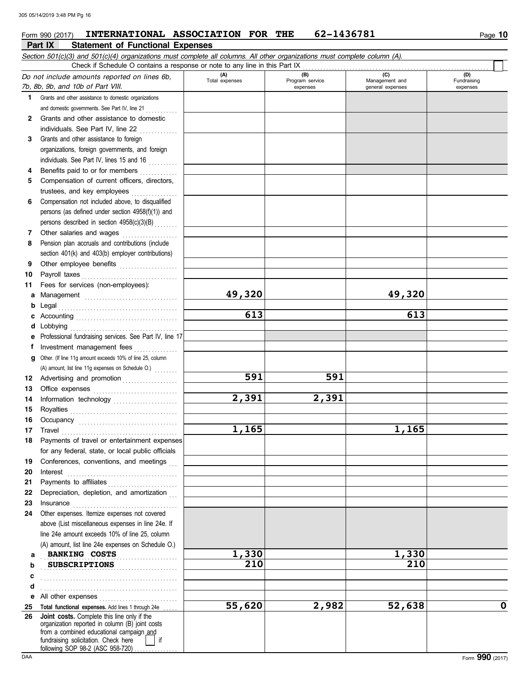### **Part IX Statement of Functional Expenses** Form 990 (2017) **INTERNATIONAL ASSOCIATION FOR THE** 62-1436781 Page 10

|     | Section 501(c)(3) and 501(c)(4) organizations must complete all columns. All other organizations must complete column (A). |                       |                                    |                                           |                                |
|-----|----------------------------------------------------------------------------------------------------------------------------|-----------------------|------------------------------------|-------------------------------------------|--------------------------------|
|     | Check if Schedule O contains a response or note to any line in this Part IX                                                |                       |                                    |                                           |                                |
|     | Do not include amounts reported on lines 6b,<br>7b, 8b, 9b, and 10b of Part VIII.                                          | (A)<br>Total expenses | (B)<br>Program service<br>expenses | (C)<br>Management and<br>general expenses | (D)<br>Fundraising<br>expenses |
| 1.  | Grants and other assistance to domestic organizations                                                                      |                       |                                    |                                           |                                |
|     | and domestic governments. See Part IV, line 21                                                                             |                       |                                    |                                           |                                |
| 2   | Grants and other assistance to domestic                                                                                    |                       |                                    |                                           |                                |
|     | individuals. See Part IV, line 22<br>.                                                                                     |                       |                                    |                                           |                                |
| 3   | Grants and other assistance to foreign                                                                                     |                       |                                    |                                           |                                |
|     | organizations, foreign governments, and foreign                                                                            |                       |                                    |                                           |                                |
|     | individuals. See Part IV, lines 15 and 16                                                                                  |                       |                                    |                                           |                                |
| 4   | Benefits paid to or for members<br>.                                                                                       |                       |                                    |                                           |                                |
| 5   | Compensation of current officers, directors,                                                                               |                       |                                    |                                           |                                |
|     | trustees, and key employees                                                                                                |                       |                                    |                                           |                                |
| 6   | Compensation not included above, to disqualified                                                                           |                       |                                    |                                           |                                |
|     | persons (as defined under section 4958(f)(1)) and                                                                          |                       |                                    |                                           |                                |
|     | persons described in section 4958(c)(3)(B)                                                                                 |                       |                                    |                                           |                                |
| 7   | Other salaries and wages<br>des seres seres seres ser                                                                      |                       |                                    |                                           |                                |
| 8   | Pension plan accruals and contributions (include                                                                           |                       |                                    |                                           |                                |
|     | section 401(k) and 403(b) employer contributions)                                                                          |                       |                                    |                                           |                                |
| 9   | Other employee benefits                                                                                                    |                       |                                    |                                           |                                |
| 10  | Payroll taxes                                                                                                              |                       |                                    |                                           |                                |
| 11  | Fees for services (non-employees):                                                                                         |                       |                                    |                                           |                                |
| а   |                                                                                                                            | 49,320                |                                    | 49,320                                    |                                |
| b   | Legal                                                                                                                      |                       |                                    |                                           |                                |
| с   |                                                                                                                            | 613                   |                                    | 613                                       |                                |
| d   | Lobbying                                                                                                                   |                       |                                    |                                           |                                |
|     | Professional fundraising services. See Part IV, line 17                                                                    |                       |                                    |                                           |                                |
| f   | Investment management fees                                                                                                 |                       |                                    |                                           |                                |
| q   | Other. (If line 11g amount exceeds 10% of line 25, column                                                                  |                       |                                    |                                           |                                |
|     | (A) amount, list line 11g expenses on Schedule O.)                                                                         |                       |                                    |                                           |                                |
| 12  |                                                                                                                            | 591                   | 591                                |                                           |                                |
| 13  |                                                                                                                            |                       |                                    |                                           |                                |
| 14  |                                                                                                                            | 2,391                 | 2,391                              |                                           |                                |
| 15  |                                                                                                                            |                       |                                    |                                           |                                |
| 16  |                                                                                                                            |                       |                                    |                                           |                                |
| 17  | Travel <b>Travel Travel Travel Travel Travel Travel Travel Travel Travel Travel Travel Travel Travel Travel </b>           | 1,165                 |                                    | 1,165                                     |                                |
| 18. | Payments of travel or entertainment expenses                                                                               |                       |                                    |                                           |                                |
|     | for any federal, state, or local public officials                                                                          |                       |                                    |                                           |                                |
| 19  | Conferences, conventions, and meetings                                                                                     |                       |                                    |                                           |                                |
| 20  | Interest                                                                                                                   |                       |                                    |                                           |                                |
| 21  | Payments to affiliates                                                                                                     |                       |                                    |                                           |                                |
| 22  | Depreciation, depletion, and amortization                                                                                  |                       |                                    |                                           |                                |
| 23  | Insurance                                                                                                                  |                       |                                    |                                           |                                |
| 24  | Other expenses. Itemize expenses not covered                                                                               |                       |                                    |                                           |                                |
|     | above (List miscellaneous expenses in line 24e. If                                                                         |                       |                                    |                                           |                                |
|     | line 24e amount exceeds 10% of line 25, column                                                                             |                       |                                    |                                           |                                |
|     | (A) amount, list line 24e expenses on Schedule O.)                                                                         |                       |                                    |                                           |                                |
| а   | <b>BANKING COSTS</b>                                                                                                       | 1,330                 |                                    | 1,330                                     |                                |
| b   | <b>SUBSCRIPTIONS</b>                                                                                                       | 210                   |                                    | 210                                       |                                |
| c   |                                                                                                                            |                       |                                    |                                           |                                |
| d   |                                                                                                                            |                       |                                    |                                           |                                |
| е   | All other expenses                                                                                                         |                       |                                    |                                           |                                |
| 25  | Total functional expenses. Add lines 1 through 24e.                                                                        | 55,620                | 2,982                              | 52,638                                    | $\mathbf 0$                    |
| 26  | Joint costs. Complete this line only if the<br>organization reported in column (B) joint costs                             |                       |                                    |                                           |                                |
|     | from a combined educational campaign and                                                                                   |                       |                                    |                                           |                                |
|     | fundraising solicitation. Check here<br>if<br>following SOP 98-2 (ASC 958-720)                                             |                       |                                    |                                           |                                |

following SOP 98-2 (ASC 958-720) . . . . . . . . . . . . .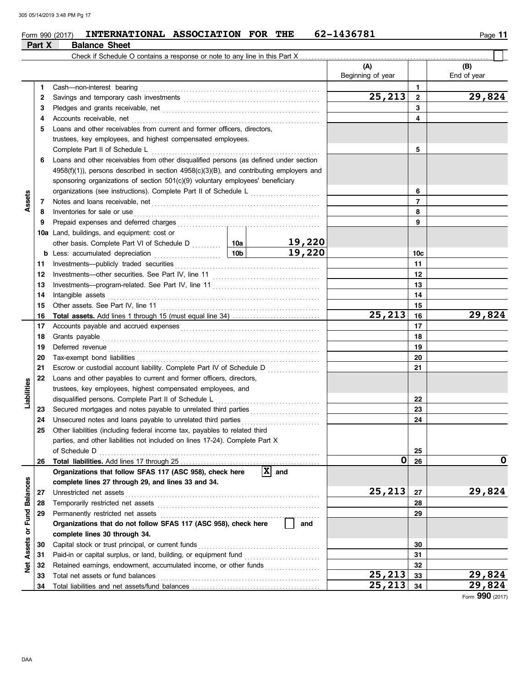### $_{\rm Form}$  990 (2017) INTERNATIONAL ASSOCIATION FOR THE 62-1436781  $_{\rm Page}$  11 **INTERNATIONAL ASSOCIATION FOR THE 62-1436781**

|               | Part X | <b>Balance Sheet</b>                                                                          |        |                               |                          |                 |                    |
|---------------|--------|-----------------------------------------------------------------------------------------------|--------|-------------------------------|--------------------------|-----------------|--------------------|
|               |        | Check if Schedule O contains a response or note to any line in this Part X                    |        |                               |                          |                 |                    |
|               |        |                                                                                               |        |                               | (A)<br>Beginning of year |                 | (B)<br>End of year |
|               | 1.     | Cash-non-interest bearing                                                                     |        |                               |                          | $\mathbf{1}$    |                    |
|               | 2      |                                                                                               |        |                               | 25,213                   | $\mathbf{2}$    | 29,824             |
|               | 3      |                                                                                               |        |                               |                          | 3               |                    |
|               | 4      | Accounts receivable, net                                                                      |        |                               |                          | 4               |                    |
|               | 5      | Loans and other receivables from current and former officers, directors,                      |        |                               |                          |                 |                    |
|               |        | trustees, key employees, and highest compensated employees.                                   |        |                               |                          |                 |                    |
|               |        | Complete Part II of Schedule L                                                                |        |                               |                          | 5               |                    |
|               | 6      | Loans and other receivables from other disqualified persons (as defined under section         |        |                               |                          |                 |                    |
|               |        | $4958(f)(1)$ ), persons described in section $4958(c)(3)(B)$ , and contributing employers and |        |                               |                          |                 |                    |
|               |        | sponsoring organizations of section 501(c)(9) voluntary employees' beneficiary                |        |                               |                          |                 |                    |
| <b>Asset</b>  |        |                                                                                               |        |                               |                          | 6               |                    |
|               | 7      |                                                                                               |        |                               | $\overline{7}$           |                 |                    |
|               | 8      | Inventories for sale or use                                                                   |        |                               |                          | 8               |                    |
|               | 9      | Prepaid expenses and deferred charges                                                         |        |                               |                          |                 |                    |
|               | 10a    | Land, buildings, and equipment: cost or                                                       |        |                               |                          |                 |                    |
|               |        |                                                                                               |        | 19,220                        |                          |                 |                    |
|               | b      | $\frac{10b}{10b}$<br>Less: accumulated depreciation                                           |        | 19,220                        |                          | 10 <sub>c</sub> |                    |
|               | 11     | Investments-publicly traded securities                                                        |        |                               |                          | 11              |                    |
|               | 12     |                                                                                               |        |                               |                          | 12              |                    |
|               | 13     |                                                                                               |        |                               |                          | 13              |                    |
|               | 14     | Intangible assets                                                                             |        | 14                            |                          |                 |                    |
|               | 15     | Other assets. See Part IV, line 11                                                            |        |                               | 15                       |                 |                    |
|               | 16     |                                                                                               | 25,213 | 16                            | 29,824                   |                 |                    |
|               | 17     |                                                                                               |        |                               | 17                       |                 |                    |
|               | 18     | Grants payable                                                                                |        |                               | 18                       |                 |                    |
|               | 19     | Deferred revenue                                                                              |        |                               | 19                       |                 |                    |
|               | 20     | Tax-exempt bond liabilities                                                                   |        |                               | 20                       |                 |                    |
|               | 21     | Escrow or custodial account liability. Complete Part IV of Schedule D                         |        |                               | 21                       |                 |                    |
|               | 22     | Loans and other payables to current and former officers, directors,                           |        |                               |                          |                 |                    |
| Liabilities   |        | trustees, key employees, highest compensated employees, and                                   |        |                               |                          |                 |                    |
|               |        | disqualified persons. Complete Part II of Schedule L                                          |        |                               |                          | 22              |                    |
|               | 23     | Secured mortgages and notes payable to unrelated third parties                                |        |                               |                          | 23              |                    |
|               | 24     | Unsecured notes and loans payable to unrelated third parties                                  |        |                               |                          | 24              |                    |
|               | 25     | Other liabilities (including federal income tax, payables to related third                    |        |                               |                          |                 |                    |
|               |        | parties, and other liabilities not included on lines 17-24). Complete Part X                  |        |                               |                          |                 |                    |
|               |        | of Schedule D                                                                                 |        |                               |                          | 25              |                    |
|               | 26     |                                                                                               |        |                               | 0                        | 26              | O                  |
|               |        | Organizations that follow SFAS 117 (ASC 958), check here                                      |        | $ \mathbf{\overline{X}} $ and |                          |                 |                    |
|               |        | complete lines 27 through 29, and lines 33 and 34.                                            |        |                               |                          |                 |                    |
|               | 27     | Unrestricted net assets                                                                       |        |                               | 25, 213                  | 27              | 29,824             |
|               | 28     | Temporarily restricted net assets                                                             |        |                               |                          | 28              |                    |
| Fund Balances | 29     | Permanently restricted net assets                                                             |        |                               |                          | 29              |                    |
|               |        | Organizations that do not follow SFAS 117 (ASC 958), check here                               |        | and                           |                          |                 |                    |
| ŏ             |        | complete lines 30 through 34.                                                                 |        |                               |                          |                 |                    |
| Assets        | 30     | Capital stock or trust principal, or current funds                                            |        |                               |                          | 30              |                    |
|               | 31     | Paid-in or capital surplus, or land, building, or equipment fund                              |        |                               |                          | 31              |                    |
| <b>Net</b>    | 32     | Retained earnings, endowment, accumulated income, or other funds                              |        |                               |                          | 32              |                    |
|               | 33     | Total net assets or fund balances                                                             |        |                               | 25,213                   | 33              | 29,824             |
|               | 34     |                                                                                               |        | 25, 213                       | 34                       | 29,824          |                    |

Form **990** (2017)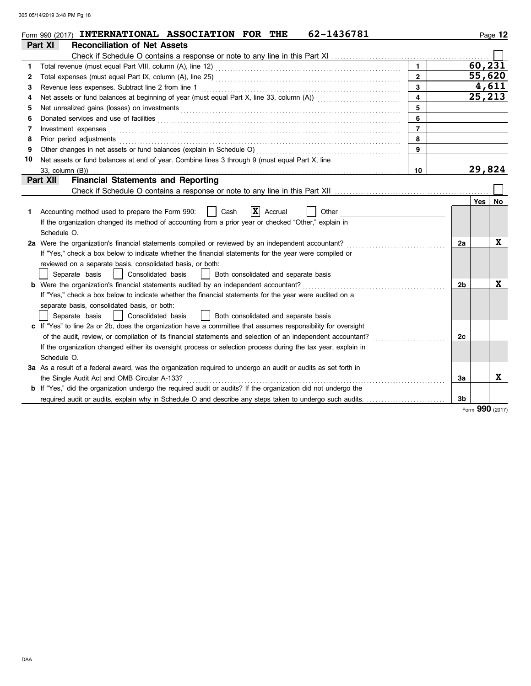|              | 62-1436781<br>Form 990 (2017) INTERNATIONAL ASSOCIATION FOR THE                                                                                                                                                                   |                |                |                 | Page 12 |
|--------------|-----------------------------------------------------------------------------------------------------------------------------------------------------------------------------------------------------------------------------------|----------------|----------------|-----------------|---------|
|              | <b>Reconciliation of Net Assets</b><br>Part XI                                                                                                                                                                                    |                |                |                 |         |
|              |                                                                                                                                                                                                                                   |                |                |                 |         |
| 1.           |                                                                                                                                                                                                                                   | $\mathbf{1}$   |                | 60, 231         |         |
| $\mathbf{2}$ |                                                                                                                                                                                                                                   | $\overline{2}$ |                | 55,620          |         |
| 3            | Revenue less expenses. Subtract line 2 from line 1                                                                                                                                                                                | 3              |                | 4,611           |         |
| 4            |                                                                                                                                                                                                                                   | 4              |                | 25,213          |         |
| 5            | Net unrealized gains (losses) on investments [11] results and the university of the unrealized gains (losses) on investments [11] $\sim$ 0.000 m/m and the unrealized gains (losses) on investments [11] $\sim$ 0.000 m/m and the | 5              |                |                 |         |
| 6            |                                                                                                                                                                                                                                   | 6              |                |                 |         |
| 7            | Investment expenses                                                                                                                                                                                                               | $\overline{7}$ |                |                 |         |
| 8            | Prior period adjustments                                                                                                                                                                                                          | 8              |                |                 |         |
| 9            | Other changes in net assets or fund balances (explain in Schedule O)                                                                                                                                                              | 9              |                |                 |         |
| 10           | Net assets or fund balances at end of year. Combine lines 3 through 9 (must equal Part X, line                                                                                                                                    |                |                |                 |         |
|              | $33$ , column $(B)$ )                                                                                                                                                                                                             | 10             |                | 29,824          |         |
|              | <b>Financial Statements and Reporting</b><br>Part XII                                                                                                                                                                             |                |                |                 |         |
|              | Check if Schedule O contains a response or note to any line in this Part XII                                                                                                                                                      |                |                |                 |         |
|              |                                                                                                                                                                                                                                   |                |                | <b>Yes</b>      | No      |
| 1.           | $ \mathbf{x} $<br>Accounting method used to prepare the Form 990:<br>Cash<br>Accrual<br>Other                                                                                                                                     |                |                |                 |         |
|              | If the organization changed its method of accounting from a prior year or checked "Other," explain in                                                                                                                             |                |                |                 |         |
|              | Schedule O.                                                                                                                                                                                                                       |                |                |                 |         |
|              | 2a Were the organization's financial statements compiled or reviewed by an independent accountant?                                                                                                                                |                | 2a             |                 | X       |
|              | If "Yes," check a box below to indicate whether the financial statements for the year were compiled or                                                                                                                            |                |                |                 |         |
|              | reviewed on a separate basis, consolidated basis, or both:                                                                                                                                                                        |                |                |                 |         |
|              | Separate basis<br>Consolidated basis<br>Both consolidated and separate basis                                                                                                                                                      |                |                |                 |         |
|              | <b>b</b> Were the organization's financial statements audited by an independent accountant?                                                                                                                                       |                | 2 <sub>b</sub> |                 | X       |
|              | If "Yes," check a box below to indicate whether the financial statements for the year were audited on a                                                                                                                           |                |                |                 |         |
|              | separate basis, consolidated basis, or both:                                                                                                                                                                                      |                |                |                 |         |
|              | Both consolidated and separate basis<br>Separate basis<br>Consolidated basis                                                                                                                                                      |                |                |                 |         |
|              | c If "Yes" to line 2a or 2b, does the organization have a committee that assumes responsibility for oversight                                                                                                                     |                |                |                 |         |
|              | of the audit, review, or compilation of its financial statements and selection of an independent accountant?                                                                                                                      |                | 2c             |                 |         |
|              | If the organization changed either its oversight process or selection process during the tax year, explain in                                                                                                                     |                |                |                 |         |
|              | Schedule O.                                                                                                                                                                                                                       |                |                |                 |         |
|              | 3a As a result of a federal award, was the organization required to undergo an audit or audits as set forth in                                                                                                                    |                |                |                 |         |
|              | the Single Audit Act and OMB Circular A-133?                                                                                                                                                                                      |                | За             |                 | X       |
|              | <b>b</b> If "Yes," did the organization undergo the required audit or audits? If the organization did not undergo the                                                                                                             |                |                |                 |         |
|              | required audit or audits, explain why in Schedule O and describe any steps taken to undergo such audits.                                                                                                                          |                | 3b             |                 |         |
|              |                                                                                                                                                                                                                                   |                |                | Form 990 (2017) |         |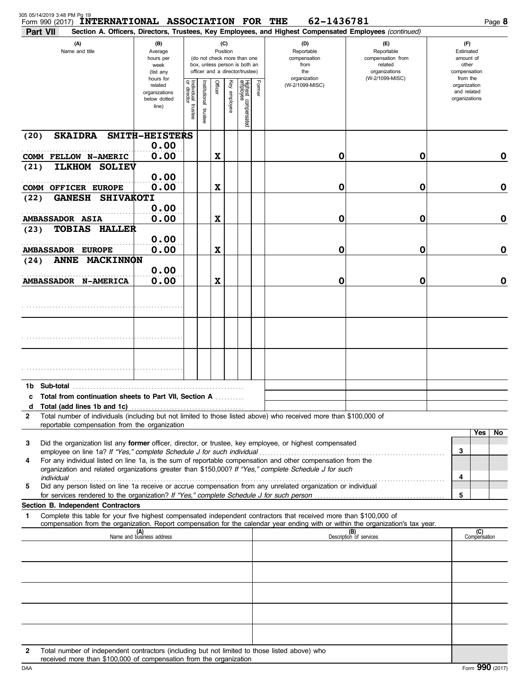| 305 05/14/2019 3:48 PM Pg 19<br>Form 990 (2017)<br>Part VII | <b>INTERNATIONAL ASSOCIATION FOR THE</b>                                                                                                                            |                                                                |                                      |                          |                                                                                                                    |              |                                 |        | 62-1436781                                                                                                                                                                                                                                             |                                                                                       | Page 8                                                   |
|-------------------------------------------------------------|---------------------------------------------------------------------------------------------------------------------------------------------------------------------|----------------------------------------------------------------|--------------------------------------|--------------------------|--------------------------------------------------------------------------------------------------------------------|--------------|---------------------------------|--------|--------------------------------------------------------------------------------------------------------------------------------------------------------------------------------------------------------------------------------------------------------|---------------------------------------------------------------------------------------|----------------------------------------------------------|
| (A)<br>Name and title                                       |                                                                                                                                                                     | (B)<br>Average<br>hours per<br>week<br>(list any               |                                      |                          | (C)<br>Position<br>(do not check more than one<br>box, unless person is both an<br>officer and a director/trustee) |              |                                 |        | Section A. Officers, Directors, Trustees, Key Employees, and Highest Compensated Employees (continued)<br>(D)<br>Reportable<br>compensation<br>from<br>the                                                                                             | (E)<br>Reportable<br>compensation from<br>related<br>organizations<br>(W-2/1099-MISC) | (F)<br>Estimated<br>amount of<br>other<br>compensation   |
|                                                             |                                                                                                                                                                     | hours for<br>related<br>organizations<br>below dotted<br>line) | Individual<br>or director<br>trustee | Institutional<br>trustee | Officer                                                                                                            | Key employee | Highest compensated<br>employee | Former | organization<br>(W-2/1099-MISC)                                                                                                                                                                                                                        |                                                                                       | from the<br>organization<br>and related<br>organizations |
| (20)                                                        | <b>SKAIDRA</b>                                                                                                                                                      | SMITH-HEISTERS                                                 |                                      |                          |                                                                                                                    |              |                                 |        |                                                                                                                                                                                                                                                        |                                                                                       |                                                          |
|                                                             | COMM FELLOW N-AMERIC                                                                                                                                                | 0.00<br>0.00                                                   |                                      |                          | $\boldsymbol{\mathrm{X}}$                                                                                          |              |                                 |        | 0                                                                                                                                                                                                                                                      | 0                                                                                     | 0                                                        |
| (21)                                                        | <b>SOLIEV</b><br><b>ILKHOM</b><br><b>COMM OFFICER EUROPE</b>                                                                                                        | 0.00<br>0.00                                                   |                                      |                          | $\boldsymbol{\mathrm{X}}$                                                                                          |              |                                 |        | 0                                                                                                                                                                                                                                                      | 0                                                                                     | $\mathbf 0$                                              |
| (22)                                                        | <b>GANESH</b><br><b>SHIVAKOTI</b>                                                                                                                                   | 0.00                                                           |                                      |                          |                                                                                                                    |              |                                 |        |                                                                                                                                                                                                                                                        |                                                                                       |                                                          |
| <b>AMBASSADOR ASIA</b><br>(23)                              | <b>TOBIAS</b><br><b>HALLER</b>                                                                                                                                      | 0.00                                                           |                                      |                          | $\boldsymbol{\mathrm{X}}$                                                                                          |              |                                 |        | 0                                                                                                                                                                                                                                                      | 0                                                                                     | $\mathbf 0$                                              |
|                                                             | <b>AMBASSADOR EUROPE</b>                                                                                                                                            | 0.00<br>0.00                                                   |                                      |                          | $\boldsymbol{\mathrm{X}}$                                                                                          |              |                                 |        | 0                                                                                                                                                                                                                                                      | 0                                                                                     | $\mathbf 0$                                              |
| (24)                                                        | <b>MACKINNON</b><br><b>ANNE</b>                                                                                                                                     | 0.00                                                           |                                      |                          |                                                                                                                    |              |                                 |        |                                                                                                                                                                                                                                                        |                                                                                       |                                                          |
|                                                             | <b>AMBASSADOR N-AMERICA</b>                                                                                                                                         | 0.00                                                           |                                      |                          | $\boldsymbol{\mathrm{X}}$                                                                                          |              |                                 |        | 0                                                                                                                                                                                                                                                      | 0                                                                                     | $\mathbf 0$                                              |
|                                                             |                                                                                                                                                                     |                                                                |                                      |                          |                                                                                                                    |              |                                 |        |                                                                                                                                                                                                                                                        |                                                                                       |                                                          |
|                                                             |                                                                                                                                                                     |                                                                |                                      |                          |                                                                                                                    |              |                                 |        |                                                                                                                                                                                                                                                        |                                                                                       |                                                          |
|                                                             |                                                                                                                                                                     |                                                                |                                      |                          |                                                                                                                    |              |                                 |        |                                                                                                                                                                                                                                                        |                                                                                       |                                                          |
|                                                             |                                                                                                                                                                     |                                                                |                                      |                          |                                                                                                                    |              |                                 |        |                                                                                                                                                                                                                                                        |                                                                                       |                                                          |
| d                                                           | c Total from continuation sheets to Part VII, Section A                                                                                                             |                                                                |                                      |                          |                                                                                                                    |              |                                 |        |                                                                                                                                                                                                                                                        |                                                                                       |                                                          |
| $\mathbf{2}$                                                | reportable compensation from the organization                                                                                                                       |                                                                |                                      |                          |                                                                                                                    |              |                                 |        | Total number of individuals (including but not limited to those listed above) who received more than \$100,000 of                                                                                                                                      |                                                                                       |                                                          |
| 3                                                           | employee on line 1a? If "Yes," complete Schedule J for such individual                                                                                              |                                                                |                                      |                          |                                                                                                                    |              |                                 |        | Did the organization list any former officer, director, or trustee, key employee, or highest compensated                                                                                                                                               |                                                                                       | Yes<br>No<br>3                                           |
| 4                                                           |                                                                                                                                                                     |                                                                |                                      |                          |                                                                                                                    |              |                                 |        | For any individual listed on line 1a, is the sum of reportable compensation and other compensation from the<br>organization and related organizations greater than \$150,000? If "Yes," complete Schedule J for such                                   |                                                                                       |                                                          |
| 5                                                           | for services rendered to the organization? If "Yes," complete Schedule J for such person                                                                            |                                                                |                                      |                          |                                                                                                                    |              |                                 |        | Did any person listed on line 1a receive or accrue compensation from any unrelated organization or individual                                                                                                                                          |                                                                                       | 4<br>5                                                   |
|                                                             | Section B. Independent Contractors                                                                                                                                  |                                                                |                                      |                          |                                                                                                                    |              |                                 |        |                                                                                                                                                                                                                                                        |                                                                                       |                                                          |
| 1                                                           |                                                                                                                                                                     |                                                                |                                      |                          |                                                                                                                    |              |                                 |        | Complete this table for your five highest compensated independent contractors that received more than \$100,000 of<br>compensation from the organization. Report compensation for the calendar year ending with or within the organization's tax year. |                                                                                       | (C)                                                      |
|                                                             |                                                                                                                                                                     | (A)<br>Name and business address                               |                                      |                          |                                                                                                                    |              |                                 |        |                                                                                                                                                                                                                                                        | (B)<br>Description of services                                                        | Compensation                                             |
|                                                             |                                                                                                                                                                     |                                                                |                                      |                          |                                                                                                                    |              |                                 |        |                                                                                                                                                                                                                                                        |                                                                                       |                                                          |
|                                                             |                                                                                                                                                                     |                                                                |                                      |                          |                                                                                                                    |              |                                 |        |                                                                                                                                                                                                                                                        |                                                                                       |                                                          |
|                                                             |                                                                                                                                                                     |                                                                |                                      |                          |                                                                                                                    |              |                                 |        |                                                                                                                                                                                                                                                        |                                                                                       |                                                          |
|                                                             |                                                                                                                                                                     |                                                                |                                      |                          |                                                                                                                    |              |                                 |        |                                                                                                                                                                                                                                                        |                                                                                       |                                                          |
| $\mathbf{2}$                                                | Total number of independent contractors (including but not limited to those listed above) who<br>received more than \$100,000 of compensation from the organization |                                                                |                                      |                          |                                                                                                                    |              |                                 |        |                                                                                                                                                                                                                                                        |                                                                                       |                                                          |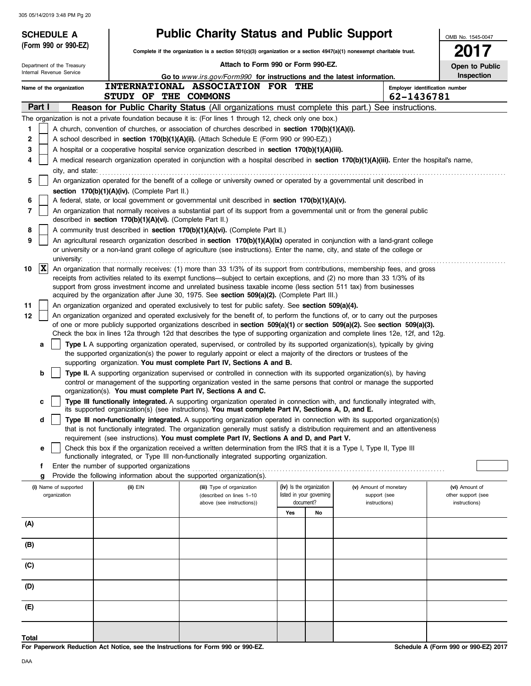|        | <b>SCHEDULE A</b>                     |                                                            | <b>Public Charity Status and Public Support</b>                                                                                                                                                                                                                                                                              |     |                                                      |                                        | OMB No. 1545-0047                    |
|--------|---------------------------------------|------------------------------------------------------------|------------------------------------------------------------------------------------------------------------------------------------------------------------------------------------------------------------------------------------------------------------------------------------------------------------------------------|-----|------------------------------------------------------|----------------------------------------|--------------------------------------|
|        | (Form 990 or 990-EZ)                  |                                                            | Complete if the organization is a section $501(c)(3)$ organization or a section $4947(a)(1)$ nonexempt charitable trust.                                                                                                                                                                                                     |     |                                                      |                                        | 2017                                 |
|        | Department of the Treasury            |                                                            | Attach to Form 990 or Form 990-EZ.                                                                                                                                                                                                                                                                                           |     |                                                      |                                        | Open to Public                       |
|        | Internal Revenue Service              |                                                            | Go to www.irs.gov/Form990 for instructions and the latest information.                                                                                                                                                                                                                                                       |     |                                                      |                                        | Inspection                           |
|        | Name of the organization              |                                                            | INTERNATIONAL ASSOCIATION FOR THE                                                                                                                                                                                                                                                                                            |     |                                                      | Employer identification number         |                                      |
|        |                                       | STUDY OF THE COMMONS                                       |                                                                                                                                                                                                                                                                                                                              |     |                                                      | 62-1436781                             |                                      |
|        | Part I                                |                                                            | <b>Reason for Public Charity Status (All organizations must complete this part.) See instructions.</b>                                                                                                                                                                                                                       |     |                                                      |                                        |                                      |
|        |                                       |                                                            | The organization is not a private foundation because it is: (For lines 1 through 12, check only one box.)                                                                                                                                                                                                                    |     |                                                      |                                        |                                      |
| 1      |                                       |                                                            | A church, convention of churches, or association of churches described in section 170(b)(1)(A)(i).<br>A school described in section 170(b)(1)(A)(ii). (Attach Schedule E (Form 990 or 990-EZ).)                                                                                                                              |     |                                                      |                                        |                                      |
| 2<br>3 |                                       |                                                            | A hospital or a cooperative hospital service organization described in section $170(b)(1)(A)(iii)$ .                                                                                                                                                                                                                         |     |                                                      |                                        |                                      |
| 4      |                                       |                                                            | A medical research organization operated in conjunction with a hospital described in section 170(b)(1)(A)(iii). Enter the hospital's name,                                                                                                                                                                                   |     |                                                      |                                        |                                      |
|        | city, and state:                      |                                                            |                                                                                                                                                                                                                                                                                                                              |     |                                                      |                                        |                                      |
| 5      |                                       |                                                            | An organization operated for the benefit of a college or university owned or operated by a governmental unit described in                                                                                                                                                                                                    |     |                                                      |                                        |                                      |
|        |                                       | section 170(b)(1)(A)(iv). (Complete Part II.)              |                                                                                                                                                                                                                                                                                                                              |     |                                                      |                                        |                                      |
| 6      |                                       |                                                            | A federal, state, or local government or governmental unit described in section 170(b)(1)(A)(v).                                                                                                                                                                                                                             |     |                                                      |                                        |                                      |
| 7      |                                       | described in section 170(b)(1)(A)(vi). (Complete Part II.) | An organization that normally receives a substantial part of its support from a governmental unit or from the general public                                                                                                                                                                                                 |     |                                                      |                                        |                                      |
| 8      |                                       |                                                            | A community trust described in section 170(b)(1)(A)(vi). (Complete Part II.)                                                                                                                                                                                                                                                 |     |                                                      |                                        |                                      |
| 9      | university:                           |                                                            | An agricultural research organization described in section 170(b)(1)(A)(ix) operated in conjunction with a land-grant college<br>or university or a non-land grant college of agriculture (see instructions). Enter the name, city, and state of the college or                                                              |     |                                                      |                                        |                                      |
| 10     | $ {\bf x} $                           |                                                            | An organization that normally receives: (1) more than 33 1/3% of its support from contributions, membership fees, and gross                                                                                                                                                                                                  |     |                                                      |                                        |                                      |
|        |                                       |                                                            | receipts from activities related to its exempt functions—subject to certain exceptions, and (2) no more than 33 1/3% of its                                                                                                                                                                                                  |     |                                                      |                                        |                                      |
|        |                                       |                                                            | support from gross investment income and unrelated business taxable income (less section 511 tax) from businesses                                                                                                                                                                                                            |     |                                                      |                                        |                                      |
| 11     |                                       |                                                            | acquired by the organization after June 30, 1975. See section 509(a)(2). (Complete Part III.)<br>An organization organized and operated exclusively to test for public safety. See section 509(a)(4).                                                                                                                        |     |                                                      |                                        |                                      |
| 12     |                                       |                                                            | An organization organized and operated exclusively for the benefit of, to perform the functions of, or to carry out the purposes                                                                                                                                                                                             |     |                                                      |                                        |                                      |
|        |                                       |                                                            | of one or more publicly supported organizations described in section 509(a)(1) or section 509(a)(2). See section 509(a)(3).                                                                                                                                                                                                  |     |                                                      |                                        |                                      |
|        |                                       |                                                            | Check the box in lines 12a through 12d that describes the type of supporting organization and complete lines 12e, 12f, and 12g.                                                                                                                                                                                              |     |                                                      |                                        |                                      |
|        | a                                     |                                                            | Type I. A supporting organization operated, supervised, or controlled by its supported organization(s), typically by giving<br>the supported organization(s) the power to regularly appoint or elect a majority of the directors or trustees of the<br>supporting organization. You must complete Part IV, Sections A and B. |     |                                                      |                                        |                                      |
|        | b                                     |                                                            | Type II. A supporting organization supervised or controlled in connection with its supported organization(s), by having                                                                                                                                                                                                      |     |                                                      |                                        |                                      |
|        |                                       |                                                            | control or management of the supporting organization vested in the same persons that control or manage the supported                                                                                                                                                                                                         |     |                                                      |                                        |                                      |
|        |                                       |                                                            | organization(s). You must complete Part IV, Sections A and C.                                                                                                                                                                                                                                                                |     |                                                      |                                        |                                      |
|        | c                                     |                                                            | Type III functionally integrated. A supporting organization operated in connection with, and functionally integrated with,<br>its supported organization(s) (see instructions). You must complete Part IV, Sections A, D, and E.                                                                                             |     |                                                      |                                        |                                      |
|        | d                                     |                                                            | Type III non-functionally integrated. A supporting organization operated in connection with its supported organization(s)                                                                                                                                                                                                    |     |                                                      |                                        |                                      |
|        |                                       |                                                            | that is not functionally integrated. The organization generally must satisfy a distribution requirement and an attentiveness                                                                                                                                                                                                 |     |                                                      |                                        |                                      |
|        |                                       |                                                            | requirement (see instructions). You must complete Part IV, Sections A and D, and Part V.<br>Check this box if the organization received a written determination from the IRS that it is a Type I, Type II, Type III                                                                                                          |     |                                                      |                                        |                                      |
|        | e                                     |                                                            | functionally integrated, or Type III non-functionally integrated supporting organization.                                                                                                                                                                                                                                    |     |                                                      |                                        |                                      |
|        | f                                     | Enter the number of supported organizations                |                                                                                                                                                                                                                                                                                                                              |     |                                                      |                                        |                                      |
|        | g                                     |                                                            | Provide the following information about the supported organization(s).                                                                                                                                                                                                                                                       |     |                                                      |                                        |                                      |
|        | (i) Name of supported<br>organization | (ii) EIN                                                   | (iii) Type of organization<br>(described on lines 1-10                                                                                                                                                                                                                                                                       |     | (iv) Is the organization<br>listed in your governing | (v) Amount of monetary<br>support (see | (vi) Amount of<br>other support (see |
|        |                                       |                                                            | above (see instructions))                                                                                                                                                                                                                                                                                                    |     | document?                                            | instructions)                          | instructions)                        |
|        |                                       |                                                            |                                                                                                                                                                                                                                                                                                                              | Yes | No                                                   |                                        |                                      |
| (A)    |                                       |                                                            |                                                                                                                                                                                                                                                                                                                              |     |                                                      |                                        |                                      |
| (B)    |                                       |                                                            |                                                                                                                                                                                                                                                                                                                              |     |                                                      |                                        |                                      |
| (C)    |                                       |                                                            |                                                                                                                                                                                                                                                                                                                              |     |                                                      |                                        |                                      |
| (D)    |                                       |                                                            |                                                                                                                                                                                                                                                                                                                              |     |                                                      |                                        |                                      |
| (E)    |                                       |                                                            |                                                                                                                                                                                                                                                                                                                              |     |                                                      |                                        |                                      |
|        |                                       |                                                            |                                                                                                                                                                                                                                                                                                                              |     |                                                      |                                        |                                      |
| Total  |                                       |                                                            |                                                                                                                                                                                                                                                                                                                              |     |                                                      |                                        |                                      |

**For Paperwork Reduction Act Notice, see the Instructions for Form 990 or 990-EZ.**

**Schedule A (Form 990 or 990-EZ) 2017**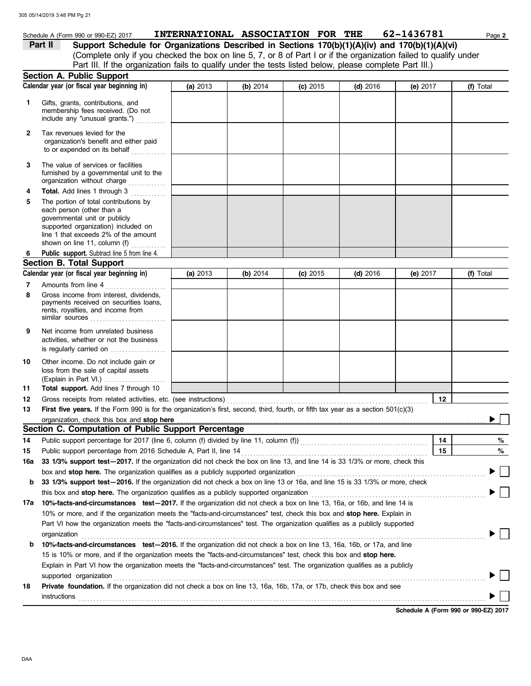|              | 305 05/14/2019 3:48 PM Pg 21                                                                                                                                                                                                        |          | INTERNATIONAL ASSOCIATION FOR THE |            |            | 62-1436781      |           |
|--------------|-------------------------------------------------------------------------------------------------------------------------------------------------------------------------------------------------------------------------------------|----------|-----------------------------------|------------|------------|-----------------|-----------|
| Part II      | Schedule A (Form 990 or 990-EZ) 2017<br>Support Schedule for Organizations Described in Sections 170(b)(1)(A)(iv) and 170(b)(1)(A)(vi)                                                                                              |          |                                   |            |            |                 | Page 2    |
|              | (Complete only if you checked the box on line 5, 7, or 8 of Part I or if the organization failed to qualify under                                                                                                                   |          |                                   |            |            |                 |           |
|              | Part III. If the organization fails to qualify under the tests listed below, please complete Part III.)                                                                                                                             |          |                                   |            |            |                 |           |
|              | Section A. Public Support                                                                                                                                                                                                           |          |                                   |            |            |                 |           |
|              | Calendar year (or fiscal year beginning in)                                                                                                                                                                                         | (a) 2013 | (b) $2014$                        | $(c)$ 2015 | $(d)$ 2016 | (e) $2017$      | (f) Total |
|              |                                                                                                                                                                                                                                     |          |                                   |            |            |                 |           |
| 1            | Gifts, grants, contributions, and<br>membership fees received. (Do not<br>include any "unusual grants.")                                                                                                                            |          |                                   |            |            |                 |           |
| $\mathbf{2}$ | Tax revenues levied for the<br>organization's benefit and either paid<br>to or expended on its behalf                                                                                                                               |          |                                   |            |            |                 |           |
| 3            | The value of services or facilities<br>furnished by a governmental unit to the<br>organization without charge                                                                                                                       |          |                                   |            |            |                 |           |
| 4            | Total. Add lines 1 through 3                                                                                                                                                                                                        |          |                                   |            |            |                 |           |
| 5            | The portion of total contributions by<br>each person (other than a<br>governmental unit or publicly<br>supported organization) included on<br>line 1 that exceeds 2% of the amount<br>shown on line 11, column (f)                  |          |                                   |            |            |                 |           |
| 6.           | Public support. Subtract line 5 from line 4.                                                                                                                                                                                        |          |                                   |            |            |                 |           |
|              | <b>Section B. Total Support</b>                                                                                                                                                                                                     |          |                                   |            |            |                 |           |
|              | Calendar year (or fiscal year beginning in)                                                                                                                                                                                         | (a) 2013 | (b) 2014                          | $(c)$ 2015 | $(d)$ 2016 | (e) $2017$      | (f) Total |
| 7            | Amounts from line 4                                                                                                                                                                                                                 |          |                                   |            |            |                 |           |
| 8            | Gross income from interest, dividends,<br>payments received on securities loans,<br>rents, royalties, and income from<br>similar sources                                                                                            |          |                                   |            |            |                 |           |
| 9            | Net income from unrelated business<br>activities, whether or not the business<br>is regularly carried on $\ldots$ , $\ldots$ , $\ldots$                                                                                             |          |                                   |            |            |                 |           |
| 10           | Other income. Do not include gain or<br>loss from the sale of capital assets<br>(Explain in Part VI.)                                                                                                                               |          |                                   |            |            |                 |           |
| 11           | Total support. Add lines 7 through 10                                                                                                                                                                                               |          |                                   |            |            |                 |           |
| 12           | Gross receipts from related activities, etc. (see instructions)                                                                                                                                                                     |          |                                   |            |            | $\frac{12}{12}$ |           |
| 13           | First five years. If the Form 990 is for the organization's first, second, third, fourth, or fifth tax year as a section 501(c)(3)                                                                                                  |          |                                   |            |            |                 |           |
|              | organization, check this box and stop here <b>construction</b> and construction of the state of the state of the state of the state of the state of the state of the state of the state of the state of the state of the state of t |          |                                   |            |            |                 |           |
|              | Section C. Computation of Public Support Percentage                                                                                                                                                                                 |          |                                   |            |            |                 |           |
| 14           | Public support percentage for 2017 (line 6, column (f) divided by line 11, column (f)) [[[[[[[[[[[[[[[[[[[[[[                                                                                                                       |          |                                   |            |            | 14              | %         |
| 15           |                                                                                                                                                                                                                                     |          |                                   |            |            | 15              | %         |
| 16a          | 33 1/3% support test-2017. If the organization did not check the box on line 13, and line 14 is 33 1/3% or more, check this                                                                                                         |          |                                   |            |            |                 |           |
|              | box and stop here. The organization qualifies as a publicly supported organization                                                                                                                                                  |          |                                   |            |            |                 |           |
| b            | 33 1/3% support test-2016. If the organization did not check a box on line 13 or 16a, and line 15 is 33 1/3% or more, check                                                                                                         |          |                                   |            |            |                 |           |
|              | this box and stop here. The organization qualifies as a publicly supported organization                                                                                                                                             |          |                                   |            |            |                 |           |
| 17a          | 10%-facts-and-circumstances test-2017. If the organization did not check a box on line 13, 16a, or 16b, and line 14 is                                                                                                              |          |                                   |            |            |                 |           |
|              | 10% or more, and if the organization meets the "facts-and-circumstances" test, check this box and stop here. Explain in                                                                                                             |          |                                   |            |            |                 |           |

|    | Part VI how the organization meets the "facts-and-circumstances" test. The organization qualifies as a publicly supported<br>organization |  |
|----|-------------------------------------------------------------------------------------------------------------------------------------------|--|
| b  | 10%-facts-and-circumstances test-2016. If the organization did not check a box on line 13, 16a, 16b, or 17a, and line                     |  |
|    | 15 is 10% or more, and if the organization meets the "facts-and-circumstances" test, check this box and stop here.                        |  |
|    | Explain in Part VI how the organization meets the "facts-and-circumstances" test. The organization qualifies as a publicly                |  |
|    | supported organization                                                                                                                    |  |
| 18 | <b>Private foundation.</b> If the organization did not check a box on line 13, 16a, 16b, 17a, or 17b, check this box and see              |  |
|    | instructions                                                                                                                              |  |

**Schedule A (Form 990 or 990-EZ) 2017**

DAA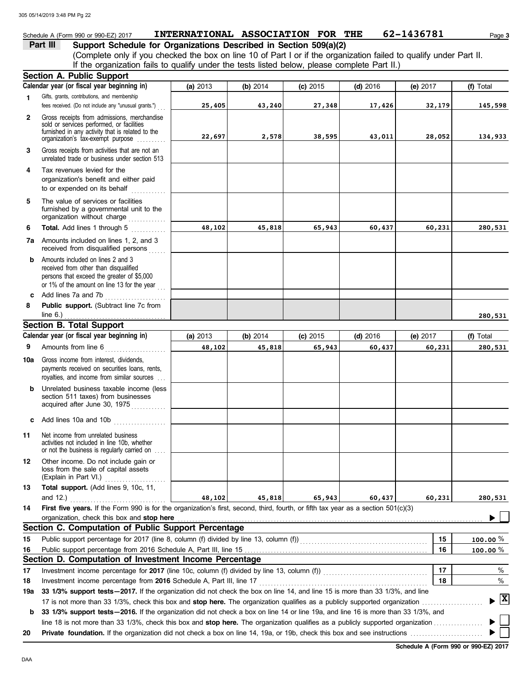## Schedule A (Form 990 or 990-EZ) 2017 **INTERNATIONAL ASSOCIATION FOR THE** 62-1436781 Page 3

| Part III | Support Schedule for Organizations Described in Section 509(a)(2)                                                  |
|----------|--------------------------------------------------------------------------------------------------------------------|
|          | (Complete only if you checked the box on line 10 of Part I or if the organization failed to qualify under Part II. |
|          | If the organization fails to qualify under the tests listed below, please complete Part II.)                       |

|              | <b>Section A. Public Support</b>                                                                                                                                                                                                     |          |                  |          |            |          |                                          |
|--------------|--------------------------------------------------------------------------------------------------------------------------------------------------------------------------------------------------------------------------------------|----------|------------------|----------|------------|----------|------------------------------------------|
|              | Calendar year (or fiscal year beginning in)                                                                                                                                                                                          | (a) 2013 | (b) 2014         | (c) 2015 | $(d)$ 2016 | (e) 2017 | (f) Total                                |
| 1.           | Gifts, grants, contributions, and membership<br>fees received. (Do not include any "unusual grants.")                                                                                                                                | 25,405   | 43,240           | 27,348   | 17,426     | 32,179   | 145,598                                  |
| $\mathbf{2}$ | Gross receipts from admissions, merchandise<br>sold or services performed, or facilities<br>furnished in any activity that is related to the<br>organization's tax-exempt purpose                                                    | 22,697   | 2,578            | 38,595   | 43,011     | 28,052   | 134,933                                  |
| 3            | Gross receipts from activities that are not an<br>unrelated trade or business under section 513                                                                                                                                      |          |                  |          |            |          |                                          |
| 4            | Tax revenues levied for the<br>organization's benefit and either paid<br>to or expended on its behalf                                                                                                                                |          |                  |          |            |          |                                          |
| 5            | The value of services or facilities<br>furnished by a governmental unit to the<br>organization without charge                                                                                                                        |          |                  |          |            |          |                                          |
| 6            | <b>Total.</b> Add lines 1 through 5                                                                                                                                                                                                  | 48,102   | 45,818           | 65,943   | 60,437     | 60,231   | 280,531                                  |
|              | 7a Amounts included on lines 1, 2, and 3<br>received from disqualified persons                                                                                                                                                       |          |                  |          |            |          |                                          |
| b            | Amounts included on lines 2 and 3<br>received from other than disqualified<br>persons that exceed the greater of \$5,000<br>or 1% of the amount on line 13 for the year $\frac{1}{100}$                                              |          |                  |          |            |          |                                          |
| c            | Add lines 7a and 7b<br>.                                                                                                                                                                                                             |          |                  |          |            |          |                                          |
| 8            | Public support. (Subtract line 7c from                                                                                                                                                                                               |          |                  |          |            |          |                                          |
|              | line $6.$ )<br><b>Section B. Total Support</b>                                                                                                                                                                                       |          |                  |          |            |          | 280,531                                  |
|              | Calendar year (or fiscal year beginning in)                                                                                                                                                                                          | (a) 2013 | (b) 2014         | (c) 2015 | $(d)$ 2016 | (e) 2017 | (f) Total                                |
| 9            | Amounts from line 6                                                                                                                                                                                                                  | 48,102   | 65,943<br>45,818 |          | 60,437     | 60,231   | 280,531                                  |
|              | <u> 1986 - Johann Stoff, Amerikaansk kanton om de Stoff en de Stoff en de Stoff en de Stoff en de Stoff en de Stoff en de Stoff en de Stoff en de Stoff en de Stoff en de Stoff en de Stoff en de Stoff en de Stoff en de Stoff </u> |          |                  |          |            |          |                                          |
| 10a          | Gross income from interest, dividends,<br>payments received on securities loans, rents,<br>royalties, and income from similar sources                                                                                                |          |                  |          |            |          |                                          |
| b            | Unrelated business taxable income (less<br>section 511 taxes) from businesses<br>acquired after June 30, 1975                                                                                                                        |          |                  |          |            |          |                                          |
| c            | Add lines 10a and 10b                                                                                                                                                                                                                |          |                  |          |            |          |                                          |
| 11           | Net income from unrelated business<br>activities not included in line 10b, whether<br>or not the business is regularly carried on                                                                                                    |          |                  |          |            |          |                                          |
|              | 12 Other income. Do not include gain or<br>loss from the sale of capital assets<br>(Explain in Part VI.)                                                                                                                             |          |                  |          |            |          |                                          |
| 13           | Total support. (Add lines 9, 10c, 11,<br>and $12.$ )                                                                                                                                                                                 | 48,102   | 45,818           | 65,943   | 60,437     | 60,231   | 280,531                                  |
| 14           | First five years. If the Form 990 is for the organization's first, second, third, fourth, or fifth tax year as a section 501(c)(3)                                                                                                   |          |                  |          |            |          |                                          |
|              | organization, check this box and stop here                                                                                                                                                                                           |          |                  |          |            |          |                                          |
|              | Section C. Computation of Public Support Percentage                                                                                                                                                                                  |          |                  |          |            |          |                                          |
| 15           | Public support percentage for 2017 (line 8, column (f) divided by line 13, column (f) [[[[[[[[[[[[[[[[[[[[[[[                                                                                                                        |          |                  |          |            | 15       | 100.00 $%$                               |
| 16           |                                                                                                                                                                                                                                      |          |                  |          |            | 16       | 100.00 $%$                               |
|              | Section D. Computation of Investment Income Percentage                                                                                                                                                                               |          |                  |          |            |          |                                          |
| 17           |                                                                                                                                                                                                                                      |          |                  |          |            | 17       | %                                        |
| 18           | Investment income percentage from 2016 Schedule A, Part III, line 17                                                                                                                                                                 |          |                  |          |            | 18       | %                                        |
| 19a          | 33 1/3% support tests - 2017. If the organization did not check the box on line 14, and line 15 is more than 33 1/3%, and line                                                                                                       |          |                  |          |            |          |                                          |
|              | 17 is not more than 33 1/3%, check this box and stop here. The organization qualifies as a publicly supported organization                                                                                                           |          |                  |          |            |          | $\blacktriangleright$ $\boxed{\text{X}}$ |
| b            | 33 1/3% support tests-2016. If the organization did not check a box on line 14 or line 19a, and line 16 is more than 33 1/3%, and                                                                                                    |          |                  |          |            |          |                                          |
|              |                                                                                                                                                                                                                                      |          |                  |          |            |          |                                          |
| 20           |                                                                                                                                                                                                                                      |          |                  |          |            |          |                                          |

**Schedule A (Form 990 or 990-EZ) 2017**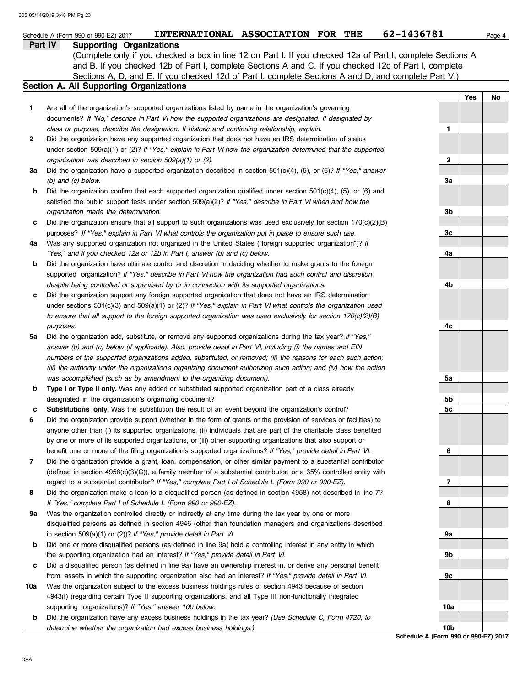|     | INTERNATIONAL ASSOCIATION FOR THE<br>Schedule A (Form 990 or 990-EZ) 2017                                                                                                                                             | 62-1436781                                              | Page 4 |
|-----|-----------------------------------------------------------------------------------------------------------------------------------------------------------------------------------------------------------------------|---------------------------------------------------------|--------|
|     | Part IV<br><b>Supporting Organizations</b>                                                                                                                                                                            |                                                         |        |
|     | (Complete only if you checked a box in line 12 on Part I. If you checked 12a of Part I, complete Sections A                                                                                                           |                                                         |        |
|     | and B. If you checked 12b of Part I, complete Sections A and C. If you checked 12c of Part I, complete                                                                                                                |                                                         |        |
|     | Sections A, D, and E. If you checked 12d of Part I, complete Sections A and D, and complete Part V.)<br>Section A. All Supporting Organizations                                                                       |                                                         |        |
|     |                                                                                                                                                                                                                       | Yes                                                     | No     |
| 1   | Are all of the organization's supported organizations listed by name in the organization's governing                                                                                                                  |                                                         |        |
|     | documents? If "No," describe in Part VI how the supported organizations are designated. If designated by                                                                                                              |                                                         |        |
|     | class or purpose, describe the designation. If historic and continuing relationship, explain.                                                                                                                         | 1                                                       |        |
| 2   | Did the organization have any supported organization that does not have an IRS determination of status                                                                                                                |                                                         |        |
|     | under section $509(a)(1)$ or (2)? If "Yes," explain in Part VI how the organization determined that the supported                                                                                                     |                                                         |        |
|     | organization was described in section 509(a)(1) or (2).                                                                                                                                                               | $\mathbf{2}$                                            |        |
| За  | Did the organization have a supported organization described in section $501(c)(4)$ , (5), or (6)? If "Yes," answer                                                                                                   |                                                         |        |
|     | $(b)$ and $(c)$ below.                                                                                                                                                                                                | За                                                      |        |
| b   | Did the organization confirm that each supported organization qualified under section $501(c)(4)$ , $(5)$ , or $(6)$ and                                                                                              |                                                         |        |
|     | satisfied the public support tests under section 509(a)(2)? If "Yes," describe in Part VI when and how the                                                                                                            |                                                         |        |
|     | organization made the determination.                                                                                                                                                                                  | 3b                                                      |        |
| с   | Did the organization ensure that all support to such organizations was used exclusively for section $170(c)(2)(B)$                                                                                                    |                                                         |        |
|     | purposes? If "Yes," explain in Part VI what controls the organization put in place to ensure such use.                                                                                                                | 3c                                                      |        |
| 4a  | Was any supported organization not organized in the United States ("foreign supported organization")? If                                                                                                              |                                                         |        |
|     | "Yes," and if you checked 12a or 12b in Part I, answer (b) and (c) below.                                                                                                                                             | 4a                                                      |        |
| b   | Did the organization have ultimate control and discretion in deciding whether to make grants to the foreign                                                                                                           |                                                         |        |
|     | supported organization? If "Yes," describe in Part VI how the organization had such control and discretion                                                                                                            |                                                         |        |
|     | despite being controlled or supervised by or in connection with its supported organizations.<br>Did the organization support any foreign supported organization that does not have an IRS determination               | 4b                                                      |        |
| c   | under sections $501(c)(3)$ and $509(a)(1)$ or (2)? If "Yes," explain in Part VI what controls the organization used                                                                                                   |                                                         |        |
|     | to ensure that all support to the foreign supported organization was used exclusively for section $170(c)(2)(B)$                                                                                                      |                                                         |        |
|     | purposes.                                                                                                                                                                                                             | 4c                                                      |        |
| 5a  | Did the organization add, substitute, or remove any supported organizations during the tax year? If "Yes,"                                                                                                            |                                                         |        |
|     | answer (b) and (c) below (if applicable). Also, provide detail in Part VI, including (i) the names and EIN                                                                                                            |                                                         |        |
|     | numbers of the supported organizations added, substituted, or removed; (ii) the reasons for each such action;                                                                                                         |                                                         |        |
|     | (iii) the authority under the organization's organizing document authorizing such action; and (iv) how the action                                                                                                     |                                                         |        |
|     | was accomplished (such as by amendment to the organizing document).                                                                                                                                                   | 5a                                                      |        |
| b   | Type I or Type II only. Was any added or substituted supported organization part of a class already                                                                                                                   |                                                         |        |
|     | designated in the organization's organizing document?                                                                                                                                                                 | 5b                                                      |        |
| с   | Substitutions only. Was the substitution the result of an event beyond the organization's control?                                                                                                                    | 5c                                                      |        |
| 6   | Did the organization provide support (whether in the form of grants or the provision of services or facilities) to                                                                                                    |                                                         |        |
|     | anyone other than (i) its supported organizations, (ii) individuals that are part of the charitable class benefited                                                                                                   |                                                         |        |
|     | by one or more of its supported organizations, or (iii) other supporting organizations that also support or                                                                                                           |                                                         |        |
|     | benefit one or more of the filing organization's supported organizations? If "Yes," provide detail in Part VI.                                                                                                        | 6                                                       |        |
| 7   | Did the organization provide a grant, loan, compensation, or other similar payment to a substantial contributor                                                                                                       |                                                         |        |
|     | (defined in section $4958(c)(3)(C)$ ), a family member of a substantial contributor, or a 35% controlled entity with                                                                                                  |                                                         |        |
| 8   | regard to a substantial contributor? If "Yes," complete Part I of Schedule L (Form 990 or 990-EZ).<br>Did the organization make a loan to a disqualified person (as defined in section 4958) not described in line 7? | 7                                                       |        |
|     | If "Yes," complete Part I of Schedule L (Form 990 or 990-EZ).                                                                                                                                                         | 8                                                       |        |
| 9а  | Was the organization controlled directly or indirectly at any time during the tax year by one or more                                                                                                                 |                                                         |        |
|     | disqualified persons as defined in section 4946 (other than foundation managers and organizations described                                                                                                           |                                                         |        |
|     | in section 509(a)(1) or (2))? If "Yes," provide detail in Part VI.                                                                                                                                                    | 9a                                                      |        |
| b   | Did one or more disqualified persons (as defined in line 9a) hold a controlling interest in any entity in which                                                                                                       |                                                         |        |
|     | the supporting organization had an interest? If "Yes," provide detail in Part VI.                                                                                                                                     | 9b                                                      |        |
| c   | Did a disqualified person (as defined in line 9a) have an ownership interest in, or derive any personal benefit                                                                                                       |                                                         |        |
|     | from, assets in which the supporting organization also had an interest? If "Yes," provide detail in Part VI.                                                                                                          | 9с                                                      |        |
| 10a | Was the organization subject to the excess business holdings rules of section 4943 because of section                                                                                                                 |                                                         |        |
|     | 4943(f) (regarding certain Type II supporting organizations, and all Type III non-functionally integrated                                                                                                             |                                                         |        |
|     | supporting organizations)? If "Yes," answer 10b below.                                                                                                                                                                | 10a                                                     |        |
| b   | Did the organization have any excess business holdings in the tax year? (Use Schedule C, Form 4720, to                                                                                                                |                                                         |        |
|     | determine whether the organization had excess business holdings.)                                                                                                                                                     | 10 <sub>b</sub><br>Schodule A (Form 000 or 000-F7) 2017 |        |

**Schedule A (Form 990 or 990-EZ) 2017**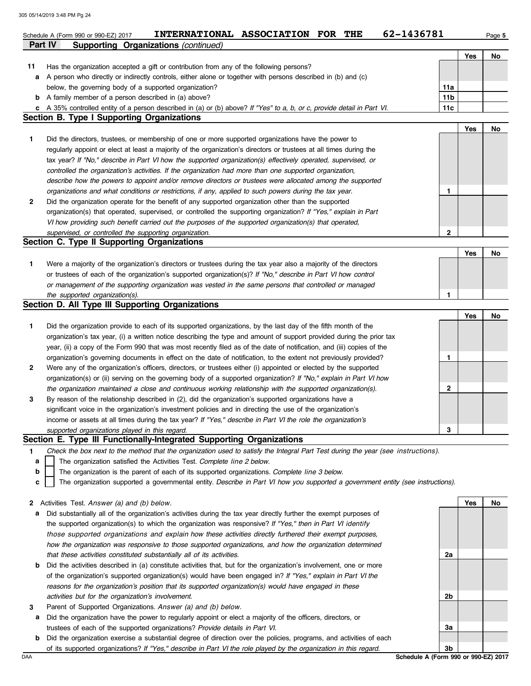|    | 62-1436781<br>INTERNATIONAL ASSOCIATION FOR THE<br>Schedule A (Form 990 or 990-EZ) 2017                                                                                                 |                        |     | Page 5 |
|----|-----------------------------------------------------------------------------------------------------------------------------------------------------------------------------------------|------------------------|-----|--------|
|    | <b>Part IV</b><br><b>Supporting Organizations (continued)</b>                                                                                                                           |                        |     |        |
|    |                                                                                                                                                                                         |                        | Yes | No     |
| 11 | Has the organization accepted a gift or contribution from any of the following persons?                                                                                                 |                        |     |        |
| а  | A person who directly or indirectly controls, either alone or together with persons described in (b) and (c)                                                                            |                        |     |        |
|    | below, the governing body of a supported organization?                                                                                                                                  | 11a<br>11 <sub>b</sub> |     |        |
|    | <b>b</b> A family member of a person described in (a) above?<br>c A 35% controlled entity of a person described in (a) or (b) above? If "Yes" to a, b, or c, provide detail in Part VI. | 11c                    |     |        |
|    | Section B. Type I Supporting Organizations                                                                                                                                              |                        |     |        |
|    |                                                                                                                                                                                         |                        | Yes | No     |
| 1  | Did the directors, trustees, or membership of one or more supported organizations have the power to                                                                                     |                        |     |        |
|    | regularly appoint or elect at least a majority of the organization's directors or trustees at all times during the                                                                      |                        |     |        |
|    | tax year? If "No," describe in Part VI how the supported organization(s) effectively operated, supervised, or                                                                           |                        |     |        |
|    | controlled the organization's activities. If the organization had more than one supported organization,                                                                                 |                        |     |        |
|    | describe how the powers to appoint and/or remove directors or trustees were allocated among the supported                                                                               |                        |     |        |
|    | organizations and what conditions or restrictions, if any, applied to such powers during the tax year.                                                                                  | 1                      |     |        |
| 2  | Did the organization operate for the benefit of any supported organization other than the supported                                                                                     |                        |     |        |
|    | organization(s) that operated, supervised, or controlled the supporting organization? If "Yes," explain in Part                                                                         |                        |     |        |
|    | VI how providing such benefit carried out the purposes of the supported organization(s) that operated,                                                                                  |                        |     |        |
|    | supervised, or controlled the supporting organization.                                                                                                                                  | $\mathbf{2}$           |     |        |
|    | Section C. Type II Supporting Organizations                                                                                                                                             |                        |     |        |
|    |                                                                                                                                                                                         |                        | Yes | No     |
| 1  | Were a majority of the organization's directors or trustees during the tax year also a majority of the directors                                                                        |                        |     |        |
|    | or trustees of each of the organization's supported organization(s)? If "No," describe in Part VI how control                                                                           |                        |     |        |
|    | or management of the supporting organization was vested in the same persons that controlled or managed                                                                                  |                        |     |        |
|    | the supported organization(s).<br>Section D. All Type III Supporting Organizations                                                                                                      | 1                      |     |        |
|    |                                                                                                                                                                                         |                        | Yes | No     |
| 1  | Did the organization provide to each of its supported organizations, by the last day of the fifth month of the                                                                          |                        |     |        |
|    | organization's tax year, (i) a written notice describing the type and amount of support provided during the prior tax                                                                   |                        |     |        |
|    | year, (ii) a copy of the Form 990 that was most recently filed as of the date of notification, and (iii) copies of the                                                                  |                        |     |        |
|    | organization's governing documents in effect on the date of notification, to the extent not previously provided?                                                                        | 1                      |     |        |
| 2  | Were any of the organization's officers, directors, or trustees either (i) appointed or elected by the supported                                                                        |                        |     |        |
|    | organization(s) or (ii) serving on the governing body of a supported organization? If "No," explain in Part VI how                                                                      |                        |     |        |
|    | the organization maintained a close and continuous working relationship with the supported organization(s).                                                                             | 2                      |     |        |
| 3  | By reason of the relationship described in (2), did the organization's supported organizations have a                                                                                   |                        |     |        |
|    | significant voice in the organization's investment policies and in directing the use of the organization's                                                                              |                        |     |        |
|    | income or assets at all times during the tax year? If "Yes," describe in Part VI the role the organization's                                                                            |                        |     |        |
|    | supported organizations played in this regard.                                                                                                                                          | 3                      |     |        |
|    | Section E. Type III Functionally-Integrated Supporting Organizations                                                                                                                    |                        |     |        |
| 1. | Check the box next to the method that the organization used to satisfy the Integral Part Test during the year (see instructions).                                                       |                        |     |        |
| а  | The organization satisfied the Activities Test. Complete line 2 below.                                                                                                                  |                        |     |        |
| b  | The organization is the parent of each of its supported organizations. Complete line 3 below.                                                                                           |                        |     |        |
| c  | The organization supported a governmental entity. Describe in Part VI how you supported a government entity (see instructions).                                                         |                        |     |        |
|    |                                                                                                                                                                                         |                        |     |        |
|    | 2 Activities Test. Answer (a) and (b) below.                                                                                                                                            |                        | Yes | No     |
| а  | Did substantially all of the organization's activities during the tax year directly further the exempt purposes of                                                                      |                        |     |        |
|    | the supported organization(s) to which the organization was responsive? If "Yes," then in Part VI identify                                                                              |                        |     |        |
|    | those supported organizations and explain how these activities directly furthered their exempt purposes,                                                                                |                        |     |        |
|    | how the organization was responsive to those supported organizations, and how the organization determined                                                                               |                        |     |        |
|    | that these activities constituted substantially all of its activities.                                                                                                                  | 2a                     |     |        |
| b  | Did the activities described in (a) constitute activities that, but for the organization's involvement, one or more                                                                     |                        |     |        |
|    | of the organization's supported organization(s) would have been engaged in? If "Yes," explain in Part VI the                                                                            |                        |     |        |
|    | reasons for the organization's position that its supported organization(s) would have engaged in these                                                                                  |                        |     |        |
|    | activities but for the organization's involvement.                                                                                                                                      | 2b                     |     |        |
| 3  | Parent of Supported Organizations. Answer (a) and (b) below.                                                                                                                            |                        |     |        |
| а  | Did the organization have the power to regularly appoint or elect a majority of the officers, directors, or                                                                             |                        |     |        |
|    | trustees of each of the supported organizations? Provide details in Part VI.                                                                                                            | 3a                     |     |        |

**b** Did the organization exercise a substantial degree of direction over the policies, programs, and activities of each

of its supported organizations? *If "Yes," describe in Part VI the role played by the organization in this regard.*

DAA **Schedule A (Form 990 or 990-EZ) 2017 3b**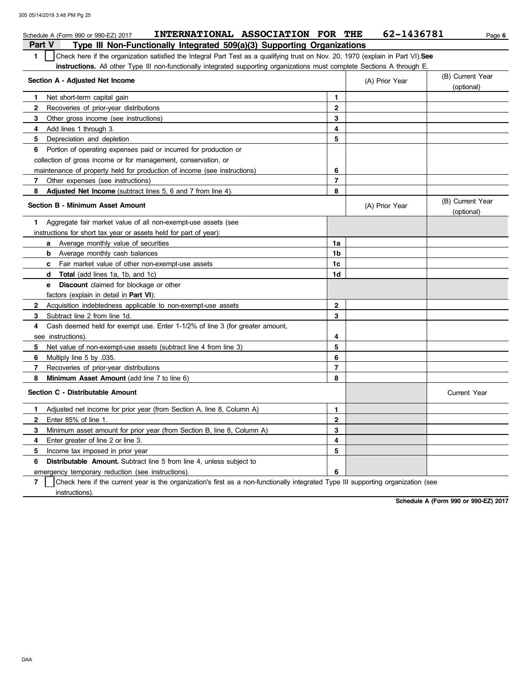| INTERNATIONAL ASSOCIATION FOR THE<br>Schedule A (Form 990 or 990-EZ) 2017                                                             |                | 62-1436781     | Page 6                         |
|---------------------------------------------------------------------------------------------------------------------------------------|----------------|----------------|--------------------------------|
| Type III Non-Functionally Integrated 509(a)(3) Supporting Organizations<br>Part V                                                     |                |                |                                |
| Check here if the organization satisfied the Integral Part Test as a qualifying trust on Nov. 20, 1970 (explain in Part VI). See<br>1 |                |                |                                |
| <b>instructions.</b> All other Type III non-functionally integrated supporting organizations must complete Sections A through E.      |                |                |                                |
| Section A - Adjusted Net Income                                                                                                       |                | (A) Prior Year | (B) Current Year               |
|                                                                                                                                       |                |                | (optional)                     |
| $\mathbf{1}$<br>Net short-term capital gain                                                                                           | 1              |                |                                |
| 2<br>Recoveries of prior-year distributions                                                                                           | $\mathbf{2}$   |                |                                |
| 3<br>Other gross income (see instructions)                                                                                            | 3              |                |                                |
| Add lines 1 through 3.<br>4                                                                                                           | 4              |                |                                |
| 5<br>Depreciation and depletion                                                                                                       | 5              |                |                                |
| Portion of operating expenses paid or incurred for production or<br>6                                                                 |                |                |                                |
| collection of gross income or for management, conservation, or                                                                        |                |                |                                |
| maintenance of property held for production of income (see instructions)                                                              | 6              |                |                                |
| $\overline{\mathbf{r}}$<br>Other expenses (see instructions)                                                                          | $\overline{7}$ |                |                                |
| 8<br><b>Adjusted Net Income</b> (subtract lines 5, 6 and 7 from line 4).                                                              | 8              |                |                                |
| <b>Section B - Minimum Asset Amount</b>                                                                                               |                | (A) Prior Year | (B) Current Year<br>(optional) |
| Aggregate fair market value of all non-exempt-use assets (see<br>1.                                                                   |                |                |                                |
| instructions for short tax year or assets held for part of year):                                                                     |                |                |                                |
| <b>a</b> Average monthly value of securities                                                                                          | 1a             |                |                                |
| <b>b</b> Average monthly cash balances                                                                                                | 1b             |                |                                |
| Fair market value of other non-exempt-use assets<br>c                                                                                 | 1c             |                |                                |
| <b>Total</b> (add lines 1a, 1b, and 1c)<br>d                                                                                          | 1d             |                |                                |
| <b>Discount</b> claimed for blockage or other<br>e                                                                                    |                |                |                                |
| factors (explain in detail in Part VI):                                                                                               |                |                |                                |
| $\mathbf{2}$<br>Acquisition indebtedness applicable to non-exempt-use assets                                                          | $\overline{2}$ |                |                                |
| 3<br>Subtract line 2 from line 1d.                                                                                                    | 3              |                |                                |
| Cash deemed held for exempt use. Enter 1-1/2% of line 3 (for greater amount,<br>4                                                     |                |                |                                |
| see instructions).                                                                                                                    | 4              |                |                                |
| Net value of non-exempt-use assets (subtract line 4 from line 3)<br>5                                                                 | 5              |                |                                |
| Multiply line 5 by 035.<br>6                                                                                                          | 6              |                |                                |
| 7<br>Recoveries of prior-year distributions                                                                                           | $\overline{7}$ |                |                                |
| 8<br>Minimum Asset Amount (add line 7 to line 6)                                                                                      | 8              |                |                                |
| Section C - Distributable Amount                                                                                                      |                |                | <b>Current Year</b>            |
| Adjusted net income for prior year (from Section A, line 8, Column A)<br>1                                                            | 1              |                |                                |
| $\mathbf{2}$<br>Enter 85% of line 1.                                                                                                  | 2              |                |                                |
| 3<br>Minimum asset amount for prior year (from Section B, line 8, Column A)                                                           | 3              |                |                                |
| Enter greater of line 2 or line 3.<br>4                                                                                               | 4              |                |                                |
| 5<br>Income tax imposed in prior year                                                                                                 | 5              |                |                                |
| Distributable Amount. Subtract line 5 from line 4, unless subject to<br>6                                                             |                |                |                                |
| emergency temporary reduction (see instructions).                                                                                     | 6              |                |                                |

**7** Check here if the current year is the organization's first as a non-functionally integrated Type III supporting organization (see instructions).

**Schedule A (Form 990 or 990-EZ) 2017**

DAA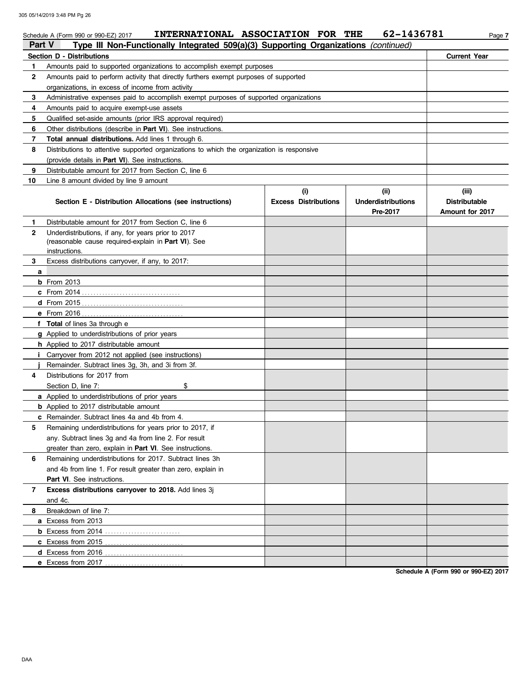|              | INTERNATIONAL ASSOCIATION FOR THE<br>Schedule A (Form 990 or 990-EZ) 2017                  |                                    | 62-1436781                                    | Page 7                                                  |
|--------------|--------------------------------------------------------------------------------------------|------------------------------------|-----------------------------------------------|---------------------------------------------------------|
| Part V       | Type III Non-Functionally Integrated 509(a)(3) Supporting Organizations (continued)        |                                    |                                               |                                                         |
|              | Section D - Distributions                                                                  |                                    |                                               | <b>Current Year</b>                                     |
| 1            | Amounts paid to supported organizations to accomplish exempt purposes                      |                                    |                                               |                                                         |
| $\mathbf{2}$ | Amounts paid to perform activity that directly furthers exempt purposes of supported       |                                    |                                               |                                                         |
|              | organizations, in excess of income from activity                                           |                                    |                                               |                                                         |
| 3            | Administrative expenses paid to accomplish exempt purposes of supported organizations      |                                    |                                               |                                                         |
| 4            | Amounts paid to acquire exempt-use assets                                                  |                                    |                                               |                                                         |
| 5            | Qualified set-aside amounts (prior IRS approval required)                                  |                                    |                                               |                                                         |
| 6            | Other distributions (describe in <b>Part VI</b> ). See instructions.                       |                                    |                                               |                                                         |
| 7            | Total annual distributions. Add lines 1 through 6.                                         |                                    |                                               |                                                         |
| 8            | Distributions to attentive supported organizations to which the organization is responsive |                                    |                                               |                                                         |
|              | (provide details in <b>Part VI</b> ). See instructions.                                    |                                    |                                               |                                                         |
| 9            | Distributable amount for 2017 from Section C, line 6                                       |                                    |                                               |                                                         |
| 10           | Line 8 amount divided by line 9 amount                                                     |                                    |                                               |                                                         |
|              | Section E - Distribution Allocations (see instructions)                                    | (i)<br><b>Excess Distributions</b> | (ii)<br><b>Underdistributions</b><br>Pre-2017 | (iii)<br><b>Distributable</b><br><b>Amount for 2017</b> |
| 1.           | Distributable amount for 2017 from Section C, line 6                                       |                                    |                                               |                                                         |
| $\mathbf{2}$ | Underdistributions, if any, for years prior to 2017                                        |                                    |                                               |                                                         |
|              | (reasonable cause required-explain in Part VI). See                                        |                                    |                                               |                                                         |
|              | instructions.                                                                              |                                    |                                               |                                                         |
| 3            | Excess distributions carryover, if any, to 2017:                                           |                                    |                                               |                                                         |
| a            |                                                                                            |                                    |                                               |                                                         |
|              | <b>b</b> From 2013                                                                         |                                    |                                               |                                                         |
|              |                                                                                            |                                    |                                               |                                                         |
|              |                                                                                            |                                    |                                               |                                                         |
|              |                                                                                            |                                    |                                               |                                                         |
|              | f Total of lines 3a through e                                                              |                                    |                                               |                                                         |
|              | g Applied to underdistributions of prior years                                             |                                    |                                               |                                                         |
|              | h Applied to 2017 distributable amount                                                     |                                    |                                               |                                                         |
|              | <i>i</i> Carryover from 2012 not applied (see instructions)                                |                                    |                                               |                                                         |
|              | Remainder. Subtract lines 3g, 3h, and 3i from 3f.                                          |                                    |                                               |                                                         |
| 4            | Distributions for 2017 from                                                                |                                    |                                               |                                                         |
|              | Section D, line 7:<br>\$                                                                   |                                    |                                               |                                                         |
|              | <b>a</b> Applied to underdistributions of prior years                                      |                                    |                                               |                                                         |
|              | <b>b</b> Applied to 2017 distributable amount                                              |                                    |                                               |                                                         |
|              | <b>c</b> Remainder. Subtract lines 4a and 4b from 4.                                       |                                    |                                               |                                                         |
| 5            | Remaining underdistributions for years prior to 2017, if                                   |                                    |                                               |                                                         |
|              | any. Subtract lines 3q and 4a from line 2. For result                                      |                                    |                                               |                                                         |
|              | greater than zero, explain in Part VI. See instructions.                                   |                                    |                                               |                                                         |
| 6            | Remaining underdistributions for 2017. Subtract lines 3h                                   |                                    |                                               |                                                         |
|              | and 4b from line 1. For result greater than zero, explain in                               |                                    |                                               |                                                         |
|              | Part VI. See instructions.                                                                 |                                    |                                               |                                                         |
| 7            | Excess distributions carryover to 2018. Add lines 3j                                       |                                    |                                               |                                                         |
|              | and 4c.                                                                                    |                                    |                                               |                                                         |
| 8            | Breakdown of line 7:                                                                       |                                    |                                               |                                                         |
|              | a Excess from 2013                                                                         |                                    |                                               |                                                         |
|              |                                                                                            |                                    |                                               |                                                         |
|              | <b>c</b> Excess from 2015                                                                  |                                    |                                               |                                                         |
|              | d Excess from 2016                                                                         |                                    |                                               |                                                         |
|              |                                                                                            |                                    |                                               |                                                         |

**Schedule A (Form 990 or 990-EZ) 2017**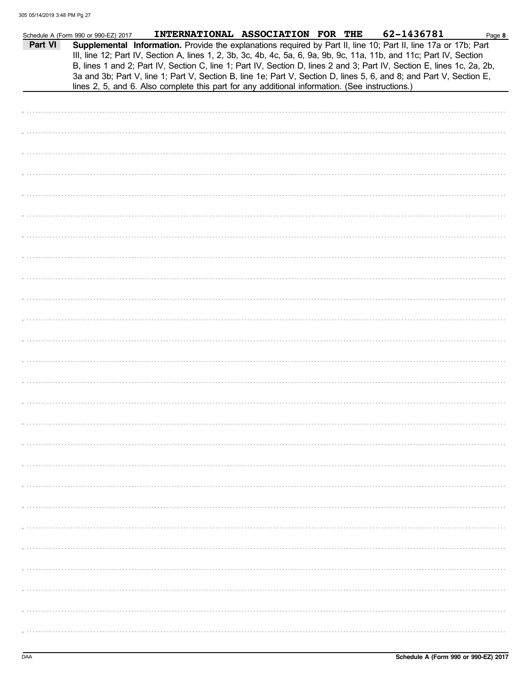|         | Schedule A (Form 990 or 990-EZ) 2017 | INTERNATIONAL ASSOCIATION FOR THE                                                                                                                                                                                                                                                                                                                                                                                                                                                        |  |  | 62-1436781 | Page 8 |
|---------|--------------------------------------|------------------------------------------------------------------------------------------------------------------------------------------------------------------------------------------------------------------------------------------------------------------------------------------------------------------------------------------------------------------------------------------------------------------------------------------------------------------------------------------|--|--|------------|--------|
| Part VI |                                      | Supplemental Information. Provide the explanations required by Part II, line 10; Part II, line 17a or 17b; Part<br>III, line 12; Part IV, Section A, lines 1, 2, 3b, 3c, 4b, 4c, 5a, 6, 9a, 9b, 9c, 11a, 11b, and 11c; Part IV, Section<br>B, lines 1 and 2; Part IV, Section C, line 1; Part IV, Section D, lines 2 and 3; Part IV, Section E, lines 1c, 2a, 2b,<br>3a and 3b; Part V, line 1; Part V, Section B, line 1e; Part V, Section D, lines 5, 6, and 8; and Part V, Section E, |  |  |            |        |
|         |                                      | lines 2, 5, and 6. Also complete this part for any additional information. (See instructions.)                                                                                                                                                                                                                                                                                                                                                                                           |  |  |            |        |
|         |                                      |                                                                                                                                                                                                                                                                                                                                                                                                                                                                                          |  |  |            |        |
|         |                                      |                                                                                                                                                                                                                                                                                                                                                                                                                                                                                          |  |  |            |        |
|         |                                      |                                                                                                                                                                                                                                                                                                                                                                                                                                                                                          |  |  |            |        |
|         |                                      |                                                                                                                                                                                                                                                                                                                                                                                                                                                                                          |  |  |            |        |
|         |                                      |                                                                                                                                                                                                                                                                                                                                                                                                                                                                                          |  |  |            |        |
|         |                                      |                                                                                                                                                                                                                                                                                                                                                                                                                                                                                          |  |  |            |        |
|         |                                      |                                                                                                                                                                                                                                                                                                                                                                                                                                                                                          |  |  |            |        |
|         |                                      |                                                                                                                                                                                                                                                                                                                                                                                                                                                                                          |  |  |            |        |
|         |                                      |                                                                                                                                                                                                                                                                                                                                                                                                                                                                                          |  |  |            |        |
|         |                                      |                                                                                                                                                                                                                                                                                                                                                                                                                                                                                          |  |  |            |        |
|         |                                      |                                                                                                                                                                                                                                                                                                                                                                                                                                                                                          |  |  |            |        |
|         |                                      |                                                                                                                                                                                                                                                                                                                                                                                                                                                                                          |  |  |            |        |
|         |                                      |                                                                                                                                                                                                                                                                                                                                                                                                                                                                                          |  |  |            |        |
|         |                                      |                                                                                                                                                                                                                                                                                                                                                                                                                                                                                          |  |  |            |        |
|         |                                      |                                                                                                                                                                                                                                                                                                                                                                                                                                                                                          |  |  |            |        |
|         |                                      |                                                                                                                                                                                                                                                                                                                                                                                                                                                                                          |  |  |            |        |
|         |                                      |                                                                                                                                                                                                                                                                                                                                                                                                                                                                                          |  |  |            |        |
|         |                                      |                                                                                                                                                                                                                                                                                                                                                                                                                                                                                          |  |  |            |        |
|         |                                      |                                                                                                                                                                                                                                                                                                                                                                                                                                                                                          |  |  |            |        |
|         |                                      |                                                                                                                                                                                                                                                                                                                                                                                                                                                                                          |  |  |            |        |
|         |                                      |                                                                                                                                                                                                                                                                                                                                                                                                                                                                                          |  |  |            |        |
|         |                                      |                                                                                                                                                                                                                                                                                                                                                                                                                                                                                          |  |  |            |        |
|         |                                      |                                                                                                                                                                                                                                                                                                                                                                                                                                                                                          |  |  |            |        |
|         |                                      |                                                                                                                                                                                                                                                                                                                                                                                                                                                                                          |  |  |            |        |
|         |                                      |                                                                                                                                                                                                                                                                                                                                                                                                                                                                                          |  |  |            |        |
|         |                                      |                                                                                                                                                                                                                                                                                                                                                                                                                                                                                          |  |  |            |        |
|         |                                      |                                                                                                                                                                                                                                                                                                                                                                                                                                                                                          |  |  |            |        |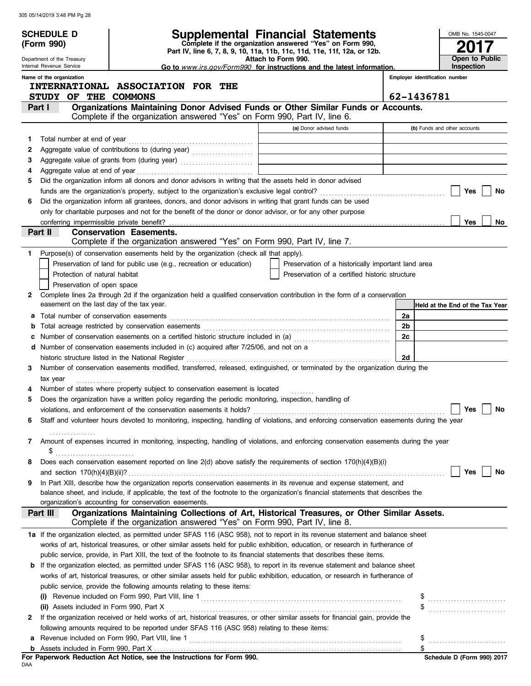|   | <b>SCHEDULE D</b><br>(Form 990)                        |                                                                                                                                                                                                                                                                       | Supplemental Financial Statements<br>Complete if the organization answered "Yes" on Form 990, |          | OMB No. 1545-0047               |
|---|--------------------------------------------------------|-----------------------------------------------------------------------------------------------------------------------------------------------------------------------------------------------------------------------------------------------------------------------|-----------------------------------------------------------------------------------------------|----------|---------------------------------|
|   |                                                        |                                                                                                                                                                                                                                                                       | Part IV, line 6, 7, 8, 9, 10, 11a, 11b, 11c, 11d, 11e, 11f, 12a, or 12b.                      |          |                                 |
|   | Department of the Treasury<br>Internal Revenue Service |                                                                                                                                                                                                                                                                       | Attach to Form 990.<br>Go to www.irs.gov/Form990 for instructions and the latest information. |          | Open to Public<br>Inspection    |
|   | Name of the organization                               |                                                                                                                                                                                                                                                                       |                                                                                               |          | Employer identification number  |
|   |                                                        | INTERNATIONAL ASSOCIATION FOR THE                                                                                                                                                                                                                                     |                                                                                               |          |                                 |
|   | STUDY OF THE COMMONS                                   |                                                                                                                                                                                                                                                                       |                                                                                               |          | 62-1436781                      |
|   | Part I                                                 | Organizations Maintaining Donor Advised Funds or Other Similar Funds or Accounts.                                                                                                                                                                                     |                                                                                               |          |                                 |
|   |                                                        | Complete if the organization answered "Yes" on Form 990, Part IV, line 6.                                                                                                                                                                                             |                                                                                               |          |                                 |
|   |                                                        |                                                                                                                                                                                                                                                                       | (a) Donor advised funds                                                                       |          | (b) Funds and other accounts    |
| 1 |                                                        |                                                                                                                                                                                                                                                                       |                                                                                               |          |                                 |
| 2 |                                                        |                                                                                                                                                                                                                                                                       |                                                                                               |          |                                 |
| з |                                                        |                                                                                                                                                                                                                                                                       |                                                                                               |          |                                 |
| 4 |                                                        | Did the organization inform all donors and donor advisors in writing that the assets held in donor advised                                                                                                                                                            |                                                                                               |          |                                 |
| 5 |                                                        |                                                                                                                                                                                                                                                                       |                                                                                               |          | Yes<br>No                       |
| 6 |                                                        | Did the organization inform all grantees, donors, and donor advisors in writing that grant funds can be used                                                                                                                                                          |                                                                                               |          |                                 |
|   |                                                        | only for charitable purposes and not for the benefit of the donor or donor advisor, or for any other purpose                                                                                                                                                          |                                                                                               |          |                                 |
|   | conferring impermissible private benefit?              |                                                                                                                                                                                                                                                                       |                                                                                               |          | <b>Yes</b><br>No                |
|   | Part II                                                | <b>Conservation Easements.</b>                                                                                                                                                                                                                                        |                                                                                               |          |                                 |
|   |                                                        | Complete if the organization answered "Yes" on Form 990, Part IV, line 7.                                                                                                                                                                                             |                                                                                               |          |                                 |
|   |                                                        | Purpose(s) of conservation easements held by the organization (check all that apply).                                                                                                                                                                                 |                                                                                               |          |                                 |
|   |                                                        | Preservation of land for public use (e.g., recreation or education)                                                                                                                                                                                                   | Preservation of a historically important land area                                            |          |                                 |
|   | Protection of natural habitat                          |                                                                                                                                                                                                                                                                       | Preservation of a certified historic structure                                                |          |                                 |
|   | Preservation of open space                             |                                                                                                                                                                                                                                                                       |                                                                                               |          |                                 |
| 2 |                                                        | Complete lines 2a through 2d if the organization held a qualified conservation contribution in the form of a conservation                                                                                                                                             |                                                                                               |          |                                 |
|   | easement on the last day of the tax year.              |                                                                                                                                                                                                                                                                       |                                                                                               |          | Held at the End of the Tax Year |
|   |                                                        |                                                                                                                                                                                                                                                                       |                                                                                               | 2a       |                                 |
|   |                                                        |                                                                                                                                                                                                                                                                       |                                                                                               | 2b<br>2c |                                 |
|   |                                                        | Number of conservation easements on a certified historic structure included in (a) [11] Number of conservation easements on a certified historic structure included in (a)<br>d Number of conservation easements included in (c) acquired after 7/25/06, and not on a |                                                                                               |          |                                 |
|   |                                                        | historic structure listed in the National Register                                                                                                                                                                                                                    |                                                                                               | 2d       |                                 |
| 3 |                                                        | Number of conservation easements modified, transferred, released, extinguished, or terminated by the organization during the                                                                                                                                          |                                                                                               |          |                                 |
|   | tax year                                               |                                                                                                                                                                                                                                                                       |                                                                                               |          |                                 |
|   |                                                        | Number of states where property subject to conservation easement is located                                                                                                                                                                                           |                                                                                               |          |                                 |
| 5 |                                                        | Does the organization have a written policy regarding the periodic monitoring, inspection, handling of                                                                                                                                                                |                                                                                               |          |                                 |
|   |                                                        | violations, and enforcement of the conservation easements it holds?                                                                                                                                                                                                   |                                                                                               |          | Yes<br>No                       |
| 6 |                                                        | Staff and volunteer hours devoted to monitoring, inspecting, handling of violations, and enforcing conservation easements during the year                                                                                                                             |                                                                                               |          |                                 |
|   |                                                        |                                                                                                                                                                                                                                                                       |                                                                                               |          |                                 |
| 7 |                                                        | Amount of expenses incurred in monitoring, inspecting, handling of violations, and enforcing conservation easements during the year                                                                                                                                   |                                                                                               |          |                                 |
|   | \$                                                     |                                                                                                                                                                                                                                                                       |                                                                                               |          |                                 |
| 8 |                                                        | Does each conservation easement reported on line 2(d) above satisfy the requirements of section 170(h)(4)(B)(i)                                                                                                                                                       |                                                                                               |          |                                 |
|   |                                                        | In Part XIII, describe how the organization reports conservation easements in its revenue and expense statement, and                                                                                                                                                  |                                                                                               |          | Yes<br>No                       |
| 9 |                                                        | balance sheet, and include, if applicable, the text of the footnote to the organization's financial statements that describes the                                                                                                                                     |                                                                                               |          |                                 |
|   |                                                        | organization's accounting for conservation easements.                                                                                                                                                                                                                 |                                                                                               |          |                                 |
|   | Part III                                               | Organizations Maintaining Collections of Art, Historical Treasures, or Other Similar Assets.<br>Complete if the organization answered "Yes" on Form 990, Part IV, line 8.                                                                                             |                                                                                               |          |                                 |
|   |                                                        | 1a If the organization elected, as permitted under SFAS 116 (ASC 958), not to report in its revenue statement and balance sheet                                                                                                                                       |                                                                                               |          |                                 |
|   |                                                        | works of art, historical treasures, or other similar assets held for public exhibition, education, or research in furtherance of                                                                                                                                      |                                                                                               |          |                                 |
|   |                                                        | public service, provide, in Part XIII, the text of the footnote to its financial statements that describes these items.                                                                                                                                               |                                                                                               |          |                                 |
|   |                                                        | <b>b</b> If the organization elected, as permitted under SFAS 116 (ASC 958), to report in its revenue statement and balance sheet                                                                                                                                     |                                                                                               |          |                                 |
|   |                                                        | works of art, historical treasures, or other similar assets held for public exhibition, education, or research in furtherance of                                                                                                                                      |                                                                                               |          |                                 |
|   |                                                        | public service, provide the following amounts relating to these items:                                                                                                                                                                                                |                                                                                               |          |                                 |
|   |                                                        |                                                                                                                                                                                                                                                                       |                                                                                               |          |                                 |
|   | (ii) Assets included in Form 990, Part X               |                                                                                                                                                                                                                                                                       |                                                                                               |          | $\frac{1}{2}$                   |
| 2 |                                                        | If the organization received or held works of art, historical treasures, or other similar assets for financial gain, provide the                                                                                                                                      |                                                                                               |          |                                 |
|   |                                                        | following amounts required to be reported under SFAS 116 (ASC 958) relating to these items:                                                                                                                                                                           |                                                                                               |          |                                 |
| а |                                                        |                                                                                                                                                                                                                                                                       |                                                                                               |          |                                 |
|   |                                                        |                                                                                                                                                                                                                                                                       |                                                                                               |          |                                 |

| For Paperwork Reduction Act Notice, see the Instructions for Form 990. |  |  |  |
|------------------------------------------------------------------------|--|--|--|
| DAA                                                                    |  |  |  |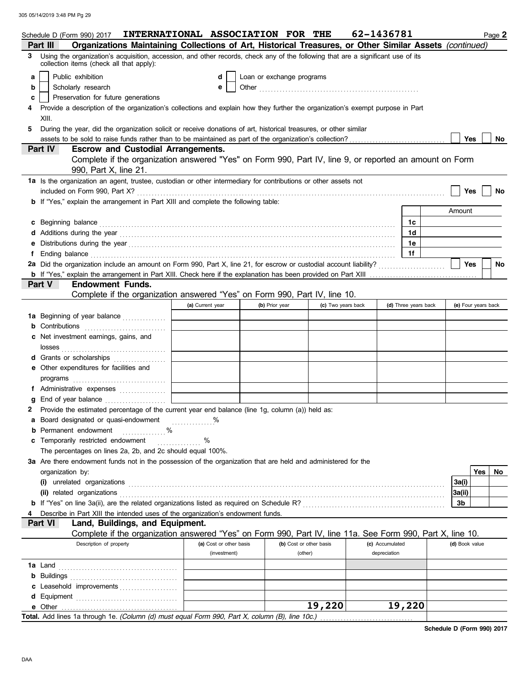|   | Schedule D (Form 990) 2017                                                                                                                                                                                                                                                                           | INTERNATIONAL ASSOCIATION FOR THE |                           |                         | 62-1436781      |                      |                | Page 2              |
|---|------------------------------------------------------------------------------------------------------------------------------------------------------------------------------------------------------------------------------------------------------------------------------------------------------|-----------------------------------|---------------------------|-------------------------|-----------------|----------------------|----------------|---------------------|
|   | Organizations Maintaining Collections of Art, Historical Treasures, or Other Similar Assets (continued)<br>Part III                                                                                                                                                                                  |                                   |                           |                         |                 |                      |                |                     |
| 3 | Using the organization's acquisition, accession, and other records, check any of the following that are a significant use of its<br>collection items (check all that apply):                                                                                                                         |                                   |                           |                         |                 |                      |                |                     |
| a | Public exhibition                                                                                                                                                                                                                                                                                    | d                                 | Loan or exchange programs |                         |                 |                      |                |                     |
| b | Scholarly research                                                                                                                                                                                                                                                                                   | e                                 |                           |                         |                 |                      |                |                     |
| c | Preservation for future generations                                                                                                                                                                                                                                                                  |                                   |                           |                         |                 |                      |                |                     |
|   | Provide a description of the organization's collections and explain how they further the organization's exempt purpose in Part                                                                                                                                                                       |                                   |                           |                         |                 |                      |                |                     |
|   | XIII.                                                                                                                                                                                                                                                                                                |                                   |                           |                         |                 |                      |                |                     |
| 5 | During the year, did the organization solicit or receive donations of art, historical treasures, or other similar                                                                                                                                                                                    |                                   |                           |                         |                 |                      |                |                     |
|   |                                                                                                                                                                                                                                                                                                      |                                   |                           |                         |                 |                      | Yes            | No                  |
|   | <b>Escrow and Custodial Arrangements.</b><br><b>Part IV</b>                                                                                                                                                                                                                                          |                                   |                           |                         |                 |                      |                |                     |
|   | Complete if the organization answered "Yes" on Form 990, Part IV, line 9, or reported an amount on Form                                                                                                                                                                                              |                                   |                           |                         |                 |                      |                |                     |
|   | 990, Part X, line 21.                                                                                                                                                                                                                                                                                |                                   |                           |                         |                 |                      |                |                     |
|   | 1a Is the organization an agent, trustee, custodian or other intermediary for contributions or other assets not                                                                                                                                                                                      |                                   |                           |                         |                 |                      |                |                     |
|   |                                                                                                                                                                                                                                                                                                      |                                   |                           |                         |                 |                      | Yes            | No                  |
|   | <b>b</b> If "Yes," explain the arrangement in Part XIII and complete the following table:                                                                                                                                                                                                            |                                   |                           |                         |                 |                      |                |                     |
|   |                                                                                                                                                                                                                                                                                                      |                                   |                           |                         |                 |                      | Amount         |                     |
|   | c Beginning balance <b>contract the contract of the contract of the contract of the contract of the contract of the contract of the contract of the contract of the contract of the contract of the contract of the contract of </b>                                                                 |                                   |                           |                         |                 | 1c                   |                |                     |
|   |                                                                                                                                                                                                                                                                                                      |                                   |                           |                         |                 | 1d                   |                |                     |
|   |                                                                                                                                                                                                                                                                                                      |                                   |                           |                         |                 | 1е                   |                |                     |
|   | f Ending balance <b>construction and the construction of the construction</b> of the construction of the construction of the construction of the construction of the construction of the construction of the construction of the co                                                                  |                                   |                           |                         |                 | 1f                   |                |                     |
|   |                                                                                                                                                                                                                                                                                                      |                                   |                           |                         |                 |                      | Yes            | <b>No</b>           |
|   |                                                                                                                                                                                                                                                                                                      |                                   |                           |                         |                 |                      |                |                     |
|   | Part V<br><b>Endowment Funds.</b>                                                                                                                                                                                                                                                                    |                                   |                           |                         |                 |                      |                |                     |
|   | Complete if the organization answered "Yes" on Form 990, Part IV, line 10.                                                                                                                                                                                                                           |                                   |                           |                         |                 |                      |                |                     |
|   |                                                                                                                                                                                                                                                                                                      | (a) Current year                  | (b) Prior year            | (c) Two years back      |                 | (d) Three years back |                | (e) Four years back |
|   | 1a Beginning of year balance                                                                                                                                                                                                                                                                         |                                   |                           |                         |                 |                      |                |                     |
|   | <b>b</b> Contributions                                                                                                                                                                                                                                                                               |                                   |                           |                         |                 |                      |                |                     |
|   | c Net investment earnings, gains, and                                                                                                                                                                                                                                                                |                                   |                           |                         |                 |                      |                |                     |
|   |                                                                                                                                                                                                                                                                                                      |                                   |                           |                         |                 |                      |                |                     |
|   | d Grants or scholarships                                                                                                                                                                                                                                                                             |                                   |                           |                         |                 |                      |                |                     |
|   | e Other expenditures for facilities and                                                                                                                                                                                                                                                              |                                   |                           |                         |                 |                      |                |                     |
|   | $\mathsf{programs}$ [[1] $\mathsf{m}$ [[1] $\mathsf{m}$ [[1] $\mathsf{m}$ [[1] $\mathsf{m}$ [[1] $\mathsf{m}$ [[1] $\mathsf{m}$ [[1] $\mathsf{m}$ [[1] $\mathsf{m}$ [[1] $\mathsf{m}$ [[1] $\mathsf{m}$ [[1] $\mathsf{m}$ [[1] $\mathsf{m}$ [[1] $\mathsf{m}$ [[1] $\mathsf{m}$ [[1] $\mathsf{m}$ [[ |                                   |                           |                         |                 |                      |                |                     |
|   | f Administrative expenses                                                                                                                                                                                                                                                                            |                                   |                           |                         |                 |                      |                |                     |
|   |                                                                                                                                                                                                                                                                                                      |                                   |                           |                         |                 |                      |                |                     |
|   | 2 Provide the estimated percentage of the current year end balance (line 1g, column (a)) held as:                                                                                                                                                                                                    |                                   |                           |                         |                 |                      |                |                     |
|   | a Board designated or quasi-endowment                                                                                                                                                                                                                                                                |                                   |                           |                         |                 |                      |                |                     |
|   | <b>b</b> Permanent endowment<br>$\%$                                                                                                                                                                                                                                                                 |                                   |                           |                         |                 |                      |                |                     |
|   | c Temporarily restricted endowment                                                                                                                                                                                                                                                                   | %<br><u>.</u><br>.                |                           |                         |                 |                      |                |                     |
|   | The percentages on lines 2a, 2b, and 2c should equal 100%.                                                                                                                                                                                                                                           |                                   |                           |                         |                 |                      |                |                     |
|   | 3a Are there endowment funds not in the possession of the organization that are held and administered for the                                                                                                                                                                                        |                                   |                           |                         |                 |                      |                |                     |
|   | organization by:                                                                                                                                                                                                                                                                                     |                                   |                           |                         |                 |                      |                | Yes<br>No           |
|   |                                                                                                                                                                                                                                                                                                      |                                   |                           |                         |                 |                      | 3a(i)          |                     |
|   |                                                                                                                                                                                                                                                                                                      |                                   |                           |                         |                 |                      | 3a(ii)         |                     |
|   |                                                                                                                                                                                                                                                                                                      |                                   |                           |                         |                 |                      | 3b             |                     |
|   | Describe in Part XIII the intended uses of the organization's endowment funds.                                                                                                                                                                                                                       |                                   |                           |                         |                 |                      |                |                     |
|   | Land, Buildings, and Equipment.<br>Part VI                                                                                                                                                                                                                                                           |                                   |                           |                         |                 |                      |                |                     |
|   | Complete if the organization answered "Yes" on Form 990, Part IV, line 11a. See Form 990, Part X, line 10.                                                                                                                                                                                           |                                   |                           |                         |                 |                      |                |                     |
|   | Description of property                                                                                                                                                                                                                                                                              | (a) Cost or other basis           |                           | (b) Cost or other basis | (c) Accumulated |                      | (d) Book value |                     |
|   |                                                                                                                                                                                                                                                                                                      | (investment)                      |                           | (other)                 | depreciation    |                      |                |                     |
|   |                                                                                                                                                                                                                                                                                                      |                                   |                           |                         |                 |                      |                |                     |
|   |                                                                                                                                                                                                                                                                                                      |                                   |                           |                         |                 |                      |                |                     |
|   | c Leasehold improvements                                                                                                                                                                                                                                                                             |                                   |                           |                         |                 |                      |                |                     |
|   |                                                                                                                                                                                                                                                                                                      |                                   |                           |                         |                 |                      |                |                     |
|   | e Other                                                                                                                                                                                                                                                                                              |                                   |                           | 19,220                  |                 | 19,220               |                |                     |
|   | Total. Add lines 1a through 1e. (Column (d) must equal Form 990, Part X, column (B), line 10c.)                                                                                                                                                                                                      |                                   |                           |                         |                 |                      |                |                     |

**Schedule D (Form 990) 2017**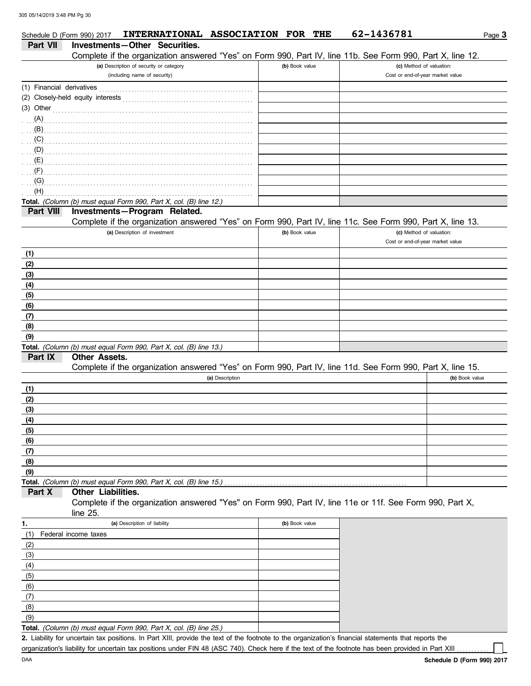|                           | Schedule D (Form 990) 2017 | INTERNATIONAL ASSOCIATION FOR THE                                                                                                                                                                                                   |                 |                | 62-1436781                                                                                                 | Page 3         |
|---------------------------|----------------------------|-------------------------------------------------------------------------------------------------------------------------------------------------------------------------------------------------------------------------------------|-----------------|----------------|------------------------------------------------------------------------------------------------------------|----------------|
| <b>Part VII</b>           |                            | Investments-Other Securities.                                                                                                                                                                                                       |                 |                |                                                                                                            |                |
|                           |                            |                                                                                                                                                                                                                                     |                 |                | Complete if the organization answered "Yes" on Form 990, Part IV, line 11b. See Form 990, Part X, line 12. |                |
|                           |                            | (a) Description of security or category                                                                                                                                                                                             |                 | (b) Book value | (c) Method of valuation:                                                                                   |                |
|                           |                            | (including name of security)                                                                                                                                                                                                        |                 |                | Cost or end-of-year market value                                                                           |                |
| (1) Financial derivatives |                            |                                                                                                                                                                                                                                     |                 |                |                                                                                                            |                |
|                           |                            |                                                                                                                                                                                                                                     |                 |                |                                                                                                            |                |
| $(3)$ Other               |                            |                                                                                                                                                                                                                                     |                 |                |                                                                                                            |                |
|                           |                            |                                                                                                                                                                                                                                     |                 |                |                                                                                                            |                |
|                           |                            |                                                                                                                                                                                                                                     |                 |                |                                                                                                            |                |
|                           |                            | $(\mathsf{C})$ . The contract of the contract of the contract of the contract of the contract of the contract of the contract of the contract of the contract of the contract of the contract of the contract of the contract of th |                 |                |                                                                                                            |                |
|                           |                            |                                                                                                                                                                                                                                     |                 |                |                                                                                                            |                |
|                           |                            |                                                                                                                                                                                                                                     |                 |                |                                                                                                            |                |
|                           |                            |                                                                                                                                                                                                                                     |                 |                |                                                                                                            |                |
| (G)                       |                            |                                                                                                                                                                                                                                     |                 |                |                                                                                                            |                |
| (H)                       |                            |                                                                                                                                                                                                                                     |                 |                |                                                                                                            |                |
|                           |                            | Total. (Column (b) must equal Form 990, Part X, col. (B) line 12.)                                                                                                                                                                  |                 |                |                                                                                                            |                |
| Part VIII                 |                            | Investments-Program Related.                                                                                                                                                                                                        |                 |                |                                                                                                            |                |
|                           |                            |                                                                                                                                                                                                                                     |                 |                | Complete if the organization answered "Yes" on Form 990, Part IV, line 11c. See Form 990, Part X, line 13. |                |
|                           |                            | (a) Description of investment                                                                                                                                                                                                       |                 | (b) Book value | (c) Method of valuation:<br>Cost or end-of-year market value                                               |                |
|                           |                            |                                                                                                                                                                                                                                     |                 |                |                                                                                                            |                |
| (1)<br>(2)                |                            |                                                                                                                                                                                                                                     |                 |                |                                                                                                            |                |
| (3)                       |                            |                                                                                                                                                                                                                                     |                 |                |                                                                                                            |                |
| (4)                       |                            |                                                                                                                                                                                                                                     |                 |                |                                                                                                            |                |
| (5)                       |                            |                                                                                                                                                                                                                                     |                 |                |                                                                                                            |                |
| (6)                       |                            |                                                                                                                                                                                                                                     |                 |                |                                                                                                            |                |
| (7)                       |                            |                                                                                                                                                                                                                                     |                 |                |                                                                                                            |                |
| (8)                       |                            |                                                                                                                                                                                                                                     |                 |                |                                                                                                            |                |
| (9)                       |                            |                                                                                                                                                                                                                                     |                 |                |                                                                                                            |                |
|                           |                            | Total. (Column (b) must equal Form 990, Part X, col. (B) line 13.)                                                                                                                                                                  |                 |                |                                                                                                            |                |
| Part IX                   | <b>Other Assets.</b>       |                                                                                                                                                                                                                                     |                 |                |                                                                                                            |                |
|                           |                            |                                                                                                                                                                                                                                     |                 |                | Complete if the organization answered "Yes" on Form 990, Part IV, line 11d. See Form 990, Part X, line 15. |                |
|                           |                            |                                                                                                                                                                                                                                     | (a) Description |                |                                                                                                            | (b) Book value |
| (1)                       |                            |                                                                                                                                                                                                                                     |                 |                |                                                                                                            |                |
| (2)                       |                            |                                                                                                                                                                                                                                     |                 |                |                                                                                                            |                |
| (3)                       |                            |                                                                                                                                                                                                                                     |                 |                |                                                                                                            |                |
| (4)                       |                            |                                                                                                                                                                                                                                     |                 |                |                                                                                                            |                |
| (5)                       |                            |                                                                                                                                                                                                                                     |                 |                |                                                                                                            |                |
| (6)                       |                            |                                                                                                                                                                                                                                     |                 |                |                                                                                                            |                |
| (7)                       |                            |                                                                                                                                                                                                                                     |                 |                |                                                                                                            |                |
| (8)                       |                            |                                                                                                                                                                                                                                     |                 |                |                                                                                                            |                |
| (9)                       |                            |                                                                                                                                                                                                                                     |                 |                |                                                                                                            |                |
|                           |                            | Total. (Column (b) must equal Form 990, Part X, col. (B) line 15.)                                                                                                                                                                  |                 |                |                                                                                                            |                |
| Part X                    | Other Liabilities.         |                                                                                                                                                                                                                                     |                 |                |                                                                                                            |                |
|                           | line 25.                   |                                                                                                                                                                                                                                     |                 |                | Complete if the organization answered "Yes" on Form 990, Part IV, line 11e or 11f. See Form 990, Part X,   |                |
| 1.                        |                            | (a) Description of liability                                                                                                                                                                                                        |                 | (b) Book value |                                                                                                            |                |
| (1)                       | Federal income taxes       |                                                                                                                                                                                                                                     |                 |                |                                                                                                            |                |
| (2)                       |                            |                                                                                                                                                                                                                                     |                 |                |                                                                                                            |                |
| (3)                       |                            |                                                                                                                                                                                                                                     |                 |                |                                                                                                            |                |
| (4)                       |                            |                                                                                                                                                                                                                                     |                 |                |                                                                                                            |                |
| (5)                       |                            |                                                                                                                                                                                                                                     |                 |                |                                                                                                            |                |
| (6)                       |                            |                                                                                                                                                                                                                                     |                 |                |                                                                                                            |                |
| (7)                       |                            |                                                                                                                                                                                                                                     |                 |                |                                                                                                            |                |

**Total.** *(Column (b) must equal Form 990, Part X, col. (B) line 25.)*   $(9)$ 

Liability for uncertain tax positions. In Part XIII, provide the text of the footnote to the organization's financial statements that reports the **2.** organization's liability for uncertain tax positions under FIN 48 (ASC 740). Check here if the text of the footnote has been provided in Part XIII

(8)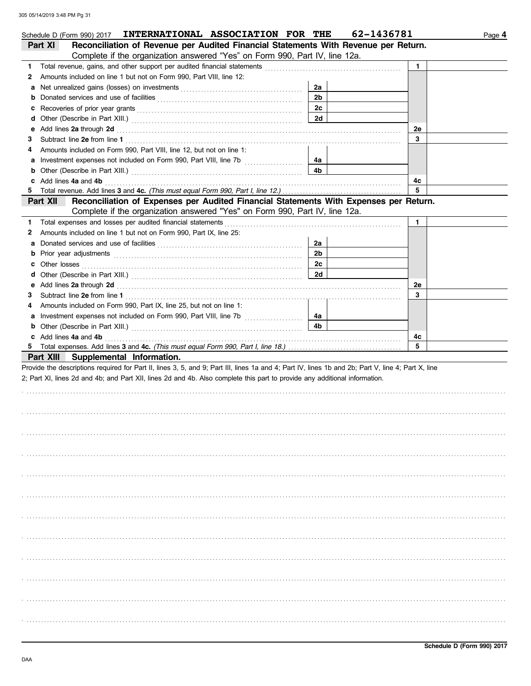|    | Schedule D (Form 990) 2017 INTERNATIONAL ASSOCIATION FOR THE                                                                                                                                                                   |                | 62-1436781 |              | Page 4 |
|----|--------------------------------------------------------------------------------------------------------------------------------------------------------------------------------------------------------------------------------|----------------|------------|--------------|--------|
|    | Reconciliation of Revenue per Audited Financial Statements With Revenue per Return.<br>Part XI                                                                                                                                 |                |            |              |        |
|    | Complete if the organization answered "Yes" on Form 990, Part IV, line 12a.                                                                                                                                                    |                |            |              |        |
| 1. | Total revenue, gains, and other support per audited financial statements                                                                                                                                                       |                |            | $\mathbf{1}$ |        |
| 2  | Amounts included on line 1 but not on Form 990, Part VIII, line 12:                                                                                                                                                            |                |            |              |        |
| а  | Net unrealized gains (losses) on investments [11] contains the unrealized state of the state of the state of the state of the state of the state of the state of the state of the state of the state of the state of the state | 2a             |            |              |        |
| b  |                                                                                                                                                                                                                                | 2 <sub>b</sub> |            |              |        |
| c  |                                                                                                                                                                                                                                | 2c             |            |              |        |
| d  |                                                                                                                                                                                                                                | 2d             |            |              |        |
| е  | Add lines 2a through 2d [11] Additional Property and Property and Property and Property and Property and Property and Property and Property and Property and Property and Property and Property and Property and Property and  |                |            | 2e           |        |
| 3  |                                                                                                                                                                                                                                |                |            | 3            |        |
|    | Amounts included on Form 990, Part VIII, line 12, but not on line 1:                                                                                                                                                           |                |            |              |        |
| а  |                                                                                                                                                                                                                                | 4a             |            |              |        |
| b  |                                                                                                                                                                                                                                | 4b             |            |              |        |
|    | Add lines 4a and 4b                                                                                                                                                                                                            |                |            | 4с           |        |
| 5. |                                                                                                                                                                                                                                |                |            | 5            |        |
|    | Reconciliation of Expenses per Audited Financial Statements With Expenses per Return.<br>Part XII                                                                                                                              |                |            |              |        |
|    | Complete if the organization answered "Yes" on Form 990, Part IV, line 12a.                                                                                                                                                    |                |            |              |        |
| 1. | Total expenses and losses per audited financial statements                                                                                                                                                                     |                |            | 1.           |        |
| 2  | Amounts included on line 1 but not on Form 990, Part IX, line 25:                                                                                                                                                              |                |            |              |        |
| а  |                                                                                                                                                                                                                                | 2a             |            |              |        |
| b  | Prior year adjustments communications and contain a state of the contact of the contact of the contact of the contact of the contact of the contact of the contact of the contact of the contact of the contact of the contact | 2 <sub>b</sub> |            |              |        |
| c  | Other losses                                                                                                                                                                                                                   | 2c             |            |              |        |
| d  |                                                                                                                                                                                                                                | 2d             |            |              |        |
| е  | Add lines 2a through 2d [11] Additional Additional Additional Additional Additional Additional Additional Additional Additional Additional Additional Additional Additional Additional Additional Additional Additional Additi |                |            | <b>2e</b>    |        |
| 3  |                                                                                                                                                                                                                                |                |            | 3            |        |
| 4  | Amounts included on Form 990, Part IX, line 25, but not on line 1:                                                                                                                                                             |                |            |              |        |
| а  |                                                                                                                                                                                                                                | 4a             |            |              |        |
| b  |                                                                                                                                                                                                                                | 4b             |            |              |        |
|    | c Add lines 4a and 4b                                                                                                                                                                                                          |                |            | 4c           |        |
|    |                                                                                                                                                                                                                                |                |            | 5            |        |
|    | Part XIII Supplemental Information.                                                                                                                                                                                            |                |            |              |        |
|    | Provide the descriptions required for Part II, lines 3, 5, and 9; Part III, lines 1a and 4; Part IV, lines 1b and 2b; Part V, line 4; Part X, line                                                                             |                |            |              |        |
|    | 2; Part XI, lines 2d and 4b; and Part XII, lines 2d and 4b. Also complete this part to provide any additional information.                                                                                                     |                |            |              |        |
|    |                                                                                                                                                                                                                                |                |            |              |        |
|    |                                                                                                                                                                                                                                |                |            |              |        |
|    |                                                                                                                                                                                                                                |                |            |              |        |
|    |                                                                                                                                                                                                                                |                |            |              |        |
|    |                                                                                                                                                                                                                                |                |            |              |        |
|    |                                                                                                                                                                                                                                |                |            |              |        |
|    |                                                                                                                                                                                                                                |                |            |              |        |
|    |                                                                                                                                                                                                                                |                |            |              |        |
|    |                                                                                                                                                                                                                                |                |            |              |        |
|    |                                                                                                                                                                                                                                |                |            |              |        |
|    |                                                                                                                                                                                                                                |                |            |              |        |
|    |                                                                                                                                                                                                                                |                |            |              |        |
|    |                                                                                                                                                                                                                                |                |            |              |        |
|    |                                                                                                                                                                                                                                |                |            |              |        |
|    |                                                                                                                                                                                                                                |                |            |              |        |
|    |                                                                                                                                                                                                                                |                |            |              |        |
|    |                                                                                                                                                                                                                                |                |            |              |        |
|    |                                                                                                                                                                                                                                |                |            |              |        |
|    |                                                                                                                                                                                                                                |                |            |              |        |
|    |                                                                                                                                                                                                                                |                |            |              |        |
|    |                                                                                                                                                                                                                                |                |            |              |        |
|    |                                                                                                                                                                                                                                |                |            |              |        |
|    |                                                                                                                                                                                                                                |                |            |              |        |
|    |                                                                                                                                                                                                                                |                |            |              |        |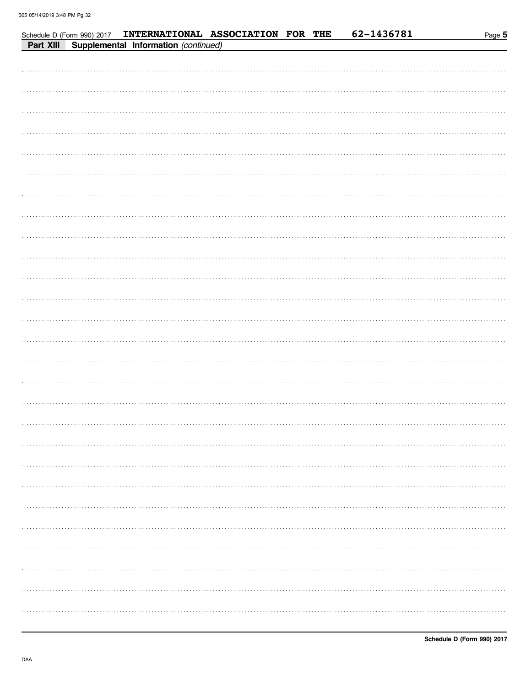|           |                                      |  | Schedule D (Form 990) 2017 INTERNATIONAL ASSOCIATION FOR THE |  | 62-1436781 | Page 5 |
|-----------|--------------------------------------|--|--------------------------------------------------------------|--|------------|--------|
| Part XIII | Supplemental Information (continued) |  |                                                              |  |            |        |
|           |                                      |  |                                                              |  |            |        |
|           |                                      |  |                                                              |  |            |        |
|           |                                      |  |                                                              |  |            |        |
|           |                                      |  |                                                              |  |            |        |
|           |                                      |  |                                                              |  |            |        |
|           |                                      |  |                                                              |  |            |        |
|           |                                      |  |                                                              |  |            |        |
|           |                                      |  |                                                              |  |            |        |
|           |                                      |  |                                                              |  |            |        |
|           |                                      |  |                                                              |  |            |        |
|           |                                      |  |                                                              |  |            |        |
|           |                                      |  |                                                              |  |            |        |
|           |                                      |  |                                                              |  |            |        |
|           |                                      |  |                                                              |  |            |        |
|           |                                      |  |                                                              |  |            |        |
|           |                                      |  |                                                              |  |            |        |
|           |                                      |  |                                                              |  |            |        |
|           |                                      |  |                                                              |  |            |        |
|           |                                      |  |                                                              |  |            |        |
|           |                                      |  |                                                              |  |            |        |
|           |                                      |  |                                                              |  |            |        |
|           |                                      |  |                                                              |  |            |        |
|           |                                      |  |                                                              |  |            |        |
|           |                                      |  |                                                              |  |            |        |
|           |                                      |  |                                                              |  |            |        |
|           |                                      |  |                                                              |  |            |        |
|           |                                      |  |                                                              |  |            |        |
|           |                                      |  |                                                              |  |            |        |
|           |                                      |  |                                                              |  |            |        |
|           |                                      |  |                                                              |  |            |        |
|           |                                      |  |                                                              |  |            |        |
|           |                                      |  |                                                              |  |            |        |
|           |                                      |  |                                                              |  |            |        |
|           |                                      |  |                                                              |  |            |        |
|           |                                      |  |                                                              |  |            |        |
|           |                                      |  |                                                              |  |            |        |
|           |                                      |  |                                                              |  |            |        |
|           |                                      |  |                                                              |  |            |        |
|           |                                      |  |                                                              |  |            |        |
|           |                                      |  |                                                              |  |            |        |
|           |                                      |  |                                                              |  |            |        |
|           |                                      |  |                                                              |  |            |        |
|           |                                      |  |                                                              |  |            |        |
|           |                                      |  |                                                              |  |            |        |
|           |                                      |  |                                                              |  |            |        |
|           |                                      |  |                                                              |  |            |        |
|           |                                      |  |                                                              |  |            |        |
|           |                                      |  |                                                              |  |            |        |
|           |                                      |  |                                                              |  |            |        |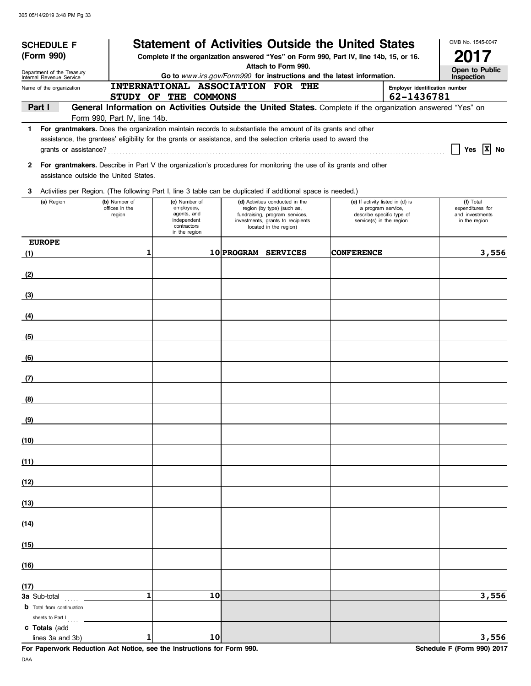| <b>SCHEDULE F</b>                                                                                                  |  |                                       |                                                                                               |    |                                                                                                                  |                                                                     |  | <b>Statement of Activities Outside the United States</b>                                                    |                           | OMB No. 1545-0047                |  |
|--------------------------------------------------------------------------------------------------------------------|--|---------------------------------------|-----------------------------------------------------------------------------------------------|----|------------------------------------------------------------------------------------------------------------------|---------------------------------------------------------------------|--|-------------------------------------------------------------------------------------------------------------|---------------------------|----------------------------------|--|
| (Form 990)<br>Complete if the organization answered "Yes" on Form 990, Part IV, line 14b, 15, or 16.               |  |                                       |                                                                                               |    |                                                                                                                  |                                                                     |  | 2017                                                                                                        |                           |                                  |  |
| Department of the Treasury                                                                                         |  |                                       | Attach to Form 990.<br>Go to www.irs.gov/Form990 for instructions and the latest information. |    |                                                                                                                  |                                                                     |  |                                                                                                             |                           |                                  |  |
| Internal Revenue Service<br>Name of the organization                                                               |  | INTERNATIONAL ASSOCIATION FOR THE     | Inspection<br>Employer identification number                                                  |    |                                                                                                                  |                                                                     |  |                                                                                                             |                           |                                  |  |
|                                                                                                                    |  | STUDY OF THE COMMONS                  |                                                                                               |    |                                                                                                                  |                                                                     |  |                                                                                                             | 62-1436781                |                                  |  |
| Part I                                                                                                             |  |                                       |                                                                                               |    |                                                                                                                  |                                                                     |  | General Information on Activities Outside the United States. Complete if the organization answered "Yes" on |                           |                                  |  |
|                                                                                                                    |  | Form 990, Part IV, line 14b.          |                                                                                               |    |                                                                                                                  |                                                                     |  |                                                                                                             |                           |                                  |  |
| 1 For grantmakers. Does the organization maintain records to substantiate the amount of its grants and other       |  |                                       |                                                                                               |    | assistance, the grantees' eligibility for the grants or assistance, and the selection criteria used to award the |                                                                     |  |                                                                                                             |                           |                                  |  |
| grants or assistance?                                                                                              |  |                                       |                                                                                               |    |                                                                                                                  |                                                                     |  |                                                                                                             |                           | Yes $ X $ No                     |  |
| 2 For grantmakers. Describe in Part V the organization's procedures for monitoring the use of its grants and other |  |                                       |                                                                                               |    |                                                                                                                  |                                                                     |  |                                                                                                             |                           |                                  |  |
|                                                                                                                    |  | assistance outside the United States. |                                                                                               |    |                                                                                                                  |                                                                     |  |                                                                                                             |                           |                                  |  |
| 3 Activities per Region. (The following Part I, line 3 table can be duplicated if additional space is needed.)     |  |                                       |                                                                                               |    |                                                                                                                  |                                                                     |  |                                                                                                             |                           |                                  |  |
| (a) Region                                                                                                         |  | (b) Number of<br>offices in the       | (c) Number of<br>employees,                                                                   |    |                                                                                                                  | (d) Activities conducted in the<br>region (by type) (such as,       |  | (e) If activity listed in (d) is<br>a program service,                                                      |                           | (f) Total<br>expenditures for    |  |
|                                                                                                                    |  | region                                | agents, and<br>independent                                                                    |    |                                                                                                                  | fundraising, program services,<br>investments, grants to recipients |  | service(s) in the region                                                                                    | describe specific type of | and investments<br>in the region |  |
|                                                                                                                    |  |                                       | contractors<br>in the region                                                                  |    |                                                                                                                  | located in the region)                                              |  |                                                                                                             |                           |                                  |  |
| <b>EUROPE</b>                                                                                                      |  |                                       |                                                                                               |    |                                                                                                                  |                                                                     |  |                                                                                                             |                           |                                  |  |
| (1)                                                                                                                |  | 1                                     |                                                                                               |    | 10 PROGRAM SERVICES                                                                                              |                                                                     |  | <b>CONFERENCE</b>                                                                                           |                           | 3,556                            |  |
| (2)                                                                                                                |  |                                       |                                                                                               |    |                                                                                                                  |                                                                     |  |                                                                                                             |                           |                                  |  |
| (3)                                                                                                                |  |                                       |                                                                                               |    |                                                                                                                  |                                                                     |  |                                                                                                             |                           |                                  |  |
| (4)                                                                                                                |  |                                       |                                                                                               |    |                                                                                                                  |                                                                     |  |                                                                                                             |                           |                                  |  |
| (5)                                                                                                                |  |                                       |                                                                                               |    |                                                                                                                  |                                                                     |  |                                                                                                             |                           |                                  |  |
| (6)                                                                                                                |  |                                       |                                                                                               |    |                                                                                                                  |                                                                     |  |                                                                                                             |                           |                                  |  |
| (7)                                                                                                                |  |                                       |                                                                                               |    |                                                                                                                  |                                                                     |  |                                                                                                             |                           |                                  |  |
| (8)                                                                                                                |  |                                       |                                                                                               |    |                                                                                                                  |                                                                     |  |                                                                                                             |                           |                                  |  |
| (9)                                                                                                                |  |                                       |                                                                                               |    |                                                                                                                  |                                                                     |  |                                                                                                             |                           |                                  |  |
| (10)                                                                                                               |  |                                       |                                                                                               |    |                                                                                                                  |                                                                     |  |                                                                                                             |                           |                                  |  |
| (11)                                                                                                               |  |                                       |                                                                                               |    |                                                                                                                  |                                                                     |  |                                                                                                             |                           |                                  |  |
| (12)                                                                                                               |  |                                       |                                                                                               |    |                                                                                                                  |                                                                     |  |                                                                                                             |                           |                                  |  |
| (13)                                                                                                               |  |                                       |                                                                                               |    |                                                                                                                  |                                                                     |  |                                                                                                             |                           |                                  |  |
| (14)                                                                                                               |  |                                       |                                                                                               |    |                                                                                                                  |                                                                     |  |                                                                                                             |                           |                                  |  |
| (15)                                                                                                               |  |                                       |                                                                                               |    |                                                                                                                  |                                                                     |  |                                                                                                             |                           |                                  |  |
| (16)                                                                                                               |  |                                       |                                                                                               |    |                                                                                                                  |                                                                     |  |                                                                                                             |                           |                                  |  |
| (17)                                                                                                               |  |                                       |                                                                                               |    |                                                                                                                  |                                                                     |  |                                                                                                             |                           |                                  |  |
| 3a Sub-total                                                                                                       |  | $\mathbf{1}$                          |                                                                                               | 10 |                                                                                                                  |                                                                     |  |                                                                                                             |                           | 3,556                            |  |
| <b>b</b> Total from continuation<br>sheets to Part I                                                               |  |                                       |                                                                                               |    |                                                                                                                  |                                                                     |  |                                                                                                             |                           |                                  |  |
| c Totals (add<br>lines 3a and 3b)                                                                                  |  | 1                                     |                                                                                               | 10 |                                                                                                                  |                                                                     |  |                                                                                                             |                           | 3,556                            |  |

**For Paperwork Reduction Act Notice, see the Instructions for Form 990.** Schedule F (Form 990) 2017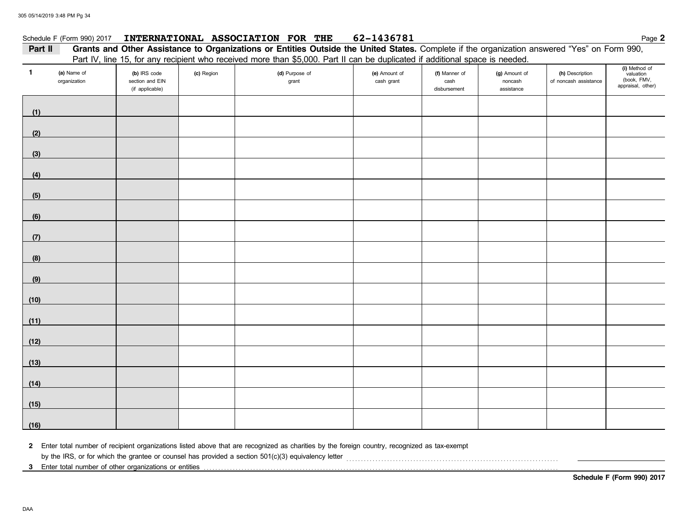### Schedule F (Form 990) 2017 **INTERNATIONAL ASSOCIATION FOR THE** 62-1436781 **Page 2** Page 2

### Part II Grants and Other Assistance to Organizations or Entities Outside the United States. Complete if the organization answered "Yes" on Form 990, Part IV, line 15, for any recipient who received more than \$5,000. Part II can be duplicated if additional space is needed.

| $\mathbf{1}$ | (a) Name of<br>organization | (b) IRS code<br>section and EIN<br>(if applicable) | (c) Region | (d) Purpose of<br>grant | (e) Amount of<br>cash grant | (f) Manner of<br>cash<br>disbursement | (g) Amount of<br>noncash<br>assistance | (h) Description<br>of noncash assistance | (i) Method of<br>valuation<br>(book, FMV,<br>appraisal, other) |
|--------------|-----------------------------|----------------------------------------------------|------------|-------------------------|-----------------------------|---------------------------------------|----------------------------------------|------------------------------------------|----------------------------------------------------------------|
| (1)          |                             |                                                    |            |                         |                             |                                       |                                        |                                          |                                                                |
| (2)          |                             |                                                    |            |                         |                             |                                       |                                        |                                          |                                                                |
| (3)          |                             |                                                    |            |                         |                             |                                       |                                        |                                          |                                                                |
| (4)          |                             |                                                    |            |                         |                             |                                       |                                        |                                          |                                                                |
| (5)          |                             |                                                    |            |                         |                             |                                       |                                        |                                          |                                                                |
| (6)          |                             |                                                    |            |                         |                             |                                       |                                        |                                          |                                                                |
| (7)          |                             |                                                    |            |                         |                             |                                       |                                        |                                          |                                                                |
| (8)          |                             |                                                    |            |                         |                             |                                       |                                        |                                          |                                                                |
| (9)          |                             |                                                    |            |                         |                             |                                       |                                        |                                          |                                                                |
| (10)         |                             |                                                    |            |                         |                             |                                       |                                        |                                          |                                                                |
| (11)         |                             |                                                    |            |                         |                             |                                       |                                        |                                          |                                                                |
| (12)         |                             |                                                    |            |                         |                             |                                       |                                        |                                          |                                                                |
| (13)         |                             |                                                    |            |                         |                             |                                       |                                        |                                          |                                                                |
| (14)         |                             |                                                    |            |                         |                             |                                       |                                        |                                          |                                                                |
| (15)         |                             |                                                    |            |                         |                             |                                       |                                        |                                          |                                                                |
| (16)         |                             |                                                    |            |                         |                             |                                       |                                        |                                          |                                                                |

**2** Enter total number of recipient organizations listed above that are recognized as charities by the foreign country, recognized as tax-exempt

by the IRS, or for which the grantee or counsel has provided a section 501(c)(3) equivalency letter [[[[[[ ]]]

**3** Enter total number of other organizations or entities . . . . . . . . . . . . . . . . . . . . . . . . . . . . . . . . . . . . . . . . . . . . . . . . . . . . . . . . . . . . . . . . . . . . . . . . . . . . . . . . . . . . . . . . . . . . . . . . . . . . . . . . . . . . . . . . . . . . . . . . . .

**Schedule F (Form 990) 2017**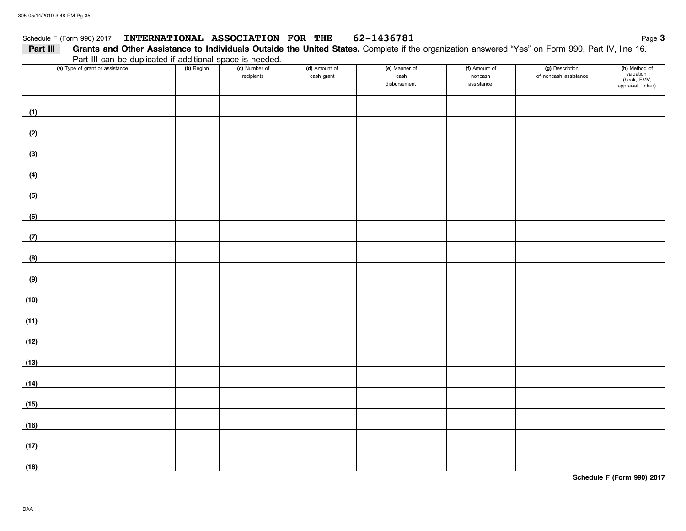### Schedule F (Form 990) 2017 **INTERNATIONAL ASSOCIATION FOR THE 62-1436781** Page 3 **INTERNATIONAL ASSOCIATION FOR THE 62-1436781**

| Part III                        |                                                           |                             |                             | Grants and Other Assistance to Individuals Outside the United States. Complete if the organization answered "Yes" on Form 990, Part IV, line 16. |                                        |                                          |                                                                |
|---------------------------------|-----------------------------------------------------------|-----------------------------|-----------------------------|--------------------------------------------------------------------------------------------------------------------------------------------------|----------------------------------------|------------------------------------------|----------------------------------------------------------------|
|                                 | Part III can be duplicated if additional space is needed. |                             |                             |                                                                                                                                                  |                                        |                                          |                                                                |
| (a) Type of grant or assistance | (b) Region                                                | (c) Number of<br>recipients | (d) Amount of<br>cash grant | (e) Manner of<br>cash<br>disbursement                                                                                                            | (f) Amount of<br>noncash<br>assistance | (g) Description<br>of noncash assistance | (h) Method of<br>valuation<br>(book, FMV,<br>appraisal, other) |
| (1)                             |                                                           |                             |                             |                                                                                                                                                  |                                        |                                          |                                                                |
| (2)                             |                                                           |                             |                             |                                                                                                                                                  |                                        |                                          |                                                                |
| (3)                             |                                                           |                             |                             |                                                                                                                                                  |                                        |                                          |                                                                |
| (4)                             |                                                           |                             |                             |                                                                                                                                                  |                                        |                                          |                                                                |
| (5)                             |                                                           |                             |                             |                                                                                                                                                  |                                        |                                          |                                                                |
| (6)                             |                                                           |                             |                             |                                                                                                                                                  |                                        |                                          |                                                                |
| (7)                             |                                                           |                             |                             |                                                                                                                                                  |                                        |                                          |                                                                |
| (8)                             |                                                           |                             |                             |                                                                                                                                                  |                                        |                                          |                                                                |
| (9)                             |                                                           |                             |                             |                                                                                                                                                  |                                        |                                          |                                                                |
| (10)                            |                                                           |                             |                             |                                                                                                                                                  |                                        |                                          |                                                                |
| (11)                            |                                                           |                             |                             |                                                                                                                                                  |                                        |                                          |                                                                |
| (12)                            |                                                           |                             |                             |                                                                                                                                                  |                                        |                                          |                                                                |
| (13)                            |                                                           |                             |                             |                                                                                                                                                  |                                        |                                          |                                                                |
| (14)                            |                                                           |                             |                             |                                                                                                                                                  |                                        |                                          |                                                                |
| (15)                            |                                                           |                             |                             |                                                                                                                                                  |                                        |                                          |                                                                |
| (16)                            |                                                           |                             |                             |                                                                                                                                                  |                                        |                                          |                                                                |
| (17)                            |                                                           |                             |                             |                                                                                                                                                  |                                        |                                          |                                                                |
| (18)                            |                                                           |                             |                             |                                                                                                                                                  |                                        |                                          |                                                                |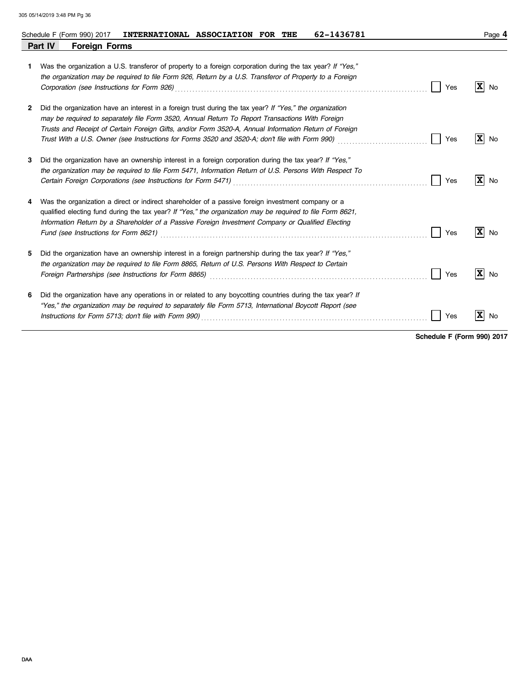|    | 62-1436781<br>INTERNATIONAL ASSOCIATION FOR THE<br>Schedule F (Form 990) 2017                                                                                                                                                                                                                                                                                                                                                                          | Page 4                        |
|----|--------------------------------------------------------------------------------------------------------------------------------------------------------------------------------------------------------------------------------------------------------------------------------------------------------------------------------------------------------------------------------------------------------------------------------------------------------|-------------------------------|
|    | Part IV<br><b>Foreign Forms</b>                                                                                                                                                                                                                                                                                                                                                                                                                        |                               |
| 1. | Was the organization a U.S. transferor of property to a foreign corporation during the tax year? If "Yes,"<br>the organization may be required to file Form 926, Return by a U.S. Transferor of Property to a Foreign<br>Corporation (see Instructions for Form 926)<br>Yes                                                                                                                                                                            | $\mathbf{x}$<br>No            |
| 2  | Did the organization have an interest in a foreign trust during the tax year? If "Yes," the organization<br>may be required to separately file Form 3520, Annual Return To Report Transactions With Foreign<br>Trusts and Receipt of Certain Foreign Gifts, and/or Form 3520-A, Annual Information Return of Foreign<br>Trust With a U.S. Owner (see Instructions for Forms 3520 and 3520-A; don't file with Form 990)<br>Yes                          | $\mathbf{x}$<br>No            |
| 3  | Did the organization have an ownership interest in a foreign corporation during the tax year? If "Yes,"<br>the organization may be required to file Form 5471, Information Return of U.S. Persons With Respect To<br>Certain Foreign Corporations (see Instructions for Form 5471) [2010] [2010] [2010] [2010] [2010] [2010] [2010<br>Yes                                                                                                              | $X$ No                        |
|    | Was the organization a direct or indirect shareholder of a passive foreign investment company or a<br>qualified electing fund during the tax year? If "Yes," the organization may be required to file Form 8621,<br>Information Return by a Shareholder of a Passive Foreign Investment Company or Qualified Electing<br>Yes                                                                                                                           | $\overline{\mathbf{x}}$<br>No |
| 5  | Did the organization have an ownership interest in a foreign partnership during the tax year? If "Yes,"<br>the organization may be required to file Form 8865, Return of U.S. Persons With Respect to Certain<br>Yes<br>Foreign Partnerships (see Instructions for Form 8865) Materian Construction Construction Construction Construction Construction Construction Construction Construction Construction Construction Construction Construction Con | $\mathbf{x}$<br>No            |
| 6  | Did the organization have any operations in or related to any boycotting countries during the tax year? If<br>"Yes," the organization may be required to separately file Form 5713, International Boycott Report (see<br>Instructions for Form 5713; don't file with Form 990)<br>Yes                                                                                                                                                                  | $\overline{\mathbf{x}}$<br>No |

**Schedule F (Form 990) 2017**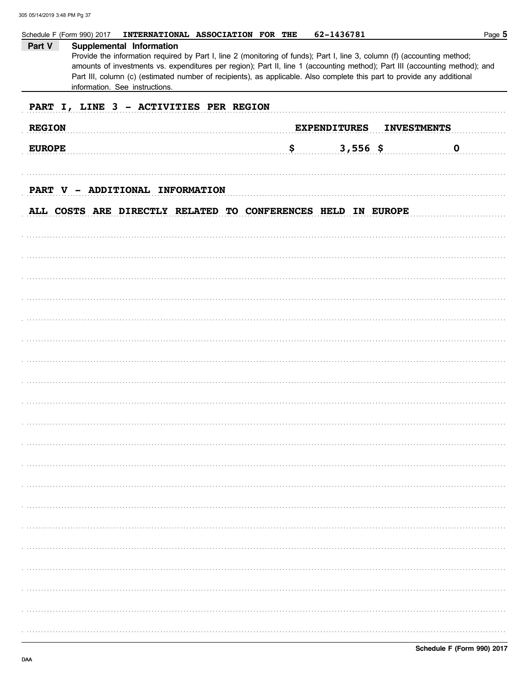|                                        | 62-1436781<br>INTERNATIONAL ASSOCIATION FOR THE<br>Schedule F (Form 990) 2017                                                                                                                                                                                                                                                                                                                                                                    | Page 5 |  |  |  |
|----------------------------------------|--------------------------------------------------------------------------------------------------------------------------------------------------------------------------------------------------------------------------------------------------------------------------------------------------------------------------------------------------------------------------------------------------------------------------------------------------|--------|--|--|--|
| Part V                                 | Supplemental Information<br>Provide the information required by Part I, line 2 (monitoring of funds); Part I, line 3, column (f) (accounting method;<br>amounts of investments vs. expenditures per region); Part II, line 1 (accounting method); Part III (accounting method); and<br>Part III, column (c) (estimated number of recipients), as applicable. Also complete this part to provide any additional<br>information. See instructions. |        |  |  |  |
| PART I, LINE 3 - ACTIVITIES PER REGION |                                                                                                                                                                                                                                                                                                                                                                                                                                                  |        |  |  |  |
| <b>REGION</b>                          | <b>EXPENDITURES</b><br><b>INVESTMENTS</b>                                                                                                                                                                                                                                                                                                                                                                                                        |        |  |  |  |
| <b>EUROPE</b>                          | \$<br>$3,556$ \$<br>$\mathbf 0$                                                                                                                                                                                                                                                                                                                                                                                                                  |        |  |  |  |
| <b>PART</b>                            | ADDITIONAL INFORMATION<br>$V -$                                                                                                                                                                                                                                                                                                                                                                                                                  |        |  |  |  |
|                                        | ALL COSTS ARE DIRECTLY RELATED TO CONFERENCES HELD IN EUROPE                                                                                                                                                                                                                                                                                                                                                                                     |        |  |  |  |
|                                        |                                                                                                                                                                                                                                                                                                                                                                                                                                                  |        |  |  |  |
|                                        |                                                                                                                                                                                                                                                                                                                                                                                                                                                  |        |  |  |  |
|                                        |                                                                                                                                                                                                                                                                                                                                                                                                                                                  |        |  |  |  |
|                                        |                                                                                                                                                                                                                                                                                                                                                                                                                                                  |        |  |  |  |
|                                        |                                                                                                                                                                                                                                                                                                                                                                                                                                                  |        |  |  |  |
|                                        |                                                                                                                                                                                                                                                                                                                                                                                                                                                  |        |  |  |  |
|                                        |                                                                                                                                                                                                                                                                                                                                                                                                                                                  |        |  |  |  |
|                                        |                                                                                                                                                                                                                                                                                                                                                                                                                                                  |        |  |  |  |
|                                        |                                                                                                                                                                                                                                                                                                                                                                                                                                                  |        |  |  |  |
|                                        |                                                                                                                                                                                                                                                                                                                                                                                                                                                  |        |  |  |  |
|                                        |                                                                                                                                                                                                                                                                                                                                                                                                                                                  |        |  |  |  |
|                                        |                                                                                                                                                                                                                                                                                                                                                                                                                                                  |        |  |  |  |
|                                        |                                                                                                                                                                                                                                                                                                                                                                                                                                                  |        |  |  |  |
|                                        |                                                                                                                                                                                                                                                                                                                                                                                                                                                  |        |  |  |  |
|                                        |                                                                                                                                                                                                                                                                                                                                                                                                                                                  |        |  |  |  |
|                                        |                                                                                                                                                                                                                                                                                                                                                                                                                                                  |        |  |  |  |
|                                        |                                                                                                                                                                                                                                                                                                                                                                                                                                                  |        |  |  |  |
|                                        |                                                                                                                                                                                                                                                                                                                                                                                                                                                  |        |  |  |  |
|                                        |                                                                                                                                                                                                                                                                                                                                                                                                                                                  |        |  |  |  |
|                                        |                                                                                                                                                                                                                                                                                                                                                                                                                                                  |        |  |  |  |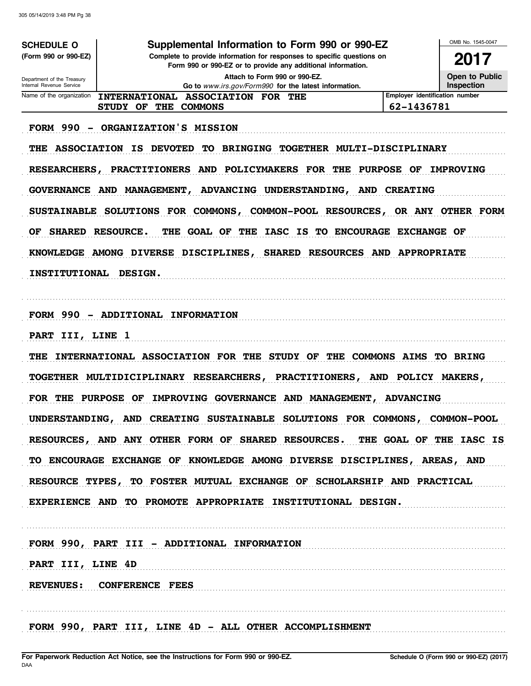| <b>SCHEDULE O</b>                                      | Supplemental Information to Form 990 or 990-EZ                                                |                                | OMB No. 1545-0047 |
|--------------------------------------------------------|-----------------------------------------------------------------------------------------------|--------------------------------|-------------------|
| (Form 990 or 990-EZ)                                   | Complete to provide information for responses to specific questions on                        |                                | 2017              |
|                                                        | Form 990 or 990-EZ or to provide any additional information.<br>Attach to Form 990 or 990-EZ. |                                | Open to Public    |
| Department of the Treasury<br>Internal Revenue Service | Go to www.irs.gov/Form990 for the latest information.                                         |                                | Inspection        |
| Name of the organization                               | INTERNATIONAL ASSOCIATION FOR THE                                                             | Employer identification number |                   |
|                                                        | STUDY OF THE<br><b>COMMONS</b>                                                                | 62-1436781                     |                   |
|                                                        | FORM 990 - ORGANIZATION'S MISSION                                                             |                                |                   |
| THE                                                    | <b>ASSOCIATION IS DEVOTED</b><br>TO BRINGING TOGETHER MULTI-DISCIPLINARY                      |                                |                   |
| <b>RESEARCHERS,</b>                                    | PRACTITIONERS AND POLICYMAKERS FOR THE                                                        | <b>PURPOSE OF</b>              | <b>IMPROVING</b>  |
|                                                        | GOVERNANCE AND MANAGEMENT,<br>ADVANCING UNDERSTANDING,                                        | AND CREATING                   |                   |
|                                                        | SUSTAINABLE SOLUTIONS FOR COMMONS, COMMON-POOL RESOURCES, OR ANY OTHER FORM                   |                                |                   |
| <b>SHARED</b><br>OF                                    | THE GOAL OF THE<br><b>IASC IS TO ENCOURAGE</b><br><b>RESOURCE.</b>                            | <b>EXCHANGE OF</b>             |                   |
|                                                        | KNOWLEDGE AMONG DIVERSE DISCIPLINES,<br>SHARED RESOURCES AND APPROPRIATE                      |                                |                   |
| <b>INSTITUTIONAL</b>                                   | <b>DESIGN.</b>                                                                                |                                |                   |
|                                                        |                                                                                               |                                |                   |
|                                                        | FORM 990 - ADDITIONAL INFORMATION                                                             |                                |                   |
|                                                        |                                                                                               |                                |                   |
| PART III, LINE 1                                       |                                                                                               |                                |                   |
| THE                                                    | INTERNATIONAL ASSOCIATION FOR THE STUDY OF                                                    | THE COMMONS AIMS TO BRING      |                   |
|                                                        | TOGETHER MULTIDICIPLINARY RESEARCHERS,<br>PRACTITIONERS, AND                                  |                                | POLICY MAKERS,    |
| FOR THE                                                | <b>PURPOSE</b><br>IMPROVING GOVERNANCE AND MANAGEMENT,<br>OF                                  | <b>ADVANCING</b>               |                   |
|                                                        | UNDERSTANDING, AND CREATING SUSTAINABLE SOLUTIONS FOR COMMONS, COMMON-POOL                    |                                |                   |
|                                                        | RESOURCES, AND ANY OTHER FORM OF SHARED RESOURCES. THE GOAL OF THE IASC IS                    |                                |                   |
|                                                        | TO ENCOURAGE EXCHANGE OF KNOWLEDGE AMONG DIVERSE DISCIPLINES, AREAS, AND                      |                                |                   |
|                                                        | RESOURCE TYPES, TO FOSTER MUTUAL EXCHANGE OF SCHOLARSHIP AND PRACTICAL                        |                                |                   |
|                                                        | EXPERIENCE AND TO PROMOTE APPROPRIATE INSTITUTIONAL DESIGN.                                   |                                |                   |
|                                                        |                                                                                               |                                |                   |
|                                                        | FORM 990, PART III - ADDITIONAL INFORMATION                                                   |                                |                   |
| PART III, LINE 4D                                      |                                                                                               |                                |                   |
|                                                        | REVENUES: CONFERENCE FEES                                                                     |                                |                   |
|                                                        |                                                                                               |                                |                   |
|                                                        |                                                                                               |                                |                   |
|                                                        | FORM 990, PART III, LINE 4D - ALL OTHER ACCOMPLISHMENT                                        |                                |                   |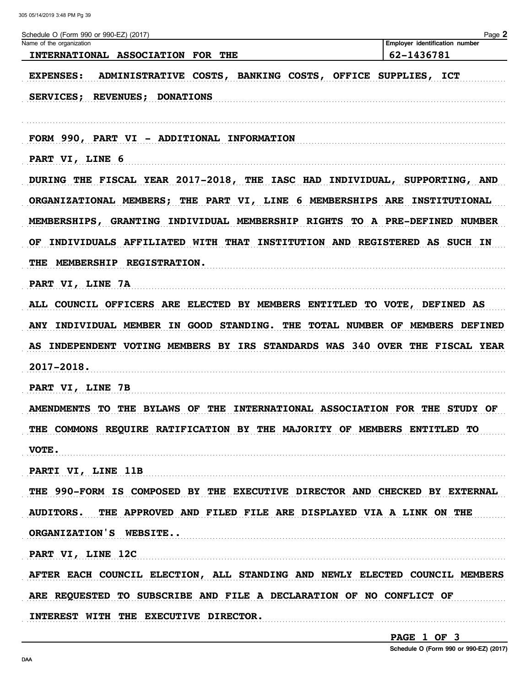| Name of the organization | Schedule O (Form 990 or 990-EZ) (2017)                                      | Page 2<br>Employer identification number |
|--------------------------|-----------------------------------------------------------------------------|------------------------------------------|
|                          | INTERNATIONAL ASSOCIATION FOR THE                                           | 62-1436781                               |
| <b>EXPENSES:</b>         | ADMINISTRATIVE COSTS, BANKING COSTS, OFFICE SUPPLIES, ICT                   |                                          |
|                          | SERVICES; REVENUES; DONATIONS                                               |                                          |
|                          |                                                                             |                                          |
|                          | FORM 990, PART VI - ADDITIONAL INFORMATION                                  |                                          |
| PART VI, LINE 6          |                                                                             |                                          |
|                          | DURING THE FISCAL YEAR 2017-2018, THE IASC HAD INDIVIDUAL, SUPPORTING, AND  |                                          |
|                          | ORGANIZATIONAL MEMBERS; THE PART VI, LINE 6 MEMBERSHIPS ARE INSTITUTIONAL   |                                          |
|                          | MEMBERSHIPS, GRANTING INDIVIDUAL MEMBERSHIP RIGHTS TO A PRE-DEFINED NUMBER  |                                          |
|                          | OF INDIVIDUALS AFFILIATED WITH THAT INSTITUTION AND REGISTERED AS SUCH IN   |                                          |
|                          | THE MEMBERSHIP REGISTRATION.                                                |                                          |
| PART VI, LINE 7A         |                                                                             |                                          |
|                          | ALL COUNCIL OFFICERS ARE ELECTED BY MEMBERS ENTITLED TO VOTE, DEFINED AS    |                                          |
|                          | ANY INDIVIDUAL MEMBER IN GOOD STANDING. THE TOTAL NUMBER OF MEMBERS DEFINED |                                          |
|                          | AS INDEPENDENT VOTING MEMBERS BY IRS STANDARDS WAS 340 OVER THE FISCAL YEAR |                                          |
| 2017-2018.               |                                                                             |                                          |
| PART VI, LINE 7B         |                                                                             |                                          |
|                          | AMENDMENTS TO THE BYLAWS OF THE INTERNATIONAL ASSOCIATION FOR THE STUDY OF  |                                          |
|                          | THE COMMONS REQUIRE RATIFICATION BY THE MAJORITY OF MEMBERS ENTITLED TO     |                                          |
| VOTE.                    |                                                                             |                                          |
| PARTI VI, LINE 11B       |                                                                             |                                          |
|                          | THE 990-FORM IS COMPOSED BY THE EXECUTIVE DIRECTOR AND CHECKED BY EXTERNAL  |                                          |
|                          | AUDITORS. THE APPROVED AND FILED FILE ARE DISPLAYED VIA A LINK ON THE       |                                          |
| ORGANIZATION'S WEBSITE   |                                                                             |                                          |
| PART VI, LINE 12C        |                                                                             |                                          |
|                          | AFTER EACH COUNCIL ELECTION, ALL STANDING AND NEWLY ELECTED COUNCIL MEMBERS |                                          |
|                          | ARE REQUESTED TO SUBSCRIBE AND FILE A DECLARATION OF NO CONFLICT OF         |                                          |
|                          |                                                                             |                                          |

PAGE 1 OF 3

Schedule O (Form 990 or 990-EZ) (2017)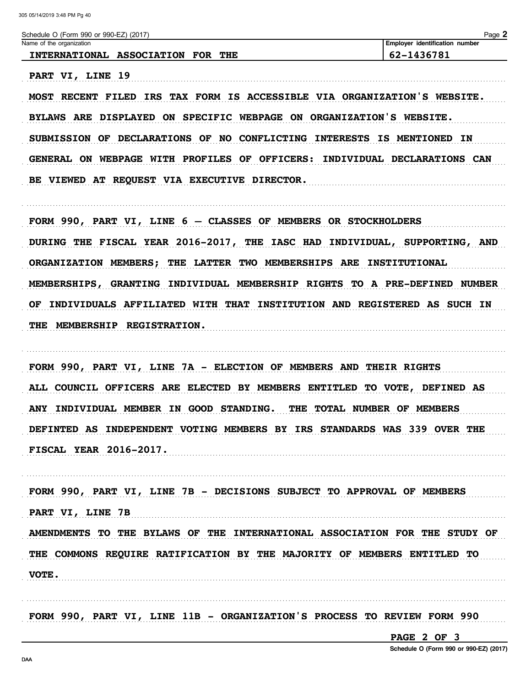Cabadule O (Farm 000 or 000 F7) (2017)

 $D<sub>0</sub>$ 

| SCIEGULE O (LOIIII 990 OI 990-EZ) (ZUTI)                        | raye .                                |
|-----------------------------------------------------------------|---------------------------------------|
| Name of the organization                                        | r identification number<br>. Emplover |
| <b>FOR</b><br><b>INTERNATIONAL</b><br><b>ASSOCIATION</b><br>THE | 62-1436781                            |

PART VI, LINE 19 MOST RECENT FILED IRS TAX FORM IS ACCESSIBLE VIA ORGANIZATION'S WEBSITE. BYLAWS ARE DISPLAYED ON SPECIFIC WEBPAGE ON ORGANIZATION'S WEBSITE. SUBMISSION OF DECLARATIONS OF NO CONFLICTING INTERESTS IS MENTIONED IN GENERAL ON WEBPAGE WITH PROFILES OF OFFICERS: INDIVIDUAL DECLARATIONS CAN BE VIEWED AT REQUEST VIA EXECUTIVE DIRECTOR.

FORM 990, PART VI, LINE 6 - CLASSES OF MEMBERS OR STOCKHOLDERS DURING THE FISCAL YEAR 2016-2017, THE IASC HAD INDIVIDUAL, SUPPORTING, AND ORGANIZATION MEMBERS; THE LATTER TWO MEMBERSHIPS ARE INSTITUTIONAL MEMBERSHIPS, GRANTING INDIVIDUAL MEMBERSHIP RIGHTS TO A PRE-DEFINED NUMBER OF INDIVIDUALS AFFILIATED WITH THAT INSTITUTION AND REGISTERED AS SUCH IN THE MEMBERSHIP REGISTRATION.

FORM 990, PART VI, LINE 7A - ELECTION OF MEMBERS AND THEIR RIGHTS ALL COUNCIL OFFICERS ARE ELECTED BY MEMBERS ENTITLED TO VOTE, DEFINED AS ANY INDIVIDUAL MEMBER IN GOOD STANDING. THE TOTAL NUMBER OF MEMBERS DEFINTED AS INDEPENDENT VOTING MEMBERS BY IRS STANDARDS WAS 339 OVER THE **FISCAL YEAR 2016-2017.** 

FORM 990, PART VI, LINE 7B - DECISIONS SUBJECT TO APPROVAL OF MEMBERS PART VI, LINE 7B AMENDMENTS TO THE BYLAWS OF THE INTERNATIONAL ASSOCIATION FOR THE STUDY OF THE COMMONS REQUIRE RATIFICATION BY THE MAJORITY OF MEMBERS ENTITLED TO **VOTE.** 

FORM 990, PART VI, LINE 11B - ORGANIZATION'S PROCESS TO REVIEW FORM 990

PAGE 2 OF 3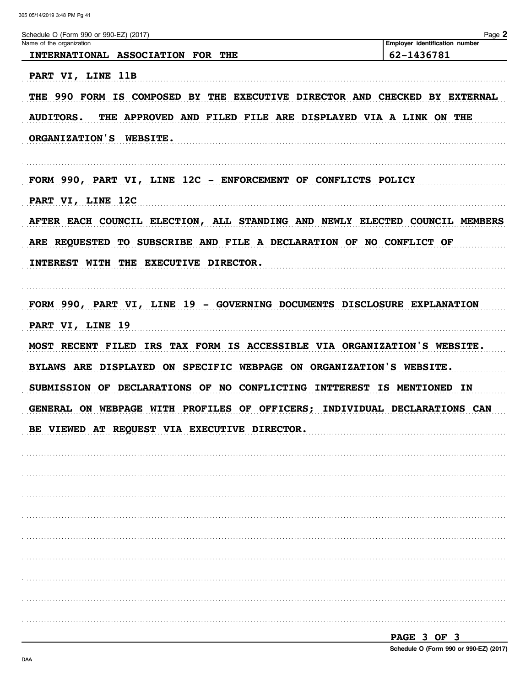|                                                                                 | Page 2<br>Employer identification number |  |
|---------------------------------------------------------------------------------|------------------------------------------|--|
| INTERNATIONAL ASSOCIATION FOR THE                                               | 62-1436781                               |  |
| PART VI, LINE 11B                                                               |                                          |  |
| THE 990 FORM IS COMPOSED BY THE EXECUTIVE DIRECTOR AND CHECKED BY EXTERNAL      |                                          |  |
| THE APPROVED AND FILED FILE ARE DISPLAYED VIA A LINK ON THE<br><b>AUDITORS.</b> |                                          |  |
| ORGANIZATION'S WEBSITE.                                                         |                                          |  |
|                                                                                 |                                          |  |
| FORM 990, PART VI, LINE 12C - ENFORCEMENT OF CONFLICTS POLICY                   |                                          |  |
| PART VI, LINE 12C                                                               |                                          |  |
|                                                                                 |                                          |  |
| AFTER EACH COUNCIL ELECTION, ALL STANDING AND NEWLY ELECTED COUNCIL MEMBERS     |                                          |  |
| ARE REQUESTED TO SUBSCRIBE AND FILE A DECLARATION OF NO CONFLICT OF             |                                          |  |
| INTEREST WITH THE EXECUTIVE DIRECTOR.                                           |                                          |  |
|                                                                                 |                                          |  |
| FORM 990, PART VI, LINE 19 - GOVERNING DOCUMENTS DISCLOSURE EXPLANATION         |                                          |  |
| PART VI, LINE 19                                                                |                                          |  |
| MOST RECENT FILED IRS TAX FORM IS ACCESSIBLE VIA ORGANIZATION'S WEBSITE.        |                                          |  |
| BYLAWS ARE DISPLAYED ON SPECIFIC WEBPAGE ON ORGANIZATION'S WEBSITE.             |                                          |  |
| SUBMISSION OF DECLARATIONS OF NO CONFLICTING INTTEREST IS MENTIONED IN          |                                          |  |
|                                                                                 |                                          |  |
| GENERAL ON WEBPAGE WITH PROFILES OF OFFICERS; INDIVIDUAL DECLARATIONS CAN       |                                          |  |
| BE VIEWED AT REQUEST VIA EXECUTIVE DIRECTOR.                                    |                                          |  |
|                                                                                 |                                          |  |
|                                                                                 |                                          |  |
|                                                                                 |                                          |  |
|                                                                                 |                                          |  |
|                                                                                 |                                          |  |
|                                                                                 |                                          |  |
|                                                                                 |                                          |  |
|                                                                                 |                                          |  |
|                                                                                 |                                          |  |
|                                                                                 |                                          |  |

Schedule O (Form 990 or 990-EZ) (2017)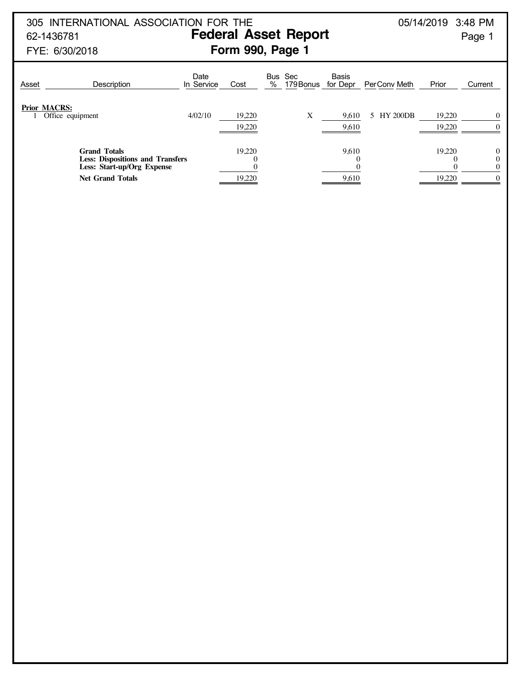## 305 INTERNATIONAL ASSOCIATION FOR THE 05/14/2019 3:48 PM 62-1436781 **Federal Asset Report** Page 1

# FYE: 6/30/2018 **Form 990, Page 1**

| Asset               | Description                                                                                                             | Date<br>In Service | Cost             | Bus Sec<br>%<br>179 Bonus | <b>Basis</b><br>for Depr | PerConv Meth    | Prior            | Current  |
|---------------------|-------------------------------------------------------------------------------------------------------------------------|--------------------|------------------|---------------------------|--------------------------|-----------------|------------------|----------|
| <b>Prior MACRS:</b> | Office equipment                                                                                                        | 4/02/10            | 19,220<br>19.220 | X                         | 9,610<br>9,610           | <b>HY 200DB</b> | 19.220<br>19.220 | $\Omega$ |
|                     | <b>Grand Totals</b><br><b>Less: Dispositions and Transfers</b><br>Less: Start-up/Org Expense<br><b>Net Grand Totals</b> |                    | 19.220<br>19,220 |                           | 9,610<br>9,610           |                 | 19.220<br>19,220 |          |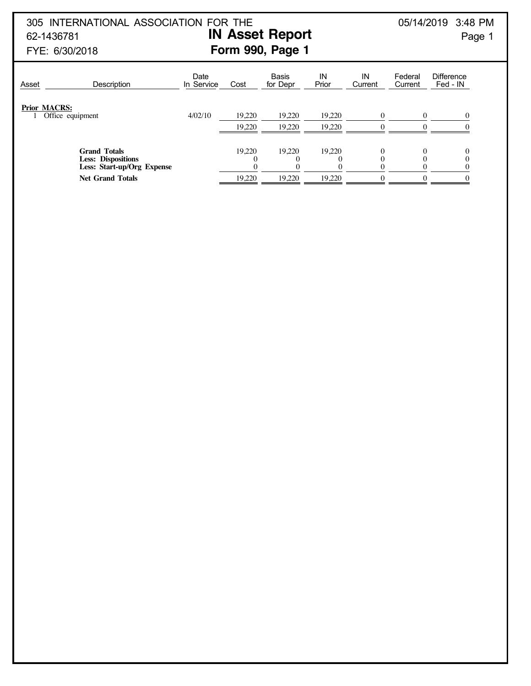305 INTERNATIONAL ASSOCIATION FOR THE 05/14/2019 3:48 PM 62-1436781 **IN Asset Report** Page 1

# FYE: 6/30/2018 **Form 990, Page 1**

# Date Basis IN IN Federal Difference<br>In Service Cost for Depr Prior Current Current Fed IN Asset Description In Service Cost for Depr Prior Current Current Fed - IN **Prior MACRS:** 1 Office equipment 4/02/10 19,220 19,220 19,220 0 0 0 19,220 19,220 0 0 0 **Grand Totals** 19,220 19,220 19,220 0 0 0 0 **Less: Dispositions** 0 0 0 0 0 0 Less: Start-up/Org Expense

**Net Grand Totals** 19,220 19,220 19,220 0 0 0 0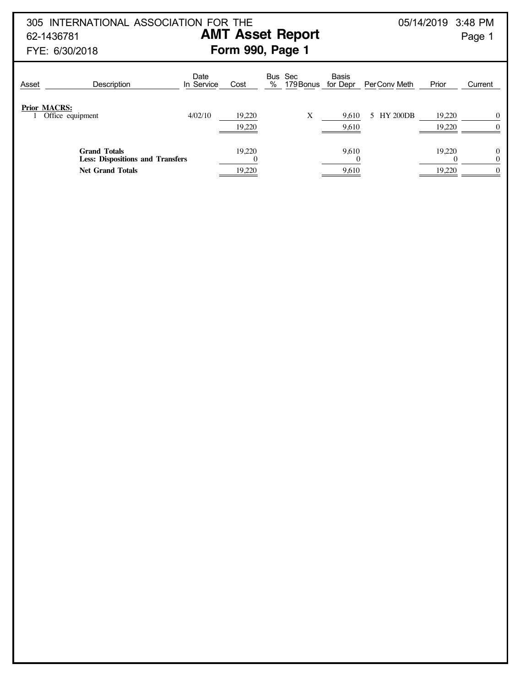305 INTERNATIONAL ASSOCIATION FOR THE 05/14/2019 3:48 PM 62-1436781 **AMT Asset Report** Page 1

# FYE: 6/30/2018 **Form 990, Page 1**

| Asset | Description                                                                               | Date<br>In Service | Cost             | Bus<br>% | Sec<br>179 Bonus for Depr | <b>Basis</b>   | Per Conv Meth | Prior            | Current              |
|-------|-------------------------------------------------------------------------------------------|--------------------|------------------|----------|---------------------------|----------------|---------------|------------------|----------------------|
|       | <b>Prior MACRS:</b><br>Office equipment                                                   | 4/02/10            | 19,220<br>19,220 |          | Х                         | 9,610<br>9,610 | 5 HY 200DB    | 19,220<br>19.220 |                      |
|       | <b>Grand Totals</b><br><b>Less: Dispositions and Transfers</b><br><b>Net Grand Totals</b> |                    | 19.220<br>19,220 |          |                           | 9.610<br>9,610 |               | 19.220<br>19,220 | $\Omega$<br>$\Omega$ |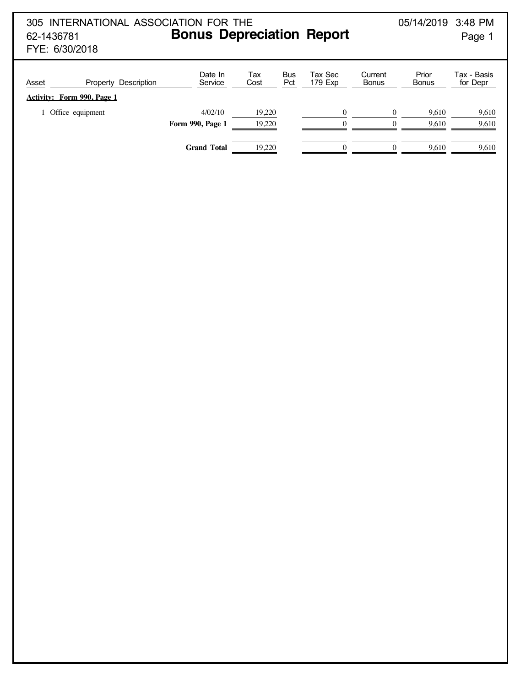# 305 INTERNATIONAL ASSOCIATION FOR THE 05/14/2019 3:48 PM 62-1436781 **Bonus Depreciation Report** Page 1

FYE: 6/30/2018

| Asset<br>Description<br>Property<br>Activity: Form 990, Page 1 | Date In<br>Service      | Тах<br>Cost | <b>Bus</b><br>Pct | Tax Sec<br>179 Exp | Current<br><b>Bonus</b> | Prior<br><b>Bonus</b> | Tax - Basis<br>for Depr |
|----------------------------------------------------------------|-------------------------|-------------|-------------------|--------------------|-------------------------|-----------------------|-------------------------|
| Office equipment                                               | 4/02/10                 | 19,220      |                   | $\Omega$           |                         | 9,610                 | 9,610                   |
|                                                                | <b>Form 990, Page 1</b> | 19,220      |                   | $\Omega$           |                         | 9.610                 | 9,610                   |
|                                                                |                         |             |                   |                    |                         |                       |                         |
|                                                                | <b>Grand Total</b>      | 19,220      |                   | $\Omega$           |                         | 9.610                 | 9,610                   |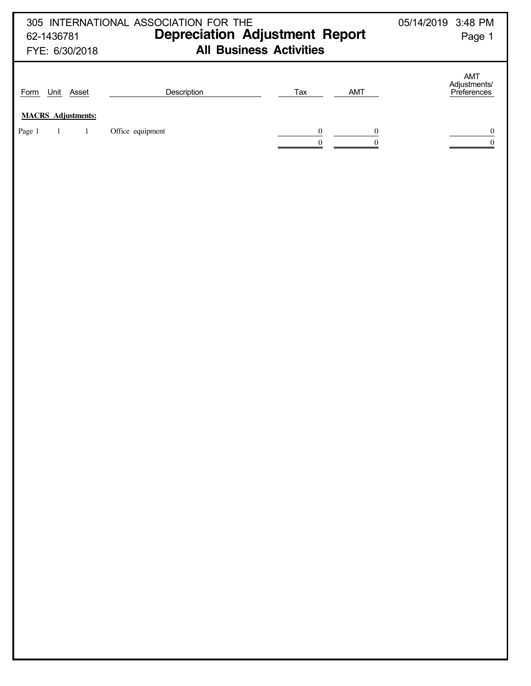| 305 INTERNATIONAL ASSOCIATION FOR THE<br>05/14/2019 3:48 PM |                                       |                                                |                                    |  |  |  |
|-------------------------------------------------------------|---------------------------------------|------------------------------------------------|------------------------------------|--|--|--|
| 62-1436781                                                  | <b>Depreciation Adjustment Report</b> |                                                | Page 1                             |  |  |  |
| FYE: 6/30/2018                                              | <b>All Business Activities</b>        |                                                |                                    |  |  |  |
| Form Unit Asset                                             | Description                           | Tax<br>AMT                                     | AMT<br>Adjustments/<br>Preferences |  |  |  |
| <b>MACRS</b> Adjustments:                                   |                                       |                                                |                                    |  |  |  |
| Page 1<br>$\overline{1}$<br>$\mathbf{1}$                    | Office equipment                      | $\frac{0}{0}$<br>$\overline{0}$<br>$\mathbf 0$ | 0<br>$\boldsymbol{0}$              |  |  |  |
|                                                             |                                       |                                                |                                    |  |  |  |
|                                                             |                                       |                                                |                                    |  |  |  |
|                                                             |                                       |                                                |                                    |  |  |  |
|                                                             |                                       |                                                |                                    |  |  |  |
|                                                             |                                       |                                                |                                    |  |  |  |
|                                                             |                                       |                                                |                                    |  |  |  |
|                                                             |                                       |                                                |                                    |  |  |  |
|                                                             |                                       |                                                |                                    |  |  |  |
|                                                             |                                       |                                                |                                    |  |  |  |
|                                                             |                                       |                                                |                                    |  |  |  |
|                                                             |                                       |                                                |                                    |  |  |  |
|                                                             |                                       |                                                |                                    |  |  |  |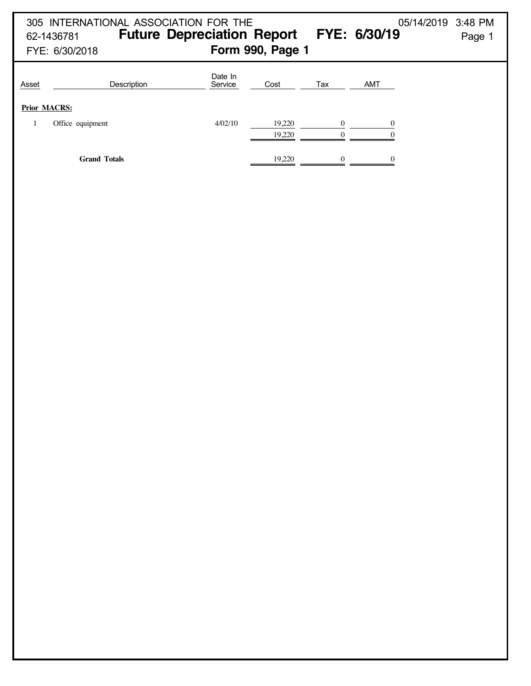|                              | 305 INTERNATIONAL ASSOCIATION FOR THE<br>62-1436781<br>FYE: 6/30/2018 | <b>Future Depreciation Report</b> | Form 990, Page 1 |          | FYE: 6/30/19 | 05/14/2019<br>3:48 PM<br>Page 1 |
|------------------------------|-----------------------------------------------------------------------|-----------------------------------|------------------|----------|--------------|---------------------------------|
| Asset<br><b>Prior MACRS:</b> | Description                                                           | Date In<br>Service                | Cost             | Tax      | <b>AMT</b>   |                                 |
|                              | Office equipment                                                      | 4/02/10                           | 19.220<br>19.220 | $\Omega$ | 0            |                                 |
|                              | <b>Grand Totals</b>                                                   |                                   | 19,220           |          |              |                                 |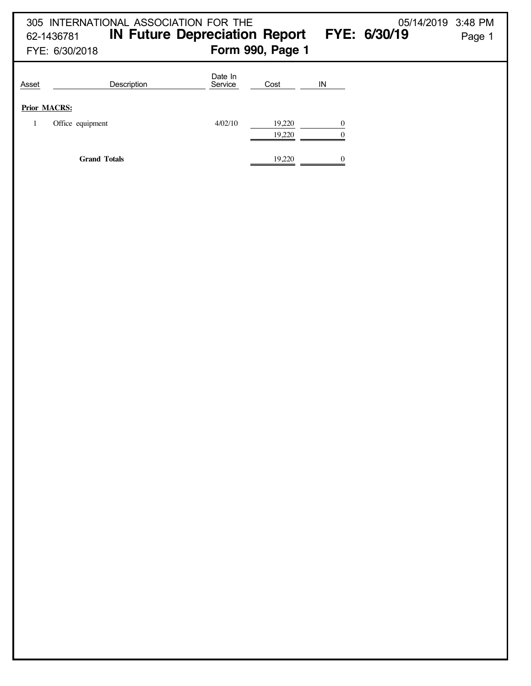|                     | 62-1436781<br>FYE: 6/30/2018 | 305 INTERNATIONAL ASSOCIATION FOR THE<br><b>IN Future Depreciation Report</b> |                    | Form 990, Page 1 |          | 05/14/2019 3:48 PM<br>FYE: 6/30/19 | Page 1 |
|---------------------|------------------------------|-------------------------------------------------------------------------------|--------------------|------------------|----------|------------------------------------|--------|
| Asset               |                              | Description                                                                   | Date In<br>Service | Cost             | IN       |                                    |        |
| <b>Prior MACRS:</b> |                              |                                                                               |                    |                  |          |                                    |        |
|                     | Office equipment             |                                                                               | 4/02/10            | 19,220           | $\Omega$ |                                    |        |
|                     |                              |                                                                               |                    | 19,220           |          |                                    |        |
|                     | <b>Grand Totals</b>          |                                                                               |                    | 19,220           |          |                                    |        |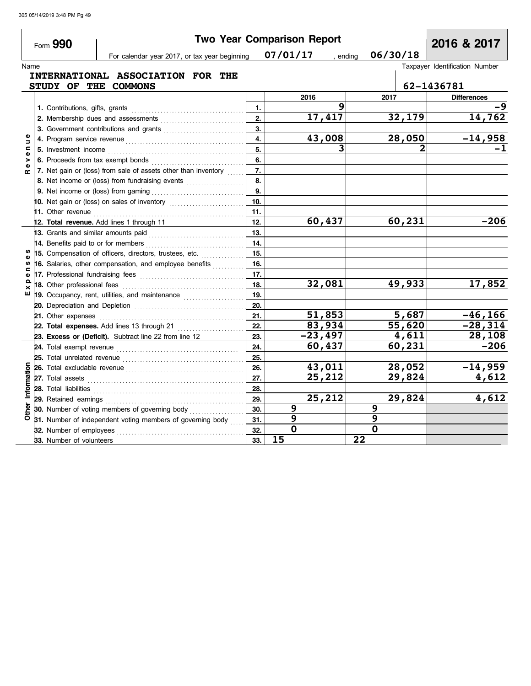|                               | Form 990                            |                                                                                                                                                                                                                                      |            | <b>Two Year Comparison Report</b> |                      | 2016 & 2017                    |
|-------------------------------|-------------------------------------|--------------------------------------------------------------------------------------------------------------------------------------------------------------------------------------------------------------------------------------|------------|-----------------------------------|----------------------|--------------------------------|
|                               |                                     | For calendar year 2017, or tax year beginning                                                                                                                                                                                        |            | 07/01/17                          | 06/30/18<br>, ending |                                |
| Name                          |                                     |                                                                                                                                                                                                                                      |            |                                   |                      | Taxpayer Identification Number |
|                               |                                     | INTERNATIONAL ASSOCIATION FOR THE                                                                                                                                                                                                    |            |                                   |                      |                                |
|                               | <b>STUDY OF</b>                     | THE COMMONS                                                                                                                                                                                                                          |            |                                   |                      | 62-1436781                     |
|                               |                                     |                                                                                                                                                                                                                                      |            | 2016                              | 2017                 | <b>Differences</b>             |
|                               | 1. Contributions, gifts, grants     |                                                                                                                                                                                                                                      | 1.         | q                                 |                      |                                |
|                               |                                     | 2. Membership dues and assessments [11] Martin Martin Martin Martin Martin Martin Martin Martin Martin Martin Martin Martin Martin Martin Martin Martin Martin Martin Martin Martin Martin Martin Martin Martin Martin Martin        | 2.         | 17,417                            | 32,179               | 14,762                         |
|                               |                                     |                                                                                                                                                                                                                                      | 3.         |                                   |                      |                                |
| Ξ                             |                                     |                                                                                                                                                                                                                                      | 4.         | 43,008                            | 28,050               | $\frac{-14,958}{-1}$           |
| c<br>Φ                        | 5. Investment income                |                                                                                                                                                                                                                                      | 5.         | 3                                 |                      |                                |
| ><br>Φ                        |                                     | 6. Proceeds from tax exempt bonds                                                                                                                                                                                                    | 6.         |                                   |                      |                                |
| $\mathbf{r}$                  |                                     | 7. Net gain or (loss) from sale of assets other than inventory                                                                                                                                                                       | 7.         |                                   |                      |                                |
|                               |                                     | 8. Net income or (loss) from fundraising events                                                                                                                                                                                      | 8.         |                                   |                      |                                |
|                               |                                     |                                                                                                                                                                                                                                      | 9.         |                                   |                      |                                |
|                               |                                     | 10. Net gain or (loss) on sales of inventory $\ldots$                                                                                                                                                                                | 10.        |                                   |                      |                                |
|                               |                                     |                                                                                                                                                                                                                                      | 11.        |                                   |                      |                                |
|                               |                                     | 12. Total revenue. Add lines 1 through 11                                                                                                                                                                                            | 12.        | 60,437                            | 60, 231              | $-206$                         |
|                               | 13. Grants and similar amounts paid |                                                                                                                                                                                                                                      | 13.        |                                   |                      |                                |
|                               | 14. Benefits paid to or for members |                                                                                                                                                                                                                                      | 14.        |                                   |                      |                                |
|                               |                                     | 15. Compensation of officers, directors, trustees, etc.                                                                                                                                                                              | 15.        |                                   |                      |                                |
| S)                            |                                     | 16. Salaries, other compensation, and employee benefits                                                                                                                                                                              | 16.        |                                   |                      |                                |
| $\mathbf{\omega}$<br>$\Omega$ |                                     |                                                                                                                                                                                                                                      | 17.        |                                   |                      |                                |
| ×                             | 18. Other professional fees         |                                                                                                                                                                                                                                      | 18.        | 32,081                            | 49,933               | 17,852                         |
| ш                             |                                     | 19. Occupancy, rent, utilities, and maintenance                                                                                                                                                                                      | 19.        |                                   |                      |                                |
|                               |                                     |                                                                                                                                                                                                                                      | 20.        |                                   |                      |                                |
|                               | 21. Other expenses                  |                                                                                                                                                                                                                                      | 21.        | 51,853                            | 5,687                | $-46, 166$<br>$-28, 314$       |
|                               |                                     | 22. Total expenses. Add lines 13 through 21                                                                                                                                                                                          | 22.        | 83,934                            | 55,620               |                                |
|                               |                                     | 23. Excess or (Deficit). Subtract line 22 from line 12                                                                                                                                                                               | 23.        | $-23,497$<br>60,437               | 4,611<br>60,231      | 28,108<br>$-206$               |
|                               |                                     |                                                                                                                                                                                                                                      | 24.        |                                   |                      |                                |
|                               |                                     |                                                                                                                                                                                                                                      | 25.<br>26. | 43,011                            | 28,052               | $-14,959$                      |
|                               |                                     |                                                                                                                                                                                                                                      | 27.        | 25,212                            | 29,824               | 4,612                          |
| Information                   |                                     |                                                                                                                                                                                                                                      | 28.        |                                   |                      |                                |
|                               |                                     | 28. Total liabilities <b>constant in the set of the set of the set of the set of the set of the set of the set of the set of the set of the set of the set of the set of the set of the set of the set of the set of the set of </b> | 29.        | 25,212                            | 29,824               | 4,612                          |
|                               |                                     |                                                                                                                                                                                                                                      | 30.        | 9                                 | 9                    |                                |
|                               |                                     |                                                                                                                                                                                                                                      | 31.        | 9                                 | 9                    |                                |
|                               |                                     | $\frac{1}{6}$ 30. Number of voting members or governing $\frac{1}{6}$ 31. Number of independent voting members of governing body                                                                                                     | 32.        | $\overline{\mathbf{o}}$           | $\mathbf 0$          |                                |
|                               | 33. Number of volunteers            |                                                                                                                                                                                                                                      | 33.        | 15                                | $\overline{22}$      |                                |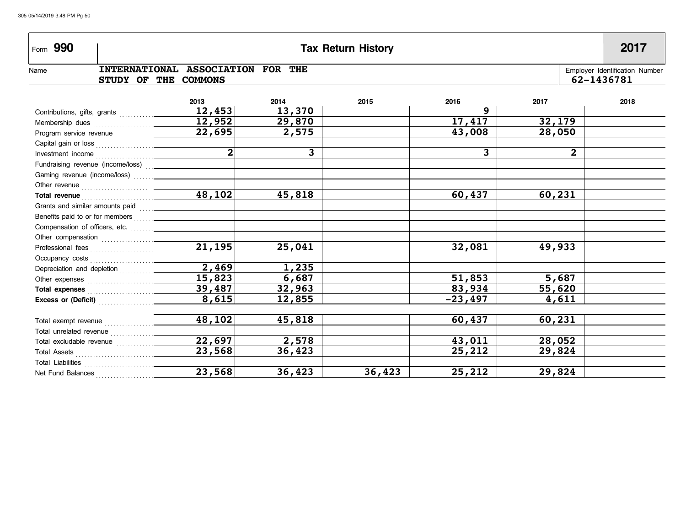| Form 990                                                                                                                                                                                                                       |                                                  |        | <b>Tax Return History</b> |           |              | 2017                                         |
|--------------------------------------------------------------------------------------------------------------------------------------------------------------------------------------------------------------------------------|--------------------------------------------------|--------|---------------------------|-----------|--------------|----------------------------------------------|
| Name<br><b>STUDY OF</b>                                                                                                                                                                                                        | INTERNATIONAL ASSOCIATION FOR THE<br>THE COMMONS |        |                           |           |              | Employer Identification Number<br>62-1436781 |
|                                                                                                                                                                                                                                | 2013                                             | 2014   | 2015                      | 2016      | 2017         | 2018                                         |
|                                                                                                                                                                                                                                | 12,453                                           | 13,370 |                           | 9         |              |                                              |
|                                                                                                                                                                                                                                | $\overline{12}$ , 952                            | 29,870 |                           | 17,417    | 32,179       |                                              |
| Program service revenue                                                                                                                                                                                                        | 22,695                                           | 2,575  |                           | 43,008    | 28,050       |                                              |
|                                                                                                                                                                                                                                |                                                  |        |                           |           |              |                                              |
|                                                                                                                                                                                                                                |                                                  | 3      |                           | 3         | $\mathbf{2}$ |                                              |
|                                                                                                                                                                                                                                |                                                  |        |                           |           |              |                                              |
|                                                                                                                                                                                                                                |                                                  |        |                           |           |              |                                              |
|                                                                                                                                                                                                                                |                                                  |        |                           |           |              |                                              |
|                                                                                                                                                                                                                                | $\boxed{48,102}$                                 | 45,818 |                           | 60,437    | 60,231       |                                              |
|                                                                                                                                                                                                                                |                                                  |        |                           |           |              |                                              |
| Benefits paid to or for members [11, 11, 12] [10] Denetits paid to or for members                                                                                                                                              |                                                  |        |                           |           |              |                                              |
|                                                                                                                                                                                                                                |                                                  |        |                           |           |              |                                              |
| Other compensation [1] contained a set of the compensation and set of the contact of the contact of the contact of the contact of the contact of the contact of the contact of the contact of the contact of the contact of th |                                                  |        |                           |           |              |                                              |
|                                                                                                                                                                                                                                | $\overline{21,195}$                              | 25,041 |                           | 32,081    | 49,933       |                                              |
|                                                                                                                                                                                                                                |                                                  |        |                           |           |              |                                              |
|                                                                                                                                                                                                                                | 2,469                                            | 1,235  |                           |           |              |                                              |
|                                                                                                                                                                                                                                | 15,823                                           | 6,687  |                           | 51,853    | 5,687        |                                              |
| Total expenses <b>Manual</b>                                                                                                                                                                                                   | 39,487                                           | 32,963 |                           | 83,934    | 55,620       |                                              |
| Excess or (Deficit) <b>Excess</b>                                                                                                                                                                                              | 8,615                                            | 12,855 |                           | $-23,497$ | 4,611        |                                              |
|                                                                                                                                                                                                                                | 48,102                                           | 45,818 |                           | 60,437    | 60,231       |                                              |
|                                                                                                                                                                                                                                |                                                  |        |                           |           |              |                                              |
|                                                                                                                                                                                                                                | 22,697                                           | 2,578  |                           | 43,011    | 28,052       |                                              |
|                                                                                                                                                                                                                                | 23,568                                           | 36,423 |                           | 25,212    | 29,824       |                                              |
| Total Liabilities                                                                                                                                                                                                              |                                                  |        |                           |           |              |                                              |
| Net Fund Balances                                                                                                                                                                                                              | $\overline{23,568}$                              | 36,423 | 36,423                    | 25,212    | 29,824       |                                              |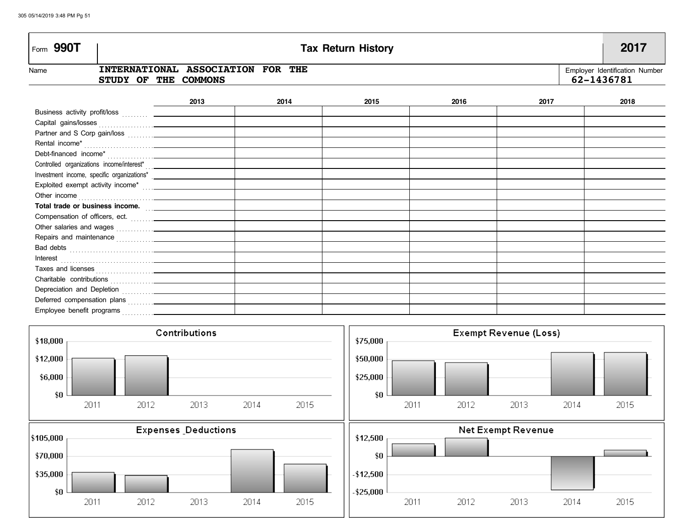| Form 990T                                                                                                                                                                                                                                                                  | <b>Tax Return History</b>                        |      |      |      |      |                                              |
|----------------------------------------------------------------------------------------------------------------------------------------------------------------------------------------------------------------------------------------------------------------------------|--------------------------------------------------|------|------|------|------|----------------------------------------------|
| Name<br><b>STUDY OF</b>                                                                                                                                                                                                                                                    | INTERNATIONAL ASSOCIATION FOR THE<br>THE COMMONS |      |      |      |      | Employer Identification Number<br>62-1436781 |
|                                                                                                                                                                                                                                                                            | 2013                                             | 2014 | 2015 | 2016 | 2017 | 2018                                         |
|                                                                                                                                                                                                                                                                            |                                                  |      |      |      |      |                                              |
|                                                                                                                                                                                                                                                                            |                                                  |      |      |      |      |                                              |
|                                                                                                                                                                                                                                                                            |                                                  |      |      |      |      |                                              |
|                                                                                                                                                                                                                                                                            |                                                  |      |      |      |      |                                              |
|                                                                                                                                                                                                                                                                            |                                                  |      |      |      |      |                                              |
|                                                                                                                                                                                                                                                                            |                                                  |      |      |      |      |                                              |
|                                                                                                                                                                                                                                                                            |                                                  |      |      |      |      |                                              |
|                                                                                                                                                                                                                                                                            |                                                  |      |      |      |      |                                              |
|                                                                                                                                                                                                                                                                            |                                                  |      |      |      |      |                                              |
| Total trade or business income.                                                                                                                                                                                                                                            |                                                  |      |      |      |      |                                              |
| Compensation of officers, ect.                                                                                                                                                                                                                                             |                                                  |      |      |      |      |                                              |
|                                                                                                                                                                                                                                                                            |                                                  |      |      |      |      |                                              |
| Repairs and maintenance contains and maintenance and maintenance and maintenance and maintenance and maintenance                                                                                                                                                           |                                                  |      |      |      |      |                                              |
| Bad debts <u>with a series of the series of the series of the series of the series of the series of the series of the series of the series of the series of the series of the series of the series of the series of the series o</u>                                       |                                                  |      |      |      |      |                                              |
| Interest<br>interest<br>interest<br>interest<br>interest<br>interest<br>interest<br>interest<br>interest<br>interest<br>interest<br>interest<br>interest<br>interest<br>interest<br>interest<br>interest<br>interest<br>interest<br>interest<br>interest<br>interest<br>in |                                                  |      |      |      |      |                                              |
|                                                                                                                                                                                                                                                                            |                                                  |      |      |      |      |                                              |
|                                                                                                                                                                                                                                                                            |                                                  |      |      |      |      |                                              |
| Depreciation and Depletion <b>Constantine Construction</b>                                                                                                                                                                                                                 |                                                  |      |      |      |      |                                              |
|                                                                                                                                                                                                                                                                            |                                                  |      |      |      |      |                                              |
| Employee benefit programs<br>. <u>.</u>                                                                                                                                                                                                                                    |                                                  |      |      |      |      |                                              |

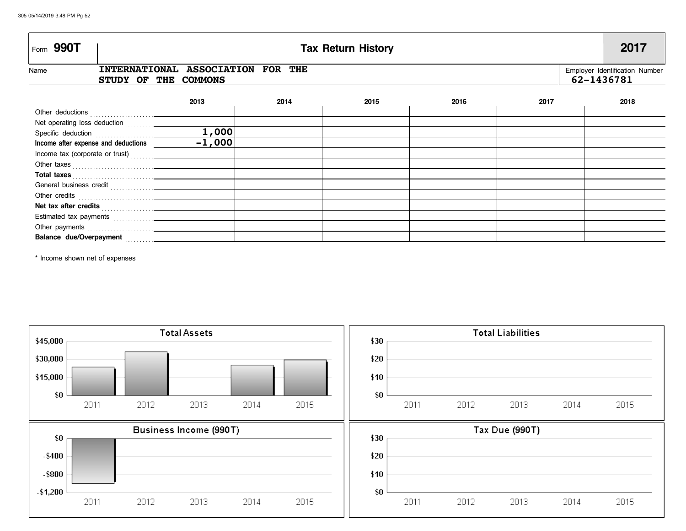| Form 990T                                                                                                                                                                                                                      | <b>Tax Return History</b>                                                                                 |      |      |      |      |      |
|--------------------------------------------------------------------------------------------------------------------------------------------------------------------------------------------------------------------------------|-----------------------------------------------------------------------------------------------------------|------|------|------|------|------|
| Name                                                                                                                                                                                                                           | INTERNATIONAL ASSOCIATION FOR THE<br>Employer Identification Number<br>62-1436781<br>STUDY OF THE COMMONS |      |      |      |      |      |
|                                                                                                                                                                                                                                | 2013                                                                                                      | 2014 | 2015 | 2016 | 2017 | 2018 |
|                                                                                                                                                                                                                                |                                                                                                           |      |      |      |      |      |
| Net operating loss deduction [1] [1] Net operating loss deduction                                                                                                                                                              |                                                                                                           |      |      |      |      |      |
|                                                                                                                                                                                                                                | 1,000                                                                                                     |      |      |      |      |      |
| Income after expense and deductions __________                                                                                                                                                                                 | $-1,000$                                                                                                  |      |      |      |      |      |
|                                                                                                                                                                                                                                |                                                                                                           |      |      |      |      |      |
|                                                                                                                                                                                                                                |                                                                                                           |      |      |      |      |      |
| Total taxes                                                                                                                                                                                                                    |                                                                                                           |      |      |      |      |      |
| General business credit [111] [11] Contract Dental District Product District District District District District District District District District District District District District District District District District D |                                                                                                           |      |      |      |      |      |
|                                                                                                                                                                                                                                |                                                                                                           |      |      |      |      |      |
|                                                                                                                                                                                                                                |                                                                                                           |      |      |      |      |      |
|                                                                                                                                                                                                                                |                                                                                                           |      |      |      |      |      |
|                                                                                                                                                                                                                                |                                                                                                           |      |      |      |      |      |
|                                                                                                                                                                                                                                |                                                                                                           |      |      |      |      |      |

\* Income shown net of expenses

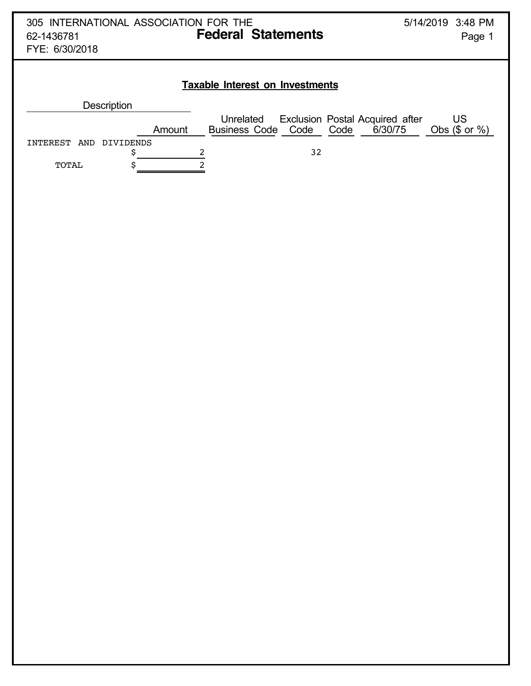|                              | 305 INTERNATIONAL ASSOCIATION FOR THE<br>5/14/2019 3:48 PM |                                                                                |  |  |  |  |  |  |  |
|------------------------------|------------------------------------------------------------|--------------------------------------------------------------------------------|--|--|--|--|--|--|--|
| 62-1436781                   | <b>Federal Statements</b>                                  | Page 1                                                                         |  |  |  |  |  |  |  |
| FYE: 6/30/2018               |                                                            |                                                                                |  |  |  |  |  |  |  |
|                              |                                                            |                                                                                |  |  |  |  |  |  |  |
|                              | <b>Taxable Interest on Investments</b>                     |                                                                                |  |  |  |  |  |  |  |
| <b>Description</b>           |                                                            |                                                                                |  |  |  |  |  |  |  |
| Amount                       | Unrelated<br>Business Code Code                            | US<br>Exclusion Postal Acquired after<br>Code<br>6/30/75<br>Obs $(\$$ or $%$ ) |  |  |  |  |  |  |  |
| INTEREST<br>DIVIDENDS<br>AND |                                                            |                                                                                |  |  |  |  |  |  |  |
| \$                           | 2<br>32                                                    |                                                                                |  |  |  |  |  |  |  |
| \$<br>TOTAL                  | 2                                                          |                                                                                |  |  |  |  |  |  |  |
|                              |                                                            |                                                                                |  |  |  |  |  |  |  |
|                              |                                                            |                                                                                |  |  |  |  |  |  |  |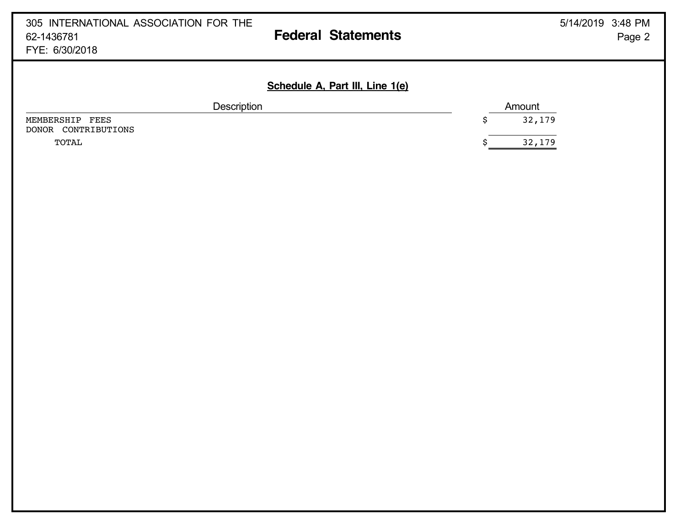| 305 INTERNATIONAL ASSOCIATION FOR THE<br>62-1436781<br>FYE: 6/30/2018 | 5/14/2019 3:48 PM<br><b>Federal Statements</b><br>Page 2 |
|-----------------------------------------------------------------------|----------------------------------------------------------|
|                                                                       | Schedule A, Part III, Line 1(e)                          |
| Description                                                           | Amount                                                   |
| MEMBERSHIP<br>FEES<br>CONTRIBUTIONS<br>DONOR                          | 32,179<br>\$                                             |
| TOTAL                                                                 | 32,179                                                   |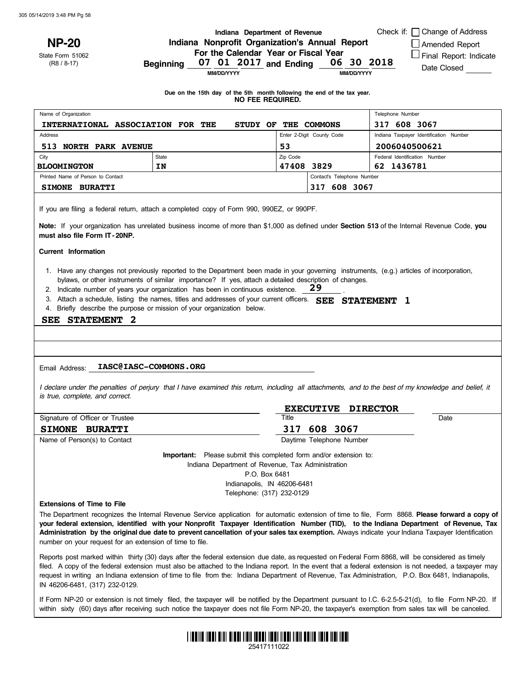**NP-20**

State Form 51062 (R8 / 8-17)

#### **Indiana Department of Revenue Indiana Nonprofit Organization's Annual Report For the Calendar Year or Fiscal Year Beginning and Ending 07 01 2017 06 30 2018**

Check if:  $\Box$  Change of Address

Amended Report

**□ Final Report: Indicate** 

Date Closed

**MM/DD/YYYY**

**MM/DD/YYYY**

.

**Due on the 15th day of the 5th month following the end of the tax year. NO FEE REQUIRED.**

| Name of Organization                 |                           |                           |                            | Telephone Number                       |  |
|--------------------------------------|---------------------------|---------------------------|----------------------------|----------------------------------------|--|
| <b>INTERNATIONAL ASSOCIATION FOR</b> | THE<br>OF<br><b>STUDY</b> | THE                       | <b>COMMONS</b>             | 317 608 3067                           |  |
| <b>Address</b>                       |                           | Enter 2-Digit County Code |                            | Indiana Taxpayer Identification Number |  |
| <b>NORTH PARK AVENUE</b><br>513      |                           | 53                        |                            | 2006040500621                          |  |
| City                                 | State                     | Zip Code                  |                            | Federal Identification Number          |  |
| <b>BLOOMINGTON</b>                   | IN                        | 47408 3829                |                            | 62 1436781                             |  |
| Printed Name of Person to Contact    |                           |                           | Contact's Telephone Number |                                        |  |
| SIMONE BURATTI                       |                           |                           | 608 3067<br>317            |                                        |  |

If you are filing a federal return, attach a completed copy of Form 990, 990EZ, or 990PF.

**Note:** If your organization has unrelated business income of more than \$1,000 as defined under **Section 513** of the Internal Revenue Code, **you must also file Form IT- 20NP.**

**Current Information**

- 1. Have any changes not previously reported to the Department been made in your governing instruments, (e.g.) articles of incorporation, bylaws, or other instruments of similar importance? If yes, attach a detailed description of changes.
- 2. Indicate number of years your organization has been in continuous existence. **29**
- 3. Attach a schedule, listing the names, titles and addresses of your current officers. **SEE STATEMENT 1**
- 4. Briefly describe the purpose or mission of your organization below.

#### **SEE STATEMENT 2**

#### Email Address: **IASC@IASC-COMMONS.ORG**

I declare under the penalties of perjury that I have examined this return, including all attachments, and to the best of my knowledge and belief, it *is true, complete, and correct.*

|                                 | <b>EXECUTIVE DIRECTOR</b> |      |  |
|---------------------------------|---------------------------|------|--|
| Signature of Officer or Trustee | Title                     | Date |  |
| <b>SIMONE BURATTI</b>           | 317 608 3067              |      |  |
| Name of Person(s) to Contact    | Daytime Telephone Number  |      |  |

**Important:** Please submit this completed form and/or extension to: Indiana Department of Revenue, Tax Administration P.O. Box 6481 Indianapolis, IN 46206-6481

Telephone: (317) 232-0129

#### **Extensions of Time to File**

The Department recognizes the Internal Revenue Service application for automatic extension of time to file, Form 8868. **Please forward a copy of** your federal extension, identified with your Nonprofit Taxpayer Identification Number (TID), to the Indiana Department of Revenue, Tax **Administration by the original due date to prevent cancellation of your sales tax exemption.** Always indicate your Indiana Taxpayer Identification number on your request for an extension of time to file.

Reports post marked within thirty (30) days after the federal extension due date, as requested on Federal Form 8868, will be considered as timely filed. A copy of the federal extension must also be attached to the Indiana report. In the event that a federal extension is not needed, a taxpayer may request in writing an Indiana extension of time to file from the: Indiana Department of Revenue, Tax Administration, P.O. Box 6481, Indianapolis, IN 46206-6481, (317) 232-0129.

within sixty (60) days after receiving such notice the taxpayer does not file Form NP-20, the taxpayer's exemption from sales tax will be canceled. If Form NP-20 or extension is not timely filed, the taxpayer will be notified by the Department pursuant to I.C. 6-2.5-5-21(d), to file Form NP-20. If



25417111022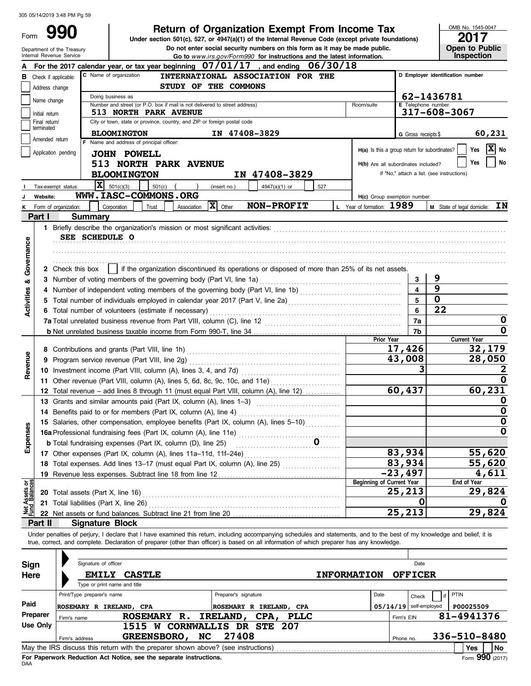Department of the Treasury

Form

**Do not enter social security numbers on this form as it may be made public. Open to Public 990 2017 Deturn of Organization Exempt From Income Tax 2017**<br>
Under section 501(c), 527, or 4947(a)(1) of the Internal Revenue Code (except private foundations)

OMB No. 1545-0047

|                                                                                                                              |                 | Internal Revenue Service                       |                                          |                                                                                   |                      | Go to www.irs.gov/Form990 for instructions and the latest information.                                                                                                                                                                                                                                                   |     |                                               |                          |                     |                                            | Inspection                                      |
|------------------------------------------------------------------------------------------------------------------------------|-----------------|------------------------------------------------|------------------------------------------|-----------------------------------------------------------------------------------|----------------------|--------------------------------------------------------------------------------------------------------------------------------------------------------------------------------------------------------------------------------------------------------------------------------------------------------------------------|-----|-----------------------------------------------|--------------------------|---------------------|--------------------------------------------|-------------------------------------------------|
| For the 2017 calendar year, or tax year beginning 07/01/17<br>and ending $06/30/18$                                          |                 |                                                |                                          |                                                                                   |                      |                                                                                                                                                                                                                                                                                                                          |     |                                               |                          |                     |                                            |                                                 |
| C Name of organization<br>INTERNATIONAL ASSOCIATION FOR THE<br>D Employer identification number<br>в<br>Check if applicable: |                 |                                                |                                          |                                                                                   |                      |                                                                                                                                                                                                                                                                                                                          |     |                                               |                          |                     |                                            |                                                 |
|                                                                                                                              | Address change  |                                                |                                          | STUDY OF THE COMMONS                                                              |                      |                                                                                                                                                                                                                                                                                                                          |     |                                               |                          |                     |                                            |                                                 |
|                                                                                                                              |                 |                                                | Doing business as                        |                                                                                   |                      |                                                                                                                                                                                                                                                                                                                          |     |                                               |                          |                     | 62-1436781                                 |                                                 |
|                                                                                                                              | Name change     |                                                |                                          | Number and street (or P.O. box if mail is not delivered to street address)        |                      |                                                                                                                                                                                                                                                                                                                          |     | Room/suite                                    |                          |                     | E Telephone number                         |                                                 |
|                                                                                                                              | Initial return  |                                                |                                          | 513 NORTH PARK AVENUE                                                             |                      |                                                                                                                                                                                                                                                                                                                          |     |                                               |                          |                     | 317-608-3067                               |                                                 |
|                                                                                                                              | Final return/   |                                                |                                          | City or town, state or province, country, and ZIP or foreign postal code          |                      |                                                                                                                                                                                                                                                                                                                          |     |                                               |                          |                     |                                            |                                                 |
|                                                                                                                              | terminated      |                                                | <b>BLOOMINGTON</b>                       |                                                                                   |                      | IN 47408-3829                                                                                                                                                                                                                                                                                                            |     |                                               |                          | G Gross receipts \$ |                                            | 60,231                                          |
|                                                                                                                              | Amended return  |                                                | F Name and address of principal officer: |                                                                                   |                      |                                                                                                                                                                                                                                                                                                                          |     |                                               |                          |                     |                                            |                                                 |
|                                                                                                                              |                 | Application pending                            | <b>JOHN POWELL</b>                       |                                                                                   |                      |                                                                                                                                                                                                                                                                                                                          |     | H(a) Is this a group return for subordinates? |                          |                     |                                            | $ \mathbf{X} $ No<br>Yes                        |
|                                                                                                                              |                 |                                                |                                          | <b>513 NORTH PARK AVENUE</b>                                                      |                      |                                                                                                                                                                                                                                                                                                                          |     | H(b) Are all subordinates included?           |                          |                     |                                            | No<br>Yes                                       |
|                                                                                                                              |                 |                                                | <b>BLOOMINGTON</b>                       |                                                                                   |                      | IN 47408-3829                                                                                                                                                                                                                                                                                                            |     |                                               |                          |                     | If "No," attach a list. (see instructions) |                                                 |
|                                                                                                                              |                 |                                                |                                          |                                                                                   |                      |                                                                                                                                                                                                                                                                                                                          |     |                                               |                          |                     |                                            |                                                 |
|                                                                                                                              |                 | Tax-exempt status:                             | $ \mathbf{X} $ 501(c)(3)                 | $501(c)$ (<br>$\rightarrow$                                                       | (insert no.)         | 4947(a)(1) or                                                                                                                                                                                                                                                                                                            | 527 |                                               |                          |                     |                                            |                                                 |
|                                                                                                                              | Website:        |                                                |                                          | WWW.IASC-COMMONS.ORG                                                              |                      |                                                                                                                                                                                                                                                                                                                          |     | H(c) Group exemption number                   |                          |                     |                                            |                                                 |
|                                                                                                                              |                 | K Form of organization:                        | Corporation                              | Trust<br>Association                                                              | $ \mathbf{X} $ Other | NON-PROFIT                                                                                                                                                                                                                                                                                                               |     | L Year of formation: 1989                     |                          |                     |                                            | <b>M</b> State of legal domicile: $\mathbf{IN}$ |
|                                                                                                                              | Part I          | <b>Summary</b>                                 |                                          |                                                                                   |                      |                                                                                                                                                                                                                                                                                                                          |     |                                               |                          |                     |                                            |                                                 |
|                                                                                                                              |                 |                                                |                                          |                                                                                   |                      |                                                                                                                                                                                                                                                                                                                          |     |                                               |                          |                     |                                            |                                                 |
|                                                                                                                              |                 | SEE SCHEDULE O                                 |                                          |                                                                                   |                      |                                                                                                                                                                                                                                                                                                                          |     |                                               |                          |                     |                                            |                                                 |
|                                                                                                                              |                 |                                                |                                          |                                                                                   |                      |                                                                                                                                                                                                                                                                                                                          |     |                                               |                          |                     |                                            |                                                 |
| Governance                                                                                                                   |                 |                                                |                                          |                                                                                   |                      |                                                                                                                                                                                                                                                                                                                          |     |                                               |                          |                     |                                            |                                                 |
|                                                                                                                              |                 | 2 Check this box                               |                                          |                                                                                   |                      | if the organization discontinued its operations or disposed of more than 25% of its net assets.                                                                                                                                                                                                                          |     |                                               |                          |                     |                                            |                                                 |
|                                                                                                                              |                 |                                                |                                          | 3 Number of voting members of the governing body (Part VI, line 1a)               |                      |                                                                                                                                                                                                                                                                                                                          |     |                                               |                          | 3                   | 9                                          |                                                 |
| න්                                                                                                                           |                 |                                                |                                          |                                                                                   |                      |                                                                                                                                                                                                                                                                                                                          |     |                                               |                          |                     | 9                                          |                                                 |
| Activities                                                                                                                   |                 |                                                |                                          |                                                                                   |                      |                                                                                                                                                                                                                                                                                                                          |     |                                               |                          |                     | $\mathbf 0$                                |                                                 |
|                                                                                                                              |                 |                                                |                                          |                                                                                   |                      |                                                                                                                                                                                                                                                                                                                          |     |                                               |                          |                     | 22                                         |                                                 |
|                                                                                                                              |                 |                                                |                                          | 6 Total number of volunteers (estimate if necessary)                              |                      |                                                                                                                                                                                                                                                                                                                          |     | 6<br>7a                                       |                          |                     |                                            |                                                 |
|                                                                                                                              |                 |                                                |                                          |                                                                                   |                      |                                                                                                                                                                                                                                                                                                                          |     |                                               |                          |                     |                                            | O                                               |
|                                                                                                                              |                 |                                                |                                          |                                                                                   |                      |                                                                                                                                                                                                                                                                                                                          |     |                                               |                          | 7b                  |                                            | 0                                               |
|                                                                                                                              |                 |                                                |                                          |                                                                                   |                      |                                                                                                                                                                                                                                                                                                                          |     | Prior Year                                    | 17,426                   |                     |                                            | <b>Current Year</b>                             |
|                                                                                                                              |                 |                                                |                                          |                                                                                   |                      |                                                                                                                                                                                                                                                                                                                          |     |                                               |                          | 32,179              |                                            |                                                 |
| Revenue                                                                                                                      |                 | 9 Program service revenue (Part VIII, line 2g) |                                          |                                                                                   |                      | 43,008                                                                                                                                                                                                                                                                                                                   |     |                                               | 28,050                   |                     |                                            |                                                 |
|                                                                                                                              |                 |                                                |                                          |                                                                                   |                      |                                                                                                                                                                                                                                                                                                                          |     |                                               |                          |                     |                                            |                                                 |
|                                                                                                                              |                 |                                                |                                          |                                                                                   |                      | 11 Other revenue (Part VIII, column (A), lines 5, 6d, 8c, 9c, 10c, and 11e)                                                                                                                                                                                                                                              |     |                                               |                          |                     |                                            | O                                               |
|                                                                                                                              |                 |                                                |                                          |                                                                                   |                      | 12 Total revenue - add lines 8 through 11 (must equal Part VIII, column (A), line 12)                                                                                                                                                                                                                                    |     |                                               | 60,437                   |                     |                                            | 60,231                                          |
|                                                                                                                              |                 |                                                |                                          | 13 Grants and similar amounts paid (Part IX, column (A), lines 1-3)               |                      |                                                                                                                                                                                                                                                                                                                          |     |                                               |                          |                     |                                            | O                                               |
|                                                                                                                              |                 |                                                |                                          | 14 Benefits paid to or for members (Part IX, column (A), line 4)                  |                      |                                                                                                                                                                                                                                                                                                                          |     |                                               |                          |                     |                                            | 0                                               |
|                                                                                                                              |                 |                                                |                                          |                                                                                   |                      | 15 Salaries, other compensation, employee benefits (Part IX, column (A), lines 5-10)                                                                                                                                                                                                                                     |     |                                               |                          |                     |                                            | 0                                               |
| enses                                                                                                                        |                 |                                                |                                          |                                                                                   |                      |                                                                                                                                                                                                                                                                                                                          |     |                                               |                          |                     |                                            | $\mathbf 0$                                     |
|                                                                                                                              |                 |                                                |                                          | <b>b</b> Total fundraising expenses (Part IX, column (D), line 25)                |                      |                                                                                                                                                                                                                                                                                                                          |     |                                               |                          |                     |                                            |                                                 |
| Exp                                                                                                                          |                 |                                                |                                          | 17 Other expenses (Part IX, column (A), lines 11a-11d, 11f-24e)                   |                      |                                                                                                                                                                                                                                                                                                                          |     |                                               | 83,934                   |                     |                                            | 55,620                                          |
|                                                                                                                              |                 |                                                |                                          |                                                                                   |                      | 18 Total expenses. Add lines 13-17 (must equal Part IX, column (A), line 25)                                                                                                                                                                                                                                             |     |                                               | 83,934                   |                     |                                            | 55,620                                          |
|                                                                                                                              |                 |                                                |                                          | 19 Revenue less expenses. Subtract line 18 from line 12                           |                      |                                                                                                                                                                                                                                                                                                                          |     |                                               | $-23,497$                |                     |                                            | 4,611                                           |
|                                                                                                                              |                 |                                                |                                          |                                                                                   |                      |                                                                                                                                                                                                                                                                                                                          |     | <b>Beginning of Current Year</b>              |                          |                     |                                            | End of Year                                     |
| Net Assets or<br>Fund Balances                                                                                               |                 | 20 Total assets (Part X, line 16)              |                                          |                                                                                   |                      |                                                                                                                                                                                                                                                                                                                          |     |                                               | 25,213                   |                     |                                            | 29,824                                          |
|                                                                                                                              |                 | 21 Total liabilities (Part X, line 26)         |                                          |                                                                                   |                      |                                                                                                                                                                                                                                                                                                                          |     |                                               |                          | O                   |                                            |                                                 |
|                                                                                                                              |                 |                                                |                                          | 22 Net assets or fund balances. Subtract line 21 from line 20                     |                      |                                                                                                                                                                                                                                                                                                                          |     |                                               | 25,213                   |                     |                                            | 29,824                                          |
|                                                                                                                              | Part II         | <b>Signature Block</b>                         |                                          |                                                                                   |                      |                                                                                                                                                                                                                                                                                                                          |     |                                               |                          |                     |                                            |                                                 |
|                                                                                                                              |                 |                                                |                                          |                                                                                   |                      |                                                                                                                                                                                                                                                                                                                          |     |                                               |                          |                     |                                            |                                                 |
|                                                                                                                              |                 |                                                |                                          |                                                                                   |                      | Under penalties of perjury, I declare that I have examined this return, including accompanying schedules and statements, and to the best of my knowledge and belief, it is<br>true, correct, and complete. Declaration of preparer (other than officer) is based on all information of which preparer has any knowledge. |     |                                               |                          |                     |                                            |                                                 |
|                                                                                                                              |                 |                                                |                                          |                                                                                   |                      |                                                                                                                                                                                                                                                                                                                          |     |                                               |                          |                     |                                            |                                                 |
|                                                                                                                              |                 |                                                |                                          |                                                                                   |                      |                                                                                                                                                                                                                                                                                                                          |     |                                               |                          |                     |                                            |                                                 |
| Signature of officer<br>Date<br>Sign                                                                                         |                 |                                                |                                          |                                                                                   |                      |                                                                                                                                                                                                                                                                                                                          |     |                                               |                          |                     |                                            |                                                 |
| <b>EMILY CASTLE</b><br><b>INFORMATION</b><br><b>OFFICER</b><br>Here                                                          |                 |                                                |                                          |                                                                                   |                      |                                                                                                                                                                                                                                                                                                                          |     |                                               |                          |                     |                                            |                                                 |
|                                                                                                                              |                 |                                                | Type or print name and title             |                                                                                   |                      |                                                                                                                                                                                                                                                                                                                          |     |                                               |                          |                     |                                            |                                                 |
|                                                                                                                              |                 | Print/Type preparer's name                     |                                          |                                                                                   | Preparer's signature |                                                                                                                                                                                                                                                                                                                          |     | Date                                          |                          | Check               | <b>PTIN</b>                                |                                                 |
| Paid                                                                                                                         |                 | ROSEMARY R IRELAND, CPA                        |                                          |                                                                                   |                      | ROSEMARY R IRELAND, CPA                                                                                                                                                                                                                                                                                                  |     |                                               | $05/14/19$ self-employed |                     |                                            | P00025509                                       |
|                                                                                                                              | Preparer        | Firm's name                                    |                                          | <b>ROSEMARY R.</b>                                                                |                      | IRELAND, CPA, PLLC                                                                                                                                                                                                                                                                                                       |     |                                               | Firm's EIN               |                     |                                            | 81-4941376                                      |
|                                                                                                                              | <b>Use Only</b> |                                                |                                          |                                                                                   |                      | 1515 W CORNWALLIS DR STE 207                                                                                                                                                                                                                                                                                             |     |                                               |                          |                     |                                            |                                                 |
|                                                                                                                              |                 | Firm's address                                 |                                          | GREENSBORO, NC                                                                    | 27408                |                                                                                                                                                                                                                                                                                                                          |     |                                               | Phone no.                |                     |                                            | 336-510-8480                                    |
|                                                                                                                              |                 |                                                |                                          | May the IRS discuss this return with the preparer shown above? (see instructions) |                      |                                                                                                                                                                                                                                                                                                                          |     |                                               |                          |                     |                                            | Yes<br><b>No</b>                                |
|                                                                                                                              |                 |                                                |                                          |                                                                                   |                      |                                                                                                                                                                                                                                                                                                                          |     |                                               |                          |                     |                                            |                                                 |

| Sign     | Signature of officer                                                                  |                                                                                   |                                 |                    |                | Date                     |              |      |  |  |  |
|----------|---------------------------------------------------------------------------------------|-----------------------------------------------------------------------------------|---------------------------------|--------------------|----------------|--------------------------|--------------|------|--|--|--|
| Here     | <b>EMILY</b>                                                                          | <b>CASTLE</b>                                                                     |                                 | <b>INFORMATION</b> | <b>OFFICER</b> |                          |              |      |  |  |  |
|          | Type or print name and title                                                          |                                                                                   |                                 |                    |                |                          |              |      |  |  |  |
|          | Print/Type preparer's name                                                            |                                                                                   | Preparer's signature            | Date               |                | <b>Check</b>             | <b>PTIN</b>  |      |  |  |  |
| Paid     | ROSEMARY R IRELAND, CPA                                                               |                                                                                   | ROSEMARY R IRELAND, CPA         |                    |                | $05/14/19$ self-employed | P00025509    |      |  |  |  |
| Preparer | Firm's name                                                                           | <b>ROSEMARY</b><br>R.                                                             | IRELAND,<br>CPA,<br><b>PLLC</b> |                    | Firm's EIN     |                          | 81-4941376   |      |  |  |  |
| Use Only |                                                                                       | 1515<br>W                                                                         | <b>CORNWALLIS DR STE 207</b>    |                    |                |                          |              |      |  |  |  |
|          | Firm's address                                                                        | <b>GREENSBORO,</b><br>NC.                                                         | 27408                           |                    | Phone no.      |                          | 336-510-8480 |      |  |  |  |
|          |                                                                                       | May the IRS discuss this return with the preparer shown above? (see instructions) |                                 |                    |                |                          | Yes          | l No |  |  |  |
|          | Form 990 (2017)<br>For Paperwork Reduction Act Notice, see the separate instructions. |                                                                                   |                                 |                    |                |                          |              |      |  |  |  |

DAA **For Paperwork Reduction Act Notice, see the separate instructions.**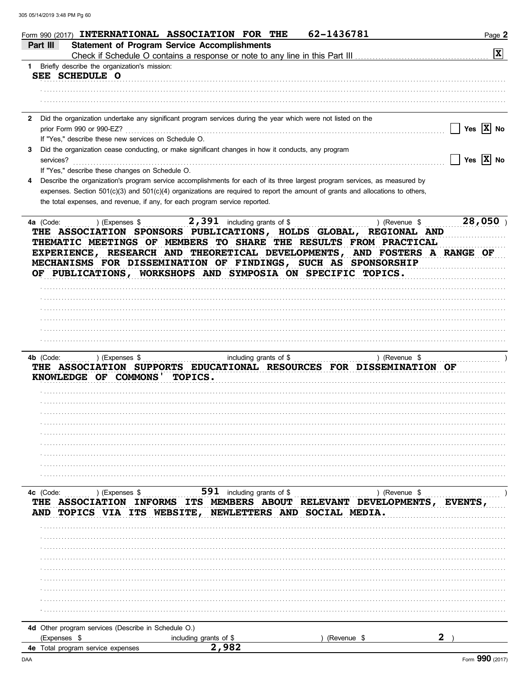| Part III                                          |                                                                          | Form 990 (2017) INTERNATIONAL ASSOCIATION FOR THE<br><b>Statement of Program Service Accomplishments</b><br>Check if Schedule O contains a response or note to any line in this Part III                                                                                                                                                           | 62-1436781                                                                       | Page 2<br>$ \mathbf{x} $ |
|---------------------------------------------------|--------------------------------------------------------------------------|----------------------------------------------------------------------------------------------------------------------------------------------------------------------------------------------------------------------------------------------------------------------------------------------------------------------------------------------------|----------------------------------------------------------------------------------|--------------------------|
| $\mathbf{1}$                                      | Briefly describe the organization's mission:                             |                                                                                                                                                                                                                                                                                                                                                    |                                                                                  |                          |
| SEE SCHEDULE O                                    |                                                                          |                                                                                                                                                                                                                                                                                                                                                    |                                                                                  |                          |
|                                                   |                                                                          |                                                                                                                                                                                                                                                                                                                                                    |                                                                                  |                          |
|                                                   |                                                                          |                                                                                                                                                                                                                                                                                                                                                    |                                                                                  |                          |
| prior Form 990 or 990-EZ?                         |                                                                          | 2 Did the organization undertake any significant program services during the year which were not listed on the                                                                                                                                                                                                                                     |                                                                                  | Yes $ X $ No             |
|                                                   | If "Yes," describe these new services on Schedule O.                     |                                                                                                                                                                                                                                                                                                                                                    |                                                                                  |                          |
| 3<br>services?                                    |                                                                          | Did the organization cease conducting, or make significant changes in how it conducts, any program                                                                                                                                                                                                                                                 |                                                                                  | Yes $ \overline{X} $ No  |
|                                                   | If "Yes," describe these changes on Schedule O.                          |                                                                                                                                                                                                                                                                                                                                                    |                                                                                  |                          |
|                                                   |                                                                          | Describe the organization's program service accomplishments for each of its three largest program services, as measured by                                                                                                                                                                                                                         |                                                                                  |                          |
|                                                   |                                                                          | expenses. Section 501(c)(3) and 501(c)(4) organizations are required to report the amount of grants and allocations to others,                                                                                                                                                                                                                     |                                                                                  |                          |
|                                                   |                                                                          | the total expenses, and revenue, if any, for each program service reported.                                                                                                                                                                                                                                                                        |                                                                                  |                          |
|                                                   |                                                                          | THE ASSOCIATION SPONSORS PUBLICATIONS, HOLDS GLOBAL, REGIONAL AND<br>THEMATIC MEETINGS OF MEMBERS TO SHARE THE RESULTS FROM PRACTICAL<br>EXPERIENCE, RESEARCH AND THEORETICAL DEVELOPMENTS, AND FOSTERS A RANGE OF<br>MECHANISMS FOR DISSEMINATION OF FINDINGS, SUCH AS SPONSORSHIP<br>OF PUBLICATIONS, WORKSHOPS AND SYMPOSIA ON SPECIFIC TOPICS. |                                                                                  |                          |
|                                                   |                                                                          |                                                                                                                                                                                                                                                                                                                                                    |                                                                                  |                          |
|                                                   |                                                                          |                                                                                                                                                                                                                                                                                                                                                    |                                                                                  |                          |
|                                                   |                                                                          |                                                                                                                                                                                                                                                                                                                                                    |                                                                                  |                          |
|                                                   |                                                                          |                                                                                                                                                                                                                                                                                                                                                    |                                                                                  |                          |
| 4b (Code:                                         | ) (Expenses \$<br>KNOWLEDGE OF COMMONS                                   | including grants of \$<br>THE ASSOCIATION SUPPORTS EDUCATIONAL RESOURCES FOR DISSEMINATION OF<br><b>TOPICS.</b>                                                                                                                                                                                                                                    | ) (Revenue \$                                                                    |                          |
|                                                   |                                                                          |                                                                                                                                                                                                                                                                                                                                                    |                                                                                  |                          |
|                                                   |                                                                          |                                                                                                                                                                                                                                                                                                                                                    |                                                                                  |                          |
|                                                   |                                                                          |                                                                                                                                                                                                                                                                                                                                                    |                                                                                  |                          |
|                                                   |                                                                          |                                                                                                                                                                                                                                                                                                                                                    |                                                                                  |                          |
|                                                   |                                                                          |                                                                                                                                                                                                                                                                                                                                                    |                                                                                  |                          |
| 4c (Code:<br>AND                                  | ) (Expenses \$<br><b>ASSOCIATION</b><br><b>INFORMS</b><br>TOPICS VIA ITS | 591<br>including grants of \$<br><b>ITS MEMBERS ABOUT</b><br>NEWLETTERS AND<br>WEBSITE.                                                                                                                                                                                                                                                            | ) (Revenue \$<br><b>DEVELOPMENTS,</b><br><b>RELEVANT</b><br><b>SOCIAL MEDIA.</b> | EVENTS                   |
|                                                   |                                                                          |                                                                                                                                                                                                                                                                                                                                                    |                                                                                  |                          |
|                                                   |                                                                          |                                                                                                                                                                                                                                                                                                                                                    |                                                                                  |                          |
|                                                   |                                                                          |                                                                                                                                                                                                                                                                                                                                                    |                                                                                  |                          |
|                                                   |                                                                          |                                                                                                                                                                                                                                                                                                                                                    |                                                                                  |                          |
|                                                   |                                                                          |                                                                                                                                                                                                                                                                                                                                                    |                                                                                  |                          |
|                                                   |                                                                          |                                                                                                                                                                                                                                                                                                                                                    |                                                                                  |                          |
|                                                   |                                                                          |                                                                                                                                                                                                                                                                                                                                                    |                                                                                  |                          |
|                                                   |                                                                          |                                                                                                                                                                                                                                                                                                                                                    |                                                                                  |                          |
|                                                   | 4d Other program services (Describe in Schedule O.)                      |                                                                                                                                                                                                                                                                                                                                                    |                                                                                  |                          |
| (Expenses \$<br>4e Total program service expenses |                                                                          | including grants of \$<br>2,982                                                                                                                                                                                                                                                                                                                    | (Revenue \$                                                                      |                          |
|                                                   |                                                                          |                                                                                                                                                                                                                                                                                                                                                    |                                                                                  |                          |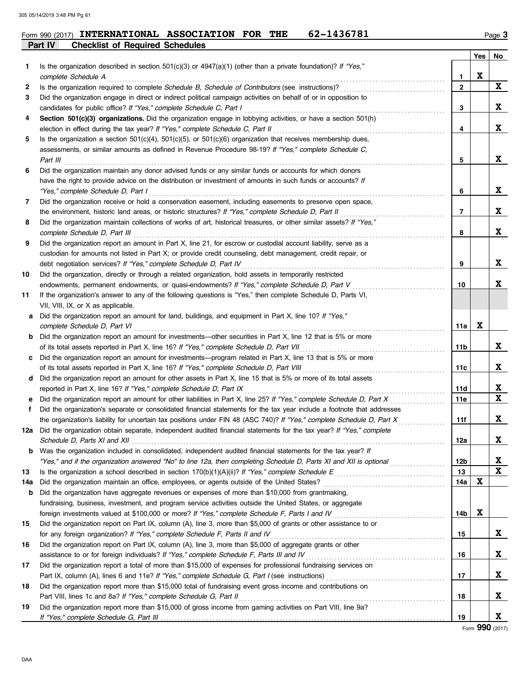| Form 990 (2017) | <b>INTERNATIONAL</b>                   | <b>ASSOCIATION</b> | <b>FOR</b> | THE | 62-1436781 |  | Page |
|-----------------|----------------------------------------|--------------------|------------|-----|------------|--|------|
| Part IV         | <b>Checklist of Required Schedules</b> |                    |            |     |            |  |      |

|     |                                                                                                                                                                                                                               |                   | Yes | No          |
|-----|-------------------------------------------------------------------------------------------------------------------------------------------------------------------------------------------------------------------------------|-------------------|-----|-------------|
| 1   | Is the organization described in section $501(c)(3)$ or $4947(a)(1)$ (other than a private foundation)? If "Yes,"                                                                                                             |                   | X   |             |
|     | complete Schedule A                                                                                                                                                                                                           | 1<br>$\mathbf{2}$ |     | $\mathbf x$ |
| 2   | Is the organization required to complete Schedule B, Schedule of Contributors (see instructions)?                                                                                                                             |                   |     |             |
| 3   | Did the organization engage in direct or indirect political campaign activities on behalf of or in opposition to                                                                                                              | 3                 |     | X           |
|     | candidates for public office? If "Yes," complete Schedule C, Part I                                                                                                                                                           |                   |     |             |
| 4   | Section 501(c)(3) organizations. Did the organization engage in lobbying activities, or have a section 501(h)                                                                                                                 |                   |     | X           |
|     | election in effect during the tax year? If "Yes," complete Schedule C, Part II                                                                                                                                                | 4                 |     |             |
| 5   | Is the organization a section $501(c)(4)$ , $501(c)(5)$ , or $501(c)(6)$ organization that receives membership dues,<br>assessments, or similar amounts as defined in Revenue Procedure 98-19? If "Yes," complete Schedule C, |                   |     |             |
|     |                                                                                                                                                                                                                               |                   |     | X           |
| 6   | Part III                                                                                                                                                                                                                      | 5                 |     |             |
|     | Did the organization maintain any donor advised funds or any similar funds or accounts for which donors                                                                                                                       |                   |     |             |
|     | have the right to provide advice on the distribution or investment of amounts in such funds or accounts? If                                                                                                                   |                   |     | X           |
|     | "Yes," complete Schedule D, Part I                                                                                                                                                                                            | 6                 |     |             |
| 7   | Did the organization receive or hold a conservation easement, including easements to preserve open space,                                                                                                                     |                   |     |             |
|     | the environment, historic land areas, or historic structures? If "Yes," complete Schedule D, Part II                                                                                                                          | 7                 |     | X           |
| 8   | Did the organization maintain collections of works of art, historical treasures, or other similar assets? If "Yes,"                                                                                                           |                   |     | X           |
|     | complete Schedule D, Part III                                                                                                                                                                                                 | 8                 |     |             |
| 9   | Did the organization report an amount in Part X, line 21, for escrow or custodial account liability, serve as a                                                                                                               |                   |     |             |
|     | custodian for amounts not listed in Part X; or provide credit counseling, debt management, credit repair, or                                                                                                                  |                   |     |             |
|     | debt negotiation services? If "Yes," complete Schedule D, Part IV                                                                                                                                                             | 9                 |     | X           |
| 10  | Did the organization, directly or through a related organization, hold assets in temporarily restricted                                                                                                                       |                   |     |             |
|     | endowments, permanent endowments, or quasi-endowments? If "Yes," complete Schedule D, Part V                                                                                                                                  | 10                |     | X           |
| 11  | If the organization's answer to any of the following questions is "Yes," then complete Schedule D, Parts VI,                                                                                                                  |                   |     |             |
|     | VII, VIII, IX, or X as applicable.                                                                                                                                                                                            |                   |     |             |
| a   | Did the organization report an amount for land, buildings, and equipment in Part X, line 10? If "Yes,"                                                                                                                        |                   |     |             |
|     | complete Schedule D, Part VI                                                                                                                                                                                                  | 11a               | X   |             |
| b   | Did the organization report an amount for investments—other securities in Part X, line 12 that is 5% or more                                                                                                                  |                   |     |             |
|     | of its total assets reported in Part X, line 16? If "Yes," complete Schedule D, Part VII                                                                                                                                      | 11b               |     | X           |
| c   | Did the organization report an amount for investments—program related in Part X, line 13 that is 5% or more                                                                                                                   |                   |     |             |
|     | of its total assets reported in Part X, line 16? If "Yes," complete Schedule D, Part VIII                                                                                                                                     | 11c               |     | X           |
| d   | Did the organization report an amount for other assets in Part X, line 15 that is 5% or more of its total assets                                                                                                              |                   |     |             |
|     | reported in Part X, line 16? If "Yes," complete Schedule D, Part IX                                                                                                                                                           | 11d               |     | X           |
| е   | Did the organization report an amount for other liabilities in Part X, line 25? If "Yes," complete Schedule D, Part X                                                                                                         | 11e               |     | $\mathbf x$ |
| f   | Did the organization's separate or consolidated financial statements for the tax year include a footnote that addresses                                                                                                       |                   |     |             |
|     | the organization's liability for uncertain tax positions under FIN 48 (ASC 740)? If "Yes," complete Schedule D, Part X                                                                                                        | 11f               |     | X           |
| 12a | Did the organization obtain separate, independent audited financial statements for the tax year? If "Yes," complete                                                                                                           |                   |     |             |
|     | Schedule D, Parts XI and XII                                                                                                                                                                                                  | 12a               |     |             |
| b   | Was the organization included in consolidated, independent audited financial statements for the tax year? If                                                                                                                  |                   |     |             |
|     | "Yes," and if the organization answered "No" to line 12a, then completing Schedule D, Parts XI and XII is optional                                                                                                            | 12b               |     | X           |
| 13  |                                                                                                                                                                                                                               | 13                |     | X           |
| 14a | Did the organization maintain an office, employees, or agents outside of the United States?                                                                                                                                   | 14a               | X   |             |
| b   | Did the organization have aggregate revenues or expenses of more than \$10,000 from grantmaking,                                                                                                                              |                   |     |             |
|     | fundraising, business, investment, and program service activities outside the United States, or aggregate                                                                                                                     |                   |     |             |
|     | foreign investments valued at \$100,000 or more? If "Yes," complete Schedule F, Parts I and IV [[[[[[[[[[[[[[[                                                                                                                | 14b               | X   |             |
| 15  | Did the organization report on Part IX, column (A), line 3, more than \$5,000 of grants or other assistance to or                                                                                                             |                   |     |             |
|     | for any foreign organization? If "Yes," complete Schedule F, Parts II and IV                                                                                                                                                  | 15                |     | X           |
| 16  | Did the organization report on Part IX, column (A), line 3, more than \$5,000 of aggregate grants or other                                                                                                                    |                   |     |             |
|     | assistance to or for foreign individuals? If "Yes," complete Schedule F, Parts III and IV                                                                                                                                     | 16                |     | X           |
| 17  | Did the organization report a total of more than \$15,000 of expenses for professional fundraising services on                                                                                                                |                   |     |             |
|     |                                                                                                                                                                                                                               | 17                |     | X           |
| 18  | Did the organization report more than \$15,000 total of fundraising event gross income and contributions on                                                                                                                   |                   |     |             |
|     | Part VIII, lines 1c and 8a? If "Yes," complete Schedule G, Part II                                                                                                                                                            | 18                |     | X           |
| 19  | Did the organization report more than \$15,000 of gross income from gaming activities on Part VIII, line 9a?                                                                                                                  |                   |     |             |
|     |                                                                                                                                                                                                                               | 19                |     | X           |

Form **990** (2017)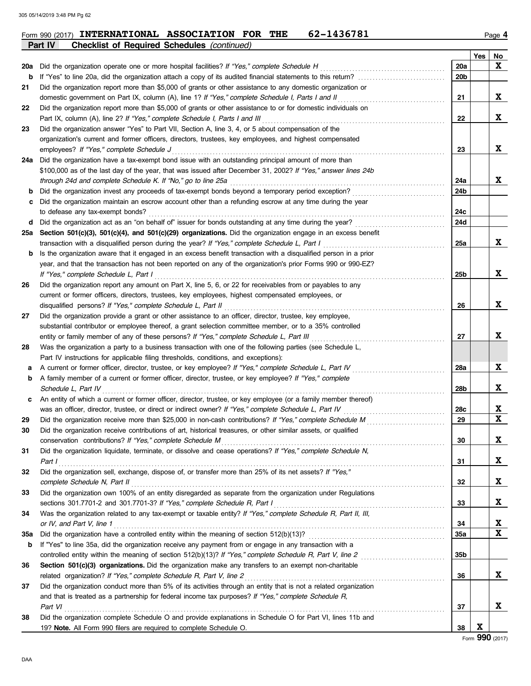|     | Part IV<br><b>Checklist of Required Schedules (continued)</b>                                                                                                                                                      |           |     |             |
|-----|--------------------------------------------------------------------------------------------------------------------------------------------------------------------------------------------------------------------|-----------|-----|-------------|
|     |                                                                                                                                                                                                                    |           | Yes | No          |
| 20a | Did the organization operate one or more hospital facilities? If "Yes," complete Schedule H                                                                                                                        | 20a       |     | X           |
| b   |                                                                                                                                                                                                                    | 20b       |     |             |
| 21  | Did the organization report more than \$5,000 of grants or other assistance to any domestic organization or                                                                                                        |           |     |             |
|     | domestic government on Part IX, column (A), line 1? If "Yes," complete Schedule I, Parts I and II                                                                                                                  | 21        |     | X           |
| 22  | Did the organization report more than \$5,000 of grants or other assistance to or for domestic individuals on                                                                                                      |           |     |             |
|     | Part IX, column (A), line 2? If "Yes," complete Schedule I, Parts I and III                                                                                                                                        | 22        |     | X           |
| 23  | Did the organization answer "Yes" to Part VII, Section A, line 3, 4, or 5 about compensation of the                                                                                                                |           |     |             |
|     | organization's current and former officers, directors, trustees, key employees, and highest compensated                                                                                                            |           |     |             |
|     | employees? If "Yes," complete Schedule J                                                                                                                                                                           | 23        |     | X           |
|     | 24a Did the organization have a tax-exempt bond issue with an outstanding principal amount of more than                                                                                                            |           |     |             |
|     | \$100,000 as of the last day of the year, that was issued after December 31, 2002? If "Yes," answer lines 24b                                                                                                      |           |     |             |
|     | through 24d and complete Schedule K. If "No," go to line 25a                                                                                                                                                       | 24a       |     | X           |
| b   | Did the organization invest any proceeds of tax-exempt bonds beyond a temporary period exception?                                                                                                                  | 24b       |     |             |
| с   | Did the organization maintain an escrow account other than a refunding escrow at any time during the year                                                                                                          |           |     |             |
|     | to defease any tax-exempt bonds?                                                                                                                                                                                   | 24c       |     |             |
| d   | Did the organization act as an "on behalf of" issuer for bonds outstanding at any time during the year?                                                                                                            | 24d       |     |             |
|     | 25a Section 501(c)(3), 501(c)(4), and 501(c)(29) organizations. Did the organization engage in an excess benefit                                                                                                   |           |     |             |
|     | transaction with a disqualified person during the year? If "Yes," complete Schedule L, Part I                                                                                                                      | 25a       |     | X           |
| b   | Is the organization aware that it engaged in an excess benefit transaction with a disqualified person in a prior                                                                                                   |           |     |             |
|     | year, and that the transaction has not been reported on any of the organization's prior Forms 990 or 990-EZ?                                                                                                       |           |     |             |
|     | If "Yes," complete Schedule L, Part I                                                                                                                                                                              | 25b       |     | X           |
| 26  | Did the organization report any amount on Part X, line 5, 6, or 22 for receivables from or payables to any                                                                                                         |           |     |             |
|     | current or former officers, directors, trustees, key employees, highest compensated employees, or                                                                                                                  |           |     |             |
|     | disqualified persons? If "Yes," complete Schedule L, Part II                                                                                                                                                       | 26        |     | X           |
| 27  | Did the organization provide a grant or other assistance to an officer, director, trustee, key employee,                                                                                                           |           |     |             |
|     | substantial contributor or employee thereof, a grant selection committee member, or to a 35% controlled                                                                                                            |           |     | X           |
|     | entity or family member of any of these persons? If "Yes," complete Schedule L, Part III                                                                                                                           | 27        |     |             |
| 28  | Was the organization a party to a business transaction with one of the following parties (see Schedule L,                                                                                                          |           |     |             |
|     | Part IV instructions for applicable filing thresholds, conditions, and exceptions):                                                                                                                                |           |     | X           |
| а   | A current or former officer, director, trustee, or key employee? If "Yes," complete Schedule L, Part IV                                                                                                            | 28a       |     |             |
| b   | A family member of a current or former officer, director, trustee, or key employee? If "Yes," complete                                                                                                             |           |     | X           |
|     | Schedule L, Part IV                                                                                                                                                                                                | 28b       |     |             |
| c   | An entity of which a current or former officer, director, trustee, or key employee (or a family member thereof)                                                                                                    |           |     | X           |
|     | was an officer, director, trustee, or direct or indirect owner? If "Yes," complete Schedule L, Part IV<br>Did the organization receive more than \$25,000 in non-cash contributions? If "Yes," complete Schedule M | 28c<br>29 |     | $\mathbf x$ |
| 29  | Did the organization receive contributions of art, historical treasures, or other similar assets, or qualified                                                                                                     |           |     |             |
| 30  | conservation contributions? If "Yes," complete Schedule M                                                                                                                                                          | 30        |     | X           |
|     | Did the organization liquidate, terminate, or dissolve and cease operations? If "Yes," complete Schedule N,                                                                                                        |           |     |             |
| 31  | Part I                                                                                                                                                                                                             | 31        |     | X           |
| 32  | Did the organization sell, exchange, dispose of, or transfer more than 25% of its net assets? If "Yes,"                                                                                                            |           |     |             |
|     | complete Schedule N, Part II                                                                                                                                                                                       | 32        |     | X           |
| 33  | Did the organization own 100% of an entity disregarded as separate from the organization under Regulations                                                                                                         |           |     |             |
|     | sections 301.7701-2 and 301.7701-3? If "Yes," complete Schedule R, Part I                                                                                                                                          | 33        |     | X           |
| 34  | Was the organization related to any tax-exempt or taxable entity? If "Yes," complete Schedule R, Part II, III,                                                                                                     |           |     |             |
|     | or IV, and Part V, line 1                                                                                                                                                                                          | 34        |     | X           |
| 35a | Did the organization have a controlled entity within the meaning of section 512(b)(13)?                                                                                                                            | 35a       |     | $\mathbf x$ |
| b   | If "Yes" to line 35a, did the organization receive any payment from or engage in any transaction with a                                                                                                            |           |     |             |
|     | controlled entity within the meaning of section 512(b)(13)? If "Yes," complete Schedule R, Part V, line 2                                                                                                          | 35b       |     |             |
| 36  | Section 501(c)(3) organizations. Did the organization make any transfers to an exempt non-charitable                                                                                                               |           |     |             |
|     | related organization? If "Yes," complete Schedule R, Part V, line 2                                                                                                                                                | 36        |     | X           |
| 37  | Did the organization conduct more than 5% of its activities through an entity that is not a related organization                                                                                                   |           |     |             |
|     | and that is treated as a partnership for federal income tax purposes? If "Yes," complete Schedule R,                                                                                                               |           |     |             |
|     | Part VI                                                                                                                                                                                                            | 37        |     | X           |
| 38  | Did the organization complete Schedule O and provide explanations in Schedule O for Part VI, lines 11b and                                                                                                         |           |     |             |
|     | 19? Note. All Form 990 filers are required to complete Schedule O.                                                                                                                                                 | 38        | X   |             |
|     |                                                                                                                                                                                                                    |           |     |             |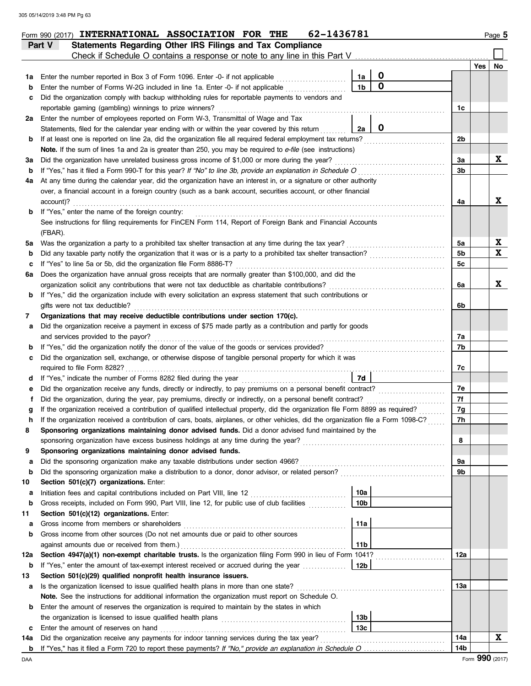|        | 62-1436781<br>Form 990 (2017) INTERNATIONAL ASSOCIATION FOR THE                                                                                                                                                                       |                |     | Page 5 |
|--------|---------------------------------------------------------------------------------------------------------------------------------------------------------------------------------------------------------------------------------------|----------------|-----|--------|
|        | <b>Statements Regarding Other IRS Filings and Tax Compliance</b><br>Part V                                                                                                                                                            |                |     |        |
|        | Check if Schedule O contains a response or note to any line in this Part V.                                                                                                                                                           |                |     |        |
|        |                                                                                                                                                                                                                                       |                | Yes | No     |
| 1a     | $\mathbf 0$<br>Enter the number reported in Box 3 of Form 1096. Enter -0- if not applicable<br>1a<br>$\mathbf 0$                                                                                                                      |                |     |        |
| b      | 1 <sub>b</sub><br>Enter the number of Forms W-2G included in line 1a. Enter -0- if not applicable                                                                                                                                     |                |     |        |
| c      | Did the organization comply with backup withholding rules for reportable payments to vendors and                                                                                                                                      |                |     |        |
|        | reportable gaming (gambling) winnings to prize winners?                                                                                                                                                                               | 1c             |     |        |
| 2a     | Enter the number of employees reported on Form W-3, Transmittal of Wage and Tax<br>$\mathbf 0$<br>2a                                                                                                                                  |                |     |        |
|        | Statements, filed for the calendar year ending with or within the year covered by this return<br>If at least one is reported on line 2a, did the organization file all required federal employment tax returns?                       | 2b             |     |        |
| b      | Note. If the sum of lines 1a and 2a is greater than 250, you may be required to e-file (see instructions)                                                                                                                             |                |     |        |
| За     | Did the organization have unrelated business gross income of \$1,000 or more during the year?                                                                                                                                         | За             |     | X      |
| b      | If "Yes," has it filed a Form 990-T for this year? If "No" to line 3b, provide an explanation in Schedule O                                                                                                                           | 3b             |     |        |
| 4a     | At any time during the calendar year, did the organization have an interest in, or a signature or other authority                                                                                                                     |                |     |        |
|        | over, a financial account in a foreign country (such as a bank account, securities account, or other financial                                                                                                                        |                |     |        |
|        | account)?                                                                                                                                                                                                                             | 4a             |     | X      |
| b      | If "Yes," enter the name of the foreign country:                                                                                                                                                                                      |                |     |        |
|        | See instructions for filing requirements for FinCEN Form 114, Report of Foreign Bank and Financial Accounts                                                                                                                           |                |     |        |
|        | (FBAR).                                                                                                                                                                                                                               |                |     |        |
| 5a     | Was the organization a party to a prohibited tax shelter transaction at any time during the tax year?                                                                                                                                 | 5a             |     | X      |
| b      | Did any taxable party notify the organization that it was or is a party to a prohibited tax shelter transaction?                                                                                                                      | 5b             |     | X      |
| c      | If "Yes" to line 5a or 5b, did the organization file Form 8886-T?                                                                                                                                                                     | 5 <sub>c</sub> |     |        |
| 6а     | Does the organization have annual gross receipts that are normally greater than \$100,000, and did the                                                                                                                                |                |     |        |
|        | organization solicit any contributions that were not tax deductible as charitable contributions?                                                                                                                                      | 6a             |     | X      |
| b      | If "Yes," did the organization include with every solicitation an express statement that such contributions or                                                                                                                        |                |     |        |
|        | gifts were not tax deductible?                                                                                                                                                                                                        | 6b             |     |        |
| 7      | Organizations that may receive deductible contributions under section 170(c).                                                                                                                                                         |                |     |        |
| а      | Did the organization receive a payment in excess of \$75 made partly as a contribution and partly for goods                                                                                                                           |                |     |        |
|        | and services provided to the payor?                                                                                                                                                                                                   | 7a             |     |        |
| b      | If "Yes," did the organization notify the donor of the value of the goods or services provided?                                                                                                                                       | 7b             |     |        |
| c      | Did the organization sell, exchange, or otherwise dispose of tangible personal property for which it was                                                                                                                              |                |     |        |
|        |                                                                                                                                                                                                                                       | 7с             |     |        |
| d      | 7d<br>If "Yes," indicate the number of Forms 8282 filed during the year                                                                                                                                                               |                |     |        |
| e      | Did the organization receive any funds, directly or indirectly, to pay premiums on a personal benefit contract?                                                                                                                       | 7е             |     |        |
|        | Did the organization, during the year, pay premiums, directly or indirectly, on a personal benefit contract?                                                                                                                          | 7f             |     |        |
|        | If the organization received a contribution of qualified intellectual property, did the organization file Form 8899 as required?                                                                                                      | 7g             |     |        |
| n      | If the organization received a contribution of cars, boats, airplanes, or other vehicles, did the organization file a Form 1098-C?                                                                                                    | 7h             |     |        |
| 8      | Sponsoring organizations maintaining donor advised funds. Did a donor advised fund maintained by the                                                                                                                                  |                |     |        |
|        | sponsoring organization have excess business holdings at any time during the year?                                                                                                                                                    | 8              |     |        |
| 9      | Sponsoring organizations maintaining donor advised funds.                                                                                                                                                                             |                |     |        |
| a      | Did the sponsoring organization make any taxable distributions under section 4966?                                                                                                                                                    | 9a<br>9b       |     |        |
| b      | Did the sponsoring organization make a distribution to a donor, donor advisor, or related person?                                                                                                                                     |                |     |        |
| 10     | Section 501(c)(7) organizations. Enter:<br>10a<br>Initiation fees and capital contributions included on Part VIII, line 12 [11] [11] [12] [11] [12] [11] [12] [1                                                                      |                |     |        |
| а<br>b | 10 <sub>b</sub><br>Gross receipts, included on Form 990, Part VIII, line 12, for public use of club facilities                                                                                                                        |                |     |        |
| 11     | Section 501(c)(12) organizations. Enter:                                                                                                                                                                                              |                |     |        |
| а      | 11a<br>Gross income from members or shareholders                                                                                                                                                                                      |                |     |        |
| b      | Gross income from other sources (Do not net amounts due or paid to other sources                                                                                                                                                      |                |     |        |
|        | 11 <sub>b</sub><br>against amounts due or received from them.)                                                                                                                                                                        |                |     |        |
| 12a    | Section 4947(a)(1) non-exempt charitable trusts. Is the organization filing Form 990 in lieu of Form 1041?                                                                                                                            | 12a            |     |        |
| b      | If "Yes," enter the amount of tax-exempt interest received or accrued during the year<br>12b                                                                                                                                          |                |     |        |
| 13     | Section 501(c)(29) qualified nonprofit health insurance issuers.                                                                                                                                                                      |                |     |        |
| а      | Is the organization licensed to issue qualified health plans in more than one state?                                                                                                                                                  | 13а            |     |        |
|        | Note. See the instructions for additional information the organization must report on Schedule O.                                                                                                                                     |                |     |        |
| b      | Enter the amount of reserves the organization is required to maintain by the states in which                                                                                                                                          |                |     |        |
|        | the organization is licensed to issue qualified health plans [11] contains the organization is licensed to issue qualified health plans [11] contains the organization is licensed to issue qualified health plans [11] contai<br>13b |                |     |        |
| c      | 13 <sub>c</sub><br>Enter the amount of reserves on hand                                                                                                                                                                               |                |     |        |
| 14a    | Did the organization receive any payments for indoor tanning services during the tax year?                                                                                                                                            | 14a            |     | X      |
| b      |                                                                                                                                                                                                                                       | 14b            |     |        |

DAA Form **990** (2017)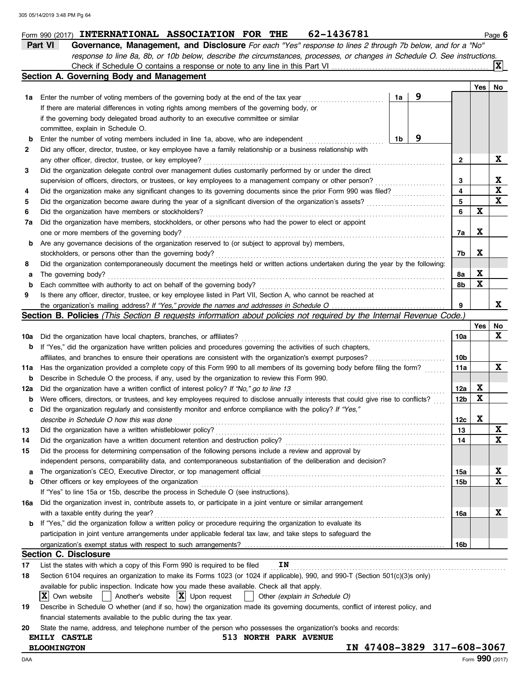|     | 62-1436781<br>Form 990 (2017) INTERNATIONAL ASSOCIATION FOR THE                                                                     |                         |     | Page 6      |  |  |  |  |  |  |  |
|-----|-------------------------------------------------------------------------------------------------------------------------------------|-------------------------|-----|-------------|--|--|--|--|--|--|--|
|     | Part VI<br>Governance, Management, and Disclosure For each "Yes" response to lines 2 through 7b below, and for a "No"               |                         |     |             |  |  |  |  |  |  |  |
|     | response to line 8a, 8b, or 10b below, describe the circumstances, processes, or changes in Schedule O. See instructions.           |                         |     |             |  |  |  |  |  |  |  |
|     |                                                                                                                                     |                         |     | ΙXΙ         |  |  |  |  |  |  |  |
|     | Section A. Governing Body and Management                                                                                            |                         |     |             |  |  |  |  |  |  |  |
|     |                                                                                                                                     |                         | Yes | No          |  |  |  |  |  |  |  |
| 1a  | 9<br>1a<br>Enter the number of voting members of the governing body at the end of the tax year                                      |                         |     |             |  |  |  |  |  |  |  |
|     | If there are material differences in voting rights among members of the governing body, or                                          |                         |     |             |  |  |  |  |  |  |  |
|     | if the governing body delegated broad authority to an executive committee or similar                                                |                         |     |             |  |  |  |  |  |  |  |
|     | committee, explain in Schedule O.                                                                                                   |                         |     |             |  |  |  |  |  |  |  |
| b   | 9<br>1b<br>Enter the number of voting members included in line 1a, above, who are independent                                       |                         |     |             |  |  |  |  |  |  |  |
|     | Did any officer, director, trustee, or key employee have a family relationship or a business relationship with                      |                         |     |             |  |  |  |  |  |  |  |
| 2   |                                                                                                                                     |                         |     |             |  |  |  |  |  |  |  |
|     | any other officer, director, trustee, or key employee?                                                                              | 2                       |     | X           |  |  |  |  |  |  |  |
| 3   | Did the organization delegate control over management duties customarily performed by or under the direct                           |                         |     |             |  |  |  |  |  |  |  |
|     | supervision of officers, directors, or trustees, or key employees to a management company or other person?                          | 3                       |     | X           |  |  |  |  |  |  |  |
| 4   | Did the organization make any significant changes to its governing documents since the prior Form 990 was filed?                    | $\overline{\mathbf{4}}$ |     | $\mathbf x$ |  |  |  |  |  |  |  |
| 5   | Did the organization become aware during the year of a significant diversion of the organization's assets?                          | 5                       |     | $\mathbf x$ |  |  |  |  |  |  |  |
| 6   | Did the organization have members or stockholders?                                                                                  | 6                       | X   |             |  |  |  |  |  |  |  |
| 7a  | Did the organization have members, stockholders, or other persons who had the power to elect or appoint                             |                         |     |             |  |  |  |  |  |  |  |
|     | one or more members of the governing body?                                                                                          | 7a                      | X   |             |  |  |  |  |  |  |  |
| b   | Are any governance decisions of the organization reserved to (or subject to approval by) members,                                   |                         |     |             |  |  |  |  |  |  |  |
|     | stockholders, or persons other than the governing body?                                                                             | 7b                      | X   |             |  |  |  |  |  |  |  |
| 8   | Did the organization contemporaneously document the meetings held or written actions undertaken during the year by the following:   |                         |     |             |  |  |  |  |  |  |  |
| а   | The governing body?                                                                                                                 | 8а                      | X   |             |  |  |  |  |  |  |  |
| b   | Each committee with authority to act on behalf of the governing body?                                                               | 8b                      | X   |             |  |  |  |  |  |  |  |
| 9   | Is there any officer, director, trustee, or key employee listed in Part VII, Section A, who cannot be reached at                    |                         |     |             |  |  |  |  |  |  |  |
|     |                                                                                                                                     | 9                       |     | x           |  |  |  |  |  |  |  |
|     | <b>Section B. Policies</b> (This Section B requests information about policies not required by the Internal Revenue Code.)          |                         |     |             |  |  |  |  |  |  |  |
|     |                                                                                                                                     |                         | Yes | No          |  |  |  |  |  |  |  |
| 10a | Did the organization have local chapters, branches, or affiliates?                                                                  | 10a                     |     | X           |  |  |  |  |  |  |  |
| b   | If "Yes," did the organization have written policies and procedures governing the activities of such chapters,                      |                         |     |             |  |  |  |  |  |  |  |
|     | affiliates, and branches to ensure their operations are consistent with the organization's exempt purposes?                         | 10b                     |     |             |  |  |  |  |  |  |  |
| 11a | Has the organization provided a complete copy of this Form 990 to all members of its governing body before filing the form?         | 11a                     |     | X           |  |  |  |  |  |  |  |
|     | Describe in Schedule O the process, if any, used by the organization to review this Form 990.                                       |                         |     |             |  |  |  |  |  |  |  |
| b   |                                                                                                                                     |                         | X   |             |  |  |  |  |  |  |  |
| 12a | Did the organization have a written conflict of interest policy? If "No," go to line 13                                             | 12a                     |     |             |  |  |  |  |  |  |  |
| b   | Were officers, directors, or trustees, and key employees required to disclose annually interests that could give rise to conflicts? | 12b                     | X   |             |  |  |  |  |  |  |  |
| с   | Did the organization regularly and consistently monitor and enforce compliance with the policy? If "Yes,"                           |                         |     |             |  |  |  |  |  |  |  |
|     | describe in Schedule O how this was done                                                                                            | 12c                     | X   |             |  |  |  |  |  |  |  |
| 13  | Did the organization have a written whistleblower policy?                                                                           | 13                      |     | X           |  |  |  |  |  |  |  |
| 14  | Did the organization have a written document retention and destruction policy?                                                      | 14                      |     | X           |  |  |  |  |  |  |  |
| 15  | Did the process for determining compensation of the following persons include a review and approval by                              |                         |     |             |  |  |  |  |  |  |  |
|     | independent persons, comparability data, and contemporaneous substantiation of the deliberation and decision?                       |                         |     |             |  |  |  |  |  |  |  |
| а   | The organization's CEO, Executive Director, or top management official                                                              | 15a                     |     | X           |  |  |  |  |  |  |  |
| b   | Other officers or key employees of the organization                                                                                 | 15b                     |     | X           |  |  |  |  |  |  |  |
|     | If "Yes" to line 15a or 15b, describe the process in Schedule O (see instructions).                                                 |                         |     |             |  |  |  |  |  |  |  |
| 16a | Did the organization invest in, contribute assets to, or participate in a joint venture or similar arrangement                      |                         |     |             |  |  |  |  |  |  |  |
|     | with a taxable entity during the year?                                                                                              | 16a                     |     | X           |  |  |  |  |  |  |  |
| b   | If "Yes," did the organization follow a written policy or procedure requiring the organization to evaluate its                      |                         |     |             |  |  |  |  |  |  |  |
|     | participation in joint venture arrangements under applicable federal tax law, and take steps to safeguard the                       |                         |     |             |  |  |  |  |  |  |  |
|     |                                                                                                                                     | 16b                     |     |             |  |  |  |  |  |  |  |
|     | Section C. Disclosure                                                                                                               |                         |     |             |  |  |  |  |  |  |  |
| 17  | IN<br>List the states with which a copy of this Form 990 is required to be filed                                                    |                         |     |             |  |  |  |  |  |  |  |
|     |                                                                                                                                     |                         |     |             |  |  |  |  |  |  |  |
| 18  | Section 6104 requires an organization to make its Forms 1023 (or 1024 if applicable), 990, and 990-T (Section 501(c)(3)s only)      |                         |     |             |  |  |  |  |  |  |  |
|     | available for public inspection. Indicate how you made these available. Check all that apply.                                       |                         |     |             |  |  |  |  |  |  |  |
|     | Another's website $ \mathbf{X} $ Upon request<br>IXI<br>Own website<br>Other (explain in Schedule O)                                |                         |     |             |  |  |  |  |  |  |  |
| 19  | Describe in Schedule O whether (and if so, how) the organization made its governing documents, conflict of interest policy, and     |                         |     |             |  |  |  |  |  |  |  |
|     | financial statements available to the public during the tax year.                                                                   |                         |     |             |  |  |  |  |  |  |  |
| 20  | State the name, address, and telephone number of the person who possesses the organization's books and records:                     |                         |     |             |  |  |  |  |  |  |  |
|     | <b>513 NORTH PARK AVENUE</b><br><b>EMILY CASTLE</b>                                                                                 |                         |     |             |  |  |  |  |  |  |  |
|     | IN 47408-3829 317-608-3067<br><b>BLOOMINGTON</b>                                                                                    |                         |     |             |  |  |  |  |  |  |  |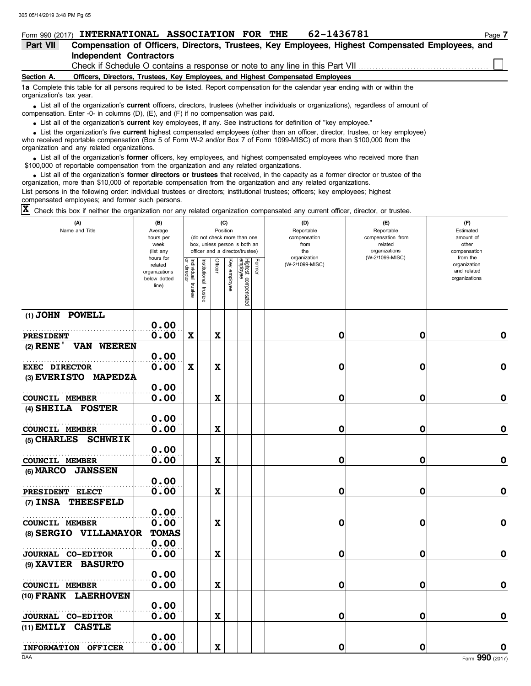|                          |                                | Form 990 (2017) INTERNATIONAL ASSOCIATION FOR THE                                                                                 | 62-1436781 |                                                                                                                                        | Page 7 |
|--------------------------|--------------------------------|-----------------------------------------------------------------------------------------------------------------------------------|------------|----------------------------------------------------------------------------------------------------------------------------------------|--------|
| Part VII                 |                                |                                                                                                                                   |            | Compensation of Officers, Directors, Trustees, Key Employees, Highest Compensated Employees, and                                       |        |
|                          | <b>Independent Contractors</b> |                                                                                                                                   |            |                                                                                                                                        |        |
|                          |                                |                                                                                                                                   |            | Check if Schedule O contains a response or note to any line in this Part VII                                                           |        |
| Section A.               |                                | Officers, Directors, Trustees, Key Employees, and Highest Compensated Employees                                                   |            |                                                                                                                                        |        |
| organization's tax year. |                                | 1a Complete this table for all persons required to be listed. Report compensation for the calendar year ending with or within the |            |                                                                                                                                        |        |
|                          |                                | compensation. Enter -0- in columns (D), $(E)$ , and $(F)$ if no compensation was paid.                                            |            | • List all of the organization's current officers, directors, trustees (whether individuals or organizations), regardless of amount of |        |
|                          |                                | List all ef the experientiants expressed tray amplevence if any Can instructions for definition of "levy ampleven"                |            |                                                                                                                                        |        |

List all of the organization's **current** key employees, if any. See instructions for definition of "key employee."

who received reportable compensation (Box 5 of Form W-2 and/or Box 7 of Form 1099-MISC) of more than \$100,000 from the organization and any related organizations. • List all of the organization's **current** key employees, if any. See instructions for definition of "key employee."<br>• List the organization's five **current** highest compensated employees (other than an officer, director,

• List all of the organization's **former** officers, key employees, and highest compensated employees who received more than<br>00,000 of reportable compensation from the organization and any related organizations \$100,000 of reportable compensation from the organization and any related organizations.

• List all of the organization's **former directors or trustees** that received, in the capacity as a former director or trustee of the parazion from the organization and any related organizations organization, more than \$10,000 of reportable compensation from the organization and any related organizations. List persons in the following order: individual trustees or directors; institutional trustees; officers; key employees; highest compensated employees; and former such persons.

Check this box if neither the organization nor any related organization compensated any current officer, director, or trustee. **X**

| (A)<br>Name and Title                                       | (B)<br>Average<br>hours per<br>week<br>(list any<br>hours for |                                      |                          |             | (C)<br>Position | (do not check more than one<br>box, unless person is both an<br>officer and a director/trustee) |        | (D)<br>Reportable<br>compensation<br>from<br>the<br>organization | $(\mathsf{F})$<br>Reportable<br>compensation from<br>related<br>organizations<br>(W-2/1099-MISC) | (F)<br>Estimated<br>amount of<br>other<br>compensation<br>from the |
|-------------------------------------------------------------|---------------------------------------------------------------|--------------------------------------|--------------------------|-------------|-----------------|-------------------------------------------------------------------------------------------------|--------|------------------------------------------------------------------|--------------------------------------------------------------------------------------------------|--------------------------------------------------------------------|
|                                                             | related<br>organizations<br>below dotted<br>line)             | Individual<br>or director<br>trustee | Institutional<br>trustee | Officer     | Key<br>employee | Highest compensated<br>employee                                                                 | Former | (W-2/1099-MISC)                                                  |                                                                                                  | organization<br>and related<br>organizations                       |
| (1) JOHN POWELL                                             | 0.00                                                          |                                      |                          |             |                 |                                                                                                 |        |                                                                  |                                                                                                  |                                                                    |
| <b>PRESIDENT</b>                                            | 0.00                                                          | $\mathbf x$                          |                          | $\mathbf x$ |                 |                                                                                                 |        | 0                                                                | 0                                                                                                | $\mathbf 0$                                                        |
| $(2)$ RENE $'$<br>VAN WEEREN                                |                                                               |                                      |                          |             |                 |                                                                                                 |        |                                                                  |                                                                                                  |                                                                    |
|                                                             | 0.00                                                          |                                      |                          |             |                 |                                                                                                 |        |                                                                  |                                                                                                  |                                                                    |
| <b>EXEC DIRECTOR</b>                                        | 0.00                                                          | $\mathbf x$                          |                          | $\mathbf x$ |                 |                                                                                                 |        | 0                                                                | 0                                                                                                | $\mathbf 0$                                                        |
| (3) EVERISTO MAPEDZA                                        |                                                               |                                      |                          |             |                 |                                                                                                 |        |                                                                  |                                                                                                  |                                                                    |
|                                                             | 0.00                                                          |                                      |                          |             |                 |                                                                                                 |        |                                                                  |                                                                                                  |                                                                    |
| COUNCIL MEMBER                                              | 0.00                                                          |                                      |                          | $\mathbf x$ |                 |                                                                                                 |        | 0                                                                | 0                                                                                                | $\mathbf 0$                                                        |
| (4) SHEILA FOSTER                                           |                                                               |                                      |                          |             |                 |                                                                                                 |        |                                                                  |                                                                                                  |                                                                    |
|                                                             | 0.00                                                          |                                      |                          |             |                 |                                                                                                 |        |                                                                  |                                                                                                  |                                                                    |
| COUNCIL MEMBER                                              | 0.00                                                          |                                      |                          | $\mathbf x$ |                 |                                                                                                 |        | 0                                                                | 0                                                                                                | 0                                                                  |
| $(5)$ CHARLES<br><b>SCHWEIK</b>                             |                                                               |                                      |                          |             |                 |                                                                                                 |        |                                                                  |                                                                                                  |                                                                    |
|                                                             | 0.00                                                          |                                      |                          |             |                 |                                                                                                 |        | 0                                                                |                                                                                                  | 0                                                                  |
| <b>COUNCIL MEMBER</b><br>(6) <b>MARCO</b><br><b>JANSSEN</b> | 0.00                                                          |                                      |                          | $\mathbf x$ |                 |                                                                                                 |        |                                                                  | 0                                                                                                |                                                                    |
|                                                             | 0.00                                                          |                                      |                          |             |                 |                                                                                                 |        |                                                                  |                                                                                                  |                                                                    |
| PRESIDENT ELECT                                             | 0.00                                                          |                                      |                          | $\mathbf x$ |                 |                                                                                                 |        | 0                                                                | 0                                                                                                | $\mathbf 0$                                                        |
| (7) INSA THEESFELD                                          |                                                               |                                      |                          |             |                 |                                                                                                 |        |                                                                  |                                                                                                  |                                                                    |
|                                                             | 0.00                                                          |                                      |                          |             |                 |                                                                                                 |        |                                                                  |                                                                                                  |                                                                    |
| <b>COUNCIL MEMBER</b>                                       | 0.00                                                          |                                      |                          | $\mathbf x$ |                 |                                                                                                 |        | 0                                                                | 0                                                                                                | $\mathbf 0$                                                        |
| (8) SERGIO VILLAMAYOR                                       | <b>TOMAS</b>                                                  |                                      |                          |             |                 |                                                                                                 |        |                                                                  |                                                                                                  |                                                                    |
|                                                             | 0.00                                                          |                                      |                          |             |                 |                                                                                                 |        |                                                                  |                                                                                                  |                                                                    |
| <b>JOURNAL CO-EDITOR</b>                                    | 0.00                                                          |                                      |                          | $\mathbf x$ |                 |                                                                                                 |        | 0                                                                | 0                                                                                                | $\mathbf 0$                                                        |
| (9) XAVIER BASURTO                                          |                                                               |                                      |                          |             |                 |                                                                                                 |        |                                                                  |                                                                                                  |                                                                    |
|                                                             | 0.00                                                          |                                      |                          |             |                 |                                                                                                 |        |                                                                  |                                                                                                  |                                                                    |
| COUNCIL MEMBER                                              | 0.00                                                          |                                      |                          | $\mathbf x$ |                 |                                                                                                 |        | 0                                                                | 0                                                                                                | $\mathbf 0$                                                        |
| (10) FRANK LAERHOVEN                                        |                                                               |                                      |                          |             |                 |                                                                                                 |        |                                                                  |                                                                                                  |                                                                    |
|                                                             | 0.00                                                          |                                      |                          |             |                 |                                                                                                 |        |                                                                  |                                                                                                  |                                                                    |
| JOURNAL CO-EDITOR                                           | 0.00                                                          |                                      |                          | $\mathbf x$ |                 |                                                                                                 |        | 0                                                                | 0                                                                                                | 0                                                                  |
| $(11)$ EMILY CASTLE                                         |                                                               |                                      |                          |             |                 |                                                                                                 |        |                                                                  |                                                                                                  |                                                                    |
|                                                             | 0.00                                                          |                                      |                          |             |                 |                                                                                                 |        |                                                                  |                                                                                                  |                                                                    |
| INFORMATION OFFICER                                         | 0.00                                                          |                                      |                          | $\mathbf x$ |                 |                                                                                                 |        | 0                                                                | 0                                                                                                | $\mathbf 0$                                                        |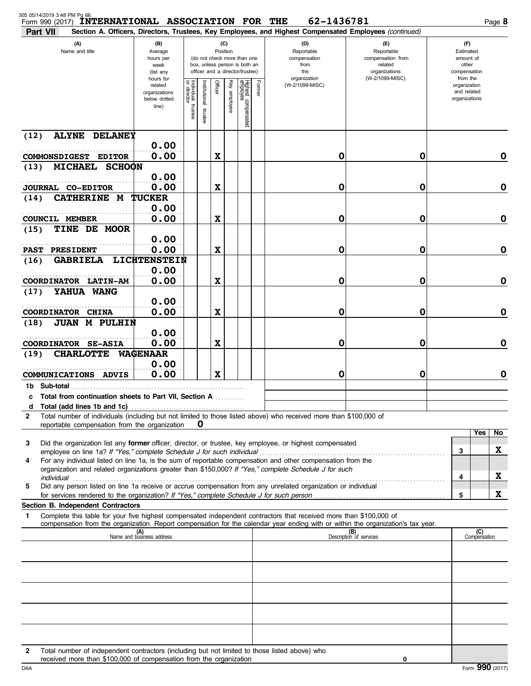| Form 990 (2017)<br>Part VII   | <b>INTERNATIONAL ASSOCIATION FOR THE</b>                                                                                                                            |                                                                                                                                                                                     |                                   |                          |             |              |                                 |                                                                  | 62-1436781<br>Section A. Officers, Directors, Trustees, Key Employees, and Highest Compensated Employees (continued)             |                                |                                                                    | Page 8                                       |
|-------------------------------|---------------------------------------------------------------------------------------------------------------------------------------------------------------------|-------------------------------------------------------------------------------------------------------------------------------------------------------------------------------------|-----------------------------------|--------------------------|-------------|--------------|---------------------------------|------------------------------------------------------------------|----------------------------------------------------------------------------------------------------------------------------------|--------------------------------|--------------------------------------------------------------------|----------------------------------------------|
|                               | (A)<br>Name and title                                                                                                                                               | (B)<br>(C)<br>Position<br>Average<br>hours per<br>(do not check more than one<br>box, unless person is both an<br>week<br>officer and a director/trustee)<br>(list any<br>hours for |                                   |                          |             |              |                                 | (D)<br>Reportable<br>compensation<br>from<br>the<br>organization | $(\mathsf{F})$<br>Reportable<br>compensation from<br>related<br>organizations<br>(W-2/1099-MISC)                                 |                                | (F)<br>Estimated<br>amount of<br>other<br>compensation<br>from the |                                              |
|                               |                                                                                                                                                                     | related<br>organizations<br>below dotted<br>line)                                                                                                                                   | Individual trustee<br>or director | Institutional<br>trustee | Officer     | Key employee | Highest compensated<br>employee | Former                                                           | (W-2/1099-MISC)                                                                                                                  |                                |                                                                    | organization<br>and related<br>organizations |
| (12)                          | <b>ALYNE DELANEY</b>                                                                                                                                                | 0.00                                                                                                                                                                                |                                   |                          |             |              |                                 |                                                                  |                                                                                                                                  |                                |                                                                    |                                              |
|                               | COMMONSDIGEST EDITOR                                                                                                                                                | 0.00                                                                                                                                                                                |                                   |                          | X           |              |                                 |                                                                  | 0                                                                                                                                | 0                              |                                                                    | $\mathbf 0$                                  |
| (13)                          | <b>MICHAEL</b><br><b>SCHOON</b>                                                                                                                                     |                                                                                                                                                                                     |                                   |                          |             |              |                                 |                                                                  |                                                                                                                                  |                                |                                                                    |                                              |
| JOURNAL CO-EDITOR             |                                                                                                                                                                     | 0.00<br>0.00                                                                                                                                                                        |                                   |                          | $\mathbf x$ |              |                                 |                                                                  | 0                                                                                                                                | 0                              |                                                                    | $\mathbf 0$                                  |
| (14)                          | <b>CATHERINE M</b>                                                                                                                                                  | <b>TUCKER</b>                                                                                                                                                                       |                                   |                          |             |              |                                 |                                                                  |                                                                                                                                  |                                |                                                                    |                                              |
|                               |                                                                                                                                                                     | 0.00                                                                                                                                                                                |                                   |                          |             |              |                                 |                                                                  |                                                                                                                                  |                                |                                                                    |                                              |
| <b>COUNCIL MEMBER</b><br>(15) | TINE DE MOOR                                                                                                                                                        | 0.00                                                                                                                                                                                |                                   |                          | X           |              |                                 |                                                                  | 0                                                                                                                                | 0                              |                                                                    | $\mathbf 0$                                  |
|                               |                                                                                                                                                                     | 0.00                                                                                                                                                                                |                                   |                          |             |              |                                 |                                                                  |                                                                                                                                  |                                |                                                                    |                                              |
| <b>PAST</b>                   | <b>PRESIDENT</b>                                                                                                                                                    | 0.00                                                                                                                                                                                |                                   |                          | X           |              |                                 |                                                                  | 0                                                                                                                                | 0                              |                                                                    | $\mathbf 0$                                  |
| (16)                          | GABRIELA LICHTENSTEIN                                                                                                                                               | 0.00                                                                                                                                                                                |                                   |                          |             |              |                                 |                                                                  |                                                                                                                                  |                                |                                                                    |                                              |
|                               | COORDINATOR LATIN-AM                                                                                                                                                | 0.00                                                                                                                                                                                |                                   |                          | X           |              |                                 |                                                                  | 0                                                                                                                                | 0                              |                                                                    | $\mathbf 0$                                  |
| (17)                          | YAHUA WANG                                                                                                                                                          | 0.00                                                                                                                                                                                |                                   |                          |             |              |                                 |                                                                  |                                                                                                                                  |                                |                                                                    |                                              |
| COORDINATOR CHINA             |                                                                                                                                                                     | 0.00                                                                                                                                                                                |                                   |                          | X           |              |                                 |                                                                  | 0                                                                                                                                | 0                              |                                                                    | $\mathbf 0$                                  |
| (18)                          | <b>JUAN M PULHIN</b>                                                                                                                                                |                                                                                                                                                                                     |                                   |                          |             |              |                                 |                                                                  |                                                                                                                                  |                                |                                                                    |                                              |
|                               | COORDINATOR SE-ASIA                                                                                                                                                 | 0.00<br>0.00                                                                                                                                                                        |                                   |                          | $\mathbf x$ |              |                                 |                                                                  | 0                                                                                                                                | 0                              |                                                                    | $\mathbf 0$                                  |
| (19)                          | <b>CHARLOTTE</b>                                                                                                                                                    | <b>WAGENAAR</b>                                                                                                                                                                     |                                   |                          |             |              |                                 |                                                                  |                                                                                                                                  |                                |                                                                    |                                              |
|                               |                                                                                                                                                                     | 0.00                                                                                                                                                                                |                                   |                          |             |              |                                 |                                                                  |                                                                                                                                  |                                |                                                                    |                                              |
|                               | COMMUNICATIONS ADVIS                                                                                                                                                | 0.00                                                                                                                                                                                |                                   |                          | $\mathbf x$ |              |                                 |                                                                  | 0                                                                                                                                | 0                              |                                                                    | $\mathbf 0$                                  |
|                               | c Total from continuation sheets to Part VII, Section A                                                                                                             |                                                                                                                                                                                     |                                   |                          |             |              |                                 |                                                                  |                                                                                                                                  |                                |                                                                    |                                              |
| d                             |                                                                                                                                                                     |                                                                                                                                                                                     |                                   |                          |             |              |                                 |                                                                  |                                                                                                                                  |                                |                                                                    |                                              |
| $\mathbf{2}$                  | reportable compensation from the organization                                                                                                                       |                                                                                                                                                                                     |                                   | O                        |             |              |                                 |                                                                  | Total number of individuals (including but not limited to those listed above) who received more than \$100,000 of                |                                |                                                                    |                                              |
|                               |                                                                                                                                                                     |                                                                                                                                                                                     |                                   |                          |             |              |                                 |                                                                  |                                                                                                                                  |                                |                                                                    | Yes<br>No                                    |
| 3                             | employee on line 1a? If "Yes," complete Schedule J for such individual                                                                                              |                                                                                                                                                                                     |                                   |                          |             |              |                                 |                                                                  | Did the organization list any former officer, director, or trustee, key employee, or highest compensated                         |                                | 3                                                                  | X                                            |
| 4                             |                                                                                                                                                                     |                                                                                                                                                                                     |                                   |                          |             |              |                                 |                                                                  | For any individual listed on line 1a, is the sum of reportable compensation and other compensation from the                      |                                |                                                                    |                                              |
| individual                    |                                                                                                                                                                     |                                                                                                                                                                                     |                                   |                          |             |              |                                 |                                                                  | organization and related organizations greater than \$150,000? If "Yes," complete Schedule J for such                            |                                | 4                                                                  | X                                            |
| 5                             | for services rendered to the organization? If "Yes," complete Schedule J for such person                                                                            |                                                                                                                                                                                     |                                   |                          |             |              |                                 |                                                                  | Did any person listed on line 1a receive or accrue compensation from any unrelated organization or individual                    |                                | 5                                                                  | X                                            |
|                               | Section B. Independent Contractors                                                                                                                                  |                                                                                                                                                                                     |                                   |                          |             |              |                                 |                                                                  |                                                                                                                                  |                                |                                                                    |                                              |
| 1                             |                                                                                                                                                                     |                                                                                                                                                                                     |                                   |                          |             |              |                                 |                                                                  | Complete this table for your five highest compensated independent contractors that received more than \$100,000 of               |                                |                                                                    |                                              |
|                               |                                                                                                                                                                     | (A)<br>Name and business address                                                                                                                                                    |                                   |                          |             |              |                                 |                                                                  | compensation from the organization. Report compensation for the calendar year ending with or within the organization's tax year. | (B)<br>Description of services |                                                                    | (C)<br>Compensation                          |
|                               |                                                                                                                                                                     |                                                                                                                                                                                     |                                   |                          |             |              |                                 |                                                                  |                                                                                                                                  |                                |                                                                    |                                              |
|                               |                                                                                                                                                                     |                                                                                                                                                                                     |                                   |                          |             |              |                                 |                                                                  |                                                                                                                                  |                                |                                                                    |                                              |
|                               |                                                                                                                                                                     |                                                                                                                                                                                     |                                   |                          |             |              |                                 |                                                                  |                                                                                                                                  |                                |                                                                    |                                              |
|                               |                                                                                                                                                                     |                                                                                                                                                                                     |                                   |                          |             |              |                                 |                                                                  |                                                                                                                                  |                                |                                                                    |                                              |
|                               |                                                                                                                                                                     |                                                                                                                                                                                     |                                   |                          |             |              |                                 |                                                                  |                                                                                                                                  |                                |                                                                    |                                              |
|                               |                                                                                                                                                                     |                                                                                                                                                                                     |                                   |                          |             |              |                                 |                                                                  |                                                                                                                                  |                                |                                                                    |                                              |
|                               |                                                                                                                                                                     |                                                                                                                                                                                     |                                   |                          |             |              |                                 |                                                                  |                                                                                                                                  |                                |                                                                    |                                              |
|                               |                                                                                                                                                                     |                                                                                                                                                                                     |                                   |                          |             |              |                                 |                                                                  |                                                                                                                                  |                                |                                                                    |                                              |
| 2                             | Total number of independent contractors (including but not limited to those listed above) who<br>received more than \$100,000 of compensation from the organization |                                                                                                                                                                                     |                                   |                          |             |              |                                 |                                                                  |                                                                                                                                  | 0                              |                                                                    |                                              |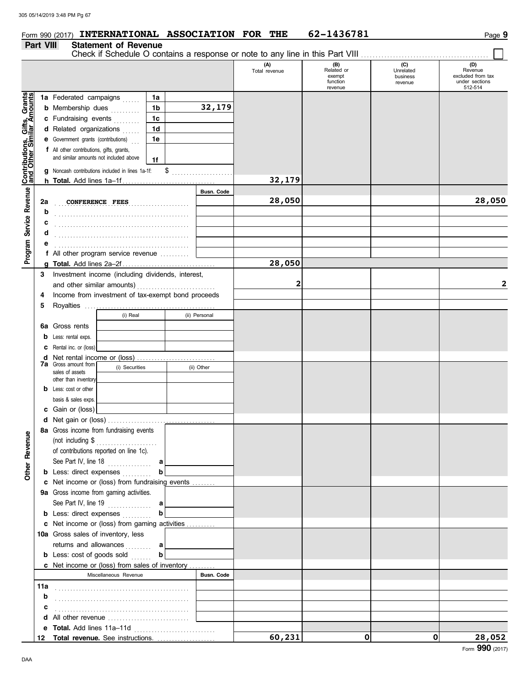### **Form 990 (2017) INTERNATIONAL ASSOCIATION FOR THE 62-1436781 Page 9**

#### **Part VIII Statement of Revenue**

|                                                                                                               |     | Check if Schedule O contains a response or note to any line in this Part VIII |    |                   |                      |                                                    |                                         |                                                                  |
|---------------------------------------------------------------------------------------------------------------|-----|-------------------------------------------------------------------------------|----|-------------------|----------------------|----------------------------------------------------|-----------------------------------------|------------------------------------------------------------------|
|                                                                                                               |     |                                                                               |    |                   | (A)<br>Total revenue | (B)<br>Related or<br>exempt<br>function<br>revenue | (C)<br>Unrelated<br>business<br>revenue | (D)<br>Revenue<br>excluded from tax<br>under sections<br>512-514 |
|                                                                                                               |     | 1a Federated campaigns<br>a sa sala                                           | 1a |                   |                      |                                                    |                                         |                                                                  |
|                                                                                                               |     | <b>b</b> Membership dues                                                      | 1b | 32,179            |                      |                                                    |                                         |                                                                  |
|                                                                                                               |     | c Fundraising events<br>.                                                     | 1c |                   |                      |                                                    |                                         |                                                                  |
|                                                                                                               |     | d Related organizations                                                       | 1d |                   |                      |                                                    |                                         |                                                                  |
|                                                                                                               |     | e Government grants (contributions)                                           | 1e |                   |                      |                                                    |                                         |                                                                  |
|                                                                                                               |     | f All other contributions, gifts, grants,                                     |    |                   |                      |                                                    |                                         |                                                                  |
|                                                                                                               |     | and similar amounts not included above                                        | 1f |                   |                      |                                                    |                                         |                                                                  |
|                                                                                                               | g   | Noncash contributions included in lines 1a-1f:                                |    | \$                |                      |                                                    |                                         |                                                                  |
| Program Service Revenue   Contributions, Gifts, Grants<br>Program Service Revenue   and Other Similar Amounts |     |                                                                               |    |                   | 32,179               |                                                    |                                         |                                                                  |
|                                                                                                               |     |                                                                               |    | <b>Busn. Code</b> |                      |                                                    |                                         |                                                                  |
|                                                                                                               | 2a  | <b>CONFERENCE FEES</b>                                                        |    |                   | 28,050               |                                                    |                                         | 28,050                                                           |
|                                                                                                               | b   |                                                                               |    |                   |                      |                                                    |                                         |                                                                  |
|                                                                                                               | с   |                                                                               |    |                   |                      |                                                    |                                         |                                                                  |
|                                                                                                               | d   |                                                                               |    |                   |                      |                                                    |                                         |                                                                  |
|                                                                                                               |     |                                                                               |    |                   |                      |                                                    |                                         |                                                                  |
|                                                                                                               |     | f All other program service revenue                                           |    |                   |                      |                                                    |                                         |                                                                  |
|                                                                                                               |     |                                                                               |    |                   | 28,050               |                                                    |                                         |                                                                  |
|                                                                                                               | 3   | Investment income (including dividends, interest,                             |    |                   |                      |                                                    |                                         |                                                                  |
|                                                                                                               |     |                                                                               |    |                   | 2                    |                                                    |                                         | 2                                                                |
|                                                                                                               |     | Income from investment of tax-exempt bond proceeds                            |    |                   |                      |                                                    |                                         |                                                                  |
|                                                                                                               | 4   |                                                                               |    |                   |                      |                                                    |                                         |                                                                  |
|                                                                                                               | 5   | (i) Real                                                                      |    | (ii) Personal     |                      |                                                    |                                         |                                                                  |
|                                                                                                               |     |                                                                               |    |                   |                      |                                                    |                                         |                                                                  |
|                                                                                                               | 6a  | Gross rents                                                                   |    |                   |                      |                                                    |                                         |                                                                  |
|                                                                                                               | b   | Less: rental exps.                                                            |    |                   |                      |                                                    |                                         |                                                                  |
|                                                                                                               | с   | Rental inc. or (loss)                                                         |    |                   |                      |                                                    |                                         |                                                                  |
|                                                                                                               | d   | <b>7a</b> Gross amount from<br>(i) Securities                                 |    |                   |                      |                                                    |                                         |                                                                  |
|                                                                                                               |     | sales of assets                                                               |    | (ii) Other        |                      |                                                    |                                         |                                                                  |
|                                                                                                               |     | other than inventory                                                          |    |                   |                      |                                                    |                                         |                                                                  |
|                                                                                                               | b   | Less: cost or other                                                           |    |                   |                      |                                                    |                                         |                                                                  |
|                                                                                                               |     | basis & sales exps.                                                           |    |                   |                      |                                                    |                                         |                                                                  |
|                                                                                                               | c   | Gain or (loss)                                                                |    |                   |                      |                                                    |                                         |                                                                  |
|                                                                                                               |     |                                                                               |    |                   |                      |                                                    |                                         |                                                                  |
| Ф                                                                                                             |     | 8a Gross income from fundraising events                                       |    |                   |                      |                                                    |                                         |                                                                  |
|                                                                                                               |     | (not including \$<br>.                                                        |    |                   |                      |                                                    |                                         |                                                                  |
|                                                                                                               |     | of contributions reported on line 1c).                                        |    |                   |                      |                                                    |                                         |                                                                  |
| Other Revenu                                                                                                  |     | See Part IV, line 18                                                          | a  |                   |                      |                                                    |                                         |                                                                  |
|                                                                                                               |     | <b>b</b> Less: direct expenses                                                |    |                   |                      |                                                    |                                         |                                                                  |
|                                                                                                               |     | c Net income or (loss) from fundraising events                                |    |                   |                      |                                                    |                                         |                                                                  |
|                                                                                                               |     | 9a Gross income from gaming activities.                                       |    |                   |                      |                                                    |                                         |                                                                  |
|                                                                                                               |     | See Part IV, line 19                                                          | a  |                   |                      |                                                    |                                         |                                                                  |
|                                                                                                               |     | <b>b</b> Less: direct expenses                                                | b  |                   |                      |                                                    |                                         |                                                                  |
|                                                                                                               |     | c Net income or (loss) from gaming activities                                 |    |                   |                      |                                                    |                                         |                                                                  |
|                                                                                                               |     | 10a Gross sales of inventory, less                                            |    |                   |                      |                                                    |                                         |                                                                  |
|                                                                                                               |     | returns and allowances                                                        | a  |                   |                      |                                                    |                                         |                                                                  |
|                                                                                                               |     | <b>b</b> Less: cost of goods sold                                             | b  |                   |                      |                                                    |                                         |                                                                  |
|                                                                                                               |     | c Net income or (loss) from sales of inventory                                |    |                   |                      |                                                    |                                         |                                                                  |
|                                                                                                               |     | Miscellaneous Revenue                                                         |    | Busn. Code        |                      |                                                    |                                         |                                                                  |
|                                                                                                               | 11a |                                                                               |    |                   |                      |                                                    |                                         |                                                                  |
|                                                                                                               | b   |                                                                               |    |                   |                      |                                                    |                                         |                                                                  |
|                                                                                                               | c   |                                                                               |    |                   |                      |                                                    |                                         |                                                                  |
|                                                                                                               | d   |                                                                               |    |                   |                      |                                                    |                                         |                                                                  |
|                                                                                                               | е   |                                                                               |    |                   |                      |                                                    |                                         |                                                                  |
|                                                                                                               | 12  |                                                                               |    |                   | 60,231               | 0                                                  | $\mathbf{0}$                            | 28,052                                                           |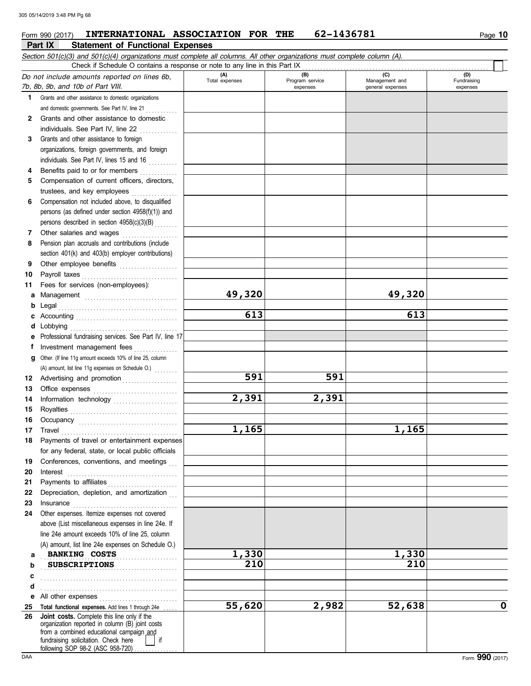### **Part IX Statement of Functional Expenses** Form 990 (2017) **INTERNATIONAL ASSOCIATION FOR THE** 62-1436781 Page 10

|              | Check if Schedule O contains a response or note to any line in this Part IX                                                                                                                                                         |                       |                        |                       |                    |
|--------------|-------------------------------------------------------------------------------------------------------------------------------------------------------------------------------------------------------------------------------------|-----------------------|------------------------|-----------------------|--------------------|
|              | Do not include amounts reported on lines 6b,                                                                                                                                                                                        | (A)<br>Total expenses | (B)<br>Program service | (C)<br>Management and | (D)<br>Fundraising |
|              | 7b, 8b, 9b, and 10b of Part VIII.                                                                                                                                                                                                   |                       | expenses               | general expenses      | expenses           |
| 1.           | Grants and other assistance to domestic organizations                                                                                                                                                                               |                       |                        |                       |                    |
|              | and domestic governments. See Part IV, line 21                                                                                                                                                                                      |                       |                        |                       |                    |
| $\mathbf{2}$ | Grants and other assistance to domestic                                                                                                                                                                                             |                       |                        |                       |                    |
|              | individuals. See Part IV, line 22                                                                                                                                                                                                   |                       |                        |                       |                    |
| 3            | Grants and other assistance to foreign                                                                                                                                                                                              |                       |                        |                       |                    |
|              | organizations, foreign governments, and foreign                                                                                                                                                                                     |                       |                        |                       |                    |
|              | individuals. See Part IV, lines 15 and 16                                                                                                                                                                                           |                       |                        |                       |                    |
| 4            | Benefits paid to or for members                                                                                                                                                                                                     |                       |                        |                       |                    |
| 5            | Compensation of current officers, directors,                                                                                                                                                                                        |                       |                        |                       |                    |
|              | trustees, and key employees                                                                                                                                                                                                         |                       |                        |                       |                    |
| 6            | Compensation not included above, to disqualified                                                                                                                                                                                    |                       |                        |                       |                    |
|              | persons (as defined under section 4958(f)(1)) and                                                                                                                                                                                   |                       |                        |                       |                    |
|              | persons described in section 4958(c)(3)(B)                                                                                                                                                                                          |                       |                        |                       |                    |
| 7            | Other salaries and wages                                                                                                                                                                                                            |                       |                        |                       |                    |
| 8            | Pension plan accruals and contributions (include                                                                                                                                                                                    |                       |                        |                       |                    |
|              | section 401(k) and 403(b) employer contributions)                                                                                                                                                                                   |                       |                        |                       |                    |
| 9            | Other employee benefits                                                                                                                                                                                                             |                       |                        |                       |                    |
| 10           | Payroll taxes                                                                                                                                                                                                                       |                       |                        |                       |                    |
| 11           | Fees for services (non-employees):                                                                                                                                                                                                  |                       |                        |                       |                    |
| а            |                                                                                                                                                                                                                                     | 49,320                |                        | 49,320                |                    |
| b            |                                                                                                                                                                                                                                     | 613                   |                        | 613                   |                    |
| c            |                                                                                                                                                                                                                                     |                       |                        |                       |                    |
| d            | Lobbying                                                                                                                                                                                                                            |                       |                        |                       |                    |
|              | Professional fundraising services. See Part IV, line 17                                                                                                                                                                             |                       |                        |                       |                    |
| f            | Investment management fees                                                                                                                                                                                                          |                       |                        |                       |                    |
| g            | Other. (If line 11g amount exceeds 10% of line 25, column                                                                                                                                                                           |                       |                        |                       |                    |
|              | (A) amount, list line 11g expenses on Schedule O.)                                                                                                                                                                                  | 591                   | 591                    |                       |                    |
| 12           | Advertising and promotion                                                                                                                                                                                                           |                       |                        |                       |                    |
| 13<br>14     |                                                                                                                                                                                                                                     | 2,391                 | 2,391                  |                       |                    |
|              |                                                                                                                                                                                                                                     |                       |                        |                       |                    |
| 15<br>16     |                                                                                                                                                                                                                                     |                       |                        |                       |                    |
| 17           |                                                                                                                                                                                                                                     | 1,165                 |                        | 1,165                 |                    |
| 18           | Payments of travel or entertainment expenses                                                                                                                                                                                        |                       |                        |                       |                    |
|              | for any federal, state, or local public officials                                                                                                                                                                                   |                       |                        |                       |                    |
| 19           | Conferences, conventions, and meetings                                                                                                                                                                                              |                       |                        |                       |                    |
| 20           | Interest                                                                                                                                                                                                                            |                       |                        |                       |                    |
| 21           |                                                                                                                                                                                                                                     |                       |                        |                       |                    |
| 22           | Depreciation, depletion, and amortization                                                                                                                                                                                           |                       |                        |                       |                    |
| 23           | $In surface \begin{tabular}{ll} \textbf{Insurance} & \textbf{Insur} & \textbf{Insur} \\ \hline \end{tabular}$                                                                                                                       |                       |                        |                       |                    |
| 24           | Other expenses. Itemize expenses not covered                                                                                                                                                                                        |                       |                        |                       |                    |
|              | above (List miscellaneous expenses in line 24e. If                                                                                                                                                                                  |                       |                        |                       |                    |
|              | line 24e amount exceeds 10% of line 25, column                                                                                                                                                                                      |                       |                        |                       |                    |
|              | (A) amount, list line 24e expenses on Schedule O.)                                                                                                                                                                                  |                       |                        |                       |                    |
| а            | <b>BANKING COSTS</b>                                                                                                                                                                                                                | 1,330                 |                        | 1,330                 |                    |
| b            | <b>SUBSCRIPTIONS</b>                                                                                                                                                                                                                | 210                   |                        | 210                   |                    |
| c            |                                                                                                                                                                                                                                     |                       |                        |                       |                    |
| d            |                                                                                                                                                                                                                                     |                       |                        |                       |                    |
| е            | All other expenses <b>Manual</b> State of the state of the state of the state of the state of the state of the state of the state of the state of the state of the state of the state of the state of the state of the state of the |                       |                        |                       |                    |
| 25           | Total functional expenses. Add lines 1 through 24e                                                                                                                                                                                  | 55,620                | 2,982                  | 52,638                | 0                  |
| 26           | Joint costs. Complete this line only if the<br>organization reported in column (B) joint costs                                                                                                                                      |                       |                        |                       |                    |
|              | from a combined educational campaign and                                                                                                                                                                                            |                       |                        |                       |                    |
|              | fundraising solicitation. Check here<br>following SOP 98-2 (ASC 958-720)                                                                                                                                                            |                       |                        |                       |                    |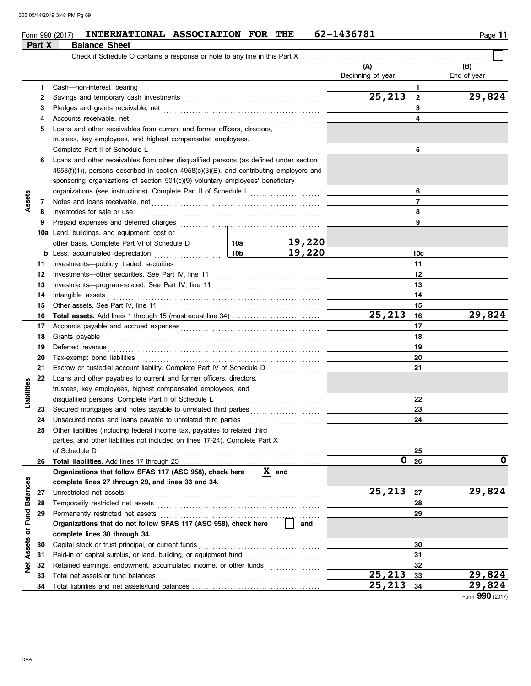#### $_{\rm Form}$  990 (2017) INTERNATIONAL ASSOCIATION FOR THE 62-1436781  $_{\rm Page}$  11 **INTERNATIONAL ASSOCIATION FOR THE 62-1436781**

|                      | Part X | <b>Balance Sheet</b>                                                                          |  |                               |                                  |                 |                    |
|----------------------|--------|-----------------------------------------------------------------------------------------------|--|-------------------------------|----------------------------------|-----------------|--------------------|
|                      |        | Check if Schedule O contains a response or note to any line in this Part X                    |  |                               |                                  |                 |                    |
|                      |        |                                                                                               |  |                               | (A)<br>Beginning of year         |                 | (B)<br>End of year |
|                      | 1.     | Cash-non-interest bearing                                                                     |  |                               |                                  | 1               |                    |
|                      | 2      |                                                                                               |  |                               | $\overline{2}5, \underline{213}$ | $\overline{2}$  | 29,824             |
|                      | 3      |                                                                                               |  |                               |                                  | 3               |                    |
|                      | 4      | Accounts receivable, net                                                                      |  |                               | 4                                |                 |                    |
|                      | 5      | Loans and other receivables from current and former officers, directors,                      |  |                               |                                  |                 |                    |
|                      |        | trustees, key employees, and highest compensated employees.                                   |  |                               |                                  |                 |                    |
|                      |        | Complete Part II of Schedule L                                                                |  |                               |                                  | 5               |                    |
|                      | 6      | Loans and other receivables from other disqualified persons (as defined under section         |  |                               |                                  |                 |                    |
|                      |        | $4958(f)(1)$ ), persons described in section $4958(c)(3)(B)$ , and contributing employers and |  |                               |                                  |                 |                    |
|                      |        | sponsoring organizations of section 501(c)(9) voluntary employees' beneficiary                |  |                               |                                  |                 |                    |
|                      |        | organizations (see instructions). Complete Part II of Schedule L                              |  |                               |                                  | 6               |                    |
| <b>Asset</b>         | 7      |                                                                                               |  |                               |                                  | $\overline{7}$  |                    |
|                      | 8      | Inventories for sale or use                                                                   |  |                               |                                  | 8               |                    |
|                      | 9      | Prepaid expenses and deferred charges                                                         |  |                               |                                  | 9               |                    |
|                      | 10a    | Land, buildings, and equipment: cost or                                                       |  |                               |                                  |                 |                    |
|                      |        |                                                                                               |  |                               |                                  |                 |                    |
|                      | b      | 10b<br>Less: accumulated depreciation                                                         |  | 19,220                        |                                  | 10 <sub>c</sub> |                    |
|                      | 11     |                                                                                               |  |                               |                                  | 11              |                    |
|                      | 12     |                                                                                               |  |                               |                                  | 12              |                    |
|                      | 13     |                                                                                               |  |                               | 13                               |                 |                    |
|                      | 14     | Intangible assets                                                                             |  | 14                            |                                  |                 |                    |
|                      | 15     | Other assets. See Part IV, line 11                                                            |  |                               |                                  | 15              |                    |
|                      | 16     |                                                                                               |  |                               | 25,213                           | 16              | 29,824             |
|                      | 17     |                                                                                               |  |                               |                                  | 17              |                    |
|                      | 18     | Grants payable                                                                                |  |                               | 18                               |                 |                    |
|                      | 19     | Deferred revenue                                                                              |  |                               | 19                               |                 |                    |
|                      | 20     | Tax-exempt bond liabilities                                                                   |  |                               |                                  | 20              |                    |
|                      | 21     | Escrow or custodial account liability. Complete Part IV of Schedule D                         |  |                               |                                  | 21              |                    |
|                      | 22     | Loans and other payables to current and former officers, directors,                           |  |                               |                                  |                 |                    |
| Liabilities          |        | trustees, key employees, highest compensated employees, and                                   |  |                               |                                  |                 |                    |
|                      |        | disqualified persons. Complete Part II of Schedule L                                          |  |                               |                                  | 22              |                    |
|                      | 23     | Secured mortgages and notes payable to unrelated third parties<br>[[[[[[[[[[[[[[[]]]]]]       |  |                               |                                  | 23              |                    |
|                      | 24     | Unsecured notes and loans payable to unrelated third parties                                  |  |                               |                                  | 24              |                    |
|                      | 25     | Other liabilities (including federal income tax, payables to related third                    |  |                               |                                  |                 |                    |
|                      |        | parties, and other liabilities not included on lines 17-24). Complete Part X                  |  |                               |                                  |                 |                    |
|                      |        | of Schedule D                                                                                 |  |                               |                                  | 25              |                    |
|                      | 26     |                                                                                               |  |                               | 0                                | 26              | 0                  |
|                      |        | Organizations that follow SFAS 117 (ASC 958), check here                                      |  | $ \overline{\mathbf{X}} $ and |                                  |                 |                    |
|                      |        | complete lines 27 through 29, and lines 33 and 34.                                            |  |                               |                                  |                 |                    |
|                      | 27     | Unrestricted net assets                                                                       |  |                               | 25,213                           | 27              | 29,824             |
|                      | 28     | Temporarily restricted net assets                                                             |  |                               |                                  | 28              |                    |
| <b>Fund Balances</b> | 29     | Permanently restricted net assets                                                             |  |                               |                                  | 29              |                    |
|                      |        | Organizations that do not follow SFAS 117 (ASC 958), check here                               |  | and                           |                                  |                 |                    |
| ŏ                    |        | complete lines 30 through 34.                                                                 |  |                               |                                  |                 |                    |
| Assets               | 30     | Capital stock or trust principal, or current funds                                            |  |                               |                                  | 30              |                    |
|                      | 31     |                                                                                               |  |                               |                                  | 31              |                    |
| Net                  | 32     | Retained earnings, endowment, accumulated income, or other funds                              |  |                               |                                  | 32              |                    |
|                      | 33     | Total net assets or fund balances                                                             |  |                               | $\overline{2}5, 213$             | 33              | 29,824             |
|                      | 34     |                                                                                               |  |                               | 25, 213                          | 34              | 29,824             |

Form **990** (2017)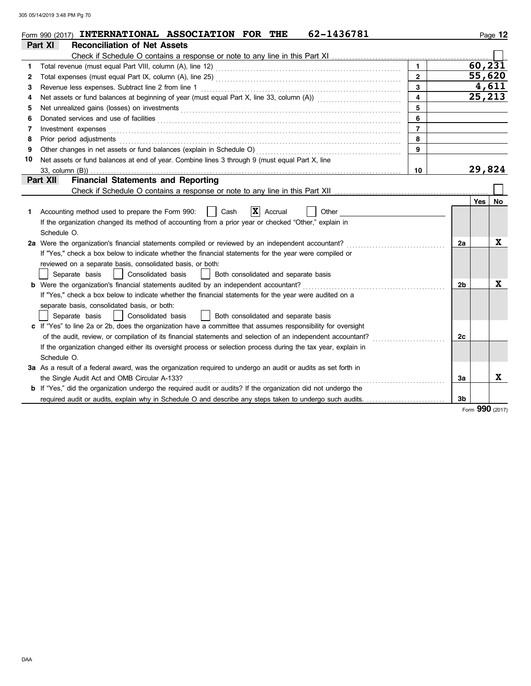|              | 62-1436781<br>Form 990 (2017) INTERNATIONAL ASSOCIATION FOR THE                                                                                                                                                                |                         |                |         | Page 12     |  |  |  |  |
|--------------|--------------------------------------------------------------------------------------------------------------------------------------------------------------------------------------------------------------------------------|-------------------------|----------------|---------|-------------|--|--|--|--|
|              | Part XI<br><b>Reconciliation of Net Assets</b>                                                                                                                                                                                 |                         |                |         |             |  |  |  |  |
|              |                                                                                                                                                                                                                                |                         |                |         |             |  |  |  |  |
| 1            | Total revenue (must equal Part VIII, column (A), line 12) [2010] [2010] [2010] [2010] [2010] [2010] [2010] [20                                                                                                                 | $\mathbf{1}$            |                | 60, 231 |             |  |  |  |  |
| $\mathbf{2}$ |                                                                                                                                                                                                                                | $\overline{2}$          |                | 55,620  |             |  |  |  |  |
| 3            | Revenue less expenses. Subtract line 2 from line 1                                                                                                                                                                             | $\overline{3}$          |                | 4,611   |             |  |  |  |  |
| 4            |                                                                                                                                                                                                                                | $\overline{\mathbf{4}}$ |                | 25,213  |             |  |  |  |  |
| 5            |                                                                                                                                                                                                                                | 5                       |                |         |             |  |  |  |  |
| 6            | 6<br>Donated services and use of facilities <b>constants and in the service of facilities</b>                                                                                                                                  |                         |                |         |             |  |  |  |  |
| 7            | Investment expenses <b>contract and the expenses</b>                                                                                                                                                                           | $\overline{7}$          |                |         |             |  |  |  |  |
| 8            | Prior period adjustments entertainments and adjustments and account of the contract of the contract of the contract of the contract of the contract of the contract of the contract of the contract of the contract of the con | 8                       |                |         |             |  |  |  |  |
| 9            |                                                                                                                                                                                                                                | 9                       |                |         |             |  |  |  |  |
| 10           | Net assets or fund balances at end of year. Combine lines 3 through 9 (must equal Part X, line                                                                                                                                 |                         |                |         |             |  |  |  |  |
|              | 33, column (B))                                                                                                                                                                                                                | 10                      |                | 29,824  |             |  |  |  |  |
|              | <b>Financial Statements and Reporting</b><br>Part XII                                                                                                                                                                          |                         |                |         |             |  |  |  |  |
|              |                                                                                                                                                                                                                                |                         |                |         |             |  |  |  |  |
|              |                                                                                                                                                                                                                                |                         |                | Yes     | No          |  |  |  |  |
| 1.           | $ \mathbf{X} $ Accrual<br>Accounting method used to prepare the Form 990:<br>Cash<br>Other                                                                                                                                     |                         |                |         |             |  |  |  |  |
|              | If the organization changed its method of accounting from a prior year or checked "Other," explain in                                                                                                                          |                         |                |         |             |  |  |  |  |
|              | Schedule O.                                                                                                                                                                                                                    |                         |                |         |             |  |  |  |  |
|              | 2a Were the organization's financial statements compiled or reviewed by an independent accountant?                                                                                                                             |                         | 2a             |         | X           |  |  |  |  |
|              | If "Yes," check a box below to indicate whether the financial statements for the year were compiled or                                                                                                                         |                         |                |         |             |  |  |  |  |
|              | reviewed on a separate basis, consolidated basis, or both:                                                                                                                                                                     |                         |                |         |             |  |  |  |  |
|              | Separate basis<br>  Consolidated basis     Both consolidated and separate basis                                                                                                                                                |                         |                |         |             |  |  |  |  |
|              | <b>b</b> Were the organization's financial statements audited by an independent accountant?                                                                                                                                    |                         | 2 <sub>b</sub> |         | $\mathbf x$ |  |  |  |  |
|              | If "Yes," check a box below to indicate whether the financial statements for the year were audited on a                                                                                                                        |                         |                |         |             |  |  |  |  |
|              | separate basis, consolidated basis, or both:                                                                                                                                                                                   |                         |                |         |             |  |  |  |  |
|              | Both consolidated and separate basis<br>Separate basis<br>  Consolidated basis                                                                                                                                                 |                         |                |         |             |  |  |  |  |
|              | c If "Yes" to line 2a or 2b, does the organization have a committee that assumes responsibility for oversight                                                                                                                  |                         |                |         |             |  |  |  |  |
|              | of the audit, review, or compilation of its financial statements and selection of an independent accountant?                                                                                                                   |                         | 2c             |         |             |  |  |  |  |
|              | If the organization changed either its oversight process or selection process during the tax year, explain in                                                                                                                  |                         |                |         |             |  |  |  |  |
|              | Schedule O.                                                                                                                                                                                                                    |                         |                |         |             |  |  |  |  |
|              | 3a As a result of a federal award, was the organization required to undergo an audit or audits as set forth in                                                                                                                 |                         |                |         |             |  |  |  |  |
|              | the Single Audit Act and OMB Circular A-133?                                                                                                                                                                                   |                         | 3a             |         | X           |  |  |  |  |
|              | <b>b</b> If "Yes," did the organization undergo the required audit or audits? If the organization did not undergo the                                                                                                          |                         |                |         |             |  |  |  |  |
|              | required audit or audits, explain why in Schedule O and describe any steps taken to undergo such audits.                                                                                                                       |                         | 3 <sub>b</sub> |         |             |  |  |  |  |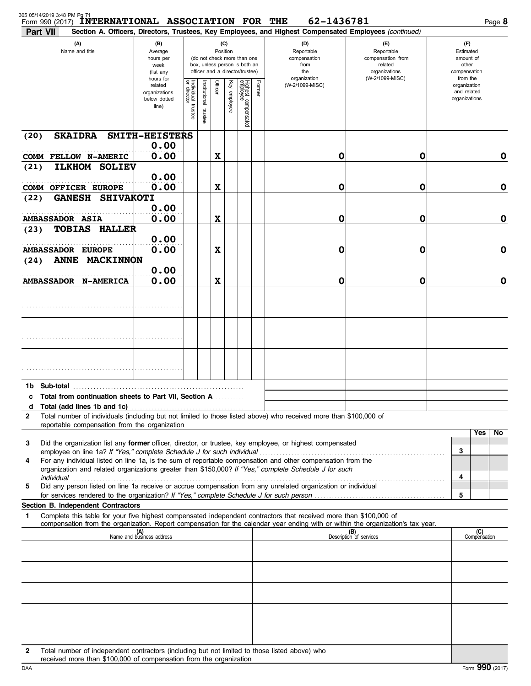| 305 05/14/2019 3:48 PM Pg 71<br>Form 990 (2017) | <b>INTERNATIONAL ASSOCIATION FOR THE</b>                                                                                                                            |                                                                |                                      |                                                                                                                    |                           |              |                                 |                                                  | 62-1436781                                                                                                                                                                                                                                             |                                                                                                                                                                              | Page 8                                                   |
|-------------------------------------------------|---------------------------------------------------------------------------------------------------------------------------------------------------------------------|----------------------------------------------------------------|--------------------------------------|--------------------------------------------------------------------------------------------------------------------|---------------------------|--------------|---------------------------------|--------------------------------------------------|--------------------------------------------------------------------------------------------------------------------------------------------------------------------------------------------------------------------------------------------------------|------------------------------------------------------------------------------------------------------------------------------------------------------------------------------|----------------------------------------------------------|
| Part VII                                        | (A)<br>Name and title                                                                                                                                               | (B)<br>Average<br>hours per<br>week<br>(list any               |                                      | (C)<br>Position<br>(do not check more than one<br>box, unless person is both an<br>officer and a director/trustee) |                           |              |                                 | (D)<br>Reportable<br>compensation<br>from<br>the |                                                                                                                                                                                                                                                        | Section A. Officers, Directors, Trustees, Key Employees, and Highest Compensated Employees (continued)<br>(E)<br>Reportable<br>compensation from<br>related<br>organizations | (F)<br>Estimated<br>amount of<br>other<br>compensation   |
|                                                 |                                                                                                                                                                     | hours for<br>related<br>organizations<br>below dotted<br>line) | Individual<br>or director<br>trustee | Institutional<br>trustee                                                                                           | Officer                   | Key employee | Highest compensated<br>employee | Former                                           | organization<br>(W-2/1099-MISC)                                                                                                                                                                                                                        | (W-2/1099-MISC)                                                                                                                                                              | from the<br>organization<br>and related<br>organizations |
| (20)                                            | <b>SKAIDRA</b>                                                                                                                                                      | SMITH-HEISTERS                                                 |                                      |                                                                                                                    |                           |              |                                 |                                                  |                                                                                                                                                                                                                                                        |                                                                                                                                                                              |                                                          |
|                                                 | COMM FELLOW N-AMERIC                                                                                                                                                | 0.00<br>0.00                                                   |                                      |                                                                                                                    | $\boldsymbol{\mathrm{X}}$ |              |                                 |                                                  | 0                                                                                                                                                                                                                                                      | 0                                                                                                                                                                            | 0                                                        |
| (21)                                            | <b>SOLIEV</b><br><b>ILKHOM</b><br><b>COMM OFFICER EUROPE</b>                                                                                                        | 0.00<br>0.00                                                   |                                      |                                                                                                                    | $\boldsymbol{\mathrm{X}}$ |              |                                 |                                                  | 0                                                                                                                                                                                                                                                      | 0                                                                                                                                                                            | $\mathbf 0$                                              |
| (22)                                            | <b>GANESH</b><br><b>SHIVAKOTI</b>                                                                                                                                   | 0.00                                                           |                                      |                                                                                                                    |                           |              |                                 |                                                  |                                                                                                                                                                                                                                                        |                                                                                                                                                                              |                                                          |
| <b>AMBASSADOR ASIA</b><br>(23)                  | <b>TOBIAS</b><br><b>HALLER</b>                                                                                                                                      | 0.00                                                           |                                      |                                                                                                                    | $\boldsymbol{\mathrm{X}}$ |              |                                 |                                                  | 0                                                                                                                                                                                                                                                      | 0                                                                                                                                                                            | $\mathbf 0$                                              |
|                                                 | <b>AMBASSADOR EUROPE</b>                                                                                                                                            | 0.00<br>0.00                                                   |                                      |                                                                                                                    | $\boldsymbol{\mathrm{X}}$ |              |                                 |                                                  | 0                                                                                                                                                                                                                                                      | 0                                                                                                                                                                            | $\mathbf 0$                                              |
| (24)                                            | <b>MACKINNON</b><br><b>ANNE</b>                                                                                                                                     | 0.00                                                           |                                      |                                                                                                                    |                           |              |                                 |                                                  |                                                                                                                                                                                                                                                        |                                                                                                                                                                              |                                                          |
|                                                 | <b>AMBASSADOR N-AMERICA</b>                                                                                                                                         | 0.00                                                           |                                      |                                                                                                                    | $\boldsymbol{\mathrm{X}}$ |              |                                 |                                                  | 0                                                                                                                                                                                                                                                      | 0                                                                                                                                                                            | $\mathbf 0$                                              |
|                                                 |                                                                                                                                                                     |                                                                |                                      |                                                                                                                    |                           |              |                                 |                                                  |                                                                                                                                                                                                                                                        |                                                                                                                                                                              |                                                          |
|                                                 |                                                                                                                                                                     |                                                                |                                      |                                                                                                                    |                           |              |                                 |                                                  |                                                                                                                                                                                                                                                        |                                                                                                                                                                              |                                                          |
|                                                 |                                                                                                                                                                     |                                                                |                                      |                                                                                                                    |                           |              |                                 |                                                  |                                                                                                                                                                                                                                                        |                                                                                                                                                                              |                                                          |
|                                                 |                                                                                                                                                                     |                                                                |                                      |                                                                                                                    |                           |              |                                 |                                                  |                                                                                                                                                                                                                                                        |                                                                                                                                                                              |                                                          |
| d                                               | c Total from continuation sheets to Part VII, Section A                                                                                                             |                                                                |                                      |                                                                                                                    |                           |              |                                 |                                                  |                                                                                                                                                                                                                                                        |                                                                                                                                                                              |                                                          |
| $\mathbf{2}$                                    | reportable compensation from the organization                                                                                                                       |                                                                |                                      |                                                                                                                    |                           |              |                                 |                                                  | Total number of individuals (including but not limited to those listed above) who received more than \$100,000 of                                                                                                                                      |                                                                                                                                                                              |                                                          |
| 3                                               |                                                                                                                                                                     |                                                                |                                      |                                                                                                                    |                           |              |                                 |                                                  | Did the organization list any former officer, director, or trustee, key employee, or highest compensated                                                                                                                                               |                                                                                                                                                                              | Yes<br>No<br>3                                           |
| 4                                               | employee on line 1a? If "Yes," complete Schedule J for such individual                                                                                              |                                                                |                                      |                                                                                                                    |                           |              |                                 |                                                  | For any individual listed on line 1a, is the sum of reportable compensation and other compensation from the<br>organization and related organizations greater than \$150,000? If "Yes," complete Schedule J for such                                   |                                                                                                                                                                              |                                                          |
| 5                                               | for services rendered to the organization? If "Yes," complete Schedule J for such person                                                                            |                                                                |                                      |                                                                                                                    |                           |              |                                 |                                                  | Did any person listed on line 1a receive or accrue compensation from any unrelated organization or individual                                                                                                                                          |                                                                                                                                                                              | 4<br>5                                                   |
|                                                 | Section B. Independent Contractors                                                                                                                                  |                                                                |                                      |                                                                                                                    |                           |              |                                 |                                                  |                                                                                                                                                                                                                                                        |                                                                                                                                                                              |                                                          |
| 1                                               |                                                                                                                                                                     |                                                                |                                      |                                                                                                                    |                           |              |                                 |                                                  | Complete this table for your five highest compensated independent contractors that received more than \$100,000 of<br>compensation from the organization. Report compensation for the calendar year ending with or within the organization's tax year. |                                                                                                                                                                              |                                                          |
|                                                 |                                                                                                                                                                     | (A)<br>Name and business address                               |                                      |                                                                                                                    |                           |              |                                 |                                                  |                                                                                                                                                                                                                                                        | (B)<br>Description of services                                                                                                                                               | (C)<br>Compensation                                      |
|                                                 |                                                                                                                                                                     |                                                                |                                      |                                                                                                                    |                           |              |                                 |                                                  |                                                                                                                                                                                                                                                        |                                                                                                                                                                              |                                                          |
|                                                 |                                                                                                                                                                     |                                                                |                                      |                                                                                                                    |                           |              |                                 |                                                  |                                                                                                                                                                                                                                                        |                                                                                                                                                                              |                                                          |
|                                                 |                                                                                                                                                                     |                                                                |                                      |                                                                                                                    |                           |              |                                 |                                                  |                                                                                                                                                                                                                                                        |                                                                                                                                                                              |                                                          |
|                                                 |                                                                                                                                                                     |                                                                |                                      |                                                                                                                    |                           |              |                                 |                                                  |                                                                                                                                                                                                                                                        |                                                                                                                                                                              |                                                          |
| $\mathbf{2}$                                    | Total number of independent contractors (including but not limited to those listed above) who<br>received more than \$100,000 of compensation from the organization |                                                                |                                      |                                                                                                                    |                           |              |                                 |                                                  |                                                                                                                                                                                                                                                        |                                                                                                                                                                              |                                                          |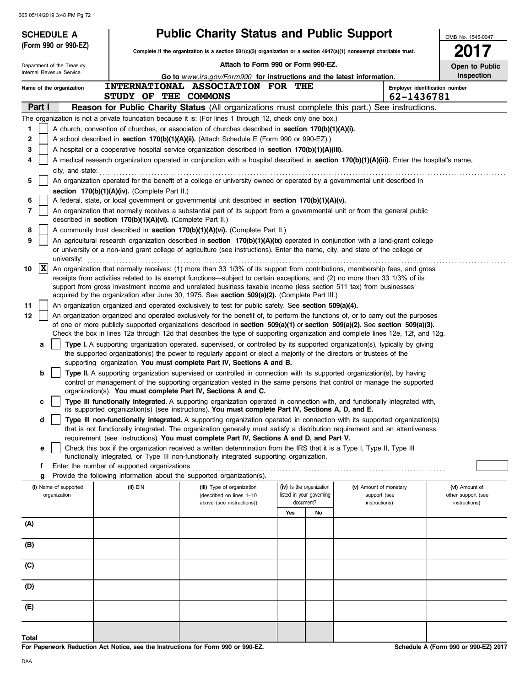|          | <b>SCHEDULE A</b>                     |                                                            | <b>Public Charity Status and Public Support</b>                                                                                                                                                                                                                 |     |                          |                                        | OMB No. 1545-0047                    |
|----------|---------------------------------------|------------------------------------------------------------|-----------------------------------------------------------------------------------------------------------------------------------------------------------------------------------------------------------------------------------------------------------------|-----|--------------------------|----------------------------------------|--------------------------------------|
|          | (Form 990 or 990-EZ)                  |                                                            | Complete if the organization is a section 501(c)(3) organization or a section 4947(a)(1) nonexempt charitable trust.                                                                                                                                            |     |                          |                                        | 2017                                 |
|          | Department of the Treasury            |                                                            | Attach to Form 990 or Form 990-EZ.                                                                                                                                                                                                                              |     |                          |                                        | Open to Public                       |
|          | Internal Revenue Service              |                                                            | Go to www.irs.gov/Form990 for instructions and the latest information.                                                                                                                                                                                          |     |                          |                                        | Inspection                           |
|          | Name of the organization              |                                                            | INTERNATIONAL ASSOCIATION FOR THE                                                                                                                                                                                                                               |     |                          |                                        | Employer identification number       |
|          |                                       | STUDY OF THE COMMONS                                       |                                                                                                                                                                                                                                                                 |     |                          | 62-1436781                             |                                      |
|          | Part I                                |                                                            | <b>Reason for Public Charity Status (All organizations must complete this part.) See instructions.</b>                                                                                                                                                          |     |                          |                                        |                                      |
|          |                                       |                                                            | The organization is not a private foundation because it is: (For lines 1 through 12, check only one box.)                                                                                                                                                       |     |                          |                                        |                                      |
| 1        |                                       |                                                            | A church, convention of churches, or association of churches described in section 170(b)(1)(A)(i).                                                                                                                                                              |     |                          |                                        |                                      |
| 2<br>3   |                                       |                                                            | A school described in section 170(b)(1)(A)(ii). (Attach Schedule E (Form 990 or 990-EZ).)<br>A hospital or a cooperative hospital service organization described in section $170(b)(1)(A)(iii)$ .                                                               |     |                          |                                        |                                      |
| 4        |                                       |                                                            | A medical research organization operated in conjunction with a hospital described in section 170(b)(1)(A)(iii). Enter the hospital's name,                                                                                                                      |     |                          |                                        |                                      |
|          | city, and state:                      |                                                            |                                                                                                                                                                                                                                                                 |     |                          |                                        |                                      |
| 5        |                                       |                                                            | An organization operated for the benefit of a college or university owned or operated by a governmental unit described in                                                                                                                                       |     |                          |                                        |                                      |
|          |                                       | section 170(b)(1)(A)(iv). (Complete Part II.)              |                                                                                                                                                                                                                                                                 |     |                          |                                        |                                      |
| 6        |                                       |                                                            | A federal, state, or local government or governmental unit described in section 170(b)(1)(A)(v).                                                                                                                                                                |     |                          |                                        |                                      |
| 7        |                                       | described in section 170(b)(1)(A)(vi). (Complete Part II.) | An organization that normally receives a substantial part of its support from a governmental unit or from the general public                                                                                                                                    |     |                          |                                        |                                      |
| 8        |                                       |                                                            | A community trust described in section 170(b)(1)(A)(vi). (Complete Part II.)                                                                                                                                                                                    |     |                          |                                        |                                      |
| 9        | university:                           |                                                            | An agricultural research organization described in section 170(b)(1)(A)(ix) operated in conjunction with a land-grant college<br>or university or a non-land grant college of agriculture (see instructions). Enter the name, city, and state of the college or |     |                          |                                        |                                      |
| 10       | $ \mathbf{X} $                        |                                                            | An organization that normally receives: (1) more than 33 1/3% of its support from contributions, membership fees, and gross                                                                                                                                     |     |                          |                                        |                                      |
|          |                                       |                                                            | receipts from activities related to its exempt functions—subject to certain exceptions, and (2) no more than 33 1/3% of its<br>support from gross investment income and unrelated business taxable income (less section 511 tax) from businesses                |     |                          |                                        |                                      |
|          |                                       |                                                            | acquired by the organization after June 30, 1975. See section 509(a)(2). (Complete Part III.)                                                                                                                                                                   |     |                          |                                        |                                      |
| 11<br>12 |                                       |                                                            | An organization organized and operated exclusively to test for public safety. See section 509(a)(4).<br>An organization organized and operated exclusively for the benefit of, to perform the functions of, or to carry out the purposes                        |     |                          |                                        |                                      |
|          |                                       |                                                            | of one or more publicly supported organizations described in section 509(a)(1) or section 509(a)(2). See section 509(a)(3).<br>Check the box in lines 12a through 12d that describes the type of supporting organization and complete lines 12e, 12f, and 12g.  |     |                          |                                        |                                      |
|          | a                                     |                                                            | Type I. A supporting organization operated, supervised, or controlled by its supported organization(s), typically by giving                                                                                                                                     |     |                          |                                        |                                      |
|          |                                       |                                                            | the supported organization(s) the power to regularly appoint or elect a majority of the directors or trustees of the<br>supporting organization. You must complete Part IV, Sections A and B.                                                                   |     |                          |                                        |                                      |
|          | b                                     |                                                            | Type II. A supporting organization supervised or controlled in connection with its supported organization(s), by having<br>control or management of the supporting organization vested in the same persons that control or manage the supported                 |     |                          |                                        |                                      |
|          |                                       |                                                            | organization(s). You must complete Part IV, Sections A and C.                                                                                                                                                                                                   |     |                          |                                        |                                      |
|          | c                                     |                                                            | Type III functionally integrated. A supporting organization operated in connection with, and functionally integrated with,<br>its supported organization(s) (see instructions). You must complete Part IV, Sections A, D, and E.                                |     |                          |                                        |                                      |
|          | d                                     |                                                            | Type III non-functionally integrated. A supporting organization operated in connection with its supported organization(s)<br>that is not functionally integrated. The organization generally must satisfy a distribution reguirement and an attentiveness       |     |                          |                                        |                                      |
|          |                                       |                                                            | requirement (see instructions). You must complete Part IV, Sections A and D, and Part V.                                                                                                                                                                        |     |                          |                                        |                                      |
|          | e                                     |                                                            | Check this box if the organization received a written determination from the IRS that it is a Type I, Type II, Type III<br>functionally integrated, or Type III non-functionally integrated supporting organization.                                            |     |                          |                                        |                                      |
|          | f                                     | Enter the number of supported organizations                |                                                                                                                                                                                                                                                                 |     |                          |                                        |                                      |
|          | g                                     |                                                            | Provide the following information about the supported organization(s).<br>(iii) Type of organization                                                                                                                                                            |     | (iv) Is the organization |                                        |                                      |
|          | (i) Name of supported<br>organization | (ii) EIN                                                   | (described on lines 1-10                                                                                                                                                                                                                                        |     | listed in your governing | (v) Amount of monetary<br>support (see | (vi) Amount of<br>other support (see |
|          |                                       |                                                            | above (see instructions))                                                                                                                                                                                                                                       |     | document?                | instructions)                          | instructions)                        |
|          |                                       |                                                            |                                                                                                                                                                                                                                                                 | Yes | No                       |                                        |                                      |
| (A)      |                                       |                                                            |                                                                                                                                                                                                                                                                 |     |                          |                                        |                                      |
| (B)      |                                       |                                                            |                                                                                                                                                                                                                                                                 |     |                          |                                        |                                      |
| (C)      |                                       |                                                            |                                                                                                                                                                                                                                                                 |     |                          |                                        |                                      |
| (D)      |                                       |                                                            |                                                                                                                                                                                                                                                                 |     |                          |                                        |                                      |
| (E)      |                                       |                                                            |                                                                                                                                                                                                                                                                 |     |                          |                                        |                                      |
| Total    |                                       |                                                            |                                                                                                                                                                                                                                                                 |     |                          |                                        |                                      |

**For Paperwork Reduction Act Notice, see the Instructions for Form 990 or 990-EZ.**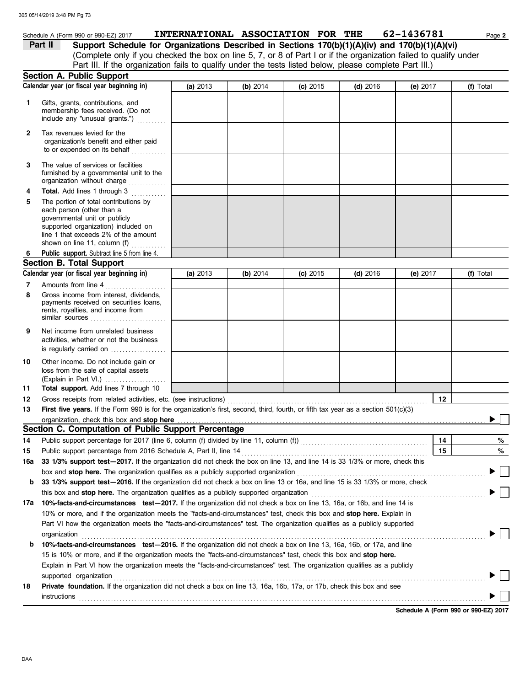|         | Schedule A (Form 990 or 990-EZ) 2017                                                                                                                                                                                |          | <b>INTERNATIONAL ASSOCIATION FOR THE</b> |            |            | 62-1436781 | Page 2    |
|---------|---------------------------------------------------------------------------------------------------------------------------------------------------------------------------------------------------------------------|----------|------------------------------------------|------------|------------|------------|-----------|
| Part II | Support Schedule for Organizations Described in Sections 170(b)(1)(A)(iv) and 170(b)(1)(A)(vi)<br>(Complete only if you checked the box on line 5, 7, or 8 of Part I or if the organization failed to qualify under |          |                                          |            |            |            |           |
|         | Part III. If the organization fails to qualify under the tests listed below, please complete Part III.)                                                                                                             |          |                                          |            |            |            |           |
|         | Section A. Public Support                                                                                                                                                                                           |          |                                          |            |            |            |           |
|         | Calendar year (or fiscal year beginning in)                                                                                                                                                                         | (a) 2013 | (b) 2014                                 | $(c)$ 2015 | $(d)$ 2016 | (e) $2017$ | (f) Total |
|         |                                                                                                                                                                                                                     |          |                                          |            |            |            |           |
| 1       | Gifts, grants, contributions, and<br>membership fees received. (Do not<br>include any "unusual grants.")                                                                                                            |          |                                          |            |            |            |           |
| 2       | Tax revenues levied for the<br>organization's benefit and either paid<br>to or expended on its behalf<br>.                                                                                                          |          |                                          |            |            |            |           |
| 3       | The value of services or facilities<br>furnished by a governmental unit to the<br>organization without charge                                                                                                       |          |                                          |            |            |            |           |
| 4       | Total. Add lines 1 through 3                                                                                                                                                                                        |          |                                          |            |            |            |           |
| 5       | The portion of total contributions by<br>each person (other than a<br>governmental unit or publicly<br>supported organization) included on<br>line 1 that exceeds 2% of the amount<br>shown on line 11, column (f)  |          |                                          |            |            |            |           |
|         | Public support. Subtract line 5 from line 4.                                                                                                                                                                        |          |                                          |            |            |            |           |
|         | <b>Section B. Total Support</b>                                                                                                                                                                                     |          |                                          |            |            |            |           |
|         | Calendar year (or fiscal year beginning in)                                                                                                                                                                         | (a) 2013 | (b) $2014$                               | $(c)$ 2015 | $(d)$ 2016 | (e) $2017$ | (f) Total |
| 7       | Amounts from line 4                                                                                                                                                                                                 |          |                                          |            |            |            |           |
| 8       | Gross income from interest, dividends,<br>payments received on securities loans,<br>rents, royalties, and income from<br>similar sources                                                                            |          |                                          |            |            |            |           |
| 9       | Net income from unrelated business<br>activities, whether or not the business<br>is regularly carried on                                                                                                            |          |                                          |            |            |            |           |
| 10      | Other income. Do not include gain or<br>loss from the sale of capital assets<br>(Explain in Part VI.)                                                                                                               |          |                                          |            |            |            |           |
| 11      | Total support. Add lines 7 through 10                                                                                                                                                                               |          |                                          |            |            |            |           |
| 12      | Gross receipts from related activities, etc. (see instructions)                                                                                                                                                     |          |                                          |            |            | 12         |           |
| 13      | First five years. If the Form 990 is for the organization's first, second, third, fourth, or fifth tax year as a section 501(c)(3)                                                                                  |          |                                          |            |            |            |           |
|         | organization, check this box and stop here                                                                                                                                                                          |          |                                          |            |            |            |           |
|         | Section C. Computation of Public Support Percentage                                                                                                                                                                 |          |                                          |            |            |            |           |
| 14      | Public support percentage for 2017 (line 6, column (f) divided by line 11, column (f)) [[[[[[[[[[[[[[[[[[[[[[                                                                                                       |          |                                          |            |            | 14         | %         |
| 15      | Public support percentage from 2016 Schedule A, Part II, line 14                                                                                                                                                    |          |                                          |            |            | 15         | %         |
| 16a     | 33 1/3% support test-2017. If the organization did not check the box on line 13, and line 14 is 33 1/3% or more, check this                                                                                         |          |                                          |            |            |            |           |
|         | box and stop here. The organization qualifies as a publicly supported organization                                                                                                                                  |          |                                          |            |            |            |           |
| b       | 33 1/3% support test-2016. If the organization did not check a box on line 13 or 16a, and line 15 is 33 1/3% or more, check                                                                                         |          |                                          |            |            |            |           |
|         | this box and stop here. The organization qualifies as a publicly supported organization                                                                                                                             |          |                                          |            |            |            |           |
| 17a     | 10%-facts-and-circumstances test-2017. If the organization did not check a box on line 13, 16a, or 16b, and line 14 is                                                                                              |          |                                          |            |            |            |           |
|         | 10% or more, and if the organization meets the "facts-and-circumstances" test, check this box and stop here. Explain in                                                                                             |          |                                          |            |            |            |           |
|         | Part VI how the organization meets the "facts-and-circumstances" test. The organization qualifies as a publicly supported                                                                                           |          |                                          |            |            |            |           |

**b 10%-facts-and-circumstances test—2016.** If the organization did not check a box on line 13, 16a, 16b, or 17a, and line

**18 Private foundation.** If the organization did not check a box on line 13, 16a, 16b, 17a, or 17b, check this box and see

Explain in Part VI how the organization meets the "facts-and-circumstances" test. The organization qualifies as a publicly 15 is 10% or more, and if the organization meets the "facts-and-circumstances" test, check this box and **stop here.**

organization . . . . . . . . . . . . . . . . . . . . . . . . . . . . . . . . . . . . . . . . . . . . . . . . . . . . . . . . . . . . . . . . . . . . . . . . . . . . . . . . . . . . . . . . . . . . . . . . . . . . . . . . . . . . . . . . . . . . . . . . . . . . . . . . . . . . . . . . . . .

supported organization with the contract of the contract or contract or contract or contract or contract or contract or contract or contract or contract or contract or contract or contract or contract or contract or contra

**instructions** 

**Schedule A (Form 990 or 990-EZ) 2017**

 $\blacktriangleright$ 

 $\blacktriangleright \Box$ 

 $\blacktriangleright$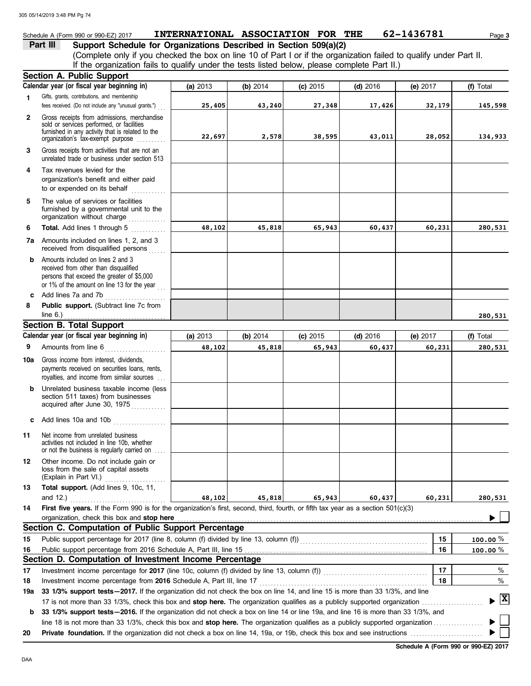### Schedule A (Form 990 or 990-EZ) 2017 **INTERNATIONAL ASSOCIATION FOR THE** 62-1436781 Page 3

**Part III Support Schedule for Organizations Described in Section 509(a)(2)** (Complete only if you checked the box on line 10 of Part I or if the organization failed to qualify under Part II. If the organization fails to qualify under the tests listed below, please complete Part II.)

|     | <b>Section A. Public Support</b>                                                                                                                                                                                                                           |          |          |            |            |          |                      |
|-----|------------------------------------------------------------------------------------------------------------------------------------------------------------------------------------------------------------------------------------------------------------|----------|----------|------------|------------|----------|----------------------|
|     | Calendar year (or fiscal year beginning in)                                                                                                                                                                                                                | (a) 2013 | (b) 2014 | $(c)$ 2015 | $(d)$ 2016 | (e) 2017 | (f) Total            |
| 1.  | Gifts, grants, contributions, and membership<br>fees received. (Do not include any "unusual grants.")                                                                                                                                                      | 25,405   | 43,240   | 27,348     | 17,426     | 32,179   | 145,598              |
| 2   | Gross receipts from admissions, merchandise<br>sold or services performed, or facilities<br>furnished in any activity that is related to the<br>organization's tax-exempt purpose                                                                          | 22,697   | 2,578    | 38,595     | 43,011     | 28,052   | 134,933              |
| 3   | Gross receipts from activities that are not an<br>unrelated trade or business under section 513                                                                                                                                                            |          |          |            |            |          |                      |
| 4   | Tax revenues levied for the<br>organization's benefit and either paid<br>to or expended on its behalf<br>.                                                                                                                                                 |          |          |            |            |          |                      |
| 5   | The value of services or facilities<br>furnished by a governmental unit to the<br>organization without charge                                                                                                                                              |          |          |            |            |          |                      |
| 6   | Total. Add lines 1 through 5<br>.                                                                                                                                                                                                                          | 48,102   | 45,818   | 65,943     | 60,437     | 60,231   | 280,531              |
|     | <b>7a</b> Amounts included on lines 1, 2, and 3<br>received from disqualified persons                                                                                                                                                                      |          |          |            |            |          |                      |
| b   | Amounts included on lines 2 and 3<br>received from other than disqualified<br>persons that exceed the greater of \$5,000<br>or 1% of the amount on line 13 for the year                                                                                    |          |          |            |            |          |                      |
| c   | Add lines 7a and 7b                                                                                                                                                                                                                                        |          |          |            |            |          |                      |
| 8   | Public support. (Subtract line 7c from<br>line $6.$ )                                                                                                                                                                                                      |          |          |            |            |          | 280,531              |
|     | <b>Section B. Total Support</b>                                                                                                                                                                                                                            |          |          |            |            |          |                      |
|     | Calendar year (or fiscal year beginning in)                                                                                                                                                                                                                | (a) 2013 | (b) 2014 | $(c)$ 2015 | $(d)$ 2016 | (e) 2017 | (f) Total            |
| 9   | Amounts from line 6<br>.                                                                                                                                                                                                                                   | 48,102   | 45,818   | 65,943     | 60,437     | 60,231   | 280,531              |
| 10a | Gross income from interest, dividends,<br>payments received on securities loans, rents,<br>royalties, and income from similar sources                                                                                                                      |          |          |            |            |          |                      |
| b   | Unrelated business taxable income (less<br>section 511 taxes) from businesses<br>acquired after June 30, 1975                                                                                                                                              |          |          |            |            |          |                      |
| c   | Add lines 10a and 10b                                                                                                                                                                                                                                      |          |          |            |            |          |                      |
| 11  | Net income from unrelated business<br>activities not included in line 10b, whether<br>or not the business is regularly carried on                                                                                                                          |          |          |            |            |          |                      |
| 12  | Other income. Do not include gain or<br>loss from the sale of capital assets<br>(Explain in Part VI.)                                                                                                                                                      |          |          |            |            |          |                      |
| 13  | Total support. (Add lines 9, 10c, 11,<br>and 12.)                                                                                                                                                                                                          | 48,102   | 45,818   | 65,943     | 60,437     | 60,231   | 280,531              |
| 14  | First five years. If the Form 990 is for the organization's first, second, third, fourth, or fifth tax year as a section 501(c)(3)                                                                                                                         |          |          |            |            |          |                      |
|     | organization, check this box and stop here                                                                                                                                                                                                                 |          |          |            |            |          |                      |
|     | Section C. Computation of Public Support Percentage                                                                                                                                                                                                        |          |          |            |            |          |                      |
| 15  | Public support percentage for 2017 (line 8, column (f) divided by line 13, column (f) [[[[[[[[[[[[[[[[[[[[[[[                                                                                                                                              |          |          |            |            | 15       | 100.00 $%$           |
| 16  | Public support percentage from 2016 Schedule A, Part III, line 15                                                                                                                                                                                          |          |          |            |            | 16       | 100.00 $%$           |
|     | Section D. Computation of Investment Income Percentage                                                                                                                                                                                                     |          |          |            |            |          |                      |
| 17  | Investment income percentage for 2017 (line 10c, column (f) divided by line 13, column (f)) [[[[[[[[[[[[[[[[[[                                                                                                                                             |          |          |            |            | 17       | %                    |
| 18  | Investment income percentage from 2016 Schedule A, Part III, line 17                                                                                                                                                                                       |          |          |            |            | 18       | %                    |
| 19a | 33 1/3% support tests-2017. If the organization did not check the box on line 14, and line 15 is more than 33 1/3%, and line<br>17 is not more than 33 1/3%, check this box and stop here. The organization qualifies as a publicly supported organization |          |          |            |            |          | $\boxed{\mathbf{X}}$ |
| b   | 33 1/3% support tests-2016. If the organization did not check a box on line 14 or line 19a, and line 16 is more than 33 1/3%, and                                                                                                                          |          |          |            |            |          |                      |
|     |                                                                                                                                                                                                                                                            |          |          |            |            |          |                      |
| 20  |                                                                                                                                                                                                                                                            |          |          |            |            |          |                      |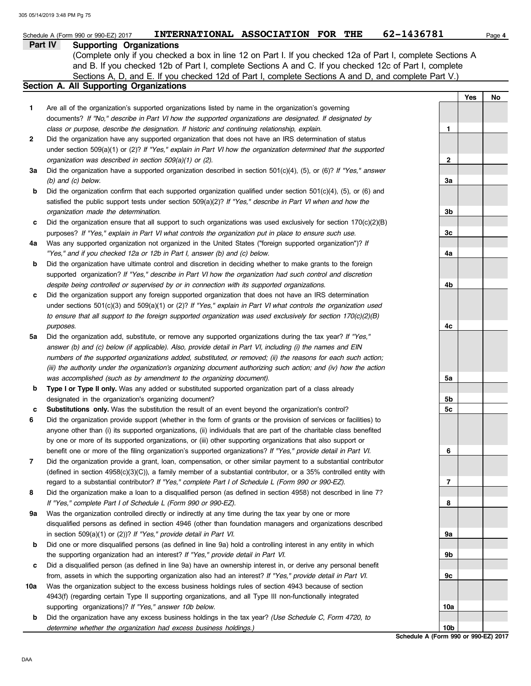|     | INTERNATIONAL ASSOCIATION FOR THE<br>Schedule A (Form 990 or 990-EZ) 2017                                                                                                                                        | 62-1436781                                              | Page 4 |
|-----|------------------------------------------------------------------------------------------------------------------------------------------------------------------------------------------------------------------|---------------------------------------------------------|--------|
|     | Part IV<br><b>Supporting Organizations</b>                                                                                                                                                                       |                                                         |        |
|     | (Complete only if you checked a box in line 12 on Part I. If you checked 12a of Part I, complete Sections A                                                                                                      |                                                         |        |
|     | and B. If you checked 12b of Part I, complete Sections A and C. If you checked 12c of Part I, complete                                                                                                           |                                                         |        |
|     | Sections A, D, and E. If you checked 12d of Part I, complete Sections A and D, and complete Part V.)                                                                                                             |                                                         |        |
|     | Section A. All Supporting Organizations                                                                                                                                                                          |                                                         |        |
|     |                                                                                                                                                                                                                  | Yes                                                     | No     |
| 1   | Are all of the organization's supported organizations listed by name in the organization's governing<br>documents? If "No," describe in Part VI how the supported organizations are designated. If designated by |                                                         |        |
|     | class or purpose, describe the designation. If historic and continuing relationship, explain.                                                                                                                    | 1                                                       |        |
| 2   | Did the organization have any supported organization that does not have an IRS determination of status                                                                                                           |                                                         |        |
|     | under section $509(a)(1)$ or (2)? If "Yes," explain in Part VI how the organization determined that the supported                                                                                                |                                                         |        |
|     | organization was described in section 509(a)(1) or (2).                                                                                                                                                          | 2                                                       |        |
| За  | Did the organization have a supported organization described in section $501(c)(4)$ , (5), or (6)? If "Yes," answer                                                                                              |                                                         |        |
|     | $(b)$ and $(c)$ below.                                                                                                                                                                                           | За                                                      |        |
| b   | Did the organization confirm that each supported organization qualified under section $501(c)(4)$ , $(5)$ , or $(6)$ and                                                                                         |                                                         |        |
|     | satisfied the public support tests under section 509(a)(2)? If "Yes," describe in Part VI when and how the                                                                                                       |                                                         |        |
|     | organization made the determination.                                                                                                                                                                             | 3b                                                      |        |
| c   | Did the organization ensure that all support to such organizations was used exclusively for section $170(c)(2)(B)$                                                                                               |                                                         |        |
|     | purposes? If "Yes," explain in Part VI what controls the organization put in place to ensure such use.                                                                                                           | 3c                                                      |        |
| 4a  | Was any supported organization not organized in the United States ("foreign supported organization")? If                                                                                                         |                                                         |        |
|     | "Yes," and if you checked 12a or 12b in Part I, answer (b) and (c) below.                                                                                                                                        | 4a                                                      |        |
| b   | Did the organization have ultimate control and discretion in deciding whether to make grants to the foreign                                                                                                      |                                                         |        |
|     | supported organization? If "Yes," describe in Part VI how the organization had such control and discretion                                                                                                       |                                                         |        |
|     | despite being controlled or supervised by or in connection with its supported organizations.                                                                                                                     | 4b                                                      |        |
| c   | Did the organization support any foreign supported organization that does not have an IRS determination                                                                                                          |                                                         |        |
|     | under sections $501(c)(3)$ and $509(a)(1)$ or (2)? If "Yes," explain in Part VI what controls the organization used                                                                                              |                                                         |        |
|     | to ensure that all support to the foreign supported organization was used exclusively for section $170(c)(2)(B)$                                                                                                 |                                                         |        |
|     | purposes.                                                                                                                                                                                                        | 4c                                                      |        |
| 5а  | Did the organization add, substitute, or remove any supported organizations during the tax year? If "Yes,"                                                                                                       |                                                         |        |
|     | answer (b) and (c) below (if applicable). Also, provide detail in Part VI, including (i) the names and EIN                                                                                                       |                                                         |        |
|     | numbers of the supported organizations added, substituted, or removed; (ii) the reasons for each such action;                                                                                                    |                                                         |        |
|     | (iii) the authority under the organization's organizing document authorizing such action; and (iv) how the action                                                                                                |                                                         |        |
|     | was accomplished (such as by amendment to the organizing document).                                                                                                                                              | 5a                                                      |        |
| b   | Type I or Type II only. Was any added or substituted supported organization part of a class already                                                                                                              |                                                         |        |
|     | designated in the organization's organizing document?                                                                                                                                                            | 5b                                                      |        |
| с   | Substitutions only. Was the substitution the result of an event beyond the organization's control?                                                                                                               | 5c                                                      |        |
| 6   | Did the organization provide support (whether in the form of grants or the provision of services or facilities) to                                                                                               |                                                         |        |
|     | anyone other than (i) its supported organizations, (ii) individuals that are part of the charitable class benefited                                                                                              |                                                         |        |
|     | by one or more of its supported organizations, or (iii) other supporting organizations that also support or                                                                                                      |                                                         |        |
|     | benefit one or more of the filing organization's supported organizations? If "Yes," provide detail in Part VI.                                                                                                   | 6                                                       |        |
| 7   | Did the organization provide a grant, loan, compensation, or other similar payment to a substantial contributor                                                                                                  |                                                         |        |
|     | (defined in section 4958(c)(3)(C)), a family member of a substantial contributor, or a 35% controlled entity with                                                                                                |                                                         |        |
|     | regard to a substantial contributor? If "Yes," complete Part I of Schedule L (Form 990 or 990-EZ).                                                                                                               | 7                                                       |        |
| 8   | Did the organization make a loan to a disqualified person (as defined in section 4958) not described in line 7?                                                                                                  |                                                         |        |
|     | If "Yes," complete Part I of Schedule L (Form 990 or 990-EZ).                                                                                                                                                    | 8                                                       |        |
| 9а  | Was the organization controlled directly or indirectly at any time during the tax year by one or more                                                                                                            |                                                         |        |
|     | disqualified persons as defined in section 4946 (other than foundation managers and organizations described                                                                                                      |                                                         |        |
|     | in section 509(a)(1) or (2))? If "Yes," provide detail in Part VI.                                                                                                                                               | 9а                                                      |        |
| b   | Did one or more disqualified persons (as defined in line 9a) hold a controlling interest in any entity in which                                                                                                  |                                                         |        |
|     | the supporting organization had an interest? If "Yes," provide detail in Part VI.                                                                                                                                | 9b                                                      |        |
| c   | Did a disqualified person (as defined in line 9a) have an ownership interest in, or derive any personal benefit                                                                                                  |                                                         |        |
|     | from, assets in which the supporting organization also had an interest? If "Yes," provide detail in Part VI.                                                                                                     | 9с                                                      |        |
| 10a | Was the organization subject to the excess business holdings rules of section 4943 because of section                                                                                                            |                                                         |        |
|     | 4943(f) (regarding certain Type II supporting organizations, and all Type III non-functionally integrated                                                                                                        |                                                         |        |
|     | supporting organizations)? If "Yes," answer 10b below.                                                                                                                                                           | 10a                                                     |        |
| b   | Did the organization have any excess business holdings in the tax year? (Use Schedule C, Form 4720, to                                                                                                           |                                                         |        |
|     | determine whether the organization had excess business holdings.)                                                                                                                                                | 10 <sub>b</sub><br>Schodule A (Form 000 or 000-F7) 2017 |        |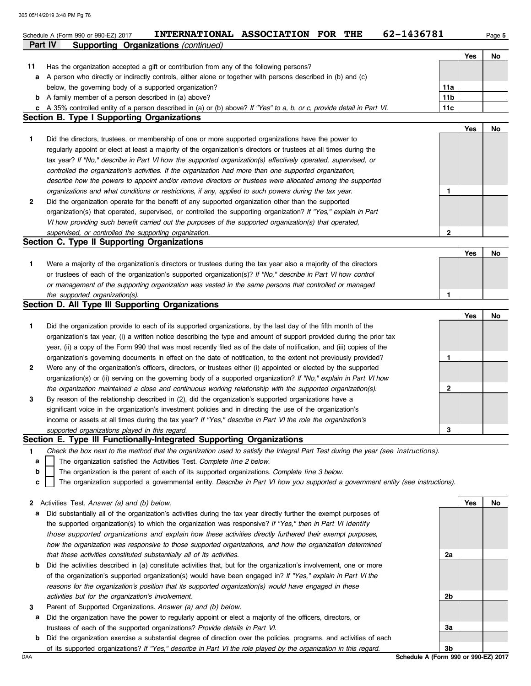|    | 62-1436781<br>INTERNATIONAL ASSOCIATION FOR THE<br>Schedule A (Form 990 or 990-EZ) 2017                                           |              |     | Page 5 |
|----|-----------------------------------------------------------------------------------------------------------------------------------|--------------|-----|--------|
|    | <b>Supporting Organizations (continued)</b><br>Part IV                                                                            |              |     |        |
|    |                                                                                                                                   |              | Yes | No     |
| 11 | Has the organization accepted a gift or contribution from any of the following persons?                                           |              |     |        |
| a  | A person who directly or indirectly controls, either alone or together with persons described in (b) and (c)                      |              |     |        |
|    | below, the governing body of a supported organization?                                                                            | 11a          |     |        |
|    | <b>b</b> A family member of a person described in (a) above?                                                                      | 11b          |     |        |
|    | c A 35% controlled entity of a person described in (a) or (b) above? If "Yes" to a, b, or c, provide detail in Part VI.           | 11c          |     |        |
|    | Section B. Type I Supporting Organizations                                                                                        |              |     |        |
|    |                                                                                                                                   |              | Yes | No     |
| 1  | Did the directors, trustees, or membership of one or more supported organizations have the power to                               |              |     |        |
|    | regularly appoint or elect at least a majority of the organization's directors or trustees at all times during the                |              |     |        |
|    | tax year? If "No," describe in Part VI how the supported organization(s) effectively operated, supervised, or                     |              |     |        |
|    | controlled the organization's activities. If the organization had more than one supported organization,                           |              |     |        |
|    | describe how the powers to appoint and/or remove directors or trustees were allocated among the supported                         |              |     |        |
|    | organizations and what conditions or restrictions, if any, applied to such powers during the tax year.                            | 1            |     |        |
| 2  | Did the organization operate for the benefit of any supported organization other than the supported                               |              |     |        |
|    | organization(s) that operated, supervised, or controlled the supporting organization? If "Yes," explain in Part                   |              |     |        |
|    | VI how providing such benefit carried out the purposes of the supported organization(s) that operated,                            |              |     |        |
|    | supervised, or controlled the supporting organization.<br>Section C. Type II Supporting Organizations                             | $\mathbf{2}$ |     |        |
|    |                                                                                                                                   |              | Yes | No     |
| 1  | Were a majority of the organization's directors or trustees during the tax year also a majority of the directors                  |              |     |        |
|    | or trustees of each of the organization's supported organization(s)? If "No," describe in Part VI how control                     |              |     |        |
|    | or management of the supporting organization was vested in the same persons that controlled or managed                            |              |     |        |
|    | the supported organization(s).                                                                                                    | 1            |     |        |
|    | Section D. All Type III Supporting Organizations                                                                                  |              |     |        |
|    |                                                                                                                                   |              | Yes | No     |
| 1  | Did the organization provide to each of its supported organizations, by the last day of the fifth month of the                    |              |     |        |
|    | organization's tax year, (i) a written notice describing the type and amount of support provided during the prior tax             |              |     |        |
|    | year, (ii) a copy of the Form 990 that was most recently filed as of the date of notification, and (iii) copies of the            |              |     |        |
|    | organization's governing documents in effect on the date of notification, to the extent not previously provided?                  | $\mathbf{1}$ |     |        |
| 2  | Were any of the organization's officers, directors, or trustees either (i) appointed or elected by the supported                  |              |     |        |
|    | organization(s) or (ii) serving on the governing body of a supported organization? If "No," explain in Part VI how                |              |     |        |
|    | the organization maintained a close and continuous working relationship with the supported organization(s).                       | 2            |     |        |
| 3  | By reason of the relationship described in (2), did the organization's supported organizations have a                             |              |     |        |
|    | significant voice in the organization's investment policies and in directing the use of the organization's                        |              |     |        |
|    | income or assets at all times during the tax year? If "Yes," describe in Part VI the role the organization's                      |              |     |        |
|    | supported organizations played in this regard.                                                                                    | 3            |     |        |
|    | Section E. Type III Functionally-Integrated Supporting Organizations                                                              |              |     |        |
| 1. | Check the box next to the method that the organization used to satisfy the Integral Part Test during the year (see instructions). |              |     |        |
| a  | The organization satisfied the Activities Test. Complete line 2 below.                                                            |              |     |        |
| b  | The organization is the parent of each of its supported organizations. Complete line 3 below.                                     |              |     |        |
| c  | The organization supported a governmental entity. Describe in Part VI how you supported a government entity (see instructions).   |              |     |        |
|    |                                                                                                                                   |              |     |        |
| 2  | Activities Test. Answer (a) and (b) below.                                                                                        |              | Yes | No     |
| а  | Did substantially all of the organization's activities during the tax year directly further the exempt purposes of                |              |     |        |
|    | the supported organization(s) to which the organization was responsive? If "Yes," then in Part VI identify                        |              |     |        |
|    | those supported organizations and explain how these activities directly furthered their exempt purposes,                          |              |     |        |
|    | how the organization was responsive to those supported organizations, and how the organization determined                         |              |     |        |
|    | that these activities constituted substantially all of its activities.                                                            | 2a           |     |        |
| b  | Did the activities described in (a) constitute activities that, but for the organization's involvement, one or more               |              |     |        |
|    | of the organization's supported organization(s) would have been engaged in? If "Yes," explain in Part VI the                      |              |     |        |
|    | reasons for the organization's position that its supported organization(s) would have engaged in these                            |              |     |        |
|    | activities but for the organization's involvement.                                                                                | 2b           |     |        |
| 3  | Parent of Supported Organizations. Answer (a) and (b) below.                                                                      |              |     |        |
| а  | Did the organization have the power to regularly appoint or elect a majority of the officers, directors, or                       |              |     |        |
|    | trustees of each of the supported organizations? Provide details in Part VI.                                                      | 3a           |     |        |

**b** Did the organization exercise a substantial degree of direction over the policies, programs, and activities of each of its supported organizations? *If "Yes," describe in Part VI the role played by the organization in this regard.*

Schedule A (Form 990 or 990-EZ) 2017 **3b**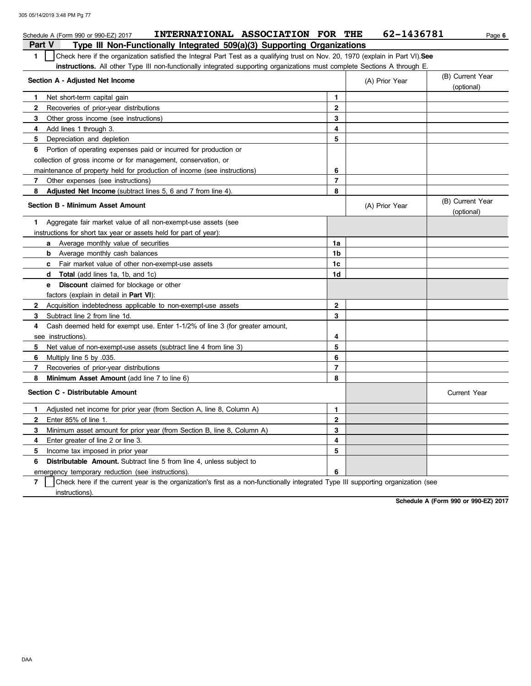| INTERNATIONAL ASSOCIATION FOR THE<br>Schedule A (Form 990 or 990-EZ) 2017                                                              |                     | 62-1436781     | Page 6                         |
|----------------------------------------------------------------------------------------------------------------------------------------|---------------------|----------------|--------------------------------|
| Type III Non-Functionally Integrated 509(a)(3) Supporting Organizations<br>Part V                                                      |                     |                |                                |
| Check here if the organization satisfied the Integral Part Test as a qualifying trust on Nov. 20, 1970 (explain in Part VI). See<br>1. |                     |                |                                |
| <b>instructions.</b> All other Type III non-functionally integrated supporting organizations must complete Sections A through E.       |                     |                |                                |
| Section A - Adjusted Net Income                                                                                                        |                     | (A) Prior Year | (B) Current Year<br>(optional) |
| Net short-term capital gain<br>1.                                                                                                      | 1                   |                |                                |
| $\mathbf{2}$<br>Recoveries of prior-year distributions                                                                                 | $\mathbf{2}$        |                |                                |
| 3<br>Other gross income (see instructions)                                                                                             | 3                   |                |                                |
| Add lines 1 through 3.<br>4                                                                                                            | 4                   |                |                                |
| 5<br>Depreciation and depletion                                                                                                        | 5                   |                |                                |
| Portion of operating expenses paid or incurred for production or<br>6                                                                  |                     |                |                                |
| collection of gross income or for management, conservation, or                                                                         |                     |                |                                |
| maintenance of property held for production of income (see instructions)                                                               | 6                   |                |                                |
| 7<br>Other expenses (see instructions)                                                                                                 | $\overline{7}$      |                |                                |
| 8<br>Adjusted Net Income (subtract lines 5, 6 and 7 from line 4).                                                                      | 8                   |                |                                |
| Section B - Minimum Asset Amount                                                                                                       |                     | (A) Prior Year | (B) Current Year<br>(optional) |
| Aggregate fair market value of all non-exempt-use assets (see<br>1                                                                     |                     |                |                                |
| instructions for short tax year or assets held for part of year):                                                                      |                     |                |                                |
| <b>a</b> Average monthly value of securities                                                                                           | 1a                  |                |                                |
| <b>b</b> Average monthly cash balances                                                                                                 | 1b                  |                |                                |
| Fair market value of other non-exempt-use assets<br>$\mathbf{c}$                                                                       | 1c                  |                |                                |
| <b>d</b> Total (add lines 1a, 1b, and 1c)                                                                                              | 1d                  |                |                                |
| <b>Discount</b> claimed for blockage or other<br>е                                                                                     |                     |                |                                |
| factors (explain in detail in Part VI):                                                                                                |                     |                |                                |
| $\mathbf{2}$<br>Acquisition indebtedness applicable to non-exempt-use assets                                                           | $\mathbf 2$         |                |                                |
| 3<br>Subtract line 2 from line 1d.                                                                                                     | 3                   |                |                                |
| Cash deemed held for exempt use. Enter 1-1/2% of line 3 (for greater amount,<br>4                                                      |                     |                |                                |
| see instructions).                                                                                                                     | 4                   |                |                                |
| Net value of non-exempt-use assets (subtract line 4 from line 3)<br>5                                                                  | 5                   |                |                                |
| 6<br>Multiply line 5 by 035.                                                                                                           | 6                   |                |                                |
| 7<br>Recoveries of prior-year distributions                                                                                            | $\overline{7}$      |                |                                |
| 8<br>Minimum Asset Amount (add line 7 to line 6)                                                                                       | 8                   |                |                                |
| Section C - Distributable Amount                                                                                                       | <b>Current Year</b> |                |                                |
| Adjusted net income for prior year (from Section A, line 8, Column A)<br>1                                                             | 1                   |                |                                |
| $\mathbf{2}$<br>Enter 85% of line 1.                                                                                                   | $\mathbf{2}$        |                |                                |
| Minimum asset amount for prior year (from Section B, line 8, Column A)<br>3                                                            | 3                   |                |                                |
| Enter greater of line 2 or line 3.<br>4                                                                                                | 4                   |                |                                |
| 5<br>Income tax imposed in prior year                                                                                                  | 5                   |                |                                |
| 6<br><b>Distributable Amount.</b> Subtract line 5 from line 4, unless subject to                                                       |                     |                |                                |
| emergency temporary reduction (see instructions).                                                                                      | 6                   |                |                                |

**7** Check here if the current year is the organization's first as a non-functionally integrated Type III supporting organization (see instructions).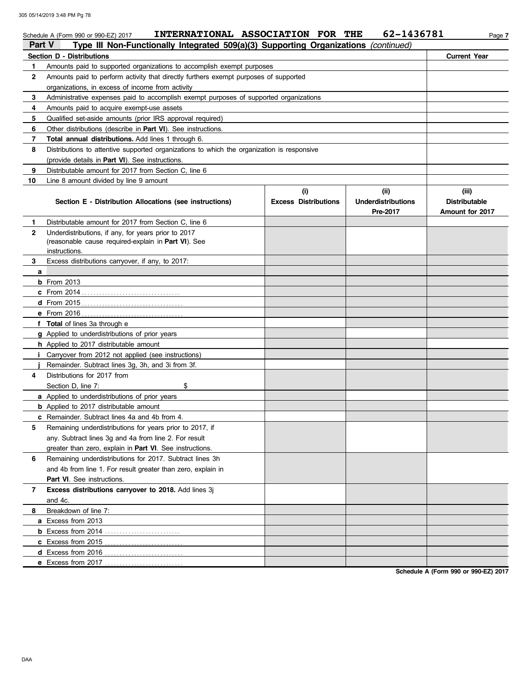|              | INTERNATIONAL ASSOCIATION FOR THE<br>Schedule A (Form 990 or 990-EZ) 2017                  |                                    | 62-1436781                                    | Page 7                                                  |
|--------------|--------------------------------------------------------------------------------------------|------------------------------------|-----------------------------------------------|---------------------------------------------------------|
| Part V       | Type III Non-Functionally Integrated 509(a)(3) Supporting Organizations (continued)        |                                    |                                               |                                                         |
|              | Section D - Distributions                                                                  |                                    |                                               | <b>Current Year</b>                                     |
| 1            | Amounts paid to supported organizations to accomplish exempt purposes                      |                                    |                                               |                                                         |
| $\mathbf{2}$ | Amounts paid to perform activity that directly furthers exempt purposes of supported       |                                    |                                               |                                                         |
|              | organizations, in excess of income from activity                                           |                                    |                                               |                                                         |
| 3            | Administrative expenses paid to accomplish exempt purposes of supported organizations      |                                    |                                               |                                                         |
| 4            | Amounts paid to acquire exempt-use assets                                                  |                                    |                                               |                                                         |
| 5            | Qualified set-aside amounts (prior IRS approval required)                                  |                                    |                                               |                                                         |
| 6            | Other distributions (describe in <b>Part VI</b> ). See instructions.                       |                                    |                                               |                                                         |
| 7            | Total annual distributions. Add lines 1 through 6.                                         |                                    |                                               |                                                         |
| 8            | Distributions to attentive supported organizations to which the organization is responsive |                                    |                                               |                                                         |
|              | (provide details in <b>Part VI</b> ). See instructions.                                    |                                    |                                               |                                                         |
| 9            | Distributable amount for 2017 from Section C, line 6                                       |                                    |                                               |                                                         |
| 10           | Line 8 amount divided by line 9 amount                                                     |                                    |                                               |                                                         |
|              | Section E - Distribution Allocations (see instructions)                                    | (i)<br><b>Excess Distributions</b> | (ii)<br><b>Underdistributions</b><br>Pre-2017 | (iii)<br><b>Distributable</b><br><b>Amount for 2017</b> |
| 1.           | Distributable amount for 2017 from Section C, line 6                                       |                                    |                                               |                                                         |
| $\mathbf{2}$ | Underdistributions, if any, for years prior to 2017                                        |                                    |                                               |                                                         |
|              | (reasonable cause required-explain in Part VI). See                                        |                                    |                                               |                                                         |
|              | instructions.                                                                              |                                    |                                               |                                                         |
| 3            | Excess distributions carryover, if any, to 2017:                                           |                                    |                                               |                                                         |
| a            |                                                                                            |                                    |                                               |                                                         |
|              | <b>b</b> From 2013                                                                         |                                    |                                               |                                                         |
|              |                                                                                            |                                    |                                               |                                                         |
|              |                                                                                            |                                    |                                               |                                                         |
|              |                                                                                            |                                    |                                               |                                                         |
|              | f Total of lines 3a through e                                                              |                                    |                                               |                                                         |
|              | g Applied to underdistributions of prior years                                             |                                    |                                               |                                                         |
|              | h Applied to 2017 distributable amount                                                     |                                    |                                               |                                                         |
|              | <i>i</i> Carryover from 2012 not applied (see instructions)                                |                                    |                                               |                                                         |
|              | Remainder. Subtract lines 3g, 3h, and 3i from 3f.                                          |                                    |                                               |                                                         |
| 4            | Distributions for 2017 from                                                                |                                    |                                               |                                                         |
|              | Section D, line 7:<br>\$                                                                   |                                    |                                               |                                                         |
|              | <b>a</b> Applied to underdistributions of prior years                                      |                                    |                                               |                                                         |
|              | <b>b</b> Applied to 2017 distributable amount                                              |                                    |                                               |                                                         |
|              | <b>c</b> Remainder. Subtract lines 4a and 4b from 4.                                       |                                    |                                               |                                                         |
| 5            | Remaining underdistributions for years prior to 2017, if                                   |                                    |                                               |                                                         |
|              | any. Subtract lines 3q and 4a from line 2. For result                                      |                                    |                                               |                                                         |
|              | greater than zero, explain in Part VI. See instructions.                                   |                                    |                                               |                                                         |
| 6            | Remaining underdistributions for 2017. Subtract lines 3h                                   |                                    |                                               |                                                         |
|              | and 4b from line 1. For result greater than zero, explain in                               |                                    |                                               |                                                         |
|              | Part VI. See instructions.                                                                 |                                    |                                               |                                                         |
| 7            | Excess distributions carryover to 2018. Add lines 3j                                       |                                    |                                               |                                                         |
|              | and 4c.                                                                                    |                                    |                                               |                                                         |
| 8            | Breakdown of line 7:                                                                       |                                    |                                               |                                                         |
|              | a Excess from 2013                                                                         |                                    |                                               |                                                         |
|              |                                                                                            |                                    |                                               |                                                         |
|              | <b>c</b> Excess from 2015                                                                  |                                    |                                               |                                                         |
|              | d Excess from 2016                                                                         |                                    |                                               |                                                         |
|              |                                                                                            |                                    |                                               |                                                         |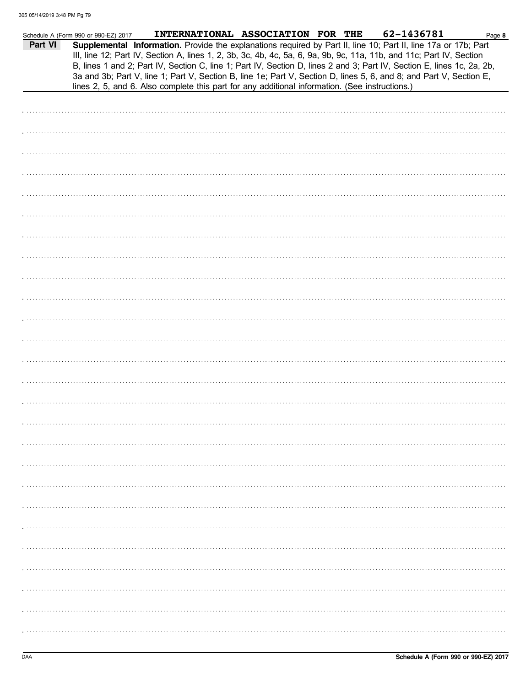|         | Schedule A (Form 990 or 990-EZ) 2017 | INTERNATIONAL ASSOCIATION FOR THE                                                                                                                                                                                                                                                                                                                                                                                                                                                                                                                                                          |  | 62-1436781 | Page 8 |
|---------|--------------------------------------|--------------------------------------------------------------------------------------------------------------------------------------------------------------------------------------------------------------------------------------------------------------------------------------------------------------------------------------------------------------------------------------------------------------------------------------------------------------------------------------------------------------------------------------------------------------------------------------------|--|------------|--------|
| Part VI |                                      | Supplemental Information. Provide the explanations required by Part II, line 10; Part II, line 17a or 17b; Part<br>III, line 12; Part IV, Section A, lines 1, 2, 3b, 3c, 4b, 4c, 5a, 6, 9a, 9b, 9c, 11a, 11b, and 11c; Part IV, Section<br>B, lines 1 and 2; Part IV, Section C, line 1; Part IV, Section D, lines 2 and 3; Part IV, Section E, lines 1c, 2a, 2b,<br>3a and 3b; Part V, line 1; Part V, Section B, line 1e; Part V, Section D, lines 5, 6, and 8; and Part V, Section E,<br>lines 2, 5, and 6. Also complete this part for any additional information. (See instructions.) |  |            |        |
|         |                                      |                                                                                                                                                                                                                                                                                                                                                                                                                                                                                                                                                                                            |  |            |        |
|         |                                      |                                                                                                                                                                                                                                                                                                                                                                                                                                                                                                                                                                                            |  |            |        |
|         |                                      |                                                                                                                                                                                                                                                                                                                                                                                                                                                                                                                                                                                            |  |            |        |
|         |                                      |                                                                                                                                                                                                                                                                                                                                                                                                                                                                                                                                                                                            |  |            |        |
|         |                                      |                                                                                                                                                                                                                                                                                                                                                                                                                                                                                                                                                                                            |  |            |        |
|         |                                      |                                                                                                                                                                                                                                                                                                                                                                                                                                                                                                                                                                                            |  |            |        |
|         |                                      |                                                                                                                                                                                                                                                                                                                                                                                                                                                                                                                                                                                            |  |            |        |
|         |                                      |                                                                                                                                                                                                                                                                                                                                                                                                                                                                                                                                                                                            |  |            |        |
|         |                                      |                                                                                                                                                                                                                                                                                                                                                                                                                                                                                                                                                                                            |  |            |        |
|         |                                      |                                                                                                                                                                                                                                                                                                                                                                                                                                                                                                                                                                                            |  |            |        |
|         |                                      |                                                                                                                                                                                                                                                                                                                                                                                                                                                                                                                                                                                            |  |            |        |
|         |                                      |                                                                                                                                                                                                                                                                                                                                                                                                                                                                                                                                                                                            |  |            |        |
|         |                                      |                                                                                                                                                                                                                                                                                                                                                                                                                                                                                                                                                                                            |  |            |        |
|         |                                      |                                                                                                                                                                                                                                                                                                                                                                                                                                                                                                                                                                                            |  |            |        |
|         |                                      |                                                                                                                                                                                                                                                                                                                                                                                                                                                                                                                                                                                            |  |            |        |
|         |                                      |                                                                                                                                                                                                                                                                                                                                                                                                                                                                                                                                                                                            |  |            |        |
|         |                                      |                                                                                                                                                                                                                                                                                                                                                                                                                                                                                                                                                                                            |  |            |        |
|         |                                      |                                                                                                                                                                                                                                                                                                                                                                                                                                                                                                                                                                                            |  |            |        |
|         |                                      |                                                                                                                                                                                                                                                                                                                                                                                                                                                                                                                                                                                            |  |            |        |
|         |                                      |                                                                                                                                                                                                                                                                                                                                                                                                                                                                                                                                                                                            |  |            |        |
|         |                                      |                                                                                                                                                                                                                                                                                                                                                                                                                                                                                                                                                                                            |  |            |        |
|         |                                      |                                                                                                                                                                                                                                                                                                                                                                                                                                                                                                                                                                                            |  |            |        |
|         |                                      |                                                                                                                                                                                                                                                                                                                                                                                                                                                                                                                                                                                            |  |            |        |
|         |                                      |                                                                                                                                                                                                                                                                                                                                                                                                                                                                                                                                                                                            |  |            |        |
|         |                                      |                                                                                                                                                                                                                                                                                                                                                                                                                                                                                                                                                                                            |  |            |        |
|         |                                      |                                                                                                                                                                                                                                                                                                                                                                                                                                                                                                                                                                                            |  |            |        |
|         |                                      |                                                                                                                                                                                                                                                                                                                                                                                                                                                                                                                                                                                            |  |            |        |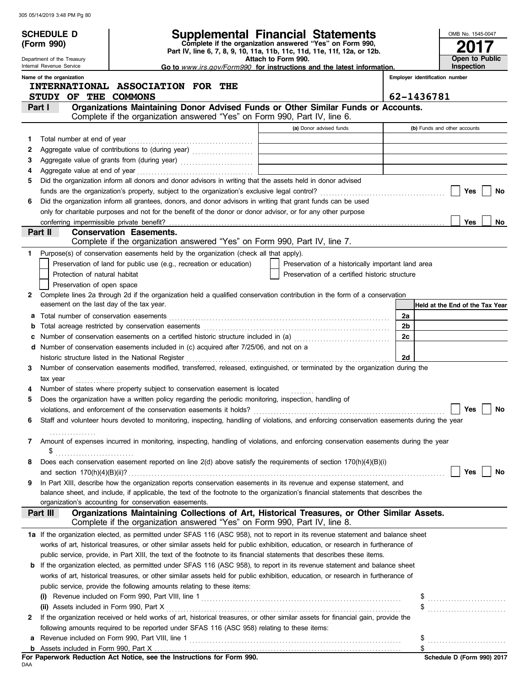|    |                                                                                                                                                         |                                                                                                                                                                                                                                 | Supplemental Financial Statements                  |                                |                                 |
|----|---------------------------------------------------------------------------------------------------------------------------------------------------------|---------------------------------------------------------------------------------------------------------------------------------------------------------------------------------------------------------------------------------|----------------------------------------------------|--------------------------------|---------------------------------|
|    | <b>SCHEDULE D</b>                                                                                                                                       | OMB No. 1545-0047                                                                                                                                                                                                               |                                                    |                                |                                 |
|    | Complete if the organization answered "Yes" on Form 990,<br>(Form 990)<br>Part IV, line 6, 7, 8, 9, 10, 11a, 11b, 11c, 11d, 11e, 11f, 12a, or 12b.      |                                                                                                                                                                                                                                 |                                                    |                                |                                 |
|    | Attach to Form 990.<br>Department of the Treasury<br>Internal Revenue Service<br>Go to www.irs.gov/Form990 for instructions and the latest information. |                                                                                                                                                                                                                                 |                                                    |                                | Open to Public<br>Inspection    |
|    | Name of the organization                                                                                                                                |                                                                                                                                                                                                                                 |                                                    | Employer identification number |                                 |
|    |                                                                                                                                                         | INTERNATIONAL ASSOCIATION FOR THE                                                                                                                                                                                               |                                                    |                                |                                 |
|    | STUDY OF THE COMMONS                                                                                                                                    |                                                                                                                                                                                                                                 |                                                    | 62-1436781                     |                                 |
|    | Part I                                                                                                                                                  | Organizations Maintaining Donor Advised Funds or Other Similar Funds or Accounts.                                                                                                                                               |                                                    |                                |                                 |
|    |                                                                                                                                                         | Complete if the organization answered "Yes" on Form 990, Part IV, line 6.                                                                                                                                                       |                                                    |                                |                                 |
|    |                                                                                                                                                         |                                                                                                                                                                                                                                 | (a) Donor advised funds                            |                                | (b) Funds and other accounts    |
| 1  |                                                                                                                                                         |                                                                                                                                                                                                                                 |                                                    |                                |                                 |
| 2  |                                                                                                                                                         |                                                                                                                                                                                                                                 |                                                    |                                |                                 |
| з  |                                                                                                                                                         | Aggregate value of grants from (during year)                                                                                                                                                                                    |                                                    |                                |                                 |
| 4  |                                                                                                                                                         | Did the organization inform all donors and donor advisors in writing that the assets held in donor advised                                                                                                                      |                                                    |                                |                                 |
| 5  |                                                                                                                                                         |                                                                                                                                                                                                                                 |                                                    |                                | Yes<br>No                       |
| 6  |                                                                                                                                                         | Did the organization inform all grantees, donors, and donor advisors in writing that grant funds can be used                                                                                                                    |                                                    |                                |                                 |
|    |                                                                                                                                                         | only for charitable purposes and not for the benefit of the donor or donor advisor, or for any other purpose                                                                                                                    |                                                    |                                |                                 |
|    | conferring impermissible private benefit?                                                                                                               |                                                                                                                                                                                                                                 |                                                    |                                | <b>Yes</b><br>No.               |
|    | Part II                                                                                                                                                 | <b>Conservation Easements.</b>                                                                                                                                                                                                  |                                                    |                                |                                 |
|    |                                                                                                                                                         | Complete if the organization answered "Yes" on Form 990, Part IV, line 7.                                                                                                                                                       |                                                    |                                |                                 |
| 1. |                                                                                                                                                         | Purpose(s) of conservation easements held by the organization (check all that apply).                                                                                                                                           |                                                    |                                |                                 |
|    |                                                                                                                                                         | Preservation of land for public use (e.g., recreation or education)                                                                                                                                                             | Preservation of a historically important land area |                                |                                 |
|    | Protection of natural habitat                                                                                                                           |                                                                                                                                                                                                                                 | Preservation of a certified historic structure     |                                |                                 |
|    | Preservation of open space                                                                                                                              |                                                                                                                                                                                                                                 |                                                    |                                |                                 |
| 2  | easement on the last day of the tax year.                                                                                                               | Complete lines 2a through 2d if the organization held a qualified conservation contribution in the form of a conservation                                                                                                       |                                                    |                                |                                 |
|    |                                                                                                                                                         |                                                                                                                                                                                                                                 |                                                    |                                | Held at the End of the Tax Year |
|    |                                                                                                                                                         | Total acreage restricted by conservation easements                                                                                                                                                                              |                                                    | 2a<br>2b                       |                                 |
|    |                                                                                                                                                         | Number of conservation easements on a certified historic structure included in (a) [11] Number of conservation easements on a certified historic structure included in (a)                                                      |                                                    | 2c                             |                                 |
|    |                                                                                                                                                         | d Number of conservation easements included in (c) acquired after 7/25/06, and not on a                                                                                                                                         |                                                    |                                |                                 |
|    |                                                                                                                                                         |                                                                                                                                                                                                                                 |                                                    | 2d                             |                                 |
| 3  |                                                                                                                                                         | Number of conservation easements modified, transferred, released, extinguished, or terminated by the organization during the                                                                                                    |                                                    |                                |                                 |
|    | tax year                                                                                                                                                |                                                                                                                                                                                                                                 |                                                    |                                |                                 |
|    |                                                                                                                                                         | Number of states where property subject to conservation easement is located                                                                                                                                                     |                                                    |                                |                                 |
| 5  |                                                                                                                                                         | Does the organization have a written policy regarding the periodic monitoring, inspection, handling of                                                                                                                          |                                                    |                                |                                 |
|    |                                                                                                                                                         | violations, and enforcement of the conservation easements it holds?                                                                                                                                                             |                                                    |                                | Yes<br>No                       |
| 6  |                                                                                                                                                         | Staff and volunteer hours devoted to monitoring, inspecting, handling of violations, and enforcing conservation easements during the year                                                                                       |                                                    |                                |                                 |
|    |                                                                                                                                                         |                                                                                                                                                                                                                                 |                                                    |                                |                                 |
| 7  |                                                                                                                                                         | Amount of expenses incurred in monitoring, inspecting, handling of violations, and enforcing conservation easements during the year                                                                                             |                                                    |                                |                                 |
| 8  | \$                                                                                                                                                      | Does each conservation easement reported on line 2(d) above satisfy the requirements of section 170(h)(4)(B)(i)                                                                                                                 |                                                    |                                |                                 |
|    |                                                                                                                                                         |                                                                                                                                                                                                                                 |                                                    |                                | Yes<br>No                       |
| 9  |                                                                                                                                                         | In Part XIII, describe how the organization reports conservation easements in its revenue and expense statement, and                                                                                                            |                                                    |                                |                                 |
|    |                                                                                                                                                         | balance sheet, and include, if applicable, the text of the footnote to the organization's financial statements that describes the                                                                                               |                                                    |                                |                                 |
|    |                                                                                                                                                         | organization's accounting for conservation easements.                                                                                                                                                                           |                                                    |                                |                                 |
|    | Part III                                                                                                                                                | Organizations Maintaining Collections of Art, Historical Treasures, or Other Similar Assets.<br>Complete if the organization answered "Yes" on Form 990, Part IV, line 8.                                                       |                                                    |                                |                                 |
|    |                                                                                                                                                         | 1a If the organization elected, as permitted under SFAS 116 (ASC 958), not to report in its revenue statement and balance sheet                                                                                                 |                                                    |                                |                                 |
|    |                                                                                                                                                         | works of art, historical treasures, or other similar assets held for public exhibition, education, or research in furtherance of                                                                                                |                                                    |                                |                                 |
|    |                                                                                                                                                         | public service, provide, in Part XIII, the text of the footnote to its financial statements that describes these items.                                                                                                         |                                                    |                                |                                 |
|    |                                                                                                                                                         | <b>b</b> If the organization elected, as permitted under SFAS 116 (ASC 958), to report in its revenue statement and balance sheet                                                                                               |                                                    |                                |                                 |
|    |                                                                                                                                                         | works of art, historical treasures, or other similar assets held for public exhibition, education, or research in furtherance of                                                                                                |                                                    |                                |                                 |
|    |                                                                                                                                                         | public service, provide the following amounts relating to these items:                                                                                                                                                          |                                                    |                                |                                 |
|    |                                                                                                                                                         |                                                                                                                                                                                                                                 |                                                    |                                |                                 |
|    | (ii) Assets included in Form 990, Part X                                                                                                                |                                                                                                                                                                                                                                 |                                                    |                                |                                 |
| 2  |                                                                                                                                                         | If the organization received or held works of art, historical treasures, or other similar assets for financial gain, provide the<br>following amounts required to be reported under SFAS 116 (ASC 958) relating to these items: |                                                    |                                |                                 |
| а  |                                                                                                                                                         |                                                                                                                                                                                                                                 |                                                    | \$                             |                                 |
|    |                                                                                                                                                         |                                                                                                                                                                                                                                 |                                                    |                                |                                 |
|    |                                                                                                                                                         |                                                                                                                                                                                                                                 |                                                    |                                |                                 |

| For Paperwork Reduction Act Notice, see the Instructions for Form 990. |  |  |  |
|------------------------------------------------------------------------|--|--|--|
| DAA                                                                    |  |  |  |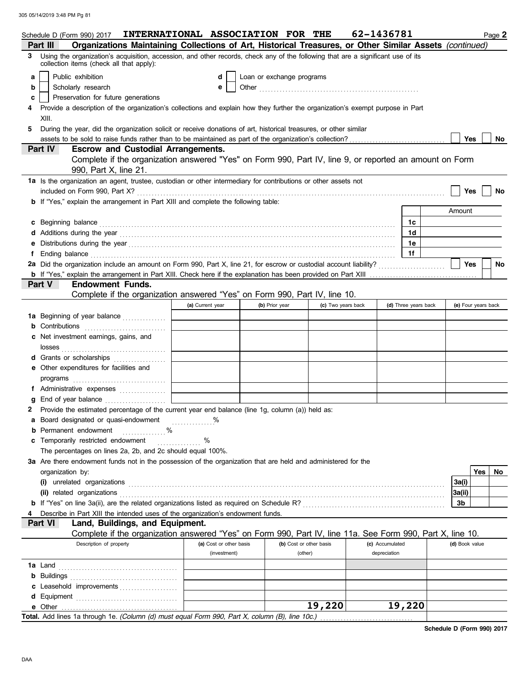|   | Schedule D (Form 990) 2017 <b>INTERNATIONAL ASSOCIATION FOR THE</b>                                                                                                                                                                                                                                  |                         |                           |                         | 62-1436781      |                      |                | Page 2              |
|---|------------------------------------------------------------------------------------------------------------------------------------------------------------------------------------------------------------------------------------------------------------------------------------------------------|-------------------------|---------------------------|-------------------------|-----------------|----------------------|----------------|---------------------|
|   | Organizations Maintaining Collections of Art, Historical Treasures, or Other Similar Assets (continued)<br>Part III                                                                                                                                                                                  |                         |                           |                         |                 |                      |                |                     |
| 3 | Using the organization's acquisition, accession, and other records, check any of the following that are a significant use of its<br>collection items (check all that apply):                                                                                                                         |                         |                           |                         |                 |                      |                |                     |
| a | Public exhibition                                                                                                                                                                                                                                                                                    | d                       | Loan or exchange programs |                         |                 |                      |                |                     |
| b | Scholarly research                                                                                                                                                                                                                                                                                   | е                       |                           |                         |                 |                      |                |                     |
| C | Preservation for future generations                                                                                                                                                                                                                                                                  |                         |                           |                         |                 |                      |                |                     |
|   | Provide a description of the organization's collections and explain how they further the organization's exempt purpose in Part                                                                                                                                                                       |                         |                           |                         |                 |                      |                |                     |
|   | XIII.                                                                                                                                                                                                                                                                                                |                         |                           |                         |                 |                      |                |                     |
| 5 | During the year, did the organization solicit or receive donations of art, historical treasures, or other similar                                                                                                                                                                                    |                         |                           |                         |                 |                      |                |                     |
|   |                                                                                                                                                                                                                                                                                                      |                         |                           |                         |                 |                      | Yes            | No                  |
|   | <b>Escrow and Custodial Arrangements.</b><br><b>Part IV</b>                                                                                                                                                                                                                                          |                         |                           |                         |                 |                      |                |                     |
|   | Complete if the organization answered "Yes" on Form 990, Part IV, line 9, or reported an amount on Form<br>990, Part X, line 21.                                                                                                                                                                     |                         |                           |                         |                 |                      |                |                     |
|   | 1a Is the organization an agent, trustee, custodian or other intermediary for contributions or other assets not                                                                                                                                                                                      |                         |                           |                         |                 |                      |                |                     |
|   |                                                                                                                                                                                                                                                                                                      |                         |                           |                         |                 |                      | Yes            | No                  |
|   | <b>b</b> If "Yes," explain the arrangement in Part XIII and complete the following table:                                                                                                                                                                                                            |                         |                           |                         |                 |                      |                |                     |
|   |                                                                                                                                                                                                                                                                                                      |                         |                           |                         |                 |                      | Amount         |                     |
|   | c Beginning balance <b>contract the contract of the contract of the contract of the contract of the contract of the contract of the contract of the contract of the contract of the contract of the contract of the contract of </b>                                                                 |                         |                           |                         |                 | 1c                   |                |                     |
|   |                                                                                                                                                                                                                                                                                                      |                         |                           |                         |                 | 1d                   |                |                     |
|   |                                                                                                                                                                                                                                                                                                      |                         |                           |                         |                 | 1е                   |                |                     |
|   | Ending balance commutation and contact the contract of the contract of the contract of the contract of the contract of the contract of the contract of the contract of the contract of the contract of the contract of the con                                                                       |                         |                           |                         |                 | 1f                   |                |                     |
|   | 2a Did the organization include an amount on Form 990, Part X, line 21, for escrow or custodial account liability?                                                                                                                                                                                   |                         |                           |                         |                 |                      | Yes            | <b>No</b>           |
|   |                                                                                                                                                                                                                                                                                                      |                         |                           |                         |                 |                      |                |                     |
|   | Part V<br><b>Endowment Funds.</b>                                                                                                                                                                                                                                                                    |                         |                           |                         |                 |                      |                |                     |
|   | Complete if the organization answered "Yes" on Form 990, Part IV, line 10.                                                                                                                                                                                                                           |                         |                           |                         |                 |                      |                |                     |
|   |                                                                                                                                                                                                                                                                                                      | (a) Current year        | (b) Prior year            | (c) Two years back      |                 | (d) Three years back |                | (e) Four years back |
|   | 1a Beginning of year balance                                                                                                                                                                                                                                                                         |                         |                           |                         |                 |                      |                |                     |
|   | <b>b</b> Contributions                                                                                                                                                                                                                                                                               |                         |                           |                         |                 |                      |                |                     |
|   | c Net investment earnings, gains, and                                                                                                                                                                                                                                                                |                         |                           |                         |                 |                      |                |                     |
|   | d Grants or scholarships                                                                                                                                                                                                                                                                             |                         |                           |                         |                 |                      |                |                     |
|   | e Other expenditures for facilities and                                                                                                                                                                                                                                                              |                         |                           |                         |                 |                      |                |                     |
|   | $\mathsf{programs}$ [[1] $\mathsf{m}$ [[1] $\mathsf{m}$ [[1] $\mathsf{m}$ [[1] $\mathsf{m}$ [[1] $\mathsf{m}$ [[1] $\mathsf{m}$ [[1] $\mathsf{m}$ [[1] $\mathsf{m}$ [[1] $\mathsf{m}$ [[1] $\mathsf{m}$ [[1] $\mathsf{m}$ [[1] $\mathsf{m}$ [[1] $\mathsf{m}$ [[1] $\mathsf{m}$ [[1] $\mathsf{m}$ [[ |                         |                           |                         |                 |                      |                |                     |
|   | f Administrative expenses                                                                                                                                                                                                                                                                            |                         |                           |                         |                 |                      |                |                     |
|   | g End of year balance                                                                                                                                                                                                                                                                                |                         |                           |                         |                 |                      |                |                     |
|   | 2 Provide the estimated percentage of the current year end balance (line 1g, column (a)) held as:                                                                                                                                                                                                    |                         |                           |                         |                 |                      |                |                     |
|   | a Board designated or quasi-endowment                                                                                                                                                                                                                                                                |                         |                           |                         |                 |                      |                |                     |
|   | <b>b</b> Permanent endowment<br>.                                                                                                                                                                                                                                                                    |                         |                           |                         |                 |                      |                |                     |
|   | c Temporarily restricted endowment                                                                                                                                                                                                                                                                   | %<br>.                  |                           |                         |                 |                      |                |                     |
|   | The percentages on lines 2a, 2b, and 2c should equal 100%.                                                                                                                                                                                                                                           |                         |                           |                         |                 |                      |                |                     |
|   | 3a Are there endowment funds not in the possession of the organization that are held and administered for the                                                                                                                                                                                        |                         |                           |                         |                 |                      |                |                     |
|   | organization by:                                                                                                                                                                                                                                                                                     |                         |                           |                         |                 |                      |                | Yes<br>No           |
|   | $(i)$ unrelated organizations $(1)$                                                                                                                                                                                                                                                                  |                         |                           |                         |                 |                      | 3a(i)          |                     |
|   |                                                                                                                                                                                                                                                                                                      |                         |                           |                         |                 |                      | 3a(ii)         |                     |
|   |                                                                                                                                                                                                                                                                                                      |                         |                           |                         |                 |                      | 3b             |                     |
|   | Describe in Part XIII the intended uses of the organization's endowment funds.                                                                                                                                                                                                                       |                         |                           |                         |                 |                      |                |                     |
|   | Part VI<br>Land, Buildings, and Equipment.                                                                                                                                                                                                                                                           |                         |                           |                         |                 |                      |                |                     |
|   | Complete if the organization answered "Yes" on Form 990, Part IV, line 11a. See Form 990, Part X, line 10.                                                                                                                                                                                           |                         |                           |                         |                 |                      |                |                     |
|   | Description of property                                                                                                                                                                                                                                                                              | (a) Cost or other basis |                           | (b) Cost or other basis | (c) Accumulated |                      | (d) Book value |                     |
|   |                                                                                                                                                                                                                                                                                                      | (investment)            |                           | (other)                 | depreciation    |                      |                |                     |
|   |                                                                                                                                                                                                                                                                                                      |                         |                           |                         |                 |                      |                |                     |
|   |                                                                                                                                                                                                                                                                                                      |                         |                           |                         |                 |                      |                |                     |
|   | c Leasehold improvements                                                                                                                                                                                                                                                                             |                         |                           |                         |                 |                      |                |                     |
|   |                                                                                                                                                                                                                                                                                                      |                         |                           |                         |                 |                      |                |                     |
|   |                                                                                                                                                                                                                                                                                                      |                         |                           | 19,220                  |                 | 19,220               |                |                     |
|   | Total. Add lines 1a through 1e. (Column (d) must equal Form 990, Part X, column (B), line 10c.)                                                                                                                                                                                                      |                         |                           |                         |                 |                      |                |                     |

**Schedule D (Form 990) 2017**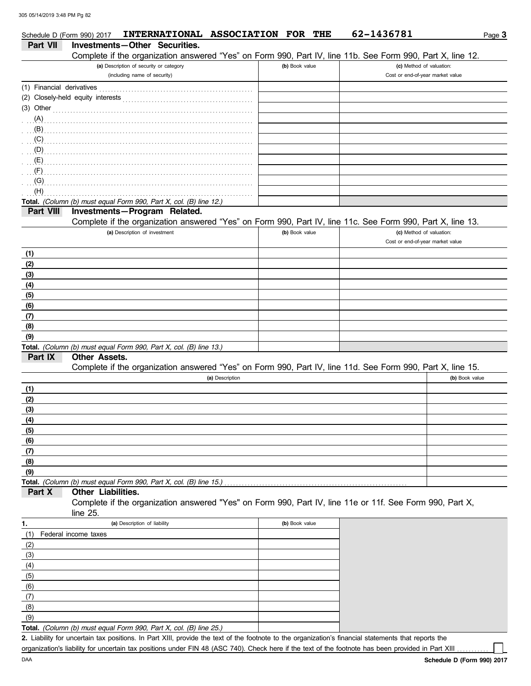|                           | Schedule D (Form 990) 2017 | INTERNATIONAL ASSOCIATION FOR THE                                                                                                                                                                                                   |                 |                | 62-1436781                                                                                                 | Page 3         |
|---------------------------|----------------------------|-------------------------------------------------------------------------------------------------------------------------------------------------------------------------------------------------------------------------------------|-----------------|----------------|------------------------------------------------------------------------------------------------------------|----------------|
| <b>Part VII</b>           |                            | Investments-Other Securities.                                                                                                                                                                                                       |                 |                |                                                                                                            |                |
|                           |                            |                                                                                                                                                                                                                                     |                 |                | Complete if the organization answered "Yes" on Form 990, Part IV, line 11b. See Form 990, Part X, line 12. |                |
|                           |                            | (a) Description of security or category                                                                                                                                                                                             |                 | (b) Book value | (c) Method of valuation:                                                                                   |                |
|                           |                            | (including name of security)                                                                                                                                                                                                        |                 |                | Cost or end-of-year market value                                                                           |                |
| (1) Financial derivatives |                            |                                                                                                                                                                                                                                     |                 |                |                                                                                                            |                |
|                           |                            |                                                                                                                                                                                                                                     |                 |                |                                                                                                            |                |
| $(3)$ Other               |                            |                                                                                                                                                                                                                                     |                 |                |                                                                                                            |                |
|                           |                            |                                                                                                                                                                                                                                     |                 |                |                                                                                                            |                |
|                           |                            |                                                                                                                                                                                                                                     |                 |                |                                                                                                            |                |
|                           |                            | $(\mathsf{C})$ . The contract of the contract of the contract of the contract of the contract of the contract of the contract of the contract of the contract of the contract of the contract of the contract of the contract of th |                 |                |                                                                                                            |                |
|                           |                            |                                                                                                                                                                                                                                     |                 |                |                                                                                                            |                |
|                           |                            |                                                                                                                                                                                                                                     |                 |                |                                                                                                            |                |
|                           |                            |                                                                                                                                                                                                                                     |                 |                |                                                                                                            |                |
| (G)                       |                            |                                                                                                                                                                                                                                     |                 |                |                                                                                                            |                |
| (H)                       |                            |                                                                                                                                                                                                                                     |                 |                |                                                                                                            |                |
|                           |                            | Total. (Column (b) must equal Form 990, Part X, col. (B) line 12.)                                                                                                                                                                  |                 |                |                                                                                                            |                |
| Part VIII                 |                            | Investments-Program Related.                                                                                                                                                                                                        |                 |                |                                                                                                            |                |
|                           |                            |                                                                                                                                                                                                                                     |                 |                | Complete if the organization answered "Yes" on Form 990, Part IV, line 11c. See Form 990, Part X, line 13. |                |
|                           |                            | (a) Description of investment                                                                                                                                                                                                       |                 | (b) Book value | (c) Method of valuation:<br>Cost or end-of-year market value                                               |                |
|                           |                            |                                                                                                                                                                                                                                     |                 |                |                                                                                                            |                |
| (1)                       |                            |                                                                                                                                                                                                                                     |                 |                |                                                                                                            |                |
| (2)<br>(3)                |                            |                                                                                                                                                                                                                                     |                 |                |                                                                                                            |                |
| (4)                       |                            |                                                                                                                                                                                                                                     |                 |                |                                                                                                            |                |
| (5)                       |                            |                                                                                                                                                                                                                                     |                 |                |                                                                                                            |                |
| (6)                       |                            |                                                                                                                                                                                                                                     |                 |                |                                                                                                            |                |
| (7)                       |                            |                                                                                                                                                                                                                                     |                 |                |                                                                                                            |                |
| (8)                       |                            |                                                                                                                                                                                                                                     |                 |                |                                                                                                            |                |
| (9)                       |                            |                                                                                                                                                                                                                                     |                 |                |                                                                                                            |                |
|                           |                            | Total. (Column (b) must equal Form 990, Part X, col. (B) line 13.)                                                                                                                                                                  |                 |                |                                                                                                            |                |
| Part IX                   | <b>Other Assets.</b>       |                                                                                                                                                                                                                                     |                 |                |                                                                                                            |                |
|                           |                            |                                                                                                                                                                                                                                     |                 |                | Complete if the organization answered "Yes" on Form 990, Part IV, line 11d. See Form 990, Part X, line 15. |                |
|                           |                            |                                                                                                                                                                                                                                     | (a) Description |                |                                                                                                            | (b) Book value |
| (1)                       |                            |                                                                                                                                                                                                                                     |                 |                |                                                                                                            |                |
| (2)                       |                            |                                                                                                                                                                                                                                     |                 |                |                                                                                                            |                |
| (3)                       |                            |                                                                                                                                                                                                                                     |                 |                |                                                                                                            |                |
| (4)                       |                            |                                                                                                                                                                                                                                     |                 |                |                                                                                                            |                |
| (5)                       |                            |                                                                                                                                                                                                                                     |                 |                |                                                                                                            |                |
| (6)                       |                            |                                                                                                                                                                                                                                     |                 |                |                                                                                                            |                |
| (7)                       |                            |                                                                                                                                                                                                                                     |                 |                |                                                                                                            |                |
| (8)                       |                            |                                                                                                                                                                                                                                     |                 |                |                                                                                                            |                |
| (9)                       |                            |                                                                                                                                                                                                                                     |                 |                |                                                                                                            |                |
|                           |                            | Total. (Column (b) must equal Form 990, Part X, col. (B) line 15.)                                                                                                                                                                  |                 |                |                                                                                                            |                |
| Part X                    | Other Liabilities.         |                                                                                                                                                                                                                                     |                 |                |                                                                                                            |                |
|                           |                            |                                                                                                                                                                                                                                     |                 |                | Complete if the organization answered "Yes" on Form 990, Part IV, line 11e or 11f. See Form 990, Part X,   |                |
|                           | line 25.                   | (a) Description of liability                                                                                                                                                                                                        |                 | (b) Book value |                                                                                                            |                |
| 1.<br>(1)                 | Federal income taxes       |                                                                                                                                                                                                                                     |                 |                |                                                                                                            |                |
| (2)                       |                            |                                                                                                                                                                                                                                     |                 |                |                                                                                                            |                |
| (3)                       |                            |                                                                                                                                                                                                                                     |                 |                |                                                                                                            |                |
| (4)                       |                            |                                                                                                                                                                                                                                     |                 |                |                                                                                                            |                |
| (5)                       |                            |                                                                                                                                                                                                                                     |                 |                |                                                                                                            |                |
| (6)                       |                            |                                                                                                                                                                                                                                     |                 |                |                                                                                                            |                |
| (7)                       |                            |                                                                                                                                                                                                                                     |                 |                |                                                                                                            |                |

**Total.** *(Column (b) must equal Form 990, Part X, col. (B) line 25.)*   $(9)$ 

Liability for uncertain tax positions. In Part XIII, provide the text of the footnote to the organization's financial statements that reports the **2.** organization's liability for uncertain tax positions under FIN 48 (ASC 740). Check here if the text of the footnote has been provided in Part XIII

(8)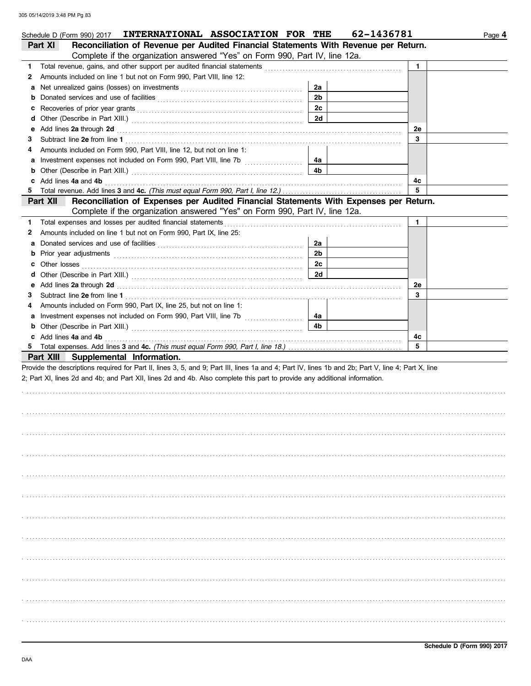|    | Schedule D (Form 990) 2017 INTERNATIONAL ASSOCIATION FOR THE                                                                                                                                                                         |                | 62-1436781 | Page 4 |
|----|--------------------------------------------------------------------------------------------------------------------------------------------------------------------------------------------------------------------------------------|----------------|------------|--------|
|    | Reconciliation of Revenue per Audited Financial Statements With Revenue per Return.<br>Part XI                                                                                                                                       |                |            |        |
|    | Complete if the organization answered "Yes" on Form 990, Part IV, line 12a.                                                                                                                                                          |                |            |        |
| 1. | Total revenue, gains, and other support per audited financial statements                                                                                                                                                             |                | 1.         |        |
| 2  | Amounts included on line 1 but not on Form 990, Part VIII, line 12:                                                                                                                                                                  |                |            |        |
| а  |                                                                                                                                                                                                                                      | 2a             |            |        |
| b  |                                                                                                                                                                                                                                      | 2 <sub>b</sub> |            |        |
| c  |                                                                                                                                                                                                                                      | 2c             |            |        |
| d  |                                                                                                                                                                                                                                      | 2d             |            |        |
| е  | Add lines 2a through 2d                                                                                                                                                                                                              |                | 2e         |        |
| 3  |                                                                                                                                                                                                                                      |                | 3          |        |
| 4  | Amounts included on Form 990, Part VIII, line 12, but not on line 1:                                                                                                                                                                 |                |            |        |
| а  | Investment expenses not included on Form 990, Part VIII, line 7b [                                                                                                                                                                   | 4a             |            |        |
| b  |                                                                                                                                                                                                                                      | 4b             |            |        |
|    | Add lines 4a and 4b                                                                                                                                                                                                                  |                | 4с         |        |
| 5. |                                                                                                                                                                                                                                      |                | 5          |        |
|    | Reconciliation of Expenses per Audited Financial Statements With Expenses per Return.<br>Part XII                                                                                                                                    |                |            |        |
|    | Complete if the organization answered "Yes" on Form 990, Part IV, line 12a.                                                                                                                                                          |                |            |        |
| 1. | Total expenses and losses per audited financial statements                                                                                                                                                                           |                | 1.         |        |
| 2  | Amounts included on line 1 but not on Form 990, Part IX, line 25:                                                                                                                                                                    |                |            |        |
| а  |                                                                                                                                                                                                                                      | 2a             |            |        |
| b  | Prior year adjustments communications and the contract of the contract of the contract of the contract of the contract of the contract of the contract of the contract of the contract of the contract of the contract of the        | 2 <sub>b</sub> |            |        |
| c  | Other losses <u>with a series of the series of the series of the series of the series of the series of the series of the series of the series of the series of the series of the series of the series of the series of the serie</u> | 2c             |            |        |
| d  |                                                                                                                                                                                                                                      | 2d             |            |        |
| е  | Add lines 2a through 2d <b>Martin Community 20</b> and 20 and 20 and 20 and 20 and 20 and 20 and 20 and 20 and 20 and 20 and 20 and 20 and 20 and 20 and 20 and 20 and 20 and 20 and 20 and 20 and 20 and 20 and 20 and 20 and 20 a  |                | 2e         |        |
| 3  |                                                                                                                                                                                                                                      |                | 3          |        |
| 4  | Amounts included on Form 990, Part IX, line 25, but not on line 1:                                                                                                                                                                   |                |            |        |
| а  |                                                                                                                                                                                                                                      | 4a             |            |        |
| b  |                                                                                                                                                                                                                                      | 4b             |            |        |
|    | c Add lines 4a and 4b                                                                                                                                                                                                                |                | 4c         |        |
|    |                                                                                                                                                                                                                                      |                | 5          |        |
|    | Part XIII Supplemental Information.                                                                                                                                                                                                  |                |            |        |
|    | Provide the descriptions required for Part II, lines 3, 5, and 9; Part III, lines 1a and 4; Part IV, lines 1b and 2b; Part V, line 4; Part X, line                                                                                   |                |            |        |
|    | 2; Part XI, lines 2d and 4b; and Part XII, lines 2d and 4b. Also complete this part to provide any additional information.                                                                                                           |                |            |        |
|    |                                                                                                                                                                                                                                      |                |            |        |
|    |                                                                                                                                                                                                                                      |                |            |        |
|    |                                                                                                                                                                                                                                      |                |            |        |
|    |                                                                                                                                                                                                                                      |                |            |        |
|    |                                                                                                                                                                                                                                      |                |            |        |
|    |                                                                                                                                                                                                                                      |                |            |        |
|    |                                                                                                                                                                                                                                      |                |            |        |
|    |                                                                                                                                                                                                                                      |                |            |        |
|    |                                                                                                                                                                                                                                      |                |            |        |
|    |                                                                                                                                                                                                                                      |                |            |        |
|    |                                                                                                                                                                                                                                      |                |            |        |
|    |                                                                                                                                                                                                                                      |                |            |        |
|    |                                                                                                                                                                                                                                      |                |            |        |
|    |                                                                                                                                                                                                                                      |                |            |        |
|    |                                                                                                                                                                                                                                      |                |            |        |
|    |                                                                                                                                                                                                                                      |                |            |        |
|    |                                                                                                                                                                                                                                      |                |            |        |
|    |                                                                                                                                                                                                                                      |                |            |        |
|    |                                                                                                                                                                                                                                      |                |            |        |
|    |                                                                                                                                                                                                                                      |                |            |        |
|    |                                                                                                                                                                                                                                      |                |            |        |
|    |                                                                                                                                                                                                                                      |                |            |        |
|    |                                                                                                                                                                                                                                      |                |            |        |
|    |                                                                                                                                                                                                                                      |                |            |        |
|    |                                                                                                                                                                                                                                      |                |            |        |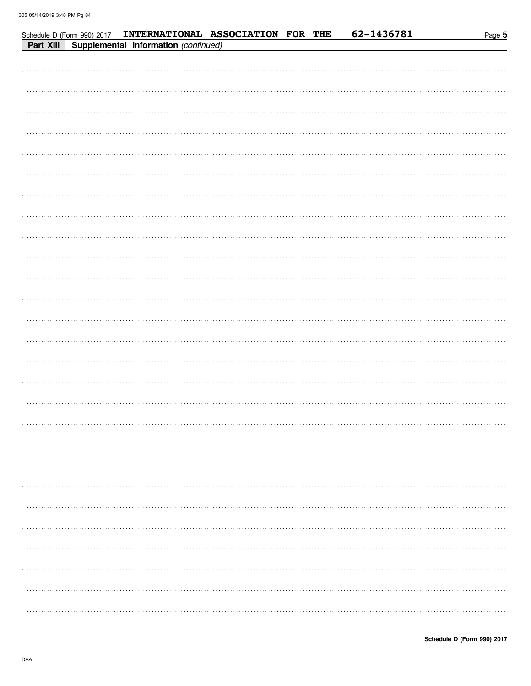|           | Schedule D (Form 990) 2017 |                                      | INTERNATIONAL ASSOCIATION FOR THE |  | 62-1436781 | Page 5 |
|-----------|----------------------------|--------------------------------------|-----------------------------------|--|------------|--------|
| Part XIII |                            | Supplemental Information (continued) |                                   |  |            |        |
|           |                            |                                      |                                   |  |            |        |
|           |                            |                                      |                                   |  |            |        |
|           |                            |                                      |                                   |  |            |        |
|           |                            |                                      |                                   |  |            |        |
|           |                            |                                      |                                   |  |            |        |
|           |                            |                                      |                                   |  |            |        |
|           |                            |                                      |                                   |  |            |        |
|           |                            |                                      |                                   |  |            |        |
|           |                            |                                      |                                   |  |            |        |
|           |                            |                                      |                                   |  |            |        |
|           |                            |                                      |                                   |  |            |        |
|           |                            |                                      |                                   |  |            |        |
|           |                            |                                      |                                   |  |            |        |
|           |                            |                                      |                                   |  |            |        |
|           |                            |                                      |                                   |  |            |        |
|           |                            |                                      |                                   |  |            |        |
|           |                            |                                      |                                   |  |            |        |
|           |                            |                                      |                                   |  |            |        |
|           |                            |                                      |                                   |  |            |        |
|           |                            |                                      |                                   |  |            |        |
|           |                            |                                      |                                   |  |            |        |
|           |                            |                                      |                                   |  |            |        |
|           |                            |                                      |                                   |  |            |        |
|           |                            |                                      |                                   |  |            |        |
|           |                            |                                      |                                   |  |            |        |
|           |                            |                                      |                                   |  |            |        |
|           |                            |                                      |                                   |  |            |        |
|           |                            |                                      |                                   |  |            |        |
|           |                            |                                      |                                   |  |            |        |
|           |                            |                                      |                                   |  |            |        |
|           |                            |                                      |                                   |  |            |        |
|           |                            |                                      |                                   |  |            |        |
|           |                            |                                      |                                   |  |            |        |
|           |                            |                                      |                                   |  |            |        |
|           |                            |                                      |                                   |  |            |        |
|           |                            |                                      |                                   |  |            |        |
|           |                            |                                      |                                   |  |            |        |
|           |                            |                                      |                                   |  |            |        |
|           |                            |                                      |                                   |  |            |        |
|           |                            |                                      |                                   |  |            |        |
|           |                            |                                      |                                   |  |            |        |
|           |                            |                                      |                                   |  |            |        |
|           |                            |                                      |                                   |  |            |        |
|           |                            |                                      |                                   |  |            |        |
|           |                            |                                      |                                   |  |            |        |
|           |                            |                                      |                                   |  |            |        |
|           |                            |                                      |                                   |  |            |        |
|           |                            |                                      |                                   |  |            |        |
|           |                            |                                      |                                   |  |            |        |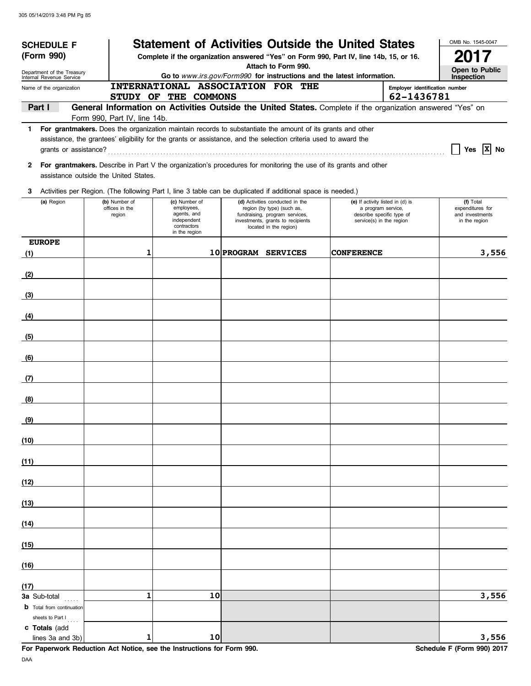| <b>SCHEDULE F</b>                                    |                              |                                          |    |                                                                                                                  | <b>Statement of Activities Outside the United States</b>                                                           |                                  | OMB No. 1545-0047                   |
|------------------------------------------------------|------------------------------|------------------------------------------|----|------------------------------------------------------------------------------------------------------------------|--------------------------------------------------------------------------------------------------------------------|----------------------------------|-------------------------------------|
| (Form 990)                                           |                              |                                          |    |                                                                                                                  | Complete if the organization answered "Yes" on Form 990, Part IV, line 14b, 15, or 16.                             |                                  | 2017                                |
| Department of the Treasury                           |                              |                                          |    | Attach to Form 990.                                                                                              |                                                                                                                    |                                  | Open to Public                      |
| Internal Revenue Service<br>Name of the organization |                              |                                          |    | INTERNATIONAL ASSOCIATION FOR THE                                                                                | Go to www.irs.gov/Form990 for instructions and the latest information.                                             | Employer identification number   | Inspection                          |
|                                                      |                              | STUDY OF THE COMMONS                     |    |                                                                                                                  |                                                                                                                    | 62-1436781                       |                                     |
| Part I                                               |                              |                                          |    |                                                                                                                  | General Information on Activities Outside the United States. Complete if the organization answered "Yes" on        |                                  |                                     |
|                                                      | Form 990, Part IV, line 14b. |                                          |    |                                                                                                                  | 1 For grantmakers. Does the organization maintain records to substantiate the amount of its grants and other       |                                  |                                     |
|                                                      |                              |                                          |    | assistance, the grantees' eligibility for the grants or assistance, and the selection criteria used to award the |                                                                                                                    |                                  |                                     |
| grants or assistance?                                |                              |                                          |    |                                                                                                                  |                                                                                                                    |                                  | Yes $\overline{X}$ No               |
| assistance outside the United States.                |                              |                                          |    |                                                                                                                  | 2 For grantmakers. Describe in Part V the organization's procedures for monitoring the use of its grants and other |                                  |                                     |
| 3                                                    |                              |                                          |    | Activities per Region. (The following Part I, line 3 table can be duplicated if additional space is needed.)     |                                                                                                                    |                                  |                                     |
| (a) Region                                           | (b) Number of                | (c) Number of                            |    | (d) Activities conducted in the                                                                                  |                                                                                                                    | (e) If activity listed in (d) is | (f) Total                           |
|                                                      | offices in the<br>region     | employees,<br>agents, and<br>independent |    | region (by type) (such as,<br>fundraising, program services,<br>investments, grants to recipients                | a program service,<br>service(s) in the region                                                                     | describe specific type of        | expenditures for<br>and investments |
|                                                      |                              | contractors<br>in the region             |    | located in the region)                                                                                           |                                                                                                                    |                                  | in the region                       |
| <b>EUROPE</b>                                        |                              |                                          |    |                                                                                                                  |                                                                                                                    |                                  |                                     |
| (1)                                                  | 1                            |                                          |    | 10 PROGRAM SERVICES                                                                                              | <b>CONFERENCE</b>                                                                                                  |                                  | 3,556                               |
| (2)                                                  |                              |                                          |    |                                                                                                                  |                                                                                                                    |                                  |                                     |
| (3)                                                  |                              |                                          |    |                                                                                                                  |                                                                                                                    |                                  |                                     |
| (4)                                                  |                              |                                          |    |                                                                                                                  |                                                                                                                    |                                  |                                     |
| (5)                                                  |                              |                                          |    |                                                                                                                  |                                                                                                                    |                                  |                                     |
| (6)                                                  |                              |                                          |    |                                                                                                                  |                                                                                                                    |                                  |                                     |
| (7)                                                  |                              |                                          |    |                                                                                                                  |                                                                                                                    |                                  |                                     |
| (8)                                                  |                              |                                          |    |                                                                                                                  |                                                                                                                    |                                  |                                     |
| (9)                                                  |                              |                                          |    |                                                                                                                  |                                                                                                                    |                                  |                                     |
| (10)                                                 |                              |                                          |    |                                                                                                                  |                                                                                                                    |                                  |                                     |
| (11)                                                 |                              |                                          |    |                                                                                                                  |                                                                                                                    |                                  |                                     |
| (12)                                                 |                              |                                          |    |                                                                                                                  |                                                                                                                    |                                  |                                     |
| (13)                                                 |                              |                                          |    |                                                                                                                  |                                                                                                                    |                                  |                                     |
| (14)                                                 |                              |                                          |    |                                                                                                                  |                                                                                                                    |                                  |                                     |
| (15)                                                 |                              |                                          |    |                                                                                                                  |                                                                                                                    |                                  |                                     |
| (16)                                                 |                              |                                          |    |                                                                                                                  |                                                                                                                    |                                  |                                     |
|                                                      |                              |                                          |    |                                                                                                                  |                                                                                                                    |                                  |                                     |
| (17)<br><b>3a</b> Sub-total                          | $\mathbf{1}$                 |                                          | 10 |                                                                                                                  |                                                                                                                    |                                  | 3,556                               |
| <b>b</b> Total from continuation<br>sheets to Part I |                              |                                          |    |                                                                                                                  |                                                                                                                    |                                  |                                     |
| c Totals (add<br>lines 3a and 3b)                    | 1                            |                                          | 10 |                                                                                                                  |                                                                                                                    |                                  | 3,556                               |

**For Paperwork Reduction Act Notice, see the Instructions for Form 990.** Schedule F (Form 990) 2017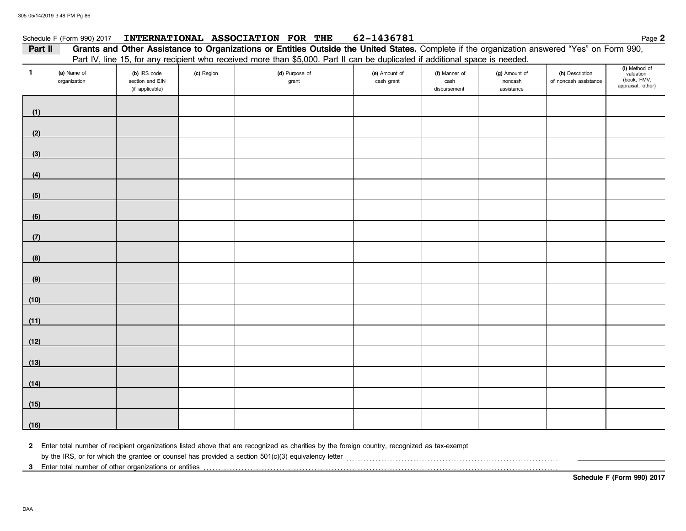#### Schedule F (Form 990) 2017 **INTERNATIONAL ASSOCIATION FOR THE** 62-1436781 **Page 2** Page 2

### Part II Grants and Other Assistance to Organizations or Entities Outside the United States. Complete if the organization answered "Yes" on Form 990, Part IV, line 15, for any recipient who received more than \$5,000. Part II can be duplicated if additional space is needed.

| $\mathbf{1}$ | (a) Name of<br>organization | $\cdot$ .<br>(b) IRS code<br>section and EIN<br>(if applicable) | <br>(c) Region | -- - - <b></b><br>(d) Purpose of<br>grant | (e) Amount of<br>cash grant | (f) Manner of<br>cash<br>disbursement | <br>(g) Amount of<br>noncash<br>assistance | (h) Description<br>of noncash assistance | (i) Method of<br>valuation<br>(book, FMV,<br>appraisal, other) |
|--------------|-----------------------------|-----------------------------------------------------------------|----------------|-------------------------------------------|-----------------------------|---------------------------------------|--------------------------------------------|------------------------------------------|----------------------------------------------------------------|
| (1)          |                             |                                                                 |                |                                           |                             |                                       |                                            |                                          |                                                                |
| (2)          |                             |                                                                 |                |                                           |                             |                                       |                                            |                                          |                                                                |
| (3)          |                             |                                                                 |                |                                           |                             |                                       |                                            |                                          |                                                                |
| (4)          |                             |                                                                 |                |                                           |                             |                                       |                                            |                                          |                                                                |
| (5)          |                             |                                                                 |                |                                           |                             |                                       |                                            |                                          |                                                                |
| (6)          |                             |                                                                 |                |                                           |                             |                                       |                                            |                                          |                                                                |
| (7)          |                             |                                                                 |                |                                           |                             |                                       |                                            |                                          |                                                                |
| (8)          |                             |                                                                 |                |                                           |                             |                                       |                                            |                                          |                                                                |
| (9)          |                             |                                                                 |                |                                           |                             |                                       |                                            |                                          |                                                                |
| (10)         |                             |                                                                 |                |                                           |                             |                                       |                                            |                                          |                                                                |
| (11)         |                             |                                                                 |                |                                           |                             |                                       |                                            |                                          |                                                                |
| (12)         |                             |                                                                 |                |                                           |                             |                                       |                                            |                                          |                                                                |
| (13)         |                             |                                                                 |                |                                           |                             |                                       |                                            |                                          |                                                                |
| (14)         |                             |                                                                 |                |                                           |                             |                                       |                                            |                                          |                                                                |
| (15)         |                             |                                                                 |                |                                           |                             |                                       |                                            |                                          |                                                                |
| (16)         |                             |                                                                 |                |                                           |                             |                                       |                                            |                                          |                                                                |

**2** Enter total number of recipient organizations listed above that are recognized as charities by the foreign country, recognized as tax-exempt

by the IRS, or for which the grantee or counsel has provided a section 501(c)(3) equivalency letter [[[[[[ ]]]

**3** Enter total number of other organizations or entities . . . . . . . . . . . . . . . . . . . . . . . . . . . . . . . . . . . . . . . . . . . . . . . . . . . . . . . . . . . . . . . . . . . . . . . . . . . . . . . . . . . . . . . . . . . . . . . . . . . . . . . . . . . . . . . . . . . . . . . . . .

**Schedule F (Form 990) 2017**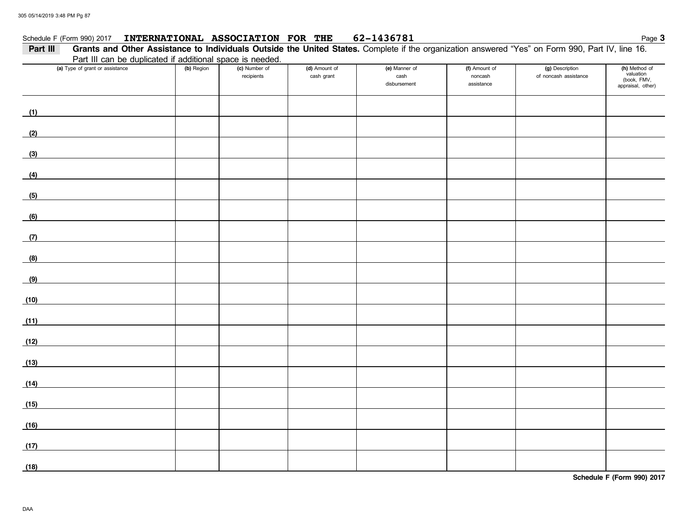#### Schedule F (Form 990) 2017 **INTERNATIONAL ASSOCIATION FOR THE** 62-1436781 Page 3

| Part III | Grants and Other Assistance to Individuals Outside the United States. Complete if the organization answered "Yes" on Form 990, Part IV, line 16. |            |                             |                             |                                       |                                        |                                          |                                                                |
|----------|--------------------------------------------------------------------------------------------------------------------------------------------------|------------|-----------------------------|-----------------------------|---------------------------------------|----------------------------------------|------------------------------------------|----------------------------------------------------------------|
|          | Part III can be duplicated if additional space is needed.                                                                                        |            |                             |                             |                                       |                                        |                                          |                                                                |
|          | (a) Type of grant or assistance                                                                                                                  | (b) Region | (c) Number of<br>recipients | (d) Amount of<br>cash grant | (e) Manner of<br>cash<br>disbursement | (f) Amount of<br>noncash<br>assistance | (g) Description<br>of noncash assistance | (h) Method of<br>valuation<br>(book, FMV,<br>appraisal, other) |
| (1)      |                                                                                                                                                  |            |                             |                             |                                       |                                        |                                          |                                                                |
| (2)      |                                                                                                                                                  |            |                             |                             |                                       |                                        |                                          |                                                                |
| (3)      |                                                                                                                                                  |            |                             |                             |                                       |                                        |                                          |                                                                |
| (4)      |                                                                                                                                                  |            |                             |                             |                                       |                                        |                                          |                                                                |
| (5)      |                                                                                                                                                  |            |                             |                             |                                       |                                        |                                          |                                                                |
| (6)      |                                                                                                                                                  |            |                             |                             |                                       |                                        |                                          |                                                                |
| (7)      |                                                                                                                                                  |            |                             |                             |                                       |                                        |                                          |                                                                |
| (8)      |                                                                                                                                                  |            |                             |                             |                                       |                                        |                                          |                                                                |
| (9)      |                                                                                                                                                  |            |                             |                             |                                       |                                        |                                          |                                                                |
| (10)     |                                                                                                                                                  |            |                             |                             |                                       |                                        |                                          |                                                                |
| (11)     |                                                                                                                                                  |            |                             |                             |                                       |                                        |                                          |                                                                |
| (12)     |                                                                                                                                                  |            |                             |                             |                                       |                                        |                                          |                                                                |
| (13)     |                                                                                                                                                  |            |                             |                             |                                       |                                        |                                          |                                                                |
| (14)     |                                                                                                                                                  |            |                             |                             |                                       |                                        |                                          |                                                                |
| (15)     |                                                                                                                                                  |            |                             |                             |                                       |                                        |                                          |                                                                |
| (16)     |                                                                                                                                                  |            |                             |                             |                                       |                                        |                                          |                                                                |
| (17)     |                                                                                                                                                  |            |                             |                             |                                       |                                        |                                          |                                                                |
| (18)     |                                                                                                                                                  |            |                             |                             |                                       |                                        |                                          |                                                                |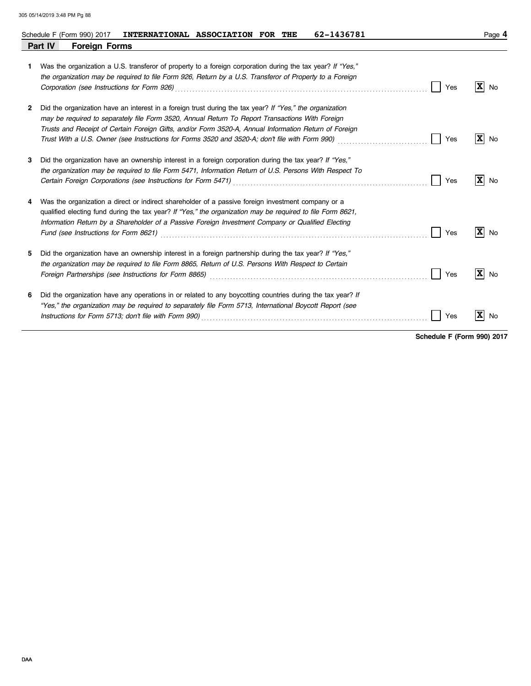|    | 62-1436781<br>INTERNATIONAL ASSOCIATION FOR THE<br>Schedule F (Form 990) 2017                                                                                                                                                                                                                                                                                                                                                                          | Page 4                        |
|----|--------------------------------------------------------------------------------------------------------------------------------------------------------------------------------------------------------------------------------------------------------------------------------------------------------------------------------------------------------------------------------------------------------------------------------------------------------|-------------------------------|
|    | Part IV<br><b>Foreign Forms</b>                                                                                                                                                                                                                                                                                                                                                                                                                        |                               |
| 1. | Was the organization a U.S. transferor of property to a foreign corporation during the tax year? If "Yes,"<br>the organization may be required to file Form 926, Return by a U.S. Transferor of Property to a Foreign<br>Corporation (see Instructions for Form 926)<br>Yes                                                                                                                                                                            | $\mathbf{x}$<br>No            |
| 2  | Did the organization have an interest in a foreign trust during the tax year? If "Yes," the organization<br>may be required to separately file Form 3520, Annual Return To Report Transactions With Foreign<br>Trusts and Receipt of Certain Foreign Gifts, and/or Form 3520-A, Annual Information Return of Foreign<br>Trust With a U.S. Owner (see Instructions for Forms 3520 and 3520-A; don't file with Form 990)<br>Yes                          | $\mathbf{x}$<br>No            |
| 3  | Did the organization have an ownership interest in a foreign corporation during the tax year? If "Yes,"<br>the organization may be required to file Form 5471, Information Return of U.S. Persons With Respect To<br>Certain Foreign Corporations (see Instructions for Form 5471) [2010] [2010] [2010] [2010] [2010] [2010] [2010<br>Yes                                                                                                              | $X$ No                        |
|    | Was the organization a direct or indirect shareholder of a passive foreign investment company or a<br>qualified electing fund during the tax year? If "Yes," the organization may be required to file Form 8621,<br>Information Return by a Shareholder of a Passive Foreign Investment Company or Qualified Electing<br>Yes                                                                                                                           | $\overline{\mathbf{x}}$<br>No |
| 5  | Did the organization have an ownership interest in a foreign partnership during the tax year? If "Yes,"<br>the organization may be required to file Form 8865, Return of U.S. Persons With Respect to Certain<br>Yes<br>Foreign Partnerships (see Instructions for Form 8865) Materian Construction Construction Construction Construction Construction Construction Construction Construction Construction Construction Construction Construction Con | $\mathbf{x}$<br>No            |
| 6  | Did the organization have any operations in or related to any boycotting countries during the tax year? If<br>"Yes," the organization may be required to separately file Form 5713, International Boycott Report (see<br>Instructions for Form 5713; don't file with Form 990)<br>Yes                                                                                                                                                                  | $\overline{\mathbf{x}}$<br>No |

**Schedule F (Form 990) 2017**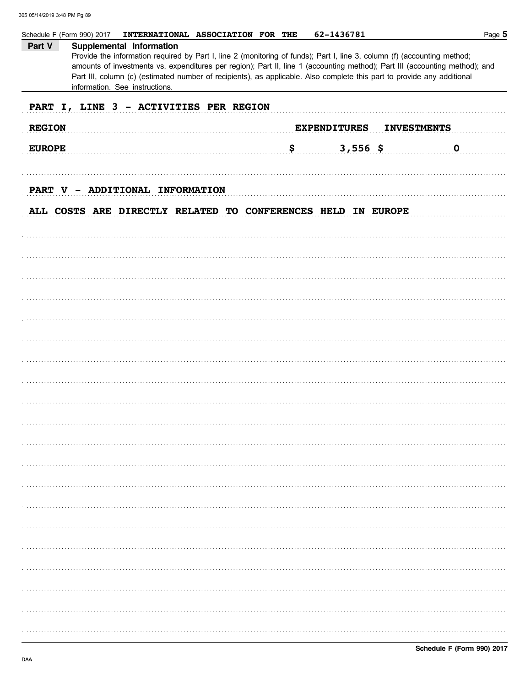|               | INTERNATIONAL ASSOCIATION FOR THE<br>Schedule F (Form 990) 2017                                                                                                                                                                                                                                                                                                                                                | 62-1436781                                | Page 5      |
|---------------|----------------------------------------------------------------------------------------------------------------------------------------------------------------------------------------------------------------------------------------------------------------------------------------------------------------------------------------------------------------------------------------------------------------|-------------------------------------------|-------------|
| Part V        | Supplemental Information<br>Provide the information required by Part I, line 2 (monitoring of funds); Part I, line 3, column (f) (accounting method;<br>amounts of investments vs. expenditures per region); Part II, line 1 (accounting method); Part III (accounting method); and<br>Part III, column (c) (estimated number of recipients), as applicable. Also complete this part to provide any additional |                                           |             |
|               | information. See instructions.                                                                                                                                                                                                                                                                                                                                                                                 |                                           |             |
|               | PART I, LINE 3 - ACTIVITIES PER REGION                                                                                                                                                                                                                                                                                                                                                                         |                                           |             |
| <b>REGION</b> |                                                                                                                                                                                                                                                                                                                                                                                                                | <b>EXPENDITURES</b><br><b>INVESTMENTS</b> |             |
| <b>EUROPE</b> | \$                                                                                                                                                                                                                                                                                                                                                                                                             | $3,556$ \$                                | $\mathbf 0$ |
|               |                                                                                                                                                                                                                                                                                                                                                                                                                |                                           |             |
|               | PART V - ADDITIONAL INFORMATION                                                                                                                                                                                                                                                                                                                                                                                |                                           |             |
|               | ALL COSTS ARE DIRECTLY RELATED TO CONFERENCES HELD IN EUROPE                                                                                                                                                                                                                                                                                                                                                   |                                           |             |
|               |                                                                                                                                                                                                                                                                                                                                                                                                                |                                           |             |
|               |                                                                                                                                                                                                                                                                                                                                                                                                                |                                           |             |
|               |                                                                                                                                                                                                                                                                                                                                                                                                                |                                           |             |
|               |                                                                                                                                                                                                                                                                                                                                                                                                                |                                           |             |
|               |                                                                                                                                                                                                                                                                                                                                                                                                                |                                           |             |
|               |                                                                                                                                                                                                                                                                                                                                                                                                                |                                           |             |
|               |                                                                                                                                                                                                                                                                                                                                                                                                                |                                           |             |
|               |                                                                                                                                                                                                                                                                                                                                                                                                                |                                           |             |
|               |                                                                                                                                                                                                                                                                                                                                                                                                                |                                           |             |
|               |                                                                                                                                                                                                                                                                                                                                                                                                                |                                           |             |
|               |                                                                                                                                                                                                                                                                                                                                                                                                                |                                           |             |
|               |                                                                                                                                                                                                                                                                                                                                                                                                                |                                           |             |
|               |                                                                                                                                                                                                                                                                                                                                                                                                                |                                           |             |
|               |                                                                                                                                                                                                                                                                                                                                                                                                                |                                           |             |
|               |                                                                                                                                                                                                                                                                                                                                                                                                                |                                           |             |
|               |                                                                                                                                                                                                                                                                                                                                                                                                                |                                           |             |
|               |                                                                                                                                                                                                                                                                                                                                                                                                                |                                           |             |
|               |                                                                                                                                                                                                                                                                                                                                                                                                                |                                           |             |
|               |                                                                                                                                                                                                                                                                                                                                                                                                                |                                           |             |
|               |                                                                                                                                                                                                                                                                                                                                                                                                                |                                           |             |
|               |                                                                                                                                                                                                                                                                                                                                                                                                                |                                           |             |
|               |                                                                                                                                                                                                                                                                                                                                                                                                                |                                           |             |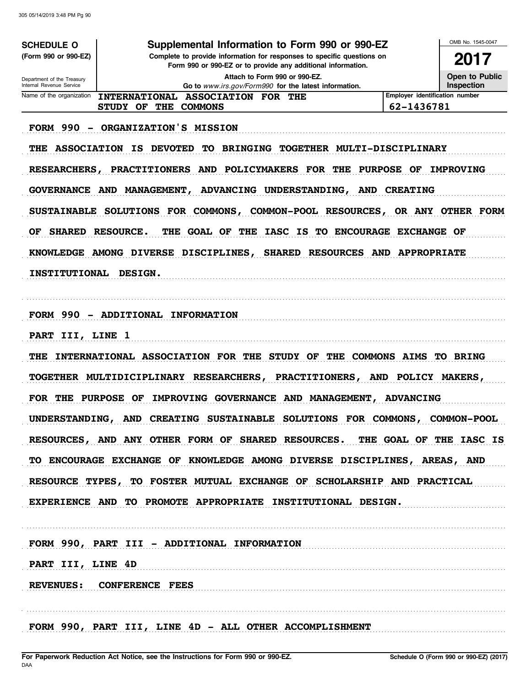| <b>SCHEDULE O</b>                                                         | Supplemental Information to Form 990 or 990-EZ                                                                                                                                                    |                                | OMB No. 1545-0047  |
|---------------------------------------------------------------------------|---------------------------------------------------------------------------------------------------------------------------------------------------------------------------------------------------|--------------------------------|--------------------|
| (Form 990 or 990-EZ)                                                      | Complete to provide information for responses to specific questions on<br>Form 990 or 990-EZ or to provide any additional information.                                                            |                                | 2017               |
| Department of the Treasury                                                | Attach to Form 990 or 990-EZ.                                                                                                                                                                     |                                | Open to Public     |
| Internal Revenue Service<br>Name of the organization                      | Go to www.irs.gov/Form990 for the latest information.<br>INTERNATIONAL ASSOCIATION FOR<br>THE                                                                                                     | Employer identification number | Inspection         |
|                                                                           | <b>STUDY OF</b><br>THE<br><b>COMMONS</b>                                                                                                                                                          | 62-1436781                     |                    |
| <b>FORM 990</b><br>$\overline{\phantom{a}}$<br>THE<br><b>RESEARCHERS,</b> | ORGANIZATION'S MISSION<br><b>DEVOTED</b><br>TOGETHER MULTI-DISCIPLINARY<br><b>ASSOCIATION IS</b><br><b>BRINGING</b><br>TО<br><b>POLICYMAKERS FOR</b><br><b>PRACTITIONERS</b><br><b>AND</b><br>THE | <b>PURPOSE</b><br>OF           | <b>IMPROVING</b>   |
| <b>GOVERNANCE</b>                                                         | AND MANAGEMENT,<br>ADVANCING UNDERSTANDING,                                                                                                                                                       | AND CREATING                   |                    |
| <b>SUSTAINABLE</b>                                                        | <b>SOLUTIONS</b><br>FOR<br>COMMONS,<br>COMMON-POOL RESOURCES,                                                                                                                                     |                                | OR ANY OTHER FORM  |
| <b>SHARED</b><br>OF                                                       | <b>RESOURCE.</b><br><b>GOAL OF</b><br><b>IASC</b><br><b>ENCOURAGE</b><br>THE<br>THE<br>IS<br>TO.                                                                                                  | <b>EXCHANGE</b>                | OF                 |
| <b>KNOWLEDGE</b>                                                          | <b>RESOURCES AND</b><br><b>AMONG DIVERSE</b><br><b>DISCIPLINES,</b><br><b>SHARED</b>                                                                                                              | <b>APPROPRIATE</b>             |                    |
| <b>INSTITUTIONAL</b>                                                      | <b>DESIGN.</b>                                                                                                                                                                                    |                                |                    |
| <b>FORM 990</b><br>$\overline{\phantom{a}}$                               | ADDITIONAL INFORMATION                                                                                                                                                                            |                                |                    |
| III, LINE 1<br><b>PART</b>                                                |                                                                                                                                                                                                   |                                |                    |
| THE                                                                       | INTERNATIONAL ASSOCIATION FOR THE<br><b>STUDY OF</b><br>THE                                                                                                                                       | <b>COMMONS AIMS</b>            | <b>TO BRING</b>    |
|                                                                           | TOGETHER MULTIDICIPLINARY RESEARCHERS,<br><b>PRACTITIONERS,</b>                                                                                                                                   | <b>AND</b>                     | POLICY MAKERS,     |
| FOR<br>THE                                                                | <b>PURPOSE</b><br>OF<br>IMPROVING GOVERNANCE<br>AND MANAGEMENT,                                                                                                                                   | <b>ADVANCING</b>               |                    |
|                                                                           | UNDERSTANDING, AND CREATING SUSTAINABLE SOLUTIONS FOR COMMONS,                                                                                                                                    |                                | <b>COMMON-POOL</b> |
|                                                                           | RESOURCES, AND ANY OTHER FORM OF SHARED RESOURCES. THE GOAL OF THE IASC IS                                                                                                                        |                                |                    |
|                                                                           | TO ENCOURAGE EXCHANGE OF KNOWLEDGE AMONG DIVERSE DISCIPLINES, AREAS, AND                                                                                                                          |                                |                    |
|                                                                           | RESOURCE TYPES, TO FOSTER MUTUAL EXCHANGE OF SCHOLARSHIP AND PRACTICAL                                                                                                                            |                                |                    |
|                                                                           | EXPERIENCE AND TO PROMOTE APPROPRIATE INSTITUTIONAL DESIGN.                                                                                                                                       |                                |                    |
|                                                                           | FORM 990, PART III - ADDITIONAL INFORMATION                                                                                                                                                       |                                |                    |
| PART III, LINE 4D                                                         |                                                                                                                                                                                                   |                                |                    |
|                                                                           | REVENUES: CONFERENCE FEES                                                                                                                                                                         |                                |                    |
|                                                                           |                                                                                                                                                                                                   |                                |                    |
|                                                                           | FORM 990, PART III, LINE 4D - ALL OTHER ACCOMPLISHMENT                                                                                                                                            |                                |                    |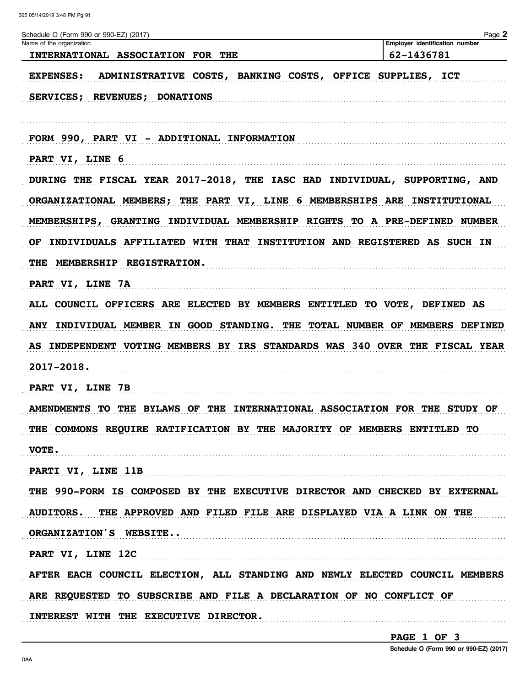| Schedule O (Form 990 or 990-EZ) (2017)<br>Name of the organization            | Page 2<br>Employer identification number |
|-------------------------------------------------------------------------------|------------------------------------------|
| INTERNATIONAL ASSOCIATION FOR THE                                             | 62-1436781                               |
| <b>EXPENSES:</b><br>ADMINISTRATIVE COSTS, BANKING COSTS, OFFICE SUPPLIES, ICT |                                          |
| SERVICES; REVENUES; DONATIONS                                                 |                                          |
| FORM 990, PART VI - ADDITIONAL INFORMATION                                    |                                          |
| PART VI, LINE 6                                                               |                                          |
| DURING THE FISCAL YEAR 2017-2018, THE IASC HAD INDIVIDUAL, SUPPORTING, AND    |                                          |
| ORGANIZATIONAL MEMBERS; THE PART VI, LINE 6 MEMBERSHIPS ARE INSTITUTIONAL     |                                          |
| MEMBERSHIPS, GRANTING INDIVIDUAL MEMBERSHIP RIGHTS TO A PRE-DEFINED NUMBER    |                                          |
| INDIVIDUALS AFFILIATED WITH THAT INSTITUTION AND REGISTERED AS SUCH IN<br>OF. |                                          |
| THE MEMBERSHIP REGISTRATION.                                                  |                                          |
| PART VI, LINE 7A                                                              |                                          |
| ALL COUNCIL OFFICERS ARE ELECTED BY MEMBERS ENTITLED TO VOTE, DEFINED AS      |                                          |
| ANY INDIVIDUAL MEMBER IN GOOD STANDING. THE TOTAL NUMBER OF MEMBERS DEFINED   |                                          |
| AS INDEPENDENT VOTING MEMBERS BY IRS STANDARDS WAS 340 OVER THE FISCAL YEAR   |                                          |
| 2017-2018.                                                                    |                                          |
| PART VI, LINE 7B                                                              |                                          |
| AMENDMENTS TO THE BYLAWS OF THE INTERNATIONAL ASSOCIATION FOR THE STUDY OF    |                                          |
| THE COMMONS REQUIRE RATIFICATION BY THE MAJORITY OF MEMBERS ENTITLED TO       |                                          |
| VOTE.                                                                         |                                          |
| PARTI VI, LINE 11B                                                            |                                          |
| THE 990-FORM IS COMPOSED BY THE EXECUTIVE DIRECTOR AND CHECKED BY EXTERNAL    |                                          |
| AUDITORS. THE APPROVED AND FILED FILE ARE DISPLAYED VIA A LINK ON THE         |                                          |
| ORGANIZATION'S WEBSITE                                                        |                                          |
| PART VI, LINE 12C                                                             |                                          |
| AFTER EACH COUNCIL ELECTION, ALL STANDING AND NEWLY ELECTED COUNCIL MEMBERS   |                                          |
| ARE REQUESTED TO SUBSCRIBE AND FILE A DECLARATION OF NO CONFLICT OF           |                                          |
| INTEREST WITH THE EXECUTIVE DIRECTOR.                                         |                                          |

PAGE 1 OF 3

Schedule O (Form 990 or 990-EZ) (2017)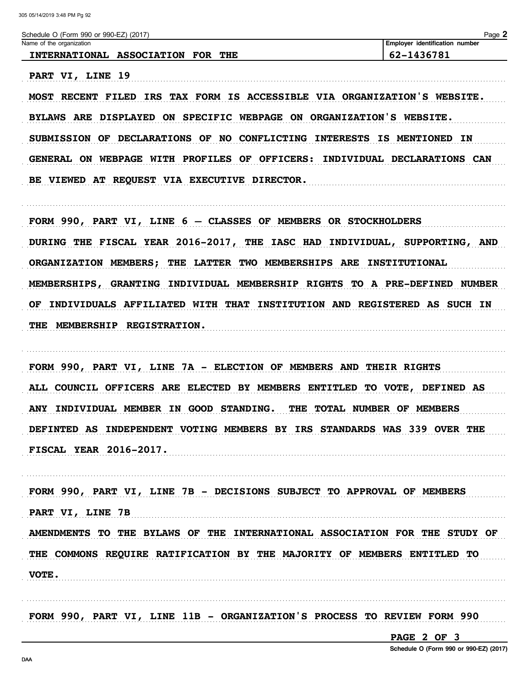Schedule O (Form 990 or 990-EZ) (2017)

PART VI, LINE 19

Page 2 **Employer identification number** 

Name of the organization INTERNATIONAL ASSOCIATION FOR THE 62-1436781

MOST RECENT FILED IRS TAX FORM IS ACCESSIBLE VIA ORGANIZATION'S WEBSITE. BYLAWS ARE DISPLAYED ON SPECIFIC WEBPAGE ON ORGANIZATION'S WEBSITE. SUBMISSION OF DECLARATIONS OF NO CONFLICTING INTERESTS IS MENTIONED IN GENERAL ON WEBPAGE WITH PROFILES OF OFFICERS: INDIVIDUAL DECLARATIONS CAN BE VIEWED AT REQUEST VIA EXECUTIVE DIRECTOR.

FORM 990, PART VI, LINE 6 - CLASSES OF MEMBERS OR STOCKHOLDERS DURING THE FISCAL YEAR 2016-2017, THE IASC HAD INDIVIDUAL, SUPPORTING, AND ORGANIZATION MEMBERS; THE LATTER TWO MEMBERSHIPS ARE INSTITUTIONAL MEMBERSHIPS, GRANTING INDIVIDUAL MEMBERSHIP RIGHTS TO A PRE-DEFINED NUMBER OF INDIVIDUALS AFFILIATED WITH THAT INSTITUTION AND REGISTERED AS SUCH IN THE MEMBERSHIP REGISTRATION.

FORM 990, PART VI, LINE 7A - ELECTION OF MEMBERS AND THEIR RIGHTS ALL COUNCIL OFFICERS ARE ELECTED BY MEMBERS ENTITLED TO VOTE, DEFINED AS ANY INDIVIDUAL MEMBER IN GOOD STANDING. THE TOTAL NUMBER OF MEMBERS DEFINTED AS INDEPENDENT VOTING MEMBERS BY IRS STANDARDS WAS 339 OVER THE **FISCAL YEAR 2016-2017.** 

FORM 990, PART VI, LINE 7B - DECISIONS SUBJECT TO APPROVAL OF MEMBERS PART VI, LINE 7B AMENDMENTS TO THE BYLAWS OF THE INTERNATIONAL ASSOCIATION FOR THE STUDY OF THE COMMONS REQUIRE RATIFICATION BY THE MAJORITY OF MEMBERS ENTITLED TO **VOTE.** 

FORM 990, PART VI, LINE 11B - ORGANIZATION'S PROCESS TO REVIEW FORM 990

PAGE 2 OF 3

Schedule O (Form 990 or 990-EZ) (2017)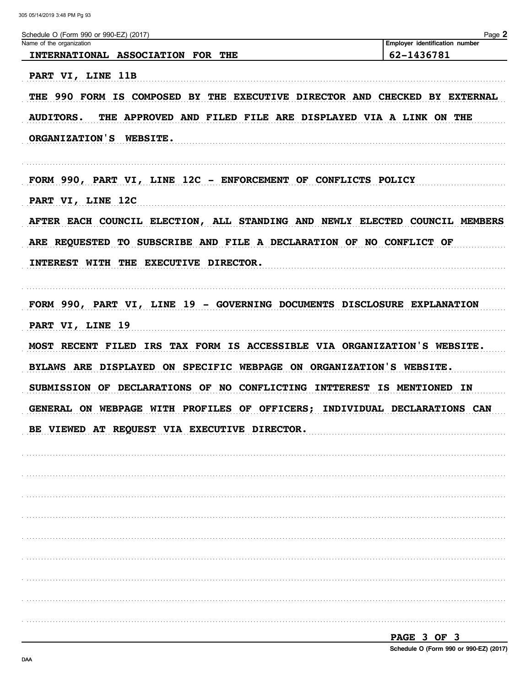| Schedule O (Form 990 or 990-EZ) (2017)<br>Name of the organization                  | Page 2<br>Employer identification number |
|-------------------------------------------------------------------------------------|------------------------------------------|
| INTERNATIONAL ASSOCIATION FOR THE                                                   | 62-1436781                               |
| PART VI, LINE 11B                                                                   |                                          |
| THE 990 FORM IS COMPOSED BY THE EXECUTIVE DIRECTOR AND CHECKED BY EXTERNAL          |                                          |
|                                                                                     |                                          |
| <b>AUDITORS.</b><br>THE APPROVED AND FILED FILE ARE DISPLAYED VIA A LINK ON THE     |                                          |
| ORGANIZATION'S WEBSITE.                                                             |                                          |
| FORM 990, PART VI, LINE 12C - ENFORCEMENT OF CONFLICTS POLICY                       |                                          |
| PART VI, LINE 12C                                                                   |                                          |
| AFTER EACH COUNCIL ELECTION, ALL STANDING AND NEWLY ELECTED COUNCIL MEMBERS         |                                          |
| ARE REQUESTED TO SUBSCRIBE AND FILE A DECLARATION OF NO CONFLICT OF                 |                                          |
| INTEREST WITH THE EXECUTIVE DIRECTOR.                                               |                                          |
|                                                                                     |                                          |
| FORM 990, PART VI, LINE 19 - GOVERNING DOCUMENTS DISCLOSURE EXPLANATION             |                                          |
| PART VI, LINE 19                                                                    |                                          |
| MOST RECENT FILED IRS TAX FORM IS ACCESSIBLE VIA ORGANIZATION'S WEBSITE.            |                                          |
| BYLAWS ARE DISPLAYED ON SPECIFIC WEBPAGE ON ORGANIZATION'S WEBSITE.                 |                                          |
| SUBMISSION OF DECLARATIONS OF NO CONFLICTING INTTEREST IS MENTIONED IN              |                                          |
| <b>GENERAL</b><br>ON WEBPAGE WITH PROFILES OF OFFICERS; INDIVIDUAL DECLARATIONS CAN |                                          |
| BE VIEWED AT REQUEST VIA EXECUTIVE DIRECTOR.                                        |                                          |
|                                                                                     |                                          |
|                                                                                     |                                          |
|                                                                                     |                                          |
|                                                                                     |                                          |
|                                                                                     |                                          |
|                                                                                     |                                          |
|                                                                                     |                                          |
|                                                                                     |                                          |
|                                                                                     |                                          |
|                                                                                     |                                          |

PAGE 3 OF 3 Schedule O (Form 990 or 990-EZ) (2017)

DAA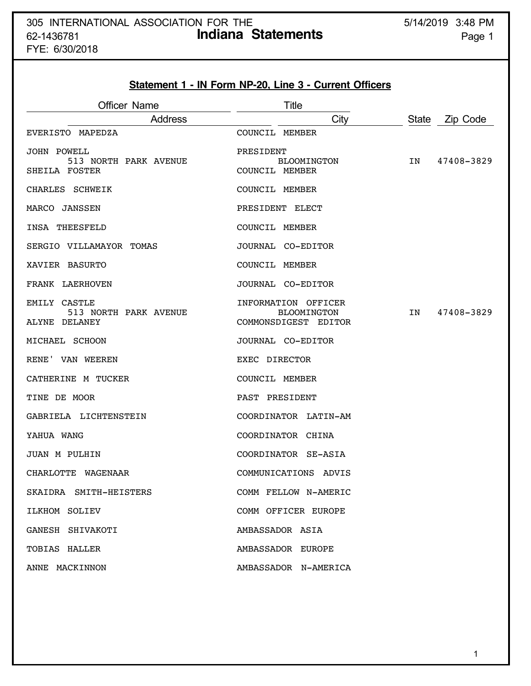FYE: 6/30/2018

# **Statement 1 - IN Form NP-20, Line 3 - Current Officers**

| <b>Officer Name</b>                                          | Title                                                             |                          |
|--------------------------------------------------------------|-------------------------------------------------------------------|--------------------------|
| <b>Address</b>                                               | City                                                              | <b>State</b><br>Zip Code |
| EVERISTO MAPEDZA                                             | COUNCIL MEMBER                                                    |                          |
| <b>JOHN POWELL</b><br>513 NORTH PARK AVENUE<br>SHEILA FOSTER | PRESIDENT<br><b>BLOOMINGTON</b><br>COUNCIL MEMBER                 | IN<br>47408-3829         |
| CHARLES SCHWEIK                                              | COUNCIL MEMBER                                                    |                          |
| MARCO JANSSEN                                                | PRESIDENT ELECT                                                   |                          |
| INSA THEESFELD                                               | COUNCIL MEMBER                                                    |                          |
| SERGIO VILLAMAYOR TOMAS                                      | JOURNAL CO-EDITOR                                                 |                          |
| XAVIER BASURTO                                               | COUNCIL MEMBER                                                    |                          |
| FRANK LAERHOVEN                                              | JOURNAL CO-EDITOR                                                 |                          |
| EMILY CASTLE<br>513 NORTH PARK AVENUE<br>ALYNE DELANEY       | INFORMATION OFFICER<br><b>BLOOMINGTON</b><br>COMMONSDIGEST EDITOR | IN<br>47408-3829         |
| MICHAEL SCHOON                                               | JOURNAL CO-EDITOR                                                 |                          |
| RENE' VAN WEEREN                                             | EXEC DIRECTOR                                                     |                          |
| CATHERINE M TUCKER                                           | COUNCIL MEMBER                                                    |                          |
| TINE DE MOOR                                                 | PAST PRESIDENT                                                    |                          |
| GABRIELA LICHTENSTEIN                                        | COORDINATOR LATIN-AM                                              |                          |
| YAHUA WANG                                                   | COORDINATOR CHINA                                                 |                          |
| JUAN M PULHIN                                                | COORDINATOR SE-ASIA                                               |                          |
| CHARLOTTE WAGENAAR                                           | COMMUNICATIONS ADVIS                                              |                          |
| SKAIDRA SMITH-HEISTERS                                       | COMM FELLOW N-AMERIC                                              |                          |
| ILKHOM SOLIEV                                                | COMM OFFICER EUROPE                                               |                          |
| GANESH SHIVAKOTI                                             | AMBASSADOR ASIA                                                   |                          |
| TOBIAS HALLER                                                | AMBASSADOR EUROPE                                                 |                          |
| ANNE MACKINNON                                               | AMBASSADOR N-AMERICA                                              |                          |